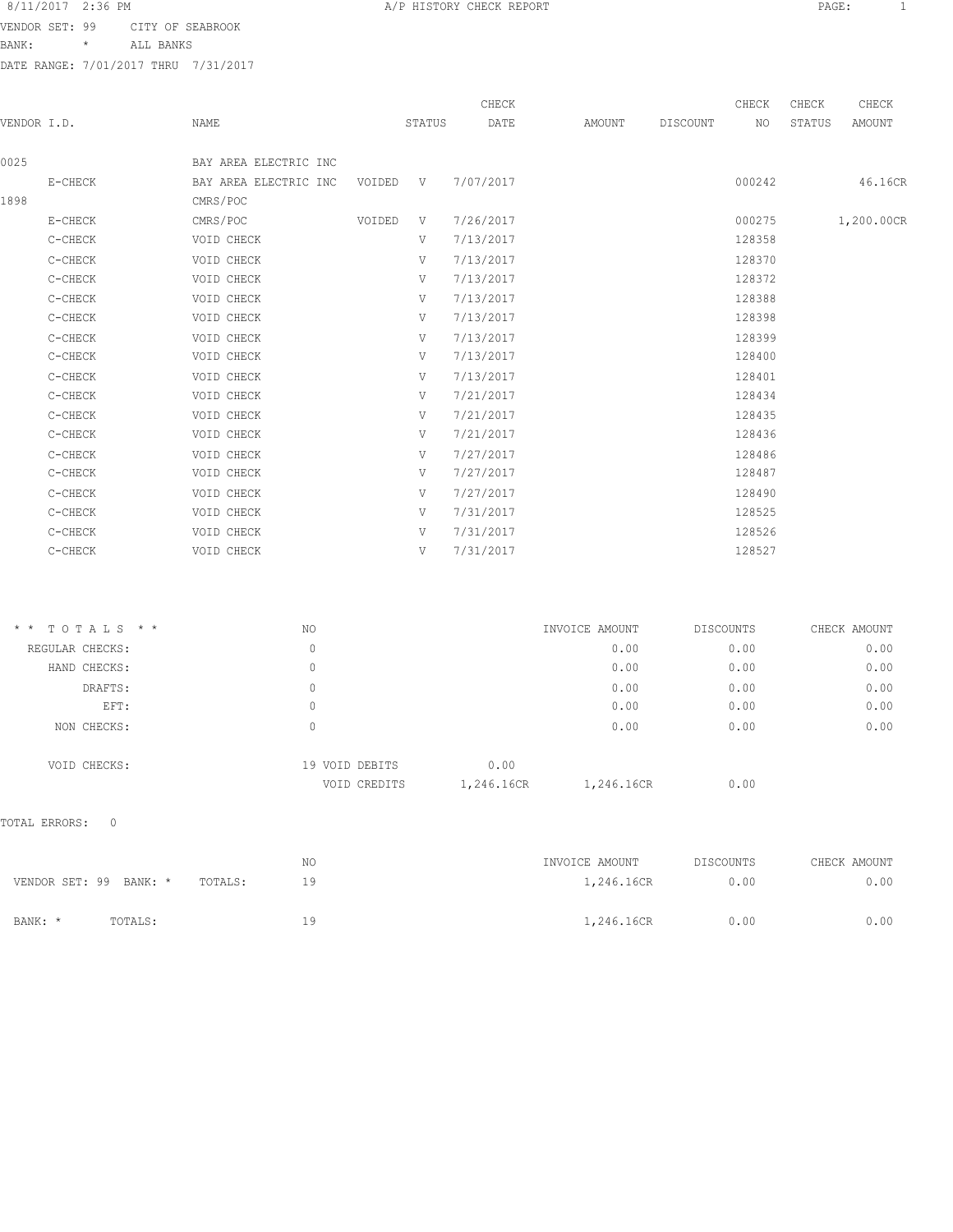VENDOR SET: 99 CITY OF SEABROOK

BANK: \* ALL BANKS

DATE RANGE: 7/01/2017 THRU 7/31/2017

| VENDOR I.D. |         | NAME                  |        | STATUS | CHECK<br>DATE | AMOUNT | DISCOUNT | CHECK<br>NO | CHECK<br>STATUS | CHECK<br>AMOUNT |
|-------------|---------|-----------------------|--------|--------|---------------|--------|----------|-------------|-----------------|-----------------|
| 0025        |         | BAY AREA ELECTRIC INC |        |        |               |        |          |             |                 |                 |
|             | E-CHECK | BAY AREA ELECTRIC INC | VOIDED | V      | 7/07/2017     |        |          | 000242      |                 | 46.16CR         |
| 1898        |         | CMRS/POC              |        |        |               |        |          |             |                 |                 |
|             | E-CHECK | CMRS/POC              | VOIDED | V      | 7/26/2017     |        |          | 000275      |                 | 1,200.00CR      |
|             | C-CHECK | VOID CHECK            |        | V      | 7/13/2017     |        |          | 128358      |                 |                 |
|             | C-CHECK | VOID CHECK            |        | V      | 7/13/2017     |        |          | 128370      |                 |                 |
|             | C-CHECK | VOID CHECK            |        | V      | 7/13/2017     |        |          | 128372      |                 |                 |
|             | C-CHECK | VOID CHECK            |        | V      | 7/13/2017     |        |          | 128388      |                 |                 |
|             | C-CHECK | VOID CHECK            |        | V      | 7/13/2017     |        |          | 128398      |                 |                 |
|             | C-CHECK | VOID CHECK            |        | V      | 7/13/2017     |        |          | 128399      |                 |                 |
|             | C-CHECK | VOID CHECK            |        | V      | 7/13/2017     |        |          | 128400      |                 |                 |
|             | C-CHECK | VOID CHECK            |        | V      | 7/13/2017     |        |          | 128401      |                 |                 |
|             | C-CHECK | VOID CHECK            |        | V      | 7/21/2017     |        |          | 128434      |                 |                 |
|             | C-CHECK | VOID CHECK            |        | V      | 7/21/2017     |        |          | 128435      |                 |                 |
|             | C-CHECK | VOID CHECK            |        | V      | 7/21/2017     |        |          | 128436      |                 |                 |
|             | C-CHECK | VOID CHECK            |        | V      | 7/27/2017     |        |          | 128486      |                 |                 |
|             | C-CHECK | VOID CHECK            |        | V      | 7/27/2017     |        |          | 128487      |                 |                 |
|             | C-CHECK | VOID CHECK            |        | V      | 7/27/2017     |        |          | 128490      |                 |                 |
|             | C-CHECK | VOID CHECK            |        | V      | 7/31/2017     |        |          | 128525      |                 |                 |
|             | C-CHECK | VOID CHECK            |        | V      | 7/31/2017     |        |          | 128526      |                 |                 |
|             | C-CHECK | VOID CHECK            |        | V      | 7/31/2017     |        |          | 128527      |                 |                 |
|             |         |                       |        |        |               |        |          |             |                 |                 |

| $*$ * TOTALS * * | NO                             | INVOICE AMOUNT                   | DISCOUNTS | CHECK AMOUNT |
|------------------|--------------------------------|----------------------------------|-----------|--------------|
| REGULAR CHECKS:  | 0                              | 0.00                             | 0.00      | 0.00         |
| HAND CHECKS:     | 0                              | 0.00                             | 0.00      | 0.00         |
| DRAFTS:          | 0                              | 0.00                             | 0.00      | 0.00         |
| EFT:             | 0                              | 0.00                             | 0.00      | 0.00         |
| NON CHECKS:      | 0                              | 0.00                             | 0.00      | 0.00         |
| VOID CHECKS:     | 19 VOID DEBITS<br>VOID CREDITS | 0.00<br>1,246.16CR<br>1,246.16CR | 0.00      |              |

## TOTAL ERRORS: 0

|                                   | N0 | INVOICE AMOUNT | DISCOUNTS | CHECK AMOUNT |
|-----------------------------------|----|----------------|-----------|--------------|
| VENDOR SET: 99 BANK: *<br>TOTALS: | 19 | 1,246.16CR     | 0.00      | 0.00         |
|                                   |    |                |           |              |
| BANK: *<br>TOTALS:                | 19 | 1,246.16CR     | 0.00      | 0.00         |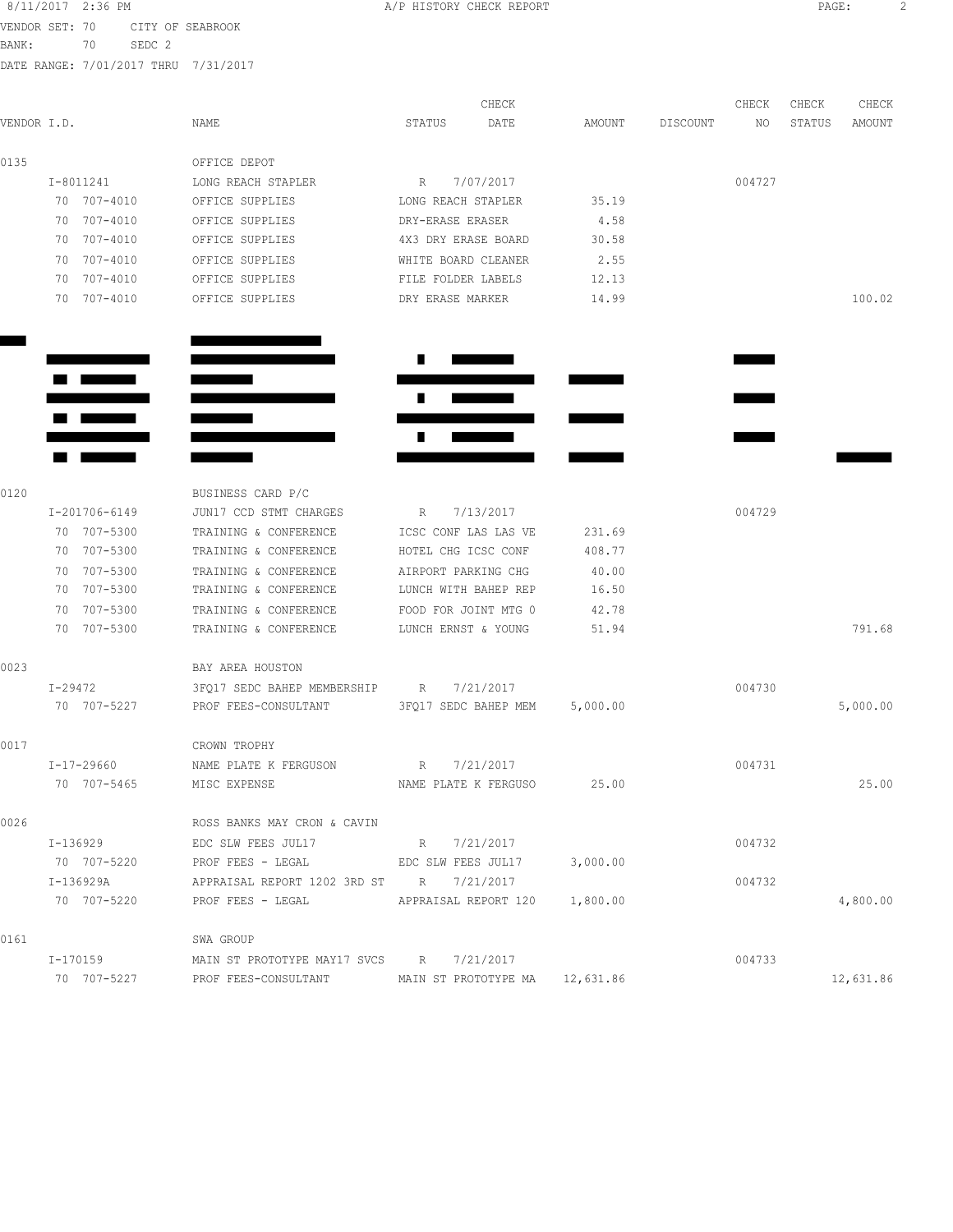|                |    | 8/11/2017 2:36 PM |                   |                                                    | A/P HISTORY CHECK REPORT      |           |          |          |        | PAGE:  |          |  |
|----------------|----|-------------------|-------------------|----------------------------------------------------|-------------------------------|-----------|----------|----------|--------|--------|----------|--|
| VENDOR SET: 70 |    |                   |                   | CITY OF SEABROOK                                   |                               |           |          |          |        |        |          |  |
| BANK:          |    | 70                | SEDC <sub>2</sub> |                                                    |                               |           |          |          |        |        |          |  |
|                |    |                   |                   | DATE RANGE: 7/01/2017 THRU 7/31/2017               |                               |           |          |          |        |        |          |  |
|                |    |                   |                   |                                                    |                               | CHECK     |          |          | CHECK  | CHECK  | CHECK    |  |
| VENDOR I.D.    |    |                   |                   | NAME                                               | STATUS                        | DATE      | AMOUNT   | DISCOUNT | NO     | STATUS | AMOUNT   |  |
| 0135           |    |                   |                   | OFFICE DEPOT                                       |                               |           |          |          |        |        |          |  |
|                |    | I-8011241         |                   | LONG REACH STAPLER                                 | R                             | 7/07/2017 |          |          | 004727 |        |          |  |
|                |    | 70 707-4010       |                   | OFFICE SUPPLIES                                    | LONG REACH STAPLER            |           | 35.19    |          |        |        |          |  |
|                |    | 70 707-4010       |                   | OFFICE SUPPLIES                                    | DRY-ERASE ERASER              |           | 4.58     |          |        |        |          |  |
|                |    | 70 707-4010       |                   | OFFICE SUPPLIES                                    | 4X3 DRY ERASE BOARD           |           | 30.58    |          |        |        |          |  |
|                |    | 70 707-4010       |                   | OFFICE SUPPLIES                                    | WHITE BOARD CLEANER           |           | 2.55     |          |        |        |          |  |
|                |    | 70 707-4010       |                   | OFFICE SUPPLIES                                    | FILE FOLDER LABELS            |           | 12.13    |          |        |        |          |  |
|                |    | 70 707-4010       |                   | OFFICE SUPPLIES                                    | DRY ERASE MARKER              |           | 14.99    |          |        |        | 100.02   |  |
|                |    |                   |                   |                                                    |                               |           |          |          |        |        |          |  |
|                |    |                   |                   |                                                    |                               |           |          |          |        |        |          |  |
|                |    |                   |                   |                                                    |                               |           |          |          |        |        |          |  |
|                |    |                   |                   |                                                    |                               |           |          |          |        |        |          |  |
|                |    |                   |                   |                                                    |                               |           |          |          |        |        |          |  |
|                |    |                   |                   |                                                    |                               |           |          |          |        |        |          |  |
|                |    |                   |                   |                                                    |                               |           |          |          |        |        |          |  |
| 0120           |    |                   |                   | BUSINESS CARD P/C                                  |                               |           |          |          |        |        |          |  |
|                |    | I-201706-6149     |                   | JUN17 CCD STMT CHARGES                             | R                             | 7/13/2017 |          |          | 004729 |        |          |  |
|                |    | 70 707-5300       |                   | TRAINING & CONFERENCE                              | ICSC CONF LAS LAS VE          |           | 231.69   |          |        |        |          |  |
|                |    | 70 707-5300       |                   | TRAINING & CONFERENCE                              | HOTEL CHG ICSC CONF           |           | 408.77   |          |        |        |          |  |
|                |    | 70 707-5300       |                   | TRAINING & CONFERENCE                              | AIRPORT PARKING CHG           |           | 40.00    |          |        |        |          |  |
|                |    | 70 707-5300       |                   | TRAINING & CONFERENCE                              | LUNCH WITH BAHEP REP          |           | 16.50    |          |        |        |          |  |
|                | 70 | 707-5300          |                   | TRAINING & CONFERENCE                              | FOOD FOR JOINT MTG 0          |           | 42.78    |          |        |        |          |  |
|                |    | 70 707-5300       |                   | TRAINING & CONFERENCE                              | LUNCH ERNST & YOUNG           |           | 51.94    |          |        |        | 791.68   |  |
| 0023           |    |                   |                   | BAY AREA HOUSTON                                   |                               |           |          |          |        |        |          |  |
|                |    | I-29472           |                   | 3FQ17 SEDC BAHEP MEMBERSHIP R 7/21/2017            |                               |           |          |          | 004730 |        |          |  |
|                |    | 70 707-5227       |                   | PROF FEES-CONSULTANT 3FQ17 SEDC BAHEP MEM 5,000.00 |                               |           |          |          |        |        | 5,000.00 |  |
| 0017           |    |                   |                   | CROWN TROPHY                                       |                               |           |          |          |        |        |          |  |
|                |    | I-17-29660        |                   | NAME PLATE K FERGUSON R $7/21/2017$                |                               |           |          |          | 004731 |        |          |  |
|                |    |                   | 70 707-5465       | MISC EXPENSE                                       | NAME PLATE K FERGUSO 25.00    |           |          |          |        |        | 25.00    |  |
| 0026           |    |                   |                   | ROSS BANKS MAY CRON & CAVIN                        |                               |           |          |          |        |        |          |  |
|                |    | I-136929          |                   | EDC SLW FEES JUL17                                 | R 7/21/2017                   |           |          |          | 004732 |        |          |  |
|                |    | 70 707-5220       |                   | PROF FEES - LEGAL                                  | EDC SLW FEES JUL17            |           | 3,000.00 |          |        |        |          |  |
|                |    | I-136929A         |                   | APPRAISAL REPORT 1202 3RD ST R 7/21/2017           |                               |           |          |          | 004732 |        |          |  |
|                |    | 70 707-5220       |                   | PROF FEES - LEGAL                                  | APPRAISAL REPORT 120 1,800.00 |           |          |          |        |        | 4,800.00 |  |
|                |    |                   |                   |                                                    |                               |           |          |          |        |        |          |  |
| 0161           |    |                   |                   | SWA GROUP                                          |                               |           |          |          |        |        |          |  |
|                |    | I-170159          |                   | MAIN ST PROTOTYPE MAY17 SVCS R 7/21/2017           |                               |           |          |          | 004733 |        |          |  |

70 707-5227 PROF FEES-CONSULTANT MAIN ST PROTOTYPE MA 12,631.86 12,631.86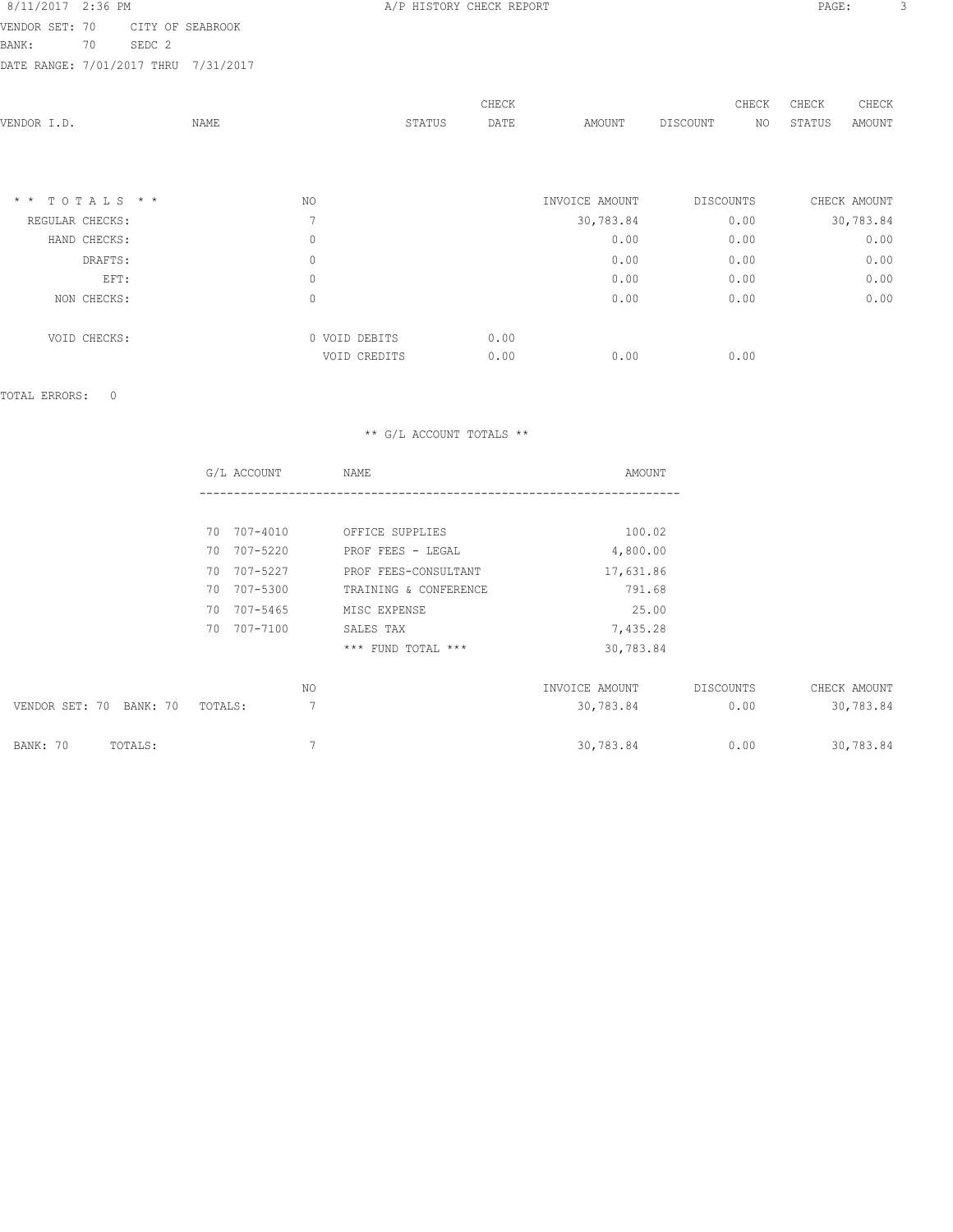8/11/2017 2:36 PM **B A/P HISTORY CHECK REPORT PAGE:** 3 VENDOR SET: 70 CITY OF SEABROOK DATE RANGE: 7/01/2017 THRU 7/31/2017

| .      | ------- | ______ |        |  |
|--------|---------|--------|--------|--|
| BANK : |         | 70     | SEDC 2 |  |
|        |         |        |        |  |

| VENDOR I.D.     | NAME |                | STATUS | CHECK<br>DATE | AMOUNT         | DISCOUNT  | CHECK<br>NO | CHECK<br>STATUS | CHECK<br>AMOUNT |
|-----------------|------|----------------|--------|---------------|----------------|-----------|-------------|-----------------|-----------------|
|                 |      |                |        |               |                |           |             |                 |                 |
| * * TOTALS * *  |      | NO.            |        |               | INVOICE AMOUNT | DISCOUNTS |             |                 | CHECK AMOUNT    |
| REGULAR CHECKS: |      | $\overline{7}$ |        |               | 30,783.84      | 0.00      |             |                 | 30,783.84       |
| HAND CHECKS:    |      | 0              |        |               | 0.00           | 0.00      |             |                 | 0.00            |
| DRAFTS:         |      | 0              |        |               | 0.00           | 0.00      |             |                 | 0.00            |
| EFT:            |      | $\mathbb O$    |        |               | 0.00           | 0.00      |             |                 | 0.00            |
| NON CHECKS:     |      | 0              |        |               | 0.00           | 0.00      |             |                 | 0.00            |
| VOID CHECKS:    |      | 0 VOID DEBITS  |        | 0.00          |                |           |             |                 |                 |
|                 |      | VOID CREDITS   |        | 0.00          | 0.00           | 0.00      |             |                 |                 |
|                 |      |                |        |               |                |           |             |                 |                 |

TOTAL ERRORS: 0

|                         | G/L ACCOUNT    | NAME                  | AMOUNT         |           |              |
|-------------------------|----------------|-----------------------|----------------|-----------|--------------|
|                         |                |                       |                |           |              |
|                         | 70 707-4010    | OFFICE SUPPLIES       | 100.02         |           |              |
|                         | 70 707-5220    | PROF FEES - LEGAL     | 4,800.00       |           |              |
|                         | 707-5227<br>70 | PROF FEES-CONSULTANT  | 17,631.86      |           |              |
|                         | 70 707-5300    | TRAINING & CONFERENCE | 791.68         |           |              |
|                         | 70 707-5465    | MISC EXPENSE          | 25.00          |           |              |
|                         | 70 707-7100    | SALES TAX             | 7,435.28       |           |              |
|                         |                | *** FUND TOTAL ***    | 30,783.84      |           |              |
|                         | NO             |                       | INVOICE AMOUNT | DISCOUNTS | CHECK AMOUNT |
| VENDOR SET: 70 BANK: 70 | 7<br>TOTALS:   |                       | 30,783.84      | 0.00      | 30,783.84    |
| BANK: 70<br>TOTALS:     | 7              |                       | 30,783.84      | 0.00      | 30,783.84    |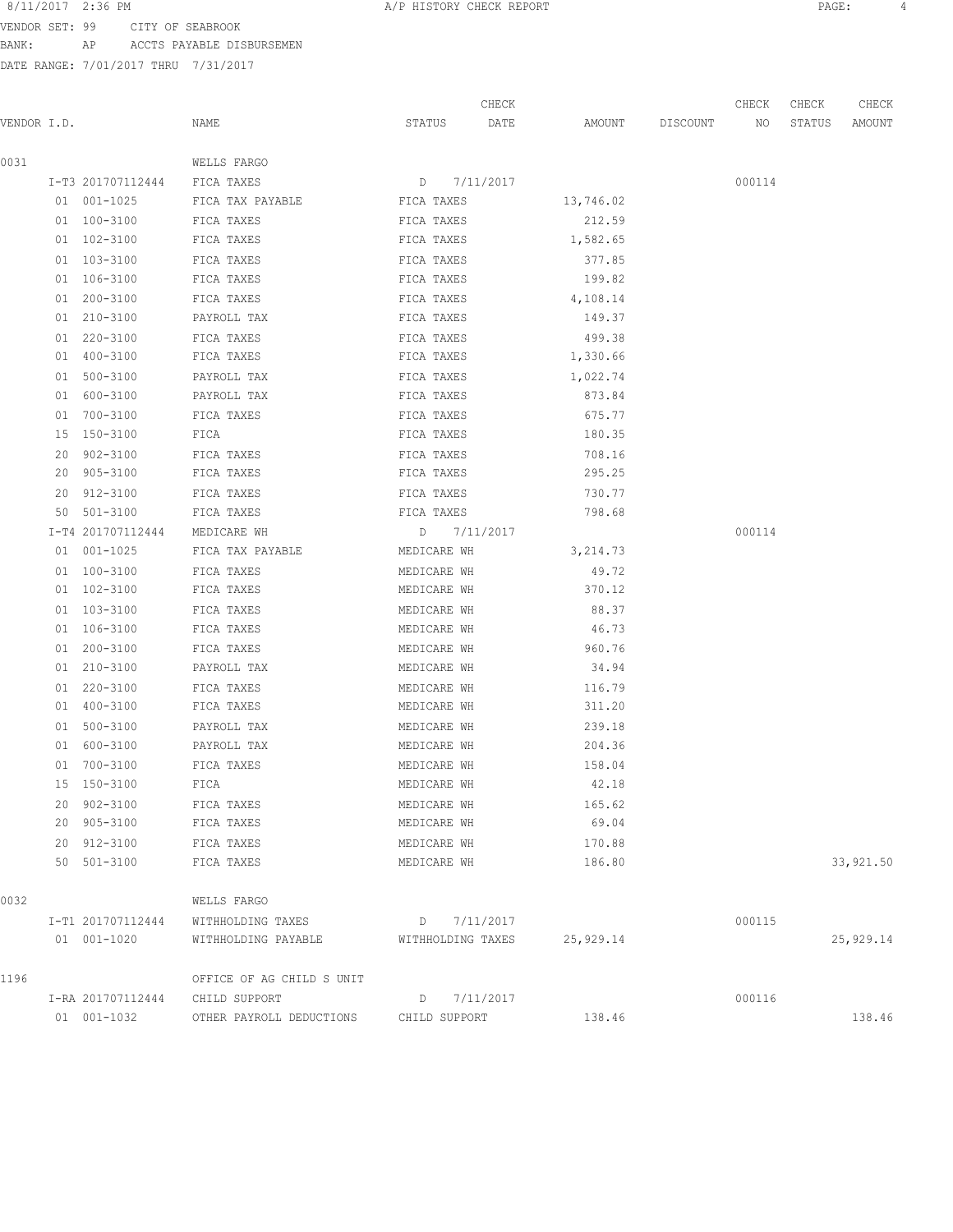VENDOR SET: 99 CITY OF SEABROOK

BANK: AP ACCTS PAYABLE DISBURSEMEN

DATE RANGE: 7/01/2017 THRU 7/31/2017

| 8/11/2017 2:36 PM<br>A/P HISTORY CHECK REPORT<br>PAGE. |  |  |
|--------------------------------------------------------|--|--|
|--------------------------------------------------------|--|--|

CHECK CHECK CHECK CHECK CHECK CHECK CHECK CHECK CHECK CHECK CHECK CHECK CHECK CHECK CHECK CHECK CHECK CHECK CHECK CHECK CHECK CHECK CHECK CHECK CHECK CHECK CHECK CHECK CHECK CHECK CHECK CHECK CHECK CHECK CHECK CHECK CHECK VENDOR I.D. NAME STATUS DATE AMOUNT DISCOUNT NO STATUS AMOUNT 0031 WELLS FARGO I-T3 201707112444 FICA TAXES D 7/11/2017 000114 01 001-1025 FICA TAX PAYABLE FICA TAXES 13,746.02 01 100-3100 FICA TAXES FICA TAXES 212.59 01 102-3100 FICA TAXES FICA TAXES FICA TAXES 1,582.65 01 103-3100 FICA TAXES FICA TAXES FICA TAXES 377.85 01 106-3100 FICA TAXES FICA TAXES 199.82 01 200-3100 FICA TAXES FICA TAXES FICA TAXES 4,108.14 01 210-3100 PAYROLL TAX FICA TAXES 149.37 01 220-3100 FICA TAXES FICA TAXES 499.38 01 400-3100 FICA TAXES FICA TAXES FICA TAXES 1,330.66 01 500-3100 PAYROLL TAX **FICA TAXES** 1,022.74 01 600-3100 PAYROLL TAX FICA TAXES 873.84 01 700-3100 FICA TAXES FICA TAXES FICA TAXES 675.77 15 150-3100 FICA FICA TAXES 180.35 20 902-3100 FICA TAXES FICA TAXES 708.16 20 905-3100 FICA TAXES FICA TAXES 295.25 20 912-3100 FICA TAXES FICA TAXES 730.77 50 501-3100 FICA TAXES FICA TAXES 798.68 I-T4 201707112444 MEDICARE WH D 7/11/2017 000114 01 001-1025 FICA TAX PAYABLE MEDICARE WH 3,214.73 01 100-3100 FICA TAXES MEDICARE WH 49.72 01 102-3100 FICA TAXES MEDICARE WH 370.12 01 103-3100 FICA TAXES MEDICARE WH 88.37 01 106-3100 FICA TAXES MEDICARE WH 46.73 01 200-3100 FICA TAXES MEDICARE WH 960.76 01 210-3100 PAYROLL TAX MEDICARE WH 34.94 01 220-3100 FICA TAXES MEDICARE WH 116.79 01 400-3100 FICA TAXES MEDICARE WH 311.20 01 500-3100 PAYROLL TAX MEDICARE WH 239.18 01 600-3100 PAYROLL TAX MEDICARE WH 204.36 01 700-3100 FICA TAXES MEDICARE WH 158.04 15 150-3100 FICA MEDICARE WH 42.18 20 902-3100 FICA TAXES MEDICARE WH 165.62 20 905-3100 FICA TAXES MEDICARE WH 69.04 20 912-3100 FICA TAXES MEDICARE WH 170.88 50 501-3100 FICA TAXES MEDICARE WH 186.80 33,921.50 0032 WELLS FARGO I-T1 201707112444 WITHHOLDING TAXES D 7/11/2017 000115 01 001-1020 WITHHOLDING PAYABLE WITHHOLDING TAXES 25,929.14 25,929.14 1196 OFFICE OF AG CHILD S UNIT I-RA 201707112444 CHILD SUPPORT D 7/11/2017 000116 01 001-1032 OTHER PAYROLL DEDUCTIONS CHILD SUPPORT 138.46 138.46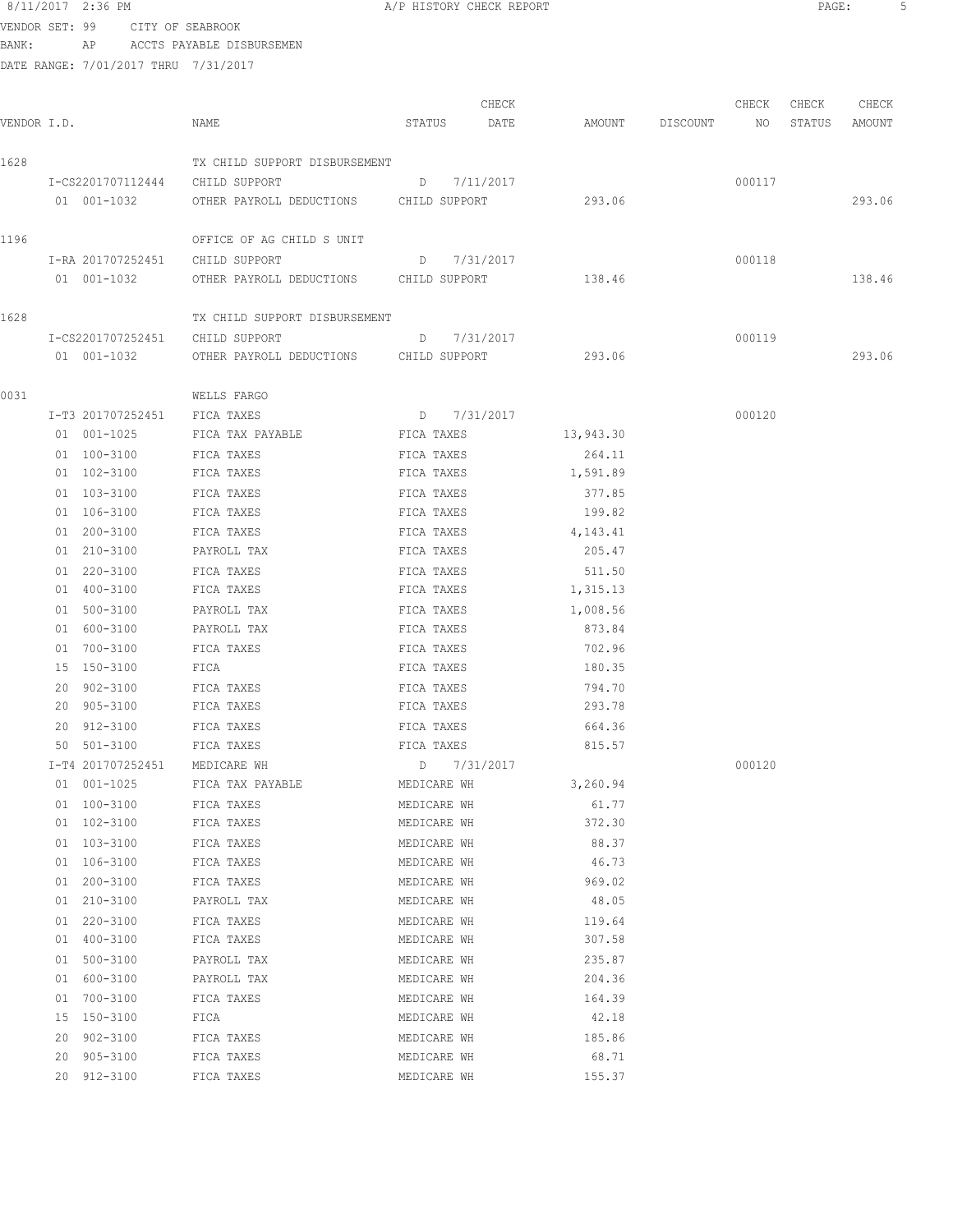| 8/11/2017 2:36 PM |    |                                 | A/P HISTORY CHECK REPORT |  |
|-------------------|----|---------------------------------|--------------------------|--|
|                   |    | VENDOR SET: 99 CITY OF SEABROOK |                          |  |
| BANK:             | AP | ACCTS PAYABLE DISBURSEMEN       |                          |  |

DATE RANGE: 7/01/2017 THRU 7/31/2017

| VENDOR I.D. |    |                                 | NAME                                   | STATUS      | CHECK<br>DATE |           | AMOUNT DISCOUNT | CHECK<br>NO | CHECK<br>STATUS | CHECK<br>AMOUNT |
|-------------|----|---------------------------------|----------------------------------------|-------------|---------------|-----------|-----------------|-------------|-----------------|-----------------|
| 1628        |    |                                 | TX CHILD SUPPORT DISBURSEMENT          |             |               |           |                 |             |                 |                 |
|             |    | I-CS2201707112444 CHILD SUPPORT |                                        |             | D 7/11/2017   |           |                 | 000117      |                 |                 |
|             |    | 01 001-1032                     | OTHER PAYROLL DEDUCTIONS CHILD SUPPORT |             |               | 293.06    |                 |             |                 | 293.06          |
| 1196        |    |                                 | OFFICE OF AG CHILD S UNIT              |             |               |           |                 |             |                 |                 |
|             |    | I-RA 201707252451 CHILD SUPPORT |                                        |             | D 7/31/2017   |           |                 | 000118      |                 |                 |
|             |    | 01  001-1032                    | OTHER PAYROLL DEDUCTIONS CHILD SUPPORT |             |               | 138.46    |                 |             |                 | 138.46          |
| 1628        |    |                                 | TX CHILD SUPPORT DISBURSEMENT          |             |               |           |                 |             |                 |                 |
|             |    | I-CS2201707252451               | CHILD SUPPORT                          |             | D 7/31/2017   |           |                 | 000119      |                 |                 |
|             |    | 01  001-1032                    | OTHER PAYROLL DEDUCTIONS CHILD SUPPORT |             |               | 293.06    |                 |             |                 | 293.06          |
| 0031        |    |                                 | WELLS FARGO                            |             |               |           |                 |             |                 |                 |
|             |    | I-T3 201707252451               | FICA TAXES                             |             | D 7/31/2017   |           |                 | 000120      |                 |                 |
|             |    | 01 001-1025                     | FICA TAX PAYABLE                       | FICA TAXES  |               | 13,943.30 |                 |             |                 |                 |
|             |    | 01 100-3100                     | FICA TAXES                             | FICA TAXES  |               | 264.11    |                 |             |                 |                 |
|             |    | 01 102-3100                     | FICA TAXES                             | FICA TAXES  |               | 1,591.89  |                 |             |                 |                 |
|             |    | 01 103-3100                     | FICA TAXES                             | FICA TAXES  |               | 377.85    |                 |             |                 |                 |
|             |    | 01 106-3100                     | FICA TAXES                             | FICA TAXES  |               | 199.82    |                 |             |                 |                 |
|             |    | 01 200-3100                     | FICA TAXES                             | FICA TAXES  |               | 4,143.41  |                 |             |                 |                 |
|             |    | 01 210-3100                     | PAYROLL TAX                            | FICA TAXES  |               | 205.47    |                 |             |                 |                 |
|             |    | 01 220-3100                     | FICA TAXES                             | FICA TAXES  |               | 511.50    |                 |             |                 |                 |
|             |    | 01 400-3100                     | FICA TAXES                             | FICA TAXES  |               | 1,315.13  |                 |             |                 |                 |
|             |    | 01 500-3100                     | PAYROLL TAX                            | FICA TAXES  |               | 1,008.56  |                 |             |                 |                 |
|             |    | 01 600-3100                     | PAYROLL TAX                            | FICA TAXES  |               | 873.84    |                 |             |                 |                 |
|             |    | 01 700-3100                     | FICA TAXES                             | FICA TAXES  |               | 702.96    |                 |             |                 |                 |
|             |    | 15 150-3100                     | FICA                                   | FICA TAXES  |               | 180.35    |                 |             |                 |                 |
|             |    | 20 902-3100                     | FICA TAXES                             | FICA TAXES  |               | 794.70    |                 |             |                 |                 |
|             |    | 20 905-3100                     | FICA TAXES                             | FICA TAXES  |               | 293.78    |                 |             |                 |                 |
|             |    | 20 912-3100                     | FICA TAXES                             | FICA TAXES  |               | 664.36    |                 |             |                 |                 |
|             |    | 50 501-3100                     | FICA TAXES                             | FICA TAXES  |               | 815.57    |                 |             |                 |                 |
|             |    | I-T4 201707252451               | MEDICARE WH                            |             | D 7/31/2017   |           |                 | 000120      |                 |                 |
|             |    | 01 001-1025                     | FICA TAX PAYABLE                       | MEDICARE WH |               | 3,260.94  |                 |             |                 |                 |
|             |    | 01 100-3100                     | FICA TAXES                             | MEDICARE WH |               | 61.77     |                 |             |                 |                 |
|             |    | 01 102-3100                     | FICA TAXES                             | MEDICARE WH |               | 372.30    |                 |             |                 |                 |
|             |    | 01 103-3100                     | FICA TAXES                             | MEDICARE WH |               | 88.37     |                 |             |                 |                 |
|             |    | 01 106-3100                     | FICA TAXES                             | MEDICARE WH |               | 46.73     |                 |             |                 |                 |
|             |    | 01 200-3100                     | FICA TAXES                             | MEDICARE WH |               | 969.02    |                 |             |                 |                 |
|             |    | 01 210-3100                     | PAYROLL TAX                            | MEDICARE WH |               | 48.05     |                 |             |                 |                 |
|             |    | 01 220-3100                     | FICA TAXES                             | MEDICARE WH |               | 119.64    |                 |             |                 |                 |
|             |    | 01 400-3100                     | FICA TAXES                             | MEDICARE WH |               | 307.58    |                 |             |                 |                 |
|             |    | 01 500-3100                     | PAYROLL TAX                            | MEDICARE WH |               | 235.87    |                 |             |                 |                 |
|             |    | 01 600-3100                     | PAYROLL TAX                            | MEDICARE WH |               | 204.36    |                 |             |                 |                 |
|             |    | 01 700-3100                     | FICA TAXES                             | MEDICARE WH |               | 164.39    |                 |             |                 |                 |
|             |    | 15 150-3100                     | FICA                                   | MEDICARE WH |               | 42.18     |                 |             |                 |                 |
|             |    | 20 902-3100                     | FICA TAXES                             | MEDICARE WH |               | 185.86    |                 |             |                 |                 |
|             | 20 | 905-3100                        | FICA TAXES                             | MEDICARE WH |               | 68.71     |                 |             |                 |                 |
|             | 20 | 912-3100                        | FICA TAXES                             | MEDICARE WH |               | 155.37    |                 |             |                 |                 |

PAGE: 5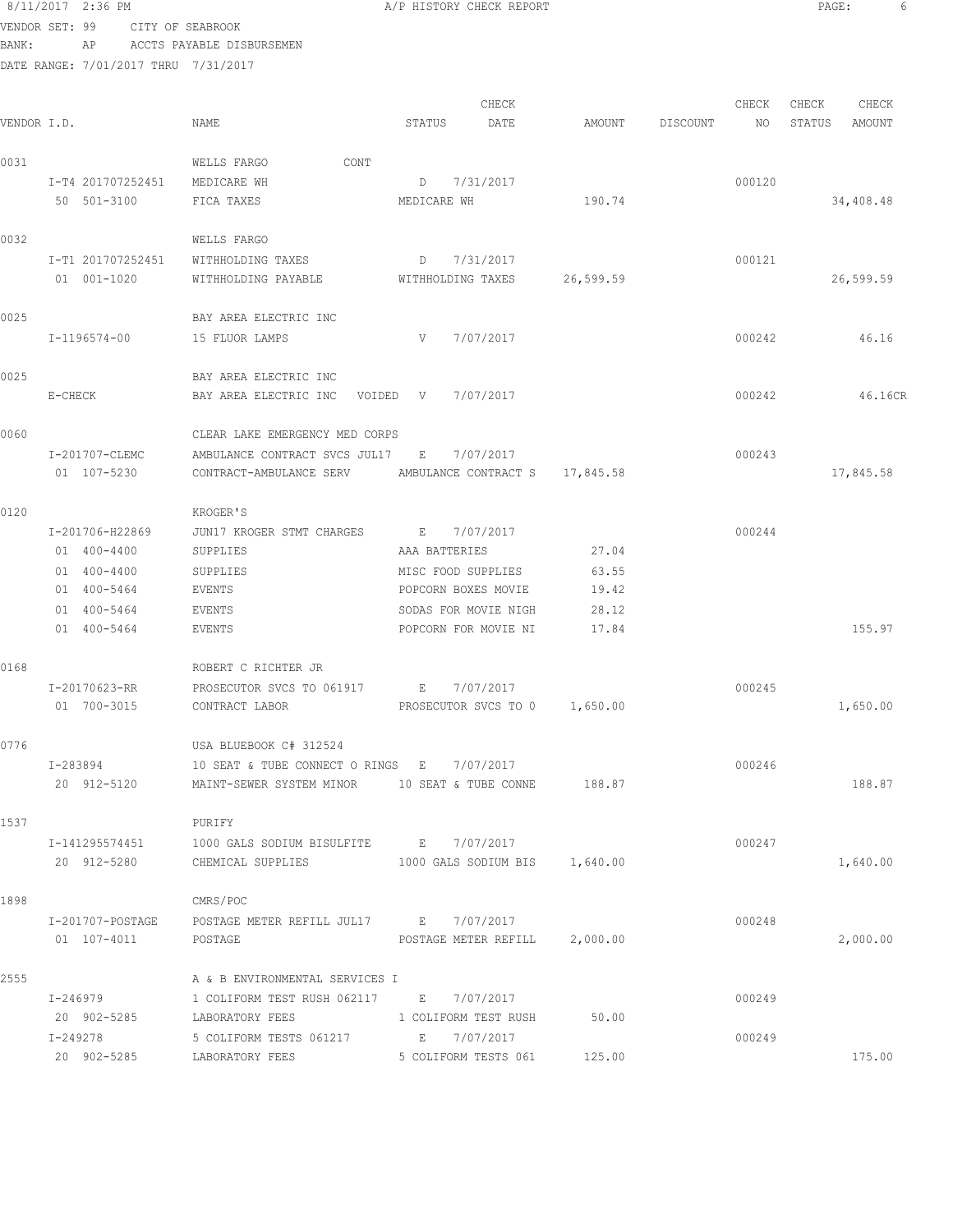8/11/2017 2:36 PM **A/P HISTORY CHECK REPORT PAGE:** 6 VENDOR SET: 99 CITY OF SEABROOK

BANK: AP ACCTS PAYABLE DISBURSEMEN

|             |                               |                                                         |                    | CHECK                         |           |          | CHECK  | CHECK  | CHECK     |
|-------------|-------------------------------|---------------------------------------------------------|--------------------|-------------------------------|-----------|----------|--------|--------|-----------|
| VENDOR I.D. |                               | NAME                                                    | STATUS             | DATE                          | AMOUNT    | DISCOUNT | NO     | STATUS | AMOUNT    |
| 0031        |                               | CONT<br>WELLS FARGO                                     |                    |                               |           |          |        |        |           |
|             | I-T4 201707252451 MEDICARE WH |                                                         | D 7/31/2017        |                               |           |          | 000120 |        |           |
|             | 50 501-3100                   | FICA TAXES                                              | MEDICARE WH        |                               | 190.74    |          |        |        | 34,408.48 |
| 0032        |                               | WELLS FARGO                                             |                    |                               |           |          |        |        |           |
|             |                               | I-T1 201707252451 WITHHOLDING TAXES                     | D 7/31/2017        |                               |           |          | 000121 |        |           |
|             | 01 001-1020                   | WITHHOLDING PAYABLE WITHHOLDING TAXES                   |                    |                               | 26,599.59 |          |        |        | 26,599.59 |
| 0025        |                               | BAY AREA ELECTRIC INC                                   |                    |                               |           |          |        |        |           |
|             | I-1196574-00                  | 15 FLUOR LAMPS                                          | $V$ and $V$        | 7/07/2017                     |           |          | 000242 |        | 46.16     |
| 0025        |                               | BAY AREA ELECTRIC INC                                   |                    |                               |           |          |        |        |           |
|             | E-CHECK                       | BAY AREA ELECTRIC INC VOIDED V 7/07/2017                |                    |                               |           |          | 000242 |        | 46.16CR   |
| 0060        |                               | CLEAR LAKE EMERGENCY MED CORPS                          |                    |                               |           |          |        |        |           |
|             | I-201707-CLEMC                | AMBULANCE CONTRACT SVCS JUL17 E 7/07/2017               |                    |                               |           |          | 000243 |        |           |
|             | 01 107-5230                   | CONTRACT-AMBULANCE SERV AMBULANCE CONTRACT S 17,845.58  |                    |                               |           |          |        |        | 17,845.58 |
| 0120        |                               | KROGER'S                                                |                    |                               |           |          |        |        |           |
|             | I-201706-H22869               | JUN17 KROGER STMT CHARGES E 7/07/2017                   |                    |                               |           |          | 000244 |        |           |
|             | 01 400-4400                   | SUPPLIES                                                | AAA BATTERIES      |                               | 27.04     |          |        |        |           |
|             | 01 400-4400                   | SUPPLIES                                                | MISC FOOD SUPPLIES |                               | 63.55     |          |        |        |           |
|             | 01 400-5464                   | EVENTS                                                  |                    | POPCORN BOXES MOVIE           | 19.42     |          |        |        |           |
|             | 01 400-5464                   | EVENTS                                                  |                    | SODAS FOR MOVIE NIGH          | 28.12     |          |        |        |           |
|             | 01 400-5464                   | EVENTS                                                  |                    | POPCORN FOR MOVIE NI          | 17.84     |          |        |        | 155.97    |
| 0168        |                               | ROBERT C RICHTER JR                                     |                    |                               |           |          |        |        |           |
|             | I-20170623-RR                 | PROSECUTOR SVCS TO 061917 E 7/07/2017                   |                    |                               |           |          | 000245 |        |           |
|             | 01 700-3015                   | CONTRACT LABOR <b>EXECUTOR SVCS TO 0 1,650.00</b>       |                    |                               |           |          |        |        | 1,650.00  |
| 0776        |                               | USA BLUEBOOK C# 312524                                  |                    |                               |           |          |        |        |           |
|             | I-283894                      | 10 SEAT & TUBE CONNECT O RINGS E 7/07/2017              |                    |                               |           |          | 000246 |        |           |
|             | 20 912-5120                   | MAINT-SEWER SYSTEM MINOR 10 SEAT & TUBE CONNE 188.87    |                    |                               |           |          |        |        | 188.87    |
| 1537        |                               | PURIFY                                                  |                    |                               |           |          |        |        |           |
|             | I-141295574451                | 1000 GALS SODIUM BISULFITE B 7/07/2017                  |                    |                               |           |          | 000247 |        |           |
|             | 20 912-5280                   | CHEMICAL SUPPLIES                                       |                    | 1000 GALS SODIUM BIS 1,640.00 |           |          |        |        | 1,640.00  |
| 1898        |                               | CMRS/POC                                                |                    |                               |           |          |        |        |           |
|             |                               | I-201707-POSTAGE POSTAGE METER REFILL JUL17 E 7/07/2017 |                    |                               |           |          | 000248 |        |           |
|             | 01 107-4011                   | POSTAGE                                                 |                    | POSTAGE METER REFILL 2,000.00 |           |          |        |        | 2,000.00  |
| 2555        |                               | A & B ENVIRONMENTAL SERVICES I                          |                    |                               |           |          |        |        |           |
|             | I-246979                      | 1 COLIFORM TEST RUSH 062117 E 7/07/2017                 |                    |                               |           |          | 000249 |        |           |
|             | 20 902-5285 LABORATORY FEES   | 1 COLIFORM TEST RUSH                                    |                    |                               | 50.00     |          |        |        |           |
|             | I-249278                      | 5 COLIFORM TESTS 061217 E 7/07/2017                     |                    |                               |           |          | 000249 |        |           |
|             | 20 902-5285                   | LABORATORY FEES                                         |                    | 5 COLIFORM TESTS 061          | 125.00    |          |        |        | 175.00    |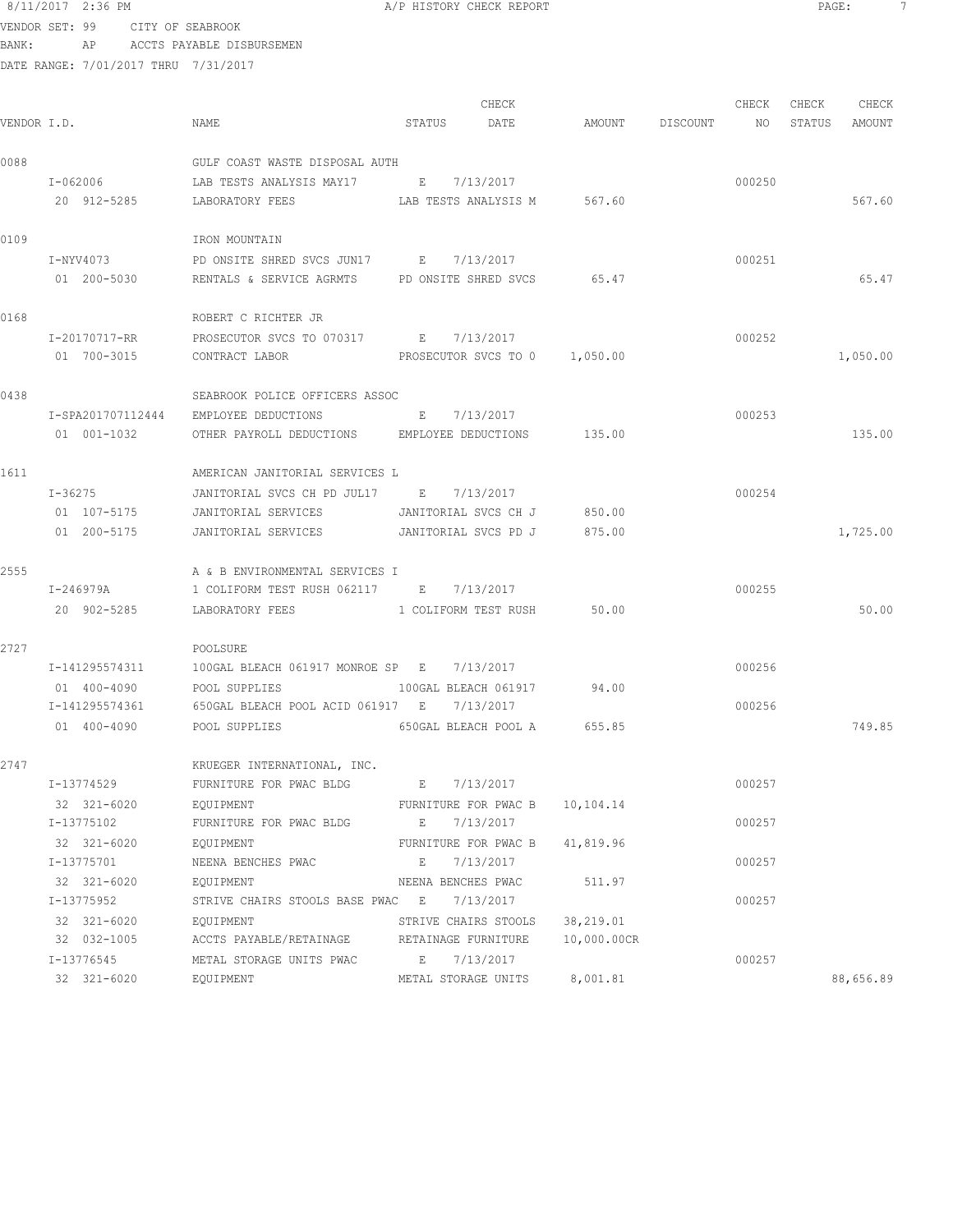# 8/11/2017 2:36 PM **B A/P HISTORY CHECK REPORT PAGE:** 7 VENDOR SET: 99 CITY OF SEABROOK

BANK: AP ACCTS PAYABLE DISBURSEMEN

| VENDOR I.D. |                   | NAME                                                            | STATUS<br>DATE                 | CHECK | AMOUNT DISCOUNT NO STATUS AMOUNT | CHECK  | CHECK | CHECK     |
|-------------|-------------------|-----------------------------------------------------------------|--------------------------------|-------|----------------------------------|--------|-------|-----------|
| 0088        |                   | GULF COAST WASTE DISPOSAL AUTH                                  |                                |       |                                  |        |       |           |
|             |                   | I-062006 LAB TESTS ANALYSIS MAY17 E 7/13/2017                   |                                |       |                                  | 000250 |       |           |
|             |                   | 20 912-5285 LABORATORY FEES LAB TESTS ANALYSIS M 567.60         |                                |       |                                  |        |       | 567.60    |
| 0109        |                   | IRON MOUNTAIN                                                   |                                |       |                                  |        |       |           |
|             | I-NYV4073         | PD ONSITE SHRED SVCS JUN17 E 7/13/2017                          |                                |       |                                  | 000251 |       |           |
|             |                   | 01 200-5030 RENTALS & SERVICE AGRMTS PD ONSITE SHRED SVCS 65.47 |                                |       |                                  |        |       | 65.47     |
| 0168        |                   | ROBERT C RICHTER JR                                             |                                |       |                                  |        |       |           |
|             | I-20170717-RR     | PROSECUTOR SVCS TO 070317 E 7/13/2017                           |                                |       |                                  | 000252 |       |           |
|             | 01 700-3015       | CONTRACT LABOR                                                  | PROSECUTOR SVCS TO 0 1,050.00  |       |                                  |        |       | 1,050.00  |
| 0438        |                   | SEABROOK POLICE OFFICERS ASSOC                                  |                                |       |                                  |        |       |           |
|             | I-SPA201707112444 | EMPLOYEE DEDUCTIONS                                             | E 7/13/2017                    |       |                                  | 000253 |       |           |
|             | 01 001-1032       | OTHER PAYROLL DEDUCTIONS EMPLOYEE DEDUCTIONS 135.00             |                                |       |                                  |        |       | 135.00    |
| 1611        |                   | AMERICAN JANITORIAL SERVICES L                                  |                                |       |                                  |        |       |           |
|             | $I - 36275$       | JANITORIAL SVCS CH PD JUL17 E 7/13/2017                         |                                |       |                                  | 000254 |       |           |
|             | 01 107-5175       | JANITORIAL SERVICES JANITORIAL SVCS CH J 850.00                 |                                |       |                                  |        |       |           |
|             | 01 200-5175       | JANITORIAL SERVICES                                             | JANITORIAL SVCS PD J           |       | 875.00                           |        |       | 1,725.00  |
| 2555        |                   | A & B ENVIRONMENTAL SERVICES I                                  |                                |       |                                  |        |       |           |
|             | I-246979A         | 1 COLIFORM TEST RUSH 062117 B 7/13/2017                         |                                |       |                                  | 000255 |       |           |
|             | 20 902-5285       | LABORATORY FEES 1 COLIFORM TEST RUSH 50.00                      |                                |       |                                  |        |       | 50.00     |
| 2727        |                   | POOLSURE                                                        |                                |       |                                  |        |       |           |
|             | I-141295574311    | 100GAL BLEACH 061917 MONROE SP E 7/13/2017                      |                                |       |                                  | 000256 |       |           |
|             | 01 400-4090       | POOL SUPPLIES                                                   | 100GAL BLEACH 061917 94.00     |       |                                  |        |       |           |
|             | I-141295574361    | 650GAL BLEACH POOL ACID 061917 E 7/13/2017                      |                                |       |                                  | 000256 |       |           |
|             | 01 400-4090       | POOL SUPPLIES                                                   | 650GAL BLEACH POOL A 655.85    |       |                                  |        |       | 749.85    |
| 2747        |                   | KRUEGER INTERNATIONAL, INC.                                     |                                |       |                                  |        |       |           |
|             | I-13774529        | FURNITURE FOR PWAC BLDG                                         | E 7/13/2017                    |       |                                  | 000257 |       |           |
|             | 32 321-6020       | EOUIPMENT                                                       | FURNITURE FOR PWAC B 10,104.14 |       |                                  |        |       |           |
|             | I-13775102        | FURNITURE FOR PWAC BLDG                                         | E 7/13/2017                    |       |                                  | 000257 |       |           |
|             | 32 321-6020       | EQUIPMENT                                                       | FURNITURE FOR PWAC B           |       | 41,819.96                        |        |       |           |
|             | I-13775701        | NEENA BENCHES PWAC                                              | 7/13/2017<br>E                 |       |                                  | 000257 |       |           |
|             | 32 321-6020       | EQUIPMENT                                                       | NEENA BENCHES PWAC             |       | 511.97                           |        |       |           |
|             | I-13775952        | STRIVE CHAIRS STOOLS BASE PWAC E                                | 7/13/2017                      |       |                                  | 000257 |       |           |
|             | 32 321-6020       | EQUIPMENT                                                       | STRIVE CHAIRS STOOLS 38,219.01 |       |                                  |        |       |           |
|             | 32 032-1005       | ACCTS PAYABLE/RETAINAGE NETAINAGE FURNITURE                     |                                |       | 10,000.00CR                      |        |       |           |
|             | I-13776545        | METAL STORAGE UNITS PWAC                                        | E 7/13/2017                    |       |                                  | 000257 |       |           |
|             | 32 321-6020       | EQUIPMENT                                                       | METAL STORAGE UNITS            |       | 8,001.81                         |        |       | 88,656.89 |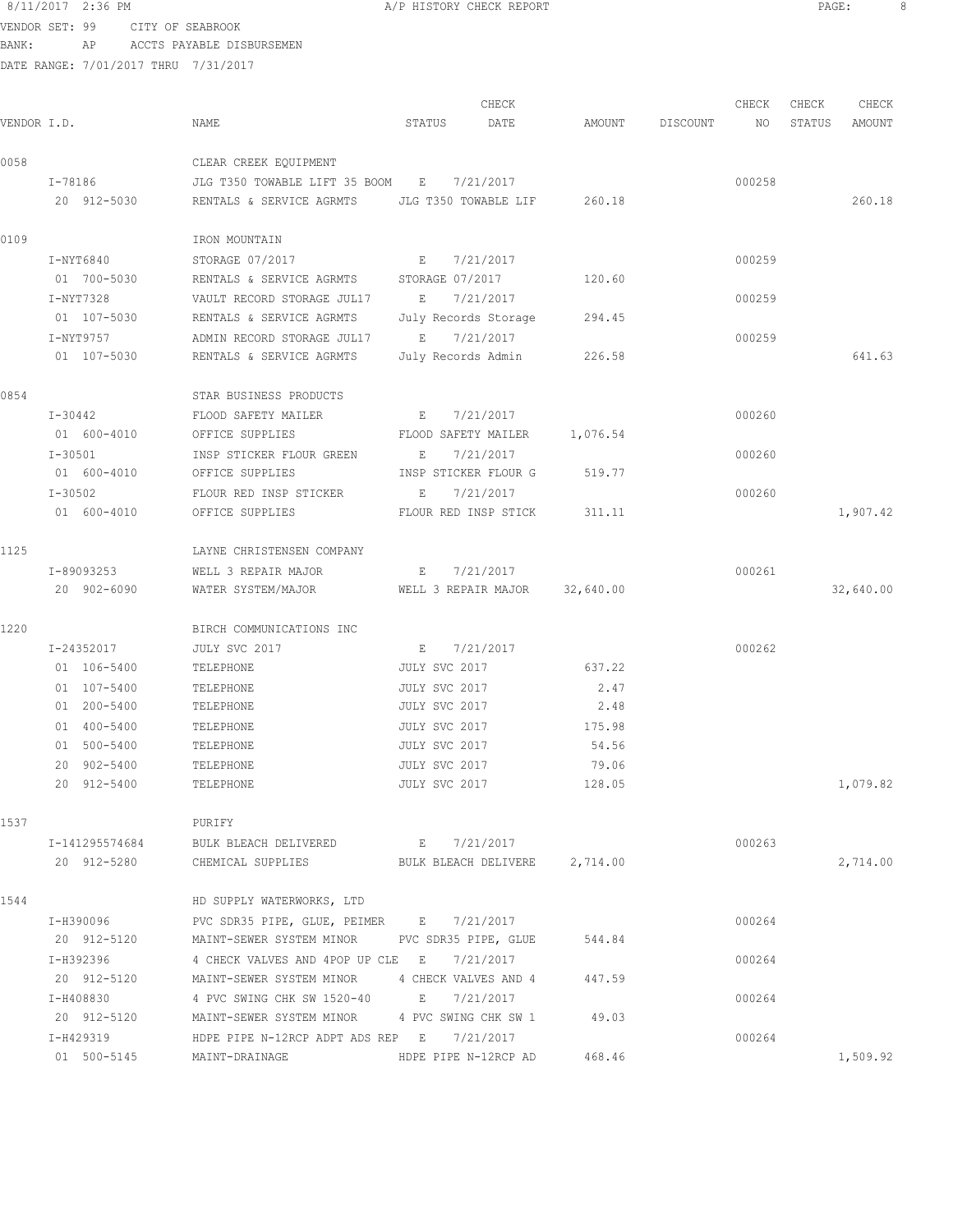VENDOR SET: 99 CITY OF SEABROOK BANK: AP ACCTS PAYABLE DISBURSEMEN

|             |                |                                                        |                      | CHECK                |           |          | CHECK  | CHECK  | CHECK     |
|-------------|----------------|--------------------------------------------------------|----------------------|----------------------|-----------|----------|--------|--------|-----------|
| VENDOR I.D. |                | NAME                                                   | STATUS               | DATE                 | AMOUNT    | DISCOUNT | NO     | STATUS | AMOUNT    |
| 0058        |                | CLEAR CREEK EQUIPMENT                                  |                      |                      |           |          |        |        |           |
|             | I-78186        | JLG T350 TOWABLE LIFT 35 BOOM E                        |                      | 7/21/2017            |           |          | 000258 |        |           |
|             | 20 912-5030    | RENTALS & SERVICE AGRMTS JLG T350 TOWABLE LIF          |                      |                      | 260.18    |          |        |        | 260.18    |
| 0109        |                | IRON MOUNTAIN                                          |                      |                      |           |          |        |        |           |
|             | I-NYT6840      | STORAGE 07/2017                                        | E                    | 7/21/2017            |           |          | 000259 |        |           |
|             | 01 700-5030    | RENTALS & SERVICE AGRMTS STORAGE 07/2017               |                      |                      | 120.60    |          |        |        |           |
|             | I-NYT7328      | VAULT RECORD STORAGE JUL17                             | $\mathbb{E}$         | 7/21/2017            |           |          | 000259 |        |           |
|             | 01 107-5030    | RENTALS & SERVICE AGRMTS                               |                      | July Records Storage | 294.45    |          |        |        |           |
|             | I-NYT9757      | ADMIN RECORD STORAGE JUL17                             | E 7/21/2017          |                      |           |          | 000259 |        |           |
|             | 01 107-5030    | RENTALS & SERVICE AGRMTS                               | July Records Admin   |                      | 226.58    |          |        |        | 641.63    |
| 0854        |                | STAR BUSINESS PRODUCTS                                 |                      |                      |           |          |        |        |           |
|             | I-30442        | FLOOD SAFETY MAILER                                    | E                    | 7/21/2017            |           |          | 000260 |        |           |
|             | 01 600-4010    | OFFICE SUPPLIES                                        | FLOOD SAFETY MAILER  |                      | 1,076.54  |          |        |        |           |
|             | $I-30501$      | INSP STICKER FLOUR GREEN                               | E                    | 7/21/2017            |           |          | 000260 |        |           |
|             | 01 600-4010    | OFFICE SUPPLIES                                        | INSP STICKER FLOUR G |                      | 519.77    |          |        |        |           |
|             | $I - 30502$    | FLOUR RED INSP STICKER                                 | E                    | 7/21/2017            |           |          | 000260 |        |           |
|             | 01 600-4010    | OFFICE SUPPLIES                                        | FLOUR RED INSP STICK |                      | 311.11    |          |        |        | 1,907.42  |
| 1125        |                | LAYNE CHRISTENSEN COMPANY                              |                      |                      |           |          |        |        |           |
|             | I-89093253     | WELL 3 REPAIR MAJOR                                    | E                    | 7/21/2017            |           |          | 000261 |        |           |
|             | 20 902-6090    | WATER SYSTEM/MAJOR                                     | WELL 3 REPAIR MAJOR  |                      | 32,640.00 |          |        |        | 32,640.00 |
| 1220        |                | BIRCH COMMUNICATIONS INC                               |                      |                      |           |          |        |        |           |
|             | I-24352017     | JULY SVC 2017                                          | $E_{\perp}$          | 7/21/2017            |           |          | 000262 |        |           |
|             | 01 106-5400    | TELEPHONE                                              | JULY SVC 2017        |                      | 637.22    |          |        |        |           |
|             | 01 107-5400    | TELEPHONE                                              | JULY SVC 2017        |                      | 2.47      |          |        |        |           |
|             | 01 200-5400    | TELEPHONE                                              | JULY SVC 2017        |                      | 2.48      |          |        |        |           |
|             | 01 400-5400    | TELEPHONE                                              | JULY SVC 2017        |                      | 175.98    |          |        |        |           |
|             | 01 500-5400    | TELEPHONE                                              | JULY SVC 2017        |                      | 54.56     |          |        |        |           |
|             | 20 902-5400    | TELEPHONE                                              | JULY SVC 2017        |                      | 79.06     |          |        |        |           |
|             | 20 912-5400    | TELEPHONE                                              | JULY SVC 2017        |                      | 128.05    |          |        |        | 1,079.82  |
| 1537        |                | PURIFY                                                 |                      |                      |           |          |        |        |           |
|             | I-141295574684 | BULK BLEACH DELIVERED E 7/21/2017                      |                      |                      |           |          | 000263 |        |           |
|             | 20 912-5280    | CHEMICAL SUPPLIES BULK BLEACH DELIVERE 2,714.00        |                      |                      |           |          |        |        | 2,714.00  |
| 1544        |                | HD SUPPLY WATERWORKS, LTD                              |                      |                      |           |          |        |        |           |
|             | I-H390096      | PVC SDR35 PIPE, GLUE, PEIMER E 7/21/2017               |                      |                      |           |          | 000264 |        |           |
|             | 20 912-5120    | MAINT-SEWER SYSTEM MINOR PVC SDR35 PIPE, GLUE          |                      |                      | 544.84    |          |        |        |           |
|             | I-H392396      | 4 CHECK VALVES AND 4POP UP CLE E 7/21/2017             |                      |                      |           |          | 000264 |        |           |
|             | 20 912-5120    | MAINT-SEWER SYSTEM MINOR 4 CHECK VALVES AND 4 447.59   |                      |                      |           |          |        |        |           |
|             | I-H408830      | 4 PVC SWING CHK SW 1520-40 E 7/21/2017                 |                      |                      |           |          | 000264 |        |           |
|             | 20 912-5120    | MAINT-SEWER SYSTEM MINOR 4 PVC SWING CHK SW 1 49.03    |                      |                      |           |          |        |        |           |
|             | I-H429319      | HDPE PIPE N-12RCP ADPT ADS REP $E = \frac{7}{21/2017}$ |                      |                      |           |          | 000264 |        |           |
|             | 01 500-5145    | MAINT-DRAINAGE HDPE PIPE N-12RCP AD                    |                      |                      | 468.46    |          |        |        | 1,509.92  |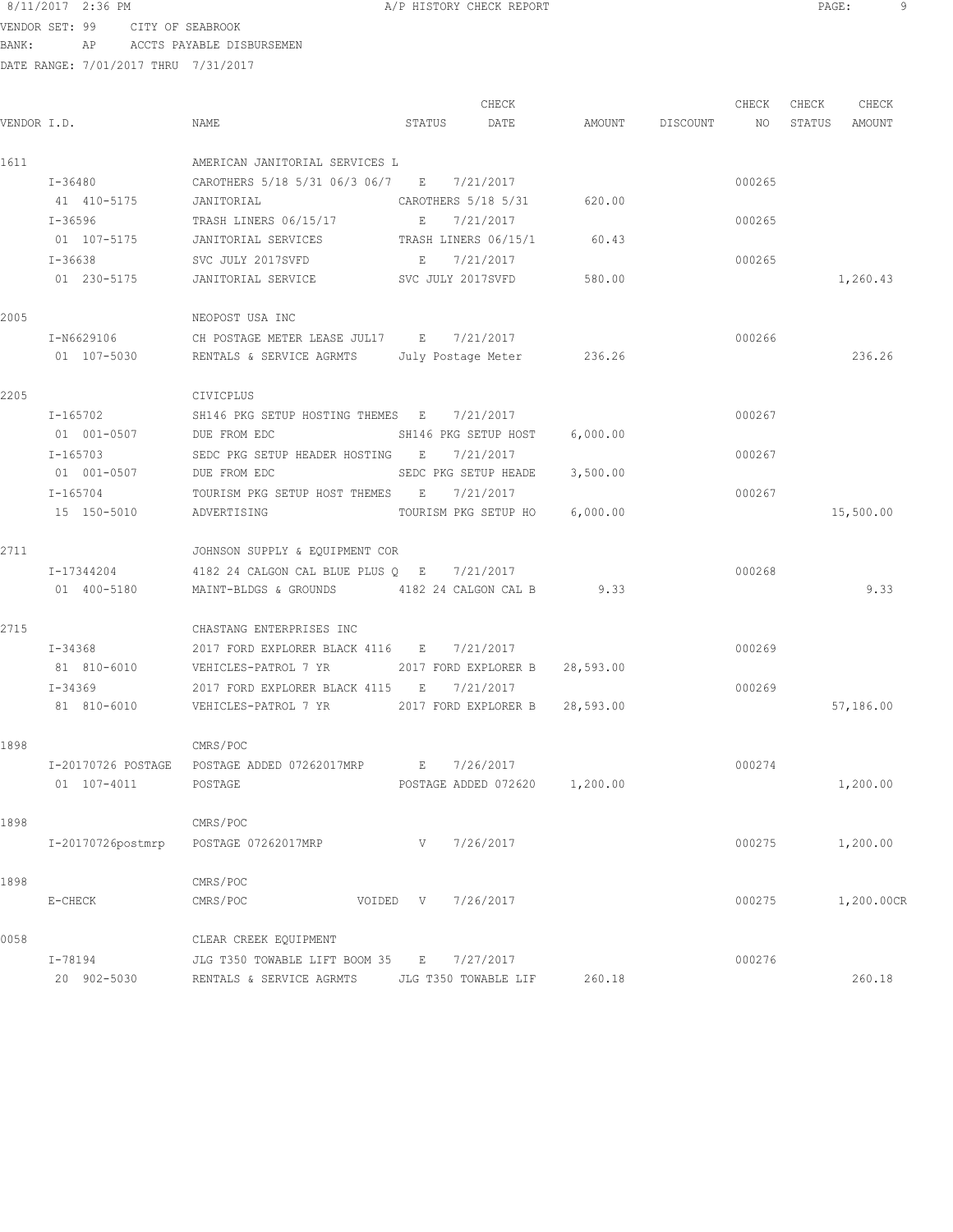VENDOR SET: 99 CITY OF SEABROOK BANK: AP ACCTS PAYABLE DISBURSEMEN

|             |                   |                                                          |                      | CHECK               |                               |                 | CHECK  | CHECK  | CHECK      |
|-------------|-------------------|----------------------------------------------------------|----------------------|---------------------|-------------------------------|-----------------|--------|--------|------------|
| VENDOR I.D. |                   | NAME                                                     | STATUS DATE          |                     |                               | AMOUNT DISCOUNT | NO     | STATUS | AMOUNT     |
| 1611        |                   | AMERICAN JANITORIAL SERVICES L                           |                      |                     |                               |                 |        |        |            |
|             | $I - 36480$       | CAROTHERS 5/18 5/31 06/3 06/7 E 7/21/2017                |                      |                     |                               |                 | 000265 |        |            |
|             | 41 410-5175       | JANITORIAL                                               |                      | CAROTHERS 5/18 5/31 | 620.00                        |                 |        |        |            |
|             | I-36596           | TRASH LINERS 06/15/17                                    | E 7/21/2017          |                     |                               |                 | 000265 |        |            |
|             | 01 107-5175       | JANITORIAL SERVICES                                      | TRASH LINERS 06/15/1 |                     | 60.43                         |                 |        |        |            |
|             | I-36638           | SVC JULY 2017SVFD                                        | $\mathbf{E}$         | 7/21/2017           |                               |                 | 000265 |        |            |
|             | 01 230-5175       | JANITORIAL SERVICE SVC JULY 2017SVFD                     |                      |                     | 580.00                        |                 |        |        | 1,260.43   |
| 2005        |                   | NEOPOST USA INC                                          |                      |                     |                               |                 |        |        |            |
|             | I-N6629106        | CH POSTAGE METER LEASE JUL17 E 7/21/2017                 |                      |                     |                               |                 | 000266 |        |            |
|             | 01 107-5030       | RENTALS & SERVICE AGRMTS July Postage Meter 236.26       |                      |                     |                               |                 |        |        | 236.26     |
| 2205        |                   | CIVICPLUS                                                |                      |                     |                               |                 |        |        |            |
|             | I-165702          | SH146 PKG SETUP HOSTING THEMES E 7/21/2017               |                      |                     |                               |                 | 000267 |        |            |
|             | 01 001-0507       | DUE FROM EDC                                             | SH146 PKG SETUP HOST |                     | 6,000.00                      |                 |        |        |            |
|             | $I - 165703$      | SEDC PKG SETUP HEADER HOSTING E 7/21/2017                |                      |                     |                               |                 | 000267 |        |            |
|             | 01 001-0507       | DUE FROM EDC                                             | SEDC PKG SETUP HEADE |                     | 3,500.00                      |                 |        |        |            |
|             | I-165704          | TOURISM PKG SETUP HOST THEMES E 7/21/2017                |                      |                     |                               |                 | 000267 |        |            |
|             | 15 150-5010       | ADVERTISING                                              |                      |                     | TOURISM PKG SETUP HO 6,000.00 |                 |        |        | 15,500.00  |
| 2711        |                   | JOHNSON SUPPLY & EQUIPMENT COR                           |                      |                     |                               |                 |        |        |            |
|             | I-17344204        | 4182 24 CALGON CAL BLUE PLUS $Q$ E 7/21/2017             |                      |                     |                               |                 | 000268 |        |            |
|             | 01 400-5180       | MAINT-BLDGS & GROUNDS 4182 24 CALGON CAL B 9.33          |                      |                     |                               |                 |        |        | 9.33       |
| 2715        |                   | CHASTANG ENTERPRISES INC                                 |                      |                     |                               |                 |        |        |            |
|             | I-34368           | 2017 FORD EXPLORER BLACK 4116 E                          |                      | 7/21/2017           |                               |                 | 000269 |        |            |
|             | 81 810-6010       | VEHICLES-PATROL 7 YR 2017 FORD EXPLORER B 28,593.00      |                      |                     |                               |                 |        |        |            |
|             | I-34369           | 2017 FORD EXPLORER BLACK 4115 E 7/21/2017                |                      |                     |                               |                 | 000269 |        |            |
|             | 81 810-6010       | VEHICLES-PATROL 7 YR 2017 FORD EXPLORER B 28,593.00      |                      |                     |                               |                 |        |        | 57,186.00  |
| 1898        |                   | CMRS/POC                                                 |                      |                     |                               |                 |        |        |            |
|             |                   | I-20170726 POSTAGE POSTAGE ADDED 07262017MRP E 7/26/2017 |                      |                     |                               |                 | 000274 |        |            |
|             | 01 107-4011       | POSTAGE ADDED 072620 1,200.00<br>POSTAGE                 |                      |                     |                               |                 |        |        | 1,200.00   |
| 1898        |                   | CMRS/POC                                                 |                      |                     |                               |                 |        |        |            |
|             | I-20170726postmrp | POSTAGE 07262017MRP                                      | V —                  | 7/26/2017           |                               |                 | 000275 |        | 1,200.00   |
|             |                   |                                                          |                      |                     |                               |                 |        |        |            |
| 1898        |                   | CMRS/POC                                                 |                      |                     |                               |                 |        |        |            |
|             | E-CHECK           | CMRS/POC                                                 | VOIDED V 7/26/2017   |                     |                               |                 | 000275 |        | 1,200.00CR |
| 0058        |                   | CLEAR CREEK EQUIPMENT                                    |                      |                     |                               |                 |        |        |            |
|             | I-78194           | JLG T350 TOWABLE LIFT BOOM 35 E 7/27/2017                |                      |                     |                               |                 | 000276 |        |            |
|             | 20 902-5030       | RENTALS & SERVICE AGRMTS                                 | JLG T350 TOWABLE LIF |                     | 260.18                        |                 |        |        | 260.18     |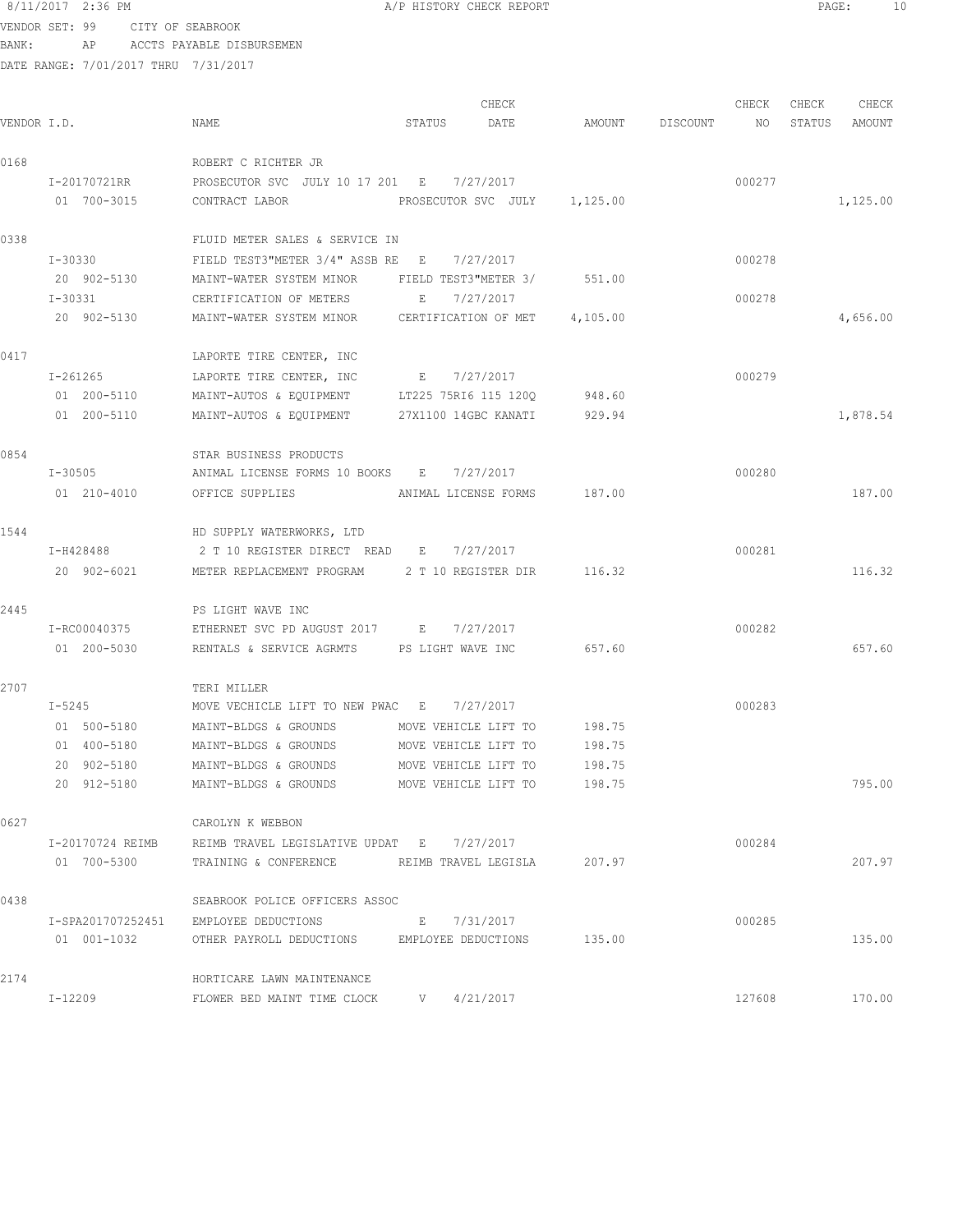# 8/11/2017 2:36 PM **A/P HISTORY CHECK REPORT PAGE:** 10 VENDOR SET: 99 CITY OF SEABROOK

BANK: AP ACCTS PAYABLE DISBURSEMEN

| VENDOR I.D. |                  | NAME                                                   | STATUS               | CHECK<br>DATE                |        | AMOUNT DISCOUNT | CHECK<br>NO | CHECK<br>STATUS | CHECK<br>AMOUNT |
|-------------|------------------|--------------------------------------------------------|----------------------|------------------------------|--------|-----------------|-------------|-----------------|-----------------|
| 0168        |                  | ROBERT C RICHTER JR                                    |                      |                              |        |                 |             |                 |                 |
|             | I-20170721RR     | PROSECUTOR SVC JULY 10 17 201 E 7/27/2017              |                      |                              |        |                 | 000277      |                 |                 |
|             | 01 700-3015      | CONTRACT LABOR                                         |                      | PROSECUTOR SVC JULY 1,125.00 |        |                 |             |                 | 1,125.00        |
| 0338        |                  | FLUID METER SALES & SERVICE IN                         |                      |                              |        |                 |             |                 |                 |
|             | I-30330          | FIELD TEST3"METER $3/4$ " ASSB RE E 7/27/2017          |                      |                              |        |                 | 000278      |                 |                 |
|             | 20 902-5130      | MAINT-WATER SYSTEM MINOR FIELD TEST3"METER 3/ 551.00   |                      |                              |        |                 |             |                 |                 |
|             | I-30331          | CERTIFICATION OF METERS                                | E                    | 7/27/2017                    |        |                 | 000278      |                 |                 |
|             | 20 902-5130      | MAINT-WATER SYSTEM MINOR CERTIFICATION OF MET 4,105.00 |                      |                              |        |                 |             |                 | 4,656.00        |
| 0417        |                  | LAPORTE TIRE CENTER, INC                               |                      |                              |        |                 |             |                 |                 |
|             | I-261265         | LAPORTE TIRE CENTER, INC                               | E 7/27/2017          |                              |        |                 | 000279      |                 |                 |
|             | 01 200-5110      | MAINT-AUTOS & EQUIPMENT LT225 75RI6 115 120Q           |                      |                              | 948.60 |                 |             |                 |                 |
|             | 01 200-5110      | MAINT-AUTOS & EQUIPMENT 27X1100 14GBC KANATI           |                      |                              | 929.94 |                 |             |                 | 1,878.54        |
| 0854        |                  | STAR BUSINESS PRODUCTS                                 |                      |                              |        |                 |             |                 |                 |
|             | I-30505          | ANIMAL LICENSE FORMS 10 BOOKS E 7/27/2017              |                      |                              |        |                 | 000280      |                 |                 |
|             | 01 210-4010      | OFFICE SUPPLIES                                        | ANIMAL LICENSE FORMS |                              | 187.00 |                 |             |                 | 187.00          |
| 1544        |                  | HD SUPPLY WATERWORKS, LTD                              |                      |                              |        |                 |             |                 |                 |
|             | I-H428488        | 2 T 10 REGISTER DIRECT READ E                          |                      | 7/27/2017                    |        |                 | 000281      |                 |                 |
|             | 20 902-6021      | METER REPLACEMENT PROGRAM 2 T 10 REGISTER DIR 116.32   |                      |                              |        |                 |             |                 | 116.32          |
| 2445        |                  | PS LIGHT WAVE INC                                      |                      |                              |        |                 |             |                 |                 |
|             | I-RC00040375     | ETHERNET SVC PD AUGUST 2017 E 7/27/2017                |                      |                              |        |                 | 000282      |                 |                 |
|             | 01 200-5030      | RENTALS & SERVICE AGRMTS PS LIGHT WAVE INC             |                      |                              | 657.60 |                 |             |                 | 657.60          |
| 2707        |                  | TERI MILLER                                            |                      |                              |        |                 |             |                 |                 |
|             | $I-5245$         | MOVE VECHICLE LIFT TO NEW PWAC E 7/27/2017             |                      |                              |        |                 | 000283      |                 |                 |
|             | 01 500-5180      | MAINT-BLDGS & GROUNDS                                  | MOVE VEHICLE LIFT TO |                              | 198.75 |                 |             |                 |                 |
|             | 01 400-5180      | MAINT-BLDGS & GROUNDS                                  | MOVE VEHICLE LIFT TO |                              | 198.75 |                 |             |                 |                 |
|             | 20 902-5180      | MAINT-BLDGS & GROUNDS                                  | MOVE VEHICLE LIFT TO |                              | 198.75 |                 |             |                 |                 |
|             | 20 912-5180      | MAINT-BLDGS & GROUNDS                                  | MOVE VEHICLE LIFT TO |                              | 198.75 |                 |             |                 | 795.00          |
| 0627        |                  | CAROLYN K WEBBON                                       |                      |                              |        |                 |             |                 |                 |
|             | I-20170724 REIMB | REIMB TRAVEL LEGISLATIVE UPDAT E 7/27/2017             |                      |                              |        |                 | 000284      |                 |                 |
|             | 01 700-5300      | TRAINING & CONFERENCE REIMB TRAVEL LEGISLA 207.97      |                      |                              |        |                 |             |                 | 207.97          |
| 0438        |                  | SEABROOK POLICE OFFICERS ASSOC                         |                      |                              |        |                 |             |                 |                 |
|             |                  | I-SPA201707252451 EMPLOYEE DEDUCTIONS                  |                      | E 7/31/2017                  |        |                 | 000285      |                 |                 |
|             | 01  001-1032     | OTHER PAYROLL DEDUCTIONS EMPLOYEE DEDUCTIONS 135.00    |                      |                              |        |                 |             |                 | 135.00          |
| 2174        |                  | HORTICARE LAWN MAINTENANCE                             |                      |                              |        |                 |             |                 |                 |
|             | I-12209          | FLOWER BED MAINT TIME CLOCK V 4/21/2017                |                      |                              |        |                 | 127608      |                 | 170.00          |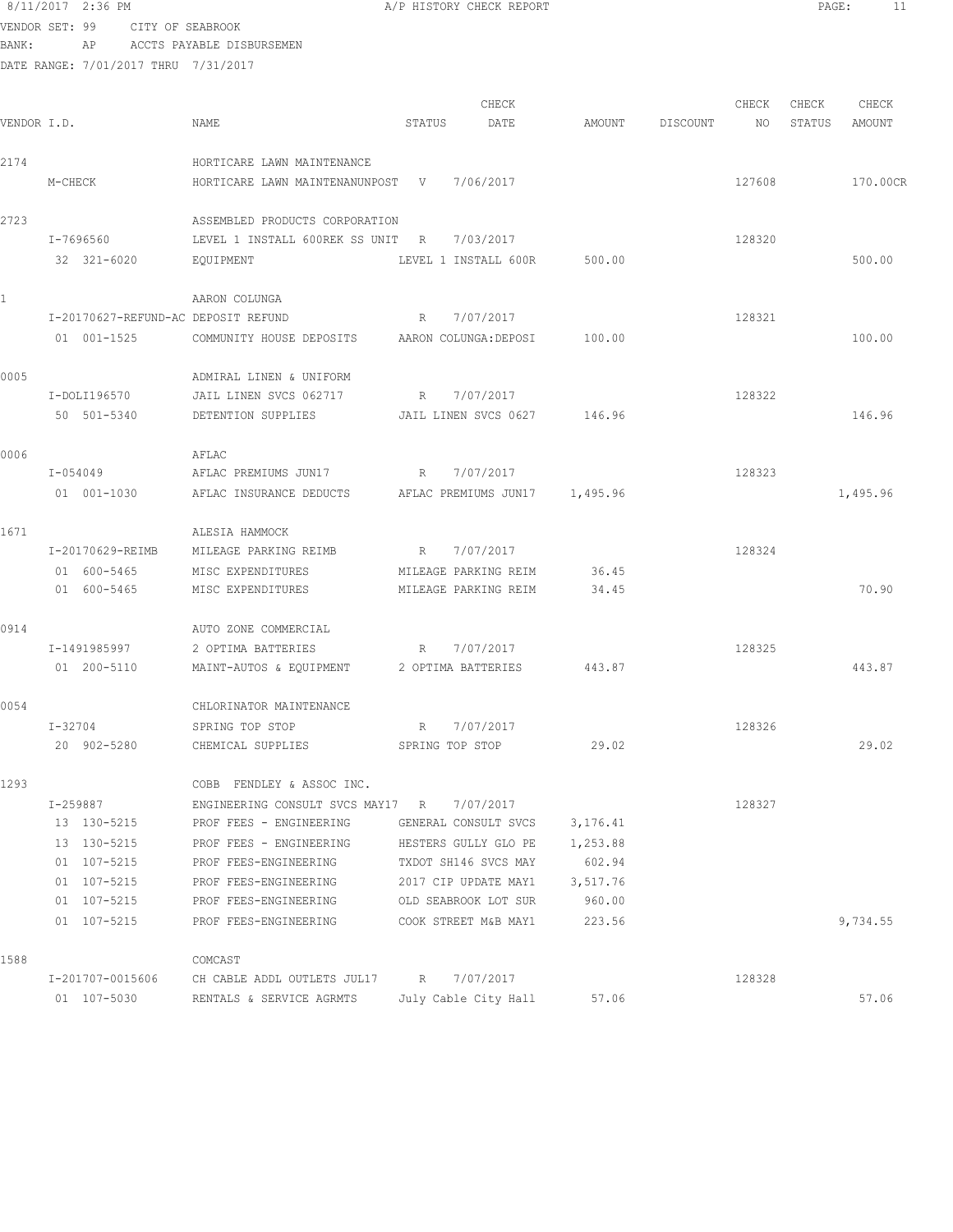|             | VENDOR SET: 99                       | CITY OF SEABROOK |                                            |             |                       |          |          |        |        |          |
|-------------|--------------------------------------|------------------|--------------------------------------------|-------------|-----------------------|----------|----------|--------|--------|----------|
| BANK:       | ΑP                                   |                  | ACCTS PAYABLE DISBURSEMEN                  |             |                       |          |          |        |        |          |
|             | DATE RANGE: 7/01/2017 THRU 7/31/2017 |                  |                                            |             |                       |          |          |        |        |          |
|             |                                      |                  |                                            |             |                       |          |          |        |        |          |
|             |                                      |                  |                                            |             | CHECK                 |          |          | CHECK  | CHECK  | CHECK    |
| VENDOR I.D. |                                      |                  | NAME                                       | STATUS      | DATE                  | AMOUNT   | DISCOUNT | NO.    | STATUS | AMOUNT   |
| 2174        |                                      |                  | HORTICARE LAWN MAINTENANCE                 |             |                       |          |          |        |        |          |
|             | M-CHECK                              |                  | HORTICARE LAWN MAINTENANUNPOST V           |             | 7/06/2017             |          |          | 127608 |        | 170.00CR |
|             |                                      |                  |                                            |             |                       |          |          |        |        |          |
| 2723        |                                      |                  | ASSEMBLED PRODUCTS CORPORATION             |             |                       |          |          |        |        |          |
|             | I-7696560                            |                  | LEVEL 1 INSTALL 600REK SS UNIT R           |             | 7/03/2017             |          |          | 128320 |        |          |
|             | 32 321-6020                          |                  | EQUIPMENT                                  |             | LEVEL 1 INSTALL 600R  | 500.00   |          |        |        | 500.00   |
|             |                                      |                  |                                            |             |                       |          |          |        |        |          |
| 1.          |                                      |                  | AARON COLUNGA                              |             |                       |          |          |        |        |          |
|             |                                      |                  | I-20170627-REFUND-AC DEPOSIT REFUND        | R           | 7/07/2017             |          |          | 128321 |        |          |
|             | 01 001-1525                          |                  | COMMUNITY HOUSE DEPOSITS                   |             | AARON COLUNGA: DEPOSI | 100.00   |          |        |        | 100.00   |
|             |                                      |                  |                                            |             |                       |          |          |        |        |          |
| 0005        |                                      |                  | ADMIRAL LINEN & UNIFORM                    |             |                       |          |          |        |        |          |
|             | I-DOLI196570                         |                  | JAIL LINEN SVCS 062717                     | R           | 7/07/2017             |          |          | 128322 |        |          |
|             | 50 501-5340                          |                  | DETENTION SUPPLIES                         |             | JAIL LINEN SVCS 0627  | 146.96   |          |        |        | 146.96   |
|             |                                      |                  |                                            |             |                       |          |          |        |        |          |
| 0006        |                                      |                  | AFLAC                                      |             |                       |          |          |        |        |          |
|             | I-054049                             |                  | AFLAC PREMIUMS JUN17                       | R           | 7/07/2017             |          |          | 128323 |        |          |
|             | 01 001-1030                          |                  | AFLAC INSURANCE DEDUCTS                    |             | AFLAC PREMIUMS JUN17  | 1,495.96 |          |        |        | 1,495.96 |
|             |                                      |                  |                                            |             |                       |          |          |        |        |          |
| 1671        |                                      |                  | ALESIA HAMMOCK                             |             |                       |          |          |        |        |          |
|             | I-20170629-REIMB                     |                  | MILEAGE PARKING REIMB                      | R           | 7/07/2017             |          |          | 128324 |        |          |
|             | 01 600-5465                          |                  | MISC EXPENDITURES                          |             | MILEAGE PARKING REIM  | 36.45    |          |        |        |          |
|             | 01 600-5465                          |                  | MISC EXPENDITURES                          |             | MILEAGE PARKING REIM  | 34.45    |          |        |        | 70.90    |
|             |                                      |                  |                                            |             |                       |          |          |        |        |          |
| 0914        |                                      |                  | AUTO ZONE COMMERCIAL                       |             |                       |          |          |        |        |          |
|             | I-1491985997                         |                  | 2 OPTIMA BATTERIES                         | R           | 7/07/2017             |          |          | 128325 |        |          |
|             | 01 200-5110                          |                  | MAINT-AUTOS & EQUIPMENT                    |             | 2 OPTIMA BATTERIES    | 443.87   |          |        |        | 443.87   |
| 0054        |                                      |                  | CHLORINATOR MAINTENANCE                    |             |                       |          |          |        |        |          |
|             | I-32704                              |                  | SPRING TOP STOP                            | $R_{\perp}$ | 7/07/2017             |          |          | 128326 |        |          |
|             | 20 902-5280                          |                  | CHEMICAL SUPPLIES                          |             | SPRING TOP STOP       | 29.02    |          |        |        | 29.02    |
|             |                                      |                  |                                            |             |                       |          |          |        |        |          |
| 1293        |                                      |                  | COBB FENDLEY & ASSOC INC.                  |             |                       |          |          |        |        |          |
|             | I-259887                             |                  | ENGINEERING CONSULT SVCS MAY17 R 7/07/2017 |             |                       |          |          | 128327 |        |          |
|             | 13 130-5215                          |                  | PROF FEES - ENGINEERING                    |             | GENERAL CONSULT SVCS  | 3,176.41 |          |        |        |          |
|             | 13 130-5215                          |                  | PROF FEES - ENGINEERING                    |             | HESTERS GULLY GLO PE  | 1,253.88 |          |        |        |          |
|             | 01 107-5215                          |                  | PROF FEES-ENGINEERING                      |             | TXDOT SH146 SVCS MAY  | 602.94   |          |        |        |          |
|             | 01 107-5215                          |                  | PROF FEES-ENGINEERING                      |             | 2017 CIP UPDATE MAY1  | 3,517.76 |          |        |        |          |
|             | 01 107-5215                          |                  | PROF FEES-ENGINEERING                      |             | OLD SEABROOK LOT SUR  | 960.00   |          |        |        |          |
|             | 01 107-5215                          |                  | PROF FEES-ENGINEERING                      |             | COOK STREET M&B MAY1  | 223.56   |          |        |        | 9,734.55 |
|             |                                      |                  |                                            |             |                       |          |          |        |        |          |
| 1588        |                                      |                  | COMCAST                                    |             |                       |          |          |        |        |          |

I-201707-0015606 CH CABLE ADDL OUTLETS JUL17 R 7/07/2017 128328

01 107-5030 RENTALS & SERVICE AGRMTS July Cable City Hall 57.06 57.06

8/11/2017 2:36 PM **A/P HISTORY CHECK REPORT PAGE:** 11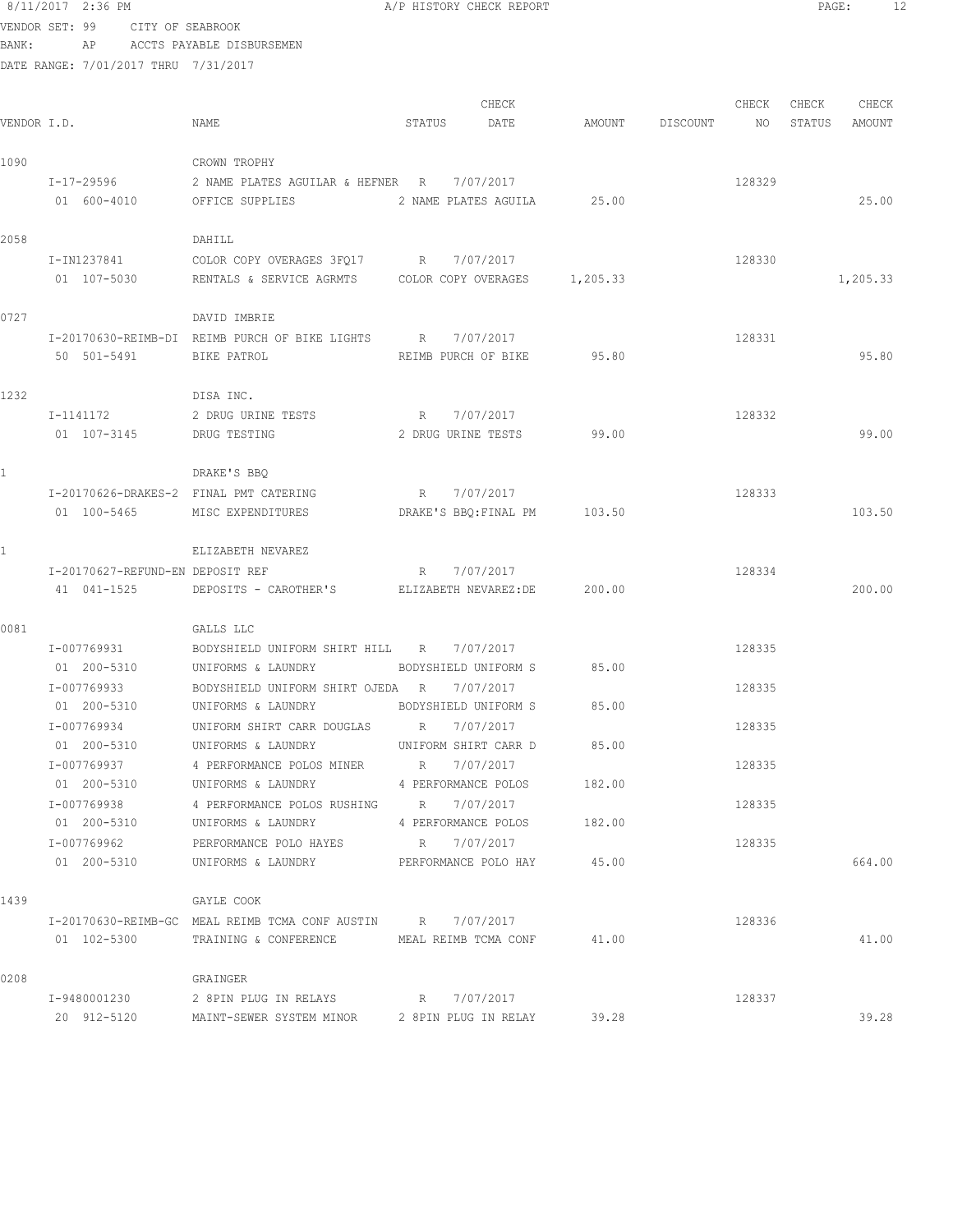| BANK:        |                                                 | AP ACCTS PAYABLE DISBURSEMEN                                                                   |             |                              |        |                 |        |        |          |
|--------------|-------------------------------------------------|------------------------------------------------------------------------------------------------|-------------|------------------------------|--------|-----------------|--------|--------|----------|
|              | DATE RANGE: 7/01/2017 THRU 7/31/2017            |                                                                                                |             |                              |        |                 |        |        |          |
|              |                                                 |                                                                                                |             |                              |        |                 |        |        |          |
|              |                                                 |                                                                                                |             | CHECK                        |        |                 | CHECK  | CHECK  | CHECK    |
| VENDOR I.D.  |                                                 | NAME                                                                                           | STATUS      | DATE                         |        | AMOUNT DISCOUNT | NO     | STATUS | AMOUNT   |
| 1090         |                                                 | CROWN TROPHY                                                                                   |             |                              |        |                 |        |        |          |
|              | I-17-29596                                      | 2 NAME PLATES AGUILAR & HEFNER R 7/07/2017                                                     |             |                              |        |                 | 128329 |        |          |
|              | 01 600-4010                                     | OFFICE SUPPLIES                                                                                |             | 2 NAME PLATES AGUILA 25.00   |        |                 |        |        | 25.00    |
|              |                                                 |                                                                                                |             |                              |        |                 |        |        |          |
| 2058         |                                                 | DAHILL                                                                                         |             |                              |        |                 |        |        |          |
|              | I-IN1237841<br>01 107-5030                      | COLOR COPY OVERAGES 3FQ17 R 7/07/2017<br>RENTALS & SERVICE AGRMTS COLOR COPY OVERAGES 1,205.33 |             |                              |        |                 | 128330 |        | 1,205.33 |
|              |                                                 |                                                                                                |             |                              |        |                 |        |        |          |
| 0727         |                                                 | DAVID IMBRIE                                                                                   |             |                              |        |                 |        |        |          |
|              |                                                 | I-20170630-REIMB-DI REIMB PURCH OF BIKE LIGHTS R 7/07/2017                                     |             |                              |        |                 | 128331 |        |          |
|              | 50 501-5491                                     | BIKE PATROL                                                                                    |             | REIMB PURCH OF BIKE 95.80    |        |                 |        |        | 95.80    |
|              |                                                 |                                                                                                |             |                              |        |                 |        |        |          |
| 1232         |                                                 | DISA INC.                                                                                      |             |                              |        |                 |        |        |          |
|              | I-1141172                                       | 2 DRUG URINE TESTS                                                                             | R 7/07/2017 |                              |        |                 | 128332 |        |          |
|              | 01 107-3145                                     | DRUG TESTING                                                                                   |             | 2 DRUG URINE TESTS           | 99.00  |                 |        |        | 99.00    |
| $\mathbf{1}$ |                                                 | DRAKE'S BBO                                                                                    |             |                              |        |                 |        |        |          |
|              |                                                 | I-20170626-DRAKES-2 FINAL PMT CATERING                                                         | R 7/07/2017 |                              |        |                 | 128333 |        |          |
|              | 01 100-5465                                     | MISC EXPENDITURES                                                                              |             | DRAKE'S BBQ: FINAL PM 103.50 |        |                 |        |        | 103.50   |
|              |                                                 |                                                                                                |             |                              |        |                 |        |        |          |
| $\mathbf{1}$ |                                                 | ELIZABETH NEVAREZ                                                                              |             |                              |        |                 |        |        |          |
|              | I-20170627-REFUND-EN DEPOSIT REF<br>41 041-1525 | DEPOSITS - CAROTHER'S ELIZABETH NEVAREZ: DE 200.00                                             | R 7/07/2017 |                              |        |                 | 128334 |        | 200.00   |
|              |                                                 |                                                                                                |             |                              |        |                 |        |        |          |
| 0081         |                                                 | GALLS LLC                                                                                      |             |                              |        |                 |        |        |          |
|              | I-007769931                                     | BODYSHIELD UNIFORM SHIRT HILL R                                                                |             | 7/07/2017                    |        |                 | 128335 |        |          |
|              | 01 200-5310                                     | UNIFORMS & LAUNDRY                                                                             |             | BODYSHIELD UNIFORM S 85.00   |        |                 |        |        |          |
|              | I-007769933                                     | BODYSHIELD UNIFORM SHIRT OJEDA R                                                               |             | 7/07/2017                    |        |                 | 128335 |        |          |
|              | 01 200-5310                                     | UNIFORMS & LAUNDRY BODYSHIELD UNIFORM S 85.00                                                  |             |                              |        |                 |        |        |          |
|              | I-007769934                                     | UNIFORM SHIRT CARR DOUGLAS                                                                     | R           | 7/07/2017                    |        |                 | 128335 |        |          |
|              | 01 200-5310                                     | UNIFORMS & LAUNDRY                                                                             |             | UNIFORM SHIRT CARR D         | 85.00  |                 |        |        |          |
|              | I-007769937<br>01 200-5310                      | 4 PERFORMANCE POLOS MINER<br>UNIFORMS & LAUNDRY                                                | R 7/07/2017 | 4 PERFORMANCE POLOS          | 182.00 |                 | 128335 |        |          |
|              | I-007769938                                     | 4 PERFORMANCE POLOS RUSHING R                                                                  |             | 7/07/2017                    |        |                 | 128335 |        |          |
|              | 01 200-5310                                     | UNIFORMS & LAUNDRY                                                                             |             | 4 PERFORMANCE POLOS          | 182.00 |                 |        |        |          |
|              | I-007769962                                     | PERFORMANCE POLO HAYES                                                                         |             | R 7/07/2017                  |        |                 | 128335 |        |          |
|              | 01 200-5310                                     | UNIFORMS & LAUNDRY                                                                             |             | PERFORMANCE POLO HAY         | 45.00  |                 |        |        | 664.00   |
|              |                                                 |                                                                                                |             |                              |        |                 |        |        |          |
| 1439         |                                                 | GAYLE COOK                                                                                     |             |                              |        |                 |        |        |          |
|              |                                                 | I-20170630-REIMB-GC MEAL REIMB TCMA CONF AUSTIN R 7/07/2017                                    |             |                              |        |                 | 128336 |        |          |
|              | 01 102-5300                                     | TRAINING & CONFERENCE MEAL REIMB TCMA CONF                                                     |             |                              | 41.00  |                 |        |        | 41.00    |
| 0208         |                                                 | GRAINGER                                                                                       |             |                              |        |                 |        |        |          |
|              | I-9480001230                                    | 2 8PIN PLUG IN RELAYS                                                                          | R 7/07/2017 |                              |        |                 | 128337 |        |          |
|              | 20 912-5120                                     | MAINT-SEWER SYSTEM MINOR                                                                       |             | 2 8PIN PLUG IN RELAY         | 39.28  |                 |        |        | 39.28    |

VENDOR SET: 99 CITY OF SEABROOK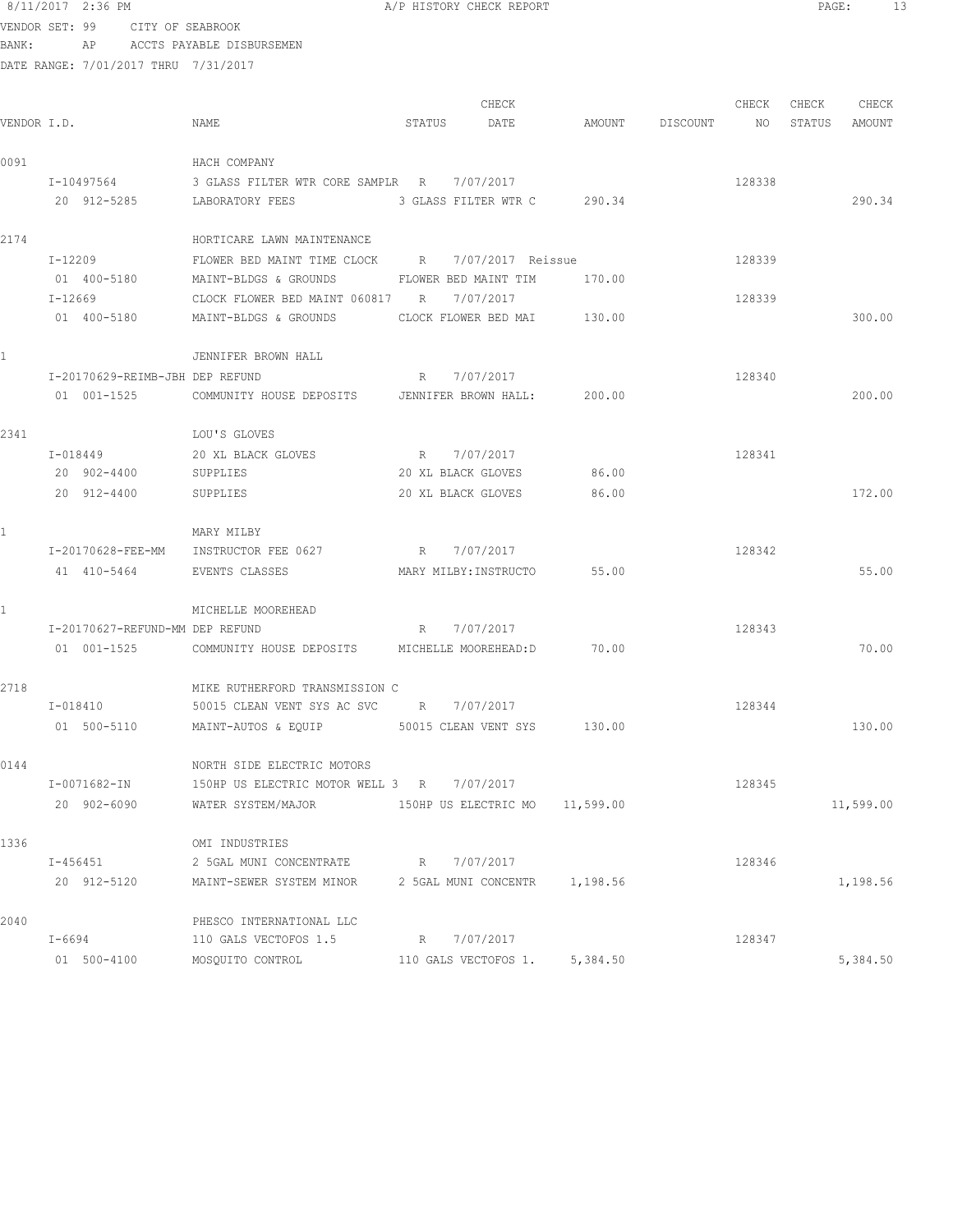|                | 8/11/2017 2:36 PM                    |                                                                  |        | A/P HISTORY CHECK REPORT    |       |                    |        | $\texttt{PAGE:}$ | -13    |  |
|----------------|--------------------------------------|------------------------------------------------------------------|--------|-----------------------------|-------|--------------------|--------|------------------|--------|--|
| VENDOR SET: 99 | CITY OF SEABROOK                     |                                                                  |        |                             |       |                    |        |                  |        |  |
| BANK:          | AP                                   | ACCTS PAYABLE DISBURSEMEN                                        |        |                             |       |                    |        |                  |        |  |
|                | DATE RANGE: 7/01/2017 THRU 7/31/2017 |                                                                  |        |                             |       |                    |        |                  |        |  |
|                |                                      |                                                                  |        | CHECK                       |       |                    | CHECK  | CHECK            | CHECK  |  |
| VENDOR I.D.    |                                      | NAME                                                             | STATUS | DATE                        |       | AMOUNT DISCOUNT NO |        | STATUS           | AMOUNT |  |
| 0091           |                                      | HACH COMPANY                                                     |        |                             |       |                    |        |                  |        |  |
|                | I-10497564                           | 3 GLASS FILTER WTR CORE SAMPLR R 1/07/2017                       |        |                             |       |                    | 128338 |                  |        |  |
|                | 20 912-5285                          | LABORATORY FEES                                                  |        | 3 GLASS FILTER WTR C 290.34 |       |                    |        |                  | 290.34 |  |
| 2174           |                                      | HORTICARE LAWN MAINTENANCE                                       |        |                             |       |                    |        |                  |        |  |
|                | $I - 12209$                          | FLOWER BED MAINT TIME CLOCK B 7/07/2017 Reissue                  |        |                             |       |                    | 128339 |                  |        |  |
|                | 01 400-5180                          | MAINT-BLDGS & GROUNDS                                            |        | FLOWER BED MAINT TIM 170.00 |       |                    |        |                  |        |  |
|                | $I - 12669$                          | CLOCK FLOWER BED MAINT 060817 R 7/07/2017                        |        |                             |       |                    | 128339 |                  |        |  |
|                | 01 400-5180                          | MAINT-BLDGS & GROUNDS                                            |        | CLOCK FLOWER BED MAI 130.00 |       |                    |        |                  | 300.00 |  |
|                |                                      | JENNIFER BROWN HALL                                              |        |                             |       |                    |        |                  |        |  |
|                | I-20170629-REIMB-JBH DEP REFUND      |                                                                  | R      | 7/07/2017                   |       |                    | 128340 |                  |        |  |
|                |                                      | 01 001-1525 COMMUNITY HOUSE DEPOSITS JENNIFER BROWN HALL: 200.00 |        |                             |       |                    |        |                  | 200.00 |  |
| 2341           |                                      | LOU'S GLOVES                                                     |        |                             |       |                    |        |                  |        |  |
|                | I-018449                             | 20 XL BLACK GLOVES                                               |        | R 7/07/2017                 |       |                    | 128341 |                  |        |  |
|                | 20 902-4400                          | SUPPLIES                                                         |        | 20 XL BLACK GLOVES          | 86.00 |                    |        |                  |        |  |
|                | 20 912-4400                          | SUPPLIES                                                         |        | 20 XL BLACK GLOVES          | 86.00 |                    |        |                  | 172.00 |  |
| $\mathbf{1}$   |                                      | MARY MILBY                                                       |        |                             |       |                    |        |                  |        |  |
|                | I-20170628-FEE-MM                    | INSTRUCTOR FEE 0627<br>$R = \frac{1}{2}$                         |        | 7/07/2017                   |       |                    | 128342 |                  |        |  |
|                | 41 410-5464 EVENTS CLASSES           |                                                                  |        | MARY MILBY: INSTRUCTO 55.00 |       |                    |        |                  | 55.00  |  |
|                |                                      |                                                                  |        |                             |       |                    |        |                  |        |  |

|      |                                 | MICHELLE MOOREHEAD                                     |                      |          |        |           |
|------|---------------------------------|--------------------------------------------------------|----------------------|----------|--------|-----------|
|      | I-20170627-REFUND-MM DEP REFUND | $R = \frac{1}{2}$                                      | 7/07/2017            |          | 128343 |           |
|      | 01 001-1525                     | COMMUNITY HOUSE DEPOSITS MICHELLE MOOREHEAD: D         |                      | 70.00    |        | 70.00     |
| 2718 |                                 | MIKE RUTHERFORD TRANSMISSION C                         |                      |          |        |           |
|      | I-018410                        | 50015 CLEAN VENT SYS AC SVC                            | R 7/07/2017          |          | 128344 |           |
|      | 01 500-5110                     | MAINT-AUTOS & EQUIP 50015 CLEAN VENT SYS               |                      | 130.00   |        | 130.00    |
| 0144 |                                 | NORTH SIDE ELECTRIC MOTORS                             |                      |          |        |           |
|      | I-0071682-IN                    | 150HP US ELECTRIC MOTOR WELL 3 R 7/07/2017             |                      |          | 128345 |           |
|      | 20 902-6090                     | WATER SYSTEM/MAJOR 150HP US ELECTRIC MO 11,599.00      |                      |          |        | 11,599.00 |
| 1336 |                                 | OMI INDUSTRIES                                         |                      |          |        |           |
|      | I-456451                        | 2 5GAL MUNI CONCENTRATE                                | R 7/07/2017          |          | 128346 |           |
|      | 20 912-5120                     | MAINT-SEWER SYSTEM MINOR 2 5GAL MUNI CONCENTR 1,198.56 |                      |          |        | 1,198.56  |
| 2040 |                                 | PHESCO INTERNATIONAL LLC                               |                      |          |        |           |
|      | $I - 6694$                      | 110 GALS VECTOFOS 1.5 R 7/07/2017                      |                      |          | 128347 |           |
|      | 01 500-4100                     | MOSQUITO CONTROL                                       | 110 GALS VECTOFOS 1. | 5,384.50 |        | 5,384.50  |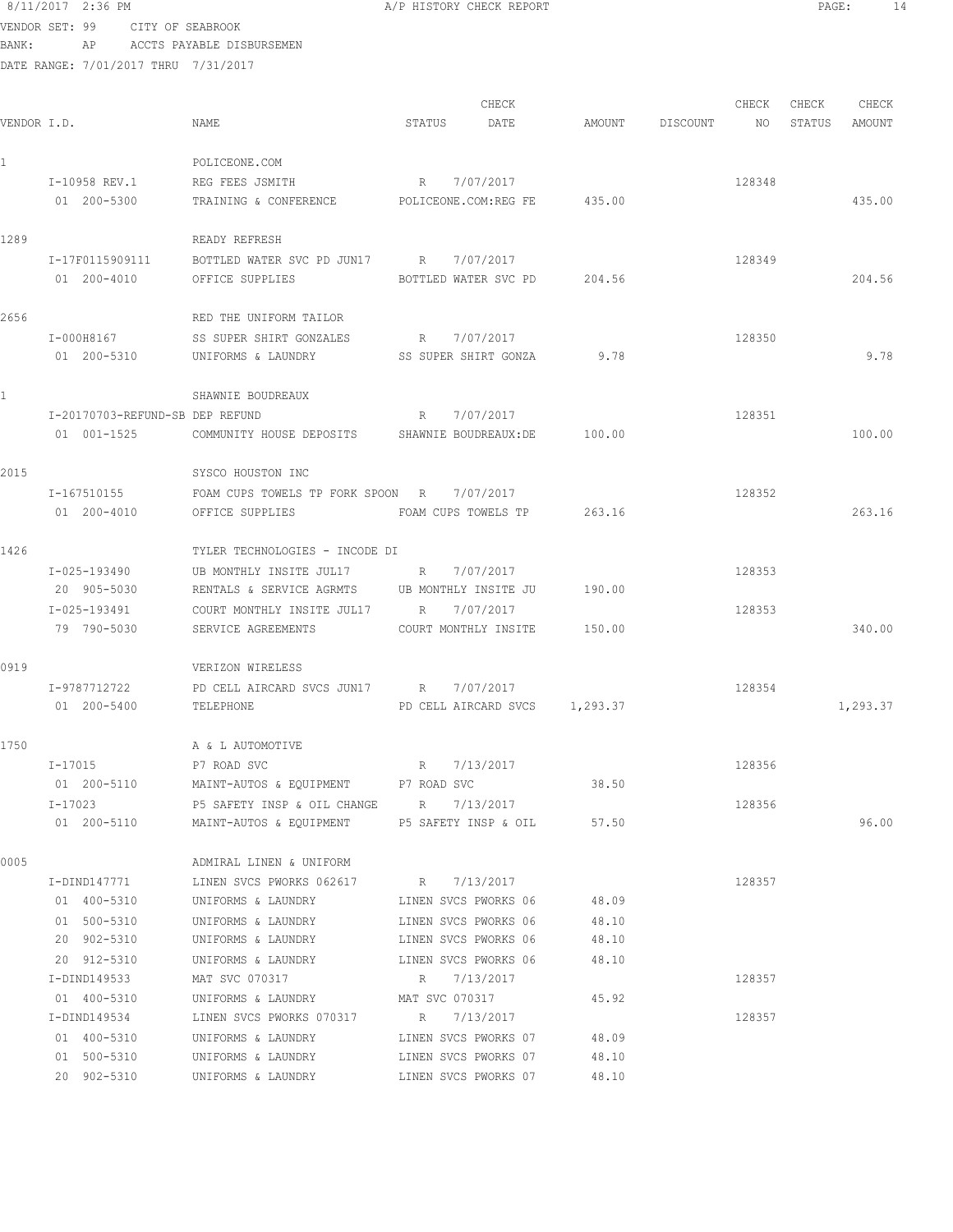```
8/11/2017 2:36 PM A/P HISTORY CHECK REPORT PAGE: 14
VENDOR SET: 99 CITY OF SEABROOK
BANK: AP ACCTS PAYABLE DISBURSEMEN
```
DATE RANGE: 7/01/2017 THRU 7/31/2017

```
CHECK CHECK CHECK CHECK
VENDOR I.D. NAME STATUS DATE AMOUNT DISCOUNT NO STATUS AMOUNT
1 POLICEONE.COM
   I-10958 REV.1 REG FEES JSMITH R 7/07/2017 R 7/07/2017
   01 200-5300 TRAINING & CONFERENCE POLICEONE.COM:REG FE 435.00 435.00 435.00
1289 READY REFRESH
    I-17F0115909111 BOTTLED WATER SVC PD JUN17 R 7/07/2017 128349
   01 200-4010 OFFICE SUPPLIES BOTTLED WATER SVC PD 204.56 204.56
2656 RED THE UNIFORM TAILOR
    I-000H8167 SS SUPER SHIRT GONZALES R 7/07/2017 128350
   01 200-5310 UNIFORMS & LAUNDRY SS SUPER SHIRT GONZA 9.78 9.78
1 SHAWNIE BOUDREAUX
    I-20170703-REFUND-SB DEP REFUND R 7/07/2017 128351
    01 001-1525 COMMUNITY HOUSE DEPOSITS SHAWNIE BOUDREAUX:DE 100.00 100.00
2015 SYSCO HOUSTON INC
    I-167510155 FOAM CUPS TOWELS TP FORK SPOON R 7/07/2017 128352
    01 200-4010 OFFICE SUPPLIES FOAM CUPS TOWELS TP 263.16 263.16
1426 TYLER TECHNOLOGIES - INCODE DI
    I-025-193490 UB MONTHLY INSITE JUL17 R 7/07/2017 128353
    20 905-5030 RENTALS & SERVICE AGRMTS UB MONTHLY INSITE JU 190.00
    I-025-193491 COURT MONTHLY INSITE JUL17 R 7/07/2017 128353
    79 790-5030 SERVICE AGREEMENTS COURT MONTHLY INSITE 150.00 340.00
0919 VERIZON WIRELESS
    I-9787712722 PD CELL AIRCARD SVCS JUN17 R 7/07/2017 128354
   01 200-5400 TELEPHONE PD CELL AIRCARD SVCS 1,293.37 1,293.37 1,293.37
1750 A & L AUTOMOTIVE
   I-17015 P7 ROAD SVC R 7/13/2017 R 128356
    01 200-5110 MAINT-AUTOS & EQUIPMENT P7 ROAD SVC 38.50
    I-17023 P5 SAFETY INSP & OIL CHANGE R 7/13/2017 128356
    01 200-5110 MAINT-AUTOS & EQUIPMENT P5 SAFETY INSP & OIL 57.50 96.00
0005 ADMIRAL LINEN & UNIFORM
    I-DIND147771 LINEN SVCS PWORKS 062617 R 7/13/2017 128357
    01 400-5310 UNIFORMS & LAUNDRY LINEN SVCS PWORKS 06 48.09
    01 500-5310 UNIFORMS & LAUNDRY LINEN SVCS PWORKS 06 48.10
     20 902-5310 UNIFORMS & LAUNDRY LINEN SVCS PWORKS 06 48.10
    20 912-5310 UNIFORMS & LAUNDRY LINEN SVCS PWORKS 06 48.10
    I-DIND149533 MAT SVC 070317 R 7/13/2017 128357
   01 400-5310 UNIFORMS & LAUNDRY MAT SVC 070317 45.92
   I-DIND149534 LINEN SVCS PWORKS 070317 R 7/13/2017 128357
     01 400-5310 UNIFORMS & LAUNDRY LINEN SVCS PWORKS 07 48.09
   01 500-5310 UNIFORMS & LAUNDRY LINEN SVCS PWORKS 07 48.10
```
20 902-5310 UNIFORMS & LAUNDRY LINEN SVCS PWORKS 07 48.10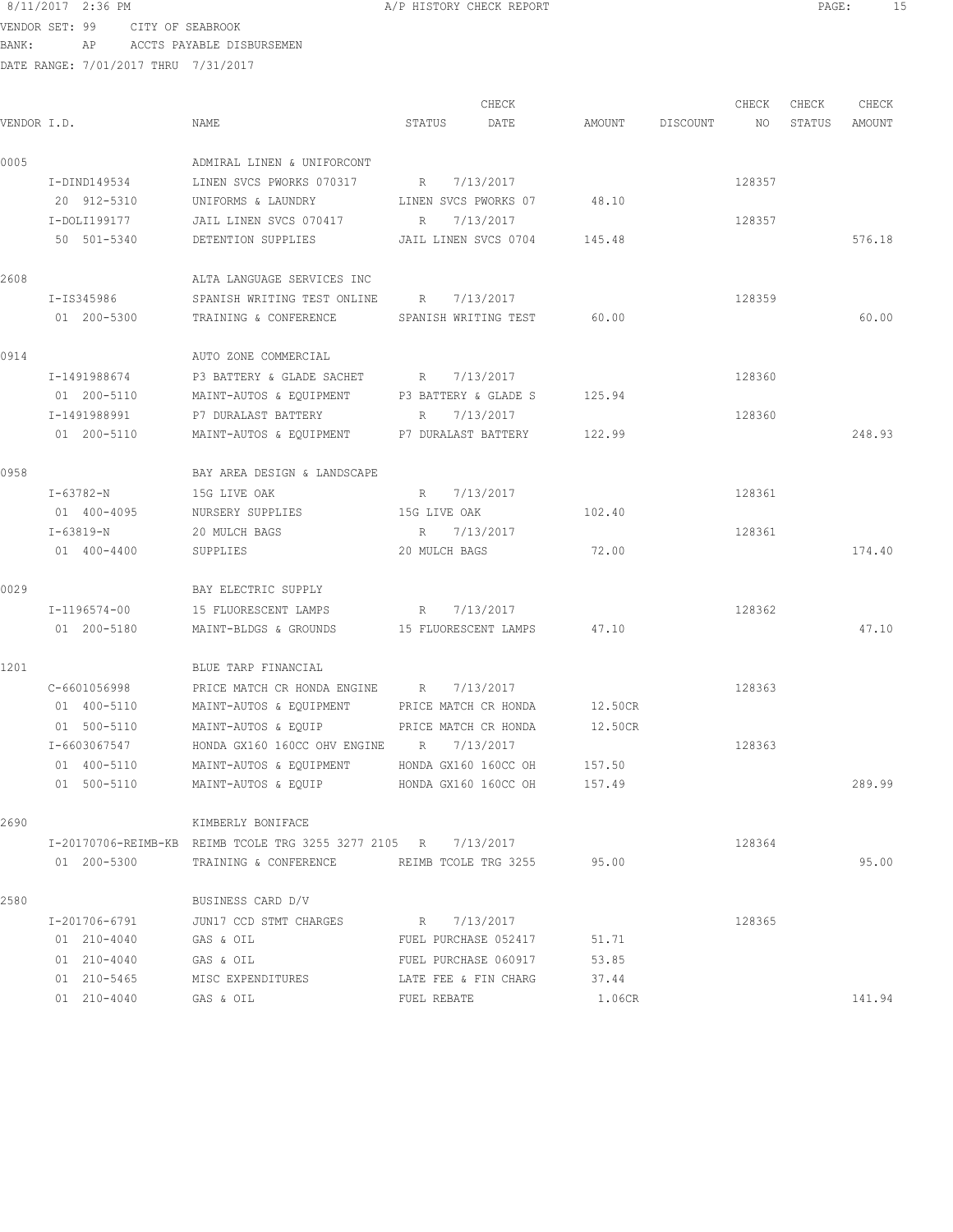VENDOR SET: 99 CITY OF SEABROOK BANK: AP ACCTS PAYABLE DISBURSEMEN

| VENDOR I.D. |                             | NAME                                                                | STATUS                    | CHECK<br>DATE        | AMOUNT             | DISCOUNT | CHECK<br>NO | CHECK<br>STATUS | CHECK<br>AMOUNT |
|-------------|-----------------------------|---------------------------------------------------------------------|---------------------------|----------------------|--------------------|----------|-------------|-----------------|-----------------|
| 0005        |                             | ADMIRAL LINEN & UNIFORCONT                                          |                           |                      |                    |          |             |                 |                 |
|             | I-DIND149534<br>20 912-5310 | LINEN SVCS PWORKS 070317                                            | R                         | 7/13/2017            |                    |          | 128357      |                 |                 |
|             | I-DOLI199177                | UNIFORMS & LAUNDRY<br>JAIL LINEN SVCS 070417                        | LINEN SVCS PWORKS 07<br>R | 7/13/2017            | 48.10              |          | 128357      |                 |                 |
|             | 50 501-5340                 | DETENTION SUPPLIES                                                  | JAIL LINEN SVCS 0704      |                      | 145.48             |          |             |                 | 576.18          |
| 2608        |                             | ALTA LANGUAGE SERVICES INC                                          |                           |                      |                    |          |             |                 |                 |
|             | I-IS345986                  | SPANISH WRITING TEST ONLINE                                         | R                         | 7/13/2017            |                    |          | 128359      |                 |                 |
|             | 01 200-5300                 | TRAINING & CONFERENCE                                               | SPANISH WRITING TEST      |                      | 60.00              |          |             |                 | 60.00           |
| 0914        |                             | AUTO ZONE COMMERCIAL                                                |                           |                      |                    |          |             |                 |                 |
|             | I-1491988674                | P3 BATTERY & GLADE SACHET                                           | R 7/13/2017               |                      |                    |          | 128360      |                 |                 |
|             | 01 200-5110                 | MAINT-AUTOS & EQUIPMENT                                             | P3 BATTERY & GLADE S      |                      | 125.94             |          |             |                 |                 |
|             | I-1491988991                | P7 DURALAST BATTERY                                                 | R                         | 7/13/2017            |                    |          | 128360      |                 |                 |
|             | 01 200-5110                 | MAINT-AUTOS & EQUIPMENT P7 DURALAST BATTERY                         |                           |                      | 122.99             |          |             |                 | 248.93          |
| 0958        |                             | BAY AREA DESIGN & LANDSCAPE                                         |                           |                      |                    |          |             |                 |                 |
|             | I-63782-N                   | 15G LIVE OAK                                                        | R                         | 7/13/2017            |                    |          | 128361      |                 |                 |
|             | 01 400-4095                 | NURSERY SUPPLIES                                                    | 15G LIVE OAK              |                      | 102.40             |          |             |                 |                 |
|             | I-63819-N<br>01 400-4400    | 20 MULCH BAGS<br>SUPPLIES                                           | R<br>20 MULCH BAGS        | 7/13/2017            | 72.00              |          | 128361      |                 | 174.40          |
|             |                             |                                                                     |                           |                      |                    |          |             |                 |                 |
| 0029        |                             | BAY ELECTRIC SUPPLY                                                 |                           |                      |                    |          |             |                 |                 |
|             | I-1196574-00                | 15 FLUORESCENT LAMPS                                                | R                         | 7/13/2017            | 47.10              |          | 128362      |                 | 47.10           |
|             | 01 200-5180                 | MAINT-BLDGS & GROUNDS                                               | 15 FLUORESCENT LAMPS      |                      |                    |          |             |                 |                 |
| 1201        |                             | BLUE TARP FINANCIAL                                                 |                           |                      |                    |          |             |                 |                 |
|             | C-6601056998                | PRICE MATCH CR HONDA ENGINE R                                       |                           | 7/13/2017            |                    |          | 128363      |                 |                 |
|             | 01 400-5110<br>01 500-5110  | MAINT-AUTOS & EQUIPMENT PRICE MATCH CR HONDA<br>MAINT-AUTOS & EQUIP |                           |                      | 12.50CR<br>12.50CR |          |             |                 |                 |
|             | I-6603067547                | HONDA GX160 160CC OHV ENGINE R 7/13/2017                            | PRICE MATCH CR HONDA      |                      |                    |          | 128363      |                 |                 |
|             | 01 400-5110                 | MAINT-AUTOS & EQUIPMENT                                             | HONDA GX160 160CC OH      |                      | 157.50             |          |             |                 |                 |
|             | 01 500-5110                 | MAINT-AUTOS & EQUIP                                                 |                           | HONDA GX160 160CC OH | 157.49             |          |             |                 | 289.99          |
| 2690        |                             | KIMBERLY BONIFACE                                                   |                           |                      |                    |          |             |                 |                 |
|             |                             | I-20170706-REIMB-KB REIMB TCOLE TRG 3255 3277 2105 R 7/13/2017      |                           |                      |                    |          | 128364      |                 |                 |
|             | 01 200-5300                 | TRAINING & CONFERENCE REIMB TCOLE TRG 3255 95.00                    |                           |                      |                    |          |             |                 | 95.00           |
| 2580        |                             | BUSINESS CARD D/V                                                   |                           |                      |                    |          |             |                 |                 |
|             | I-201706-6791               | JUN17 CCD STMT CHARGES R 7/13/2017                                  |                           |                      |                    |          | 128365      |                 |                 |
|             | 01 210-4040                 | GAS & OIL                                                           |                           | FUEL PURCHASE 052417 | 51.71              |          |             |                 |                 |
|             | 01 210-4040                 | GAS & OIL                                                           | FUEL PURCHASE 060917      |                      | 53.85              |          |             |                 |                 |
|             | 01 210-5465                 | MISC EXPENDITURES LATE FEE & FIN CHARG                              |                           |                      | 37.44              |          |             |                 |                 |
|             | 01 210-4040                 | GAS & OIL                                                           | FUEL REBATE               |                      | 1.06CR             |          |             |                 | 141.94          |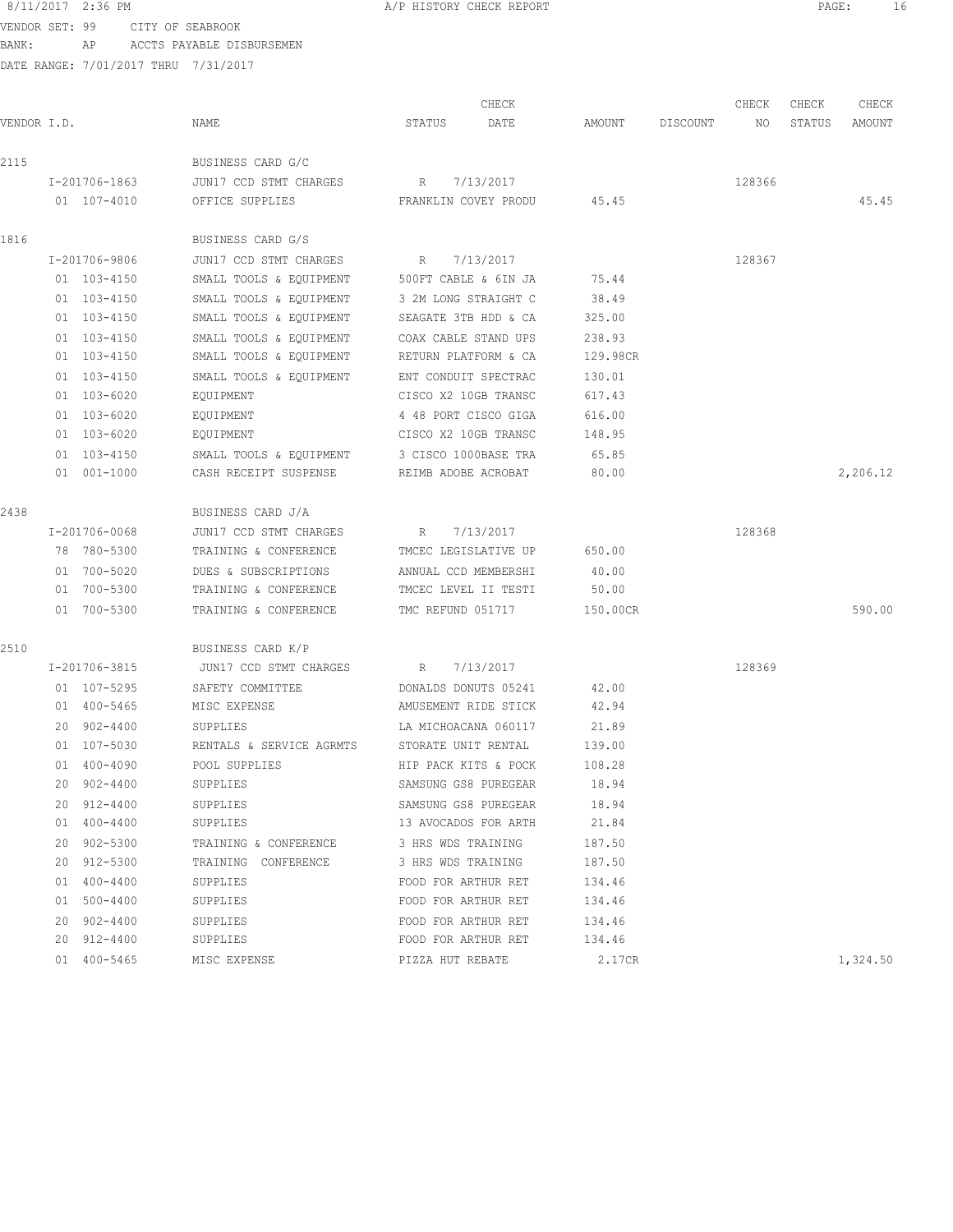VENDOR SET: 99 CITY OF SEABROOK BANK: AP ACCTS PAYABLE DISBURSEMEN

|             |    |               |                          | CHECK                |                      |          |          |        |        | CHECK    |
|-------------|----|---------------|--------------------------|----------------------|----------------------|----------|----------|--------|--------|----------|
| VENDOR I.D. |    |               | NAME                     | STATUS               | DATE                 | AMOUNT   | DISCOUNT | NO.    | STATUS | AMOUNT   |
| 2115        |    |               | BUSINESS CARD G/C        |                      |                      |          |          |        |        |          |
|             |    | I-201706-1863 | JUN17 CCD STMT CHARGES   | R                    | 7/13/2017            |          |          | 128366 |        |          |
|             |    | 01 107-4010   | OFFICE SUPPLIES          |                      | FRANKLIN COVEY PRODU | 45.45    |          |        |        | 45.45    |
| 1816        |    |               | BUSINESS CARD G/S        |                      |                      |          |          |        |        |          |
|             |    | I-201706-9806 | JUN17 CCD STMT CHARGES   | R                    | 7/13/2017            |          |          | 128367 |        |          |
|             |    | 01 103-4150   | SMALL TOOLS & EQUIPMENT  | 500FT CABLE & 6IN JA |                      | 75.44    |          |        |        |          |
|             |    | 01 103-4150   | SMALL TOOLS & EQUIPMENT  | 3 2M LONG STRAIGHT C |                      | 38.49    |          |        |        |          |
|             |    | 01 103-4150   | SMALL TOOLS & EQUIPMENT  | SEAGATE 3TB HDD & CA |                      | 325.00   |          |        |        |          |
|             |    | 01 103-4150   | SMALL TOOLS & EQUIPMENT  | COAX CABLE STAND UPS |                      | 238.93   |          |        |        |          |
|             |    | 01 103-4150   | SMALL TOOLS & EQUIPMENT  | RETURN PLATFORM & CA |                      | 129.98CR |          |        |        |          |
|             |    | 01 103-4150   | SMALL TOOLS & EQUIPMENT  | ENT CONDUIT SPECTRAC |                      | 130.01   |          |        |        |          |
|             |    | 01 103-6020   | EQUIPMENT                | CISCO X2 10GB TRANSC |                      | 617.43   |          |        |        |          |
|             |    | 01 103-6020   | EQUIPMENT                |                      | 4 48 PORT CISCO GIGA | 616.00   |          |        |        |          |
|             |    | 01 103-6020   | EQUIPMENT                | CISCO X2 10GB TRANSC |                      | 148.95   |          |        |        |          |
|             |    | 01 103-4150   | SMALL TOOLS & EQUIPMENT  |                      | 3 CISCO 1000BASE TRA | 65.85    |          |        |        |          |
|             |    | 01 001-1000   | CASH RECEIPT SUSPENSE    | REIMB ADOBE ACROBAT  |                      | 80.00    |          |        |        | 2,206.12 |
| 2438        |    |               | BUSINESS CARD J/A        |                      |                      |          |          |        |        |          |
|             |    | I-201706-0068 | JUN17 CCD STMT CHARGES   | R                    | 7/13/2017            |          |          | 128368 |        |          |
|             |    | 78 780-5300   | TRAINING & CONFERENCE    | TMCEC LEGISLATIVE UP |                      | 650.00   |          |        |        |          |
|             |    | 01 700-5020   | DUES & SUBSCRIPTIONS     | ANNUAL CCD MEMBERSHI |                      | 40.00    |          |        |        |          |
|             |    | 01 700-5300   | TRAINING & CONFERENCE    | TMCEC LEVEL II TESTI |                      | 50.00    |          |        |        |          |
|             |    | 01 700-5300   | TRAINING & CONFERENCE    | TMC REFUND 051717    |                      | 150.00CR |          |        |        | 590.00   |
| 2510        |    |               | BUSINESS CARD K/P        |                      |                      |          |          |        |        |          |
|             |    | I-201706-3815 | JUN17 CCD STMT CHARGES   | R                    | 7/13/2017            |          |          | 128369 |        |          |
|             |    | 01 107-5295   | SAFETY COMMITTEE         | DONALDS DONUTS 05241 |                      | 42.00    |          |        |        |          |
|             |    | 01 400-5465   | MISC EXPENSE             | AMUSEMENT RIDE STICK |                      | 42.94    |          |        |        |          |
|             |    | 20 902-4400   | SUPPLIES                 | LA MICHOACANA 060117 |                      | 21.89    |          |        |        |          |
|             |    | 01 107-5030   | RENTALS & SERVICE AGRMTS | STORATE UNIT RENTAL  |                      | 139.00   |          |        |        |          |
|             |    | 01 400-4090   | POOL SUPPLIES            | HIP PACK KITS & POCK |                      | 108.28   |          |        |        |          |
|             |    | 20 902-4400   | SUPPLIES                 | SAMSUNG GS8 PUREGEAR |                      | 18.94    |          |        |        |          |
|             |    | 20 912-4400   | SUPPLIES                 | SAMSUNG GS8 PUREGEAR |                      | 18.94    |          |        |        |          |
|             |    | 01 400-4400   | SUPPLIES                 | 13 AVOCADOS FOR ARTH |                      | 21.84    |          |        |        |          |
|             | 20 | 902-5300      | TRAINING & CONFERENCE    | 3 HRS WDS TRAINING   |                      | 187.50   |          |        |        |          |
|             | 20 | 912-5300      | TRAINING CONFERENCE      | 3 HRS WDS TRAINING   |                      | 187.50   |          |        |        |          |
|             | 01 | 400-4400      | SUPPLIES                 | FOOD FOR ARTHUR RET  |                      | 134.46   |          |        |        |          |
|             | 01 | 500-4400      | SUPPLIES                 | FOOD FOR ARTHUR RET  |                      | 134.46   |          |        |        |          |
|             |    | 20 902-4400   | SUPPLIES                 | FOOD FOR ARTHUR RET  |                      | 134.46   |          |        |        |          |
|             |    | 20 912-4400   | SUPPLIES                 | FOOD FOR ARTHUR RET  |                      | 134.46   |          |        |        |          |
|             |    | 01 400-5465   | MISC EXPENSE             | PIZZA HUT REBATE     |                      | 2.17CR   |          |        |        | 1,324.50 |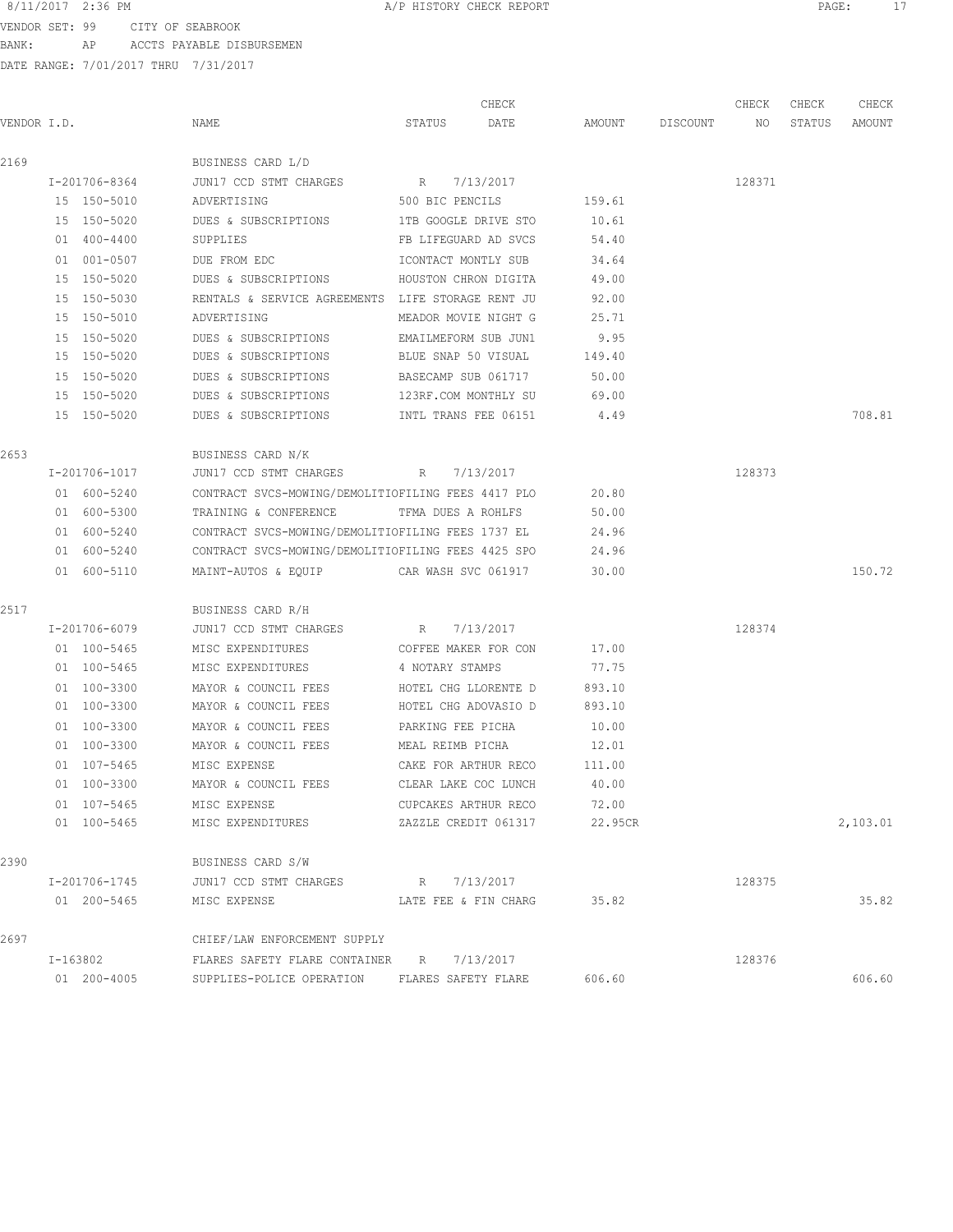VENDOR SET: 99 CITY OF SEABROOK BANK: AP ACCTS PAYABLE DISBURSEMEN

|             |               |                                                    |                      | CHECK                |         |                    | CHECK  | CHECK  | CHECK    |
|-------------|---------------|----------------------------------------------------|----------------------|----------------------|---------|--------------------|--------|--------|----------|
| VENDOR I.D. |               | NAME                                               | STATUS               | DATE                 |         | AMOUNT DISCOUNT NO |        | STATUS | AMOUNT   |
| 2169        |               | BUSINESS CARD L/D                                  |                      |                      |         |                    |        |        |          |
|             | I-201706-8364 | JUN17 CCD STMT CHARGES                             | R 7/13/2017          |                      |         |                    | 128371 |        |          |
|             | 15 150-5010   | ADVERTISING                                        | 500 BIC PENCILS      |                      | 159.61  |                    |        |        |          |
|             | 15 150-5020   | DUES & SUBSCRIPTIONS                               | 1TB GOOGLE DRIVE STO |                      | 10.61   |                    |        |        |          |
|             | 01 400-4400   | SUPPLIES                                           | FB LIFEGUARD AD SVCS |                      | 54.40   |                    |        |        |          |
|             | 01 001-0507   | DUE FROM EDC                                       | ICONTACT MONTLY SUB  |                      | 34.64   |                    |        |        |          |
|             | 15 150-5020   | DUES & SUBSCRIPTIONS HOUSTON CHRON DIGITA          |                      |                      | 49.00   |                    |        |        |          |
|             | 15 150-5030   | RENTALS & SERVICE AGREEMENTS LIFE STORAGE RENT JU  |                      |                      | 92.00   |                    |        |        |          |
|             | 15 150-5010   | ADVERTISING                                        | MEADOR MOVIE NIGHT G |                      | 25.71   |                    |        |        |          |
|             | 15 150-5020   | DUES & SUBSCRIPTIONS EMAILMEFORM SUB JUN1          |                      |                      | 9.95    |                    |        |        |          |
|             | 15 150-5020   | DUES & SUBSCRIPTIONS                               |                      | BLUE SNAP 50 VISUAL  | 149.40  |                    |        |        |          |
|             | 15 150-5020   | DUES & SUBSCRIPTIONS                               |                      | BASECAMP SUB 061717  | 50.00   |                    |        |        |          |
|             | 15 150-5020   | DUES & SUBSCRIPTIONS                               | 123RF.COM MONTHLY SU |                      | 69.00   |                    |        |        |          |
|             | 15 150-5020   | DUES & SUBSCRIPTIONS                               |                      | INTL TRANS FEE 06151 | 4.49    |                    |        |        | 708.81   |
| 2653        |               | BUSINESS CARD N/K                                  |                      |                      |         |                    |        |        |          |
|             | I-201706-1017 | JUN17 CCD STMT CHARGES                             | R 7/13/2017          |                      |         |                    | 128373 |        |          |
|             | 01 600-5240   | CONTRACT SVCS-MOWING/DEMOLITIOFILING FEES 4417 PLO |                      |                      | 20.80   |                    |        |        |          |
|             | 01 600-5300   | TRAINING & CONFERENCE                              | TFMA DUES A ROHLFS   |                      | 50.00   |                    |        |        |          |
|             | 01 600-5240   | CONTRACT SVCS-MOWING/DEMOLITIOFILING FEES 1737 EL  |                      |                      | 24.96   |                    |        |        |          |
|             | 01 600-5240   | CONTRACT SVCS-MOWING/DEMOLITIOFILING FEES 4425 SPO |                      |                      | 24.96   |                    |        |        |          |
|             | 01 600-5110   | MAINT-AUTOS & EQUIP CAR WASH SVC 061917            |                      |                      | 30.00   |                    |        |        | 150.72   |
| 2517        |               | BUSINESS CARD R/H                                  |                      |                      |         |                    |        |        |          |
|             | I-201706-6079 | JUN17 CCD STMT CHARGES R 7/13/2017                 |                      |                      |         |                    | 128374 |        |          |
|             | 01 100-5465   | MISC EXPENDITURES                                  | COFFEE MAKER FOR CON |                      | 17.00   |                    |        |        |          |
|             | 01 100-5465   | MISC EXPENDITURES                                  | 4 NOTARY STAMPS      |                      | 77.75   |                    |        |        |          |
|             | 01 100-3300   | MAYOR & COUNCIL FEES                               | HOTEL CHG LLORENTE D |                      | 893.10  |                    |        |        |          |
|             | 01 100-3300   | MAYOR & COUNCIL FEES                               | HOTEL CHG ADOVASIO D |                      | 893.10  |                    |        |        |          |
|             | 01 100-3300   | MAYOR & COUNCIL FEES                               | PARKING FEE PICHA    |                      | 10.00   |                    |        |        |          |
|             | 01 100-3300   | MAYOR & COUNCIL FEES                               |                      | MEAL REIMB PICHA     | 12.01   |                    |        |        |          |
|             | 01 107-5465   | MISC EXPENSE                                       |                      | CAKE FOR ARTHUR RECO | 111.00  |                    |        |        |          |
|             | 01 100-3300   | MAYOR & COUNCIL FEES                               | CLEAR LAKE COC LUNCH |                      | 40.00   |                    |        |        |          |
|             | 01 107-5465   | MISC EXPENSE                                       | CUPCAKES ARTHUR RECO |                      | 72.00   |                    |        |        |          |
|             | 01 100-5465   | MISC EXPENDITURES                                  |                      | ZAZZLE CREDIT 061317 | 22.95CR |                    |        |        | 2,103.01 |
| 2390        |               | BUSINESS CARD S/W                                  |                      |                      |         |                    |        |        |          |
|             | I-201706-1745 | JUN17 CCD STMT CHARGES                             | R 7/13/2017          |                      |         |                    | 128375 |        |          |
|             | 01 200-5465   | MISC EXPENSE                                       | LATE FEE & FIN CHARG |                      | 35.82   |                    |        |        | 35.82    |
| 2697        |               | CHIEF/LAW ENFORCEMENT SUPPLY                       |                      |                      |         |                    |        |        |          |
|             | I-163802      | FLARES SAFETY FLARE CONTAINER R 7/13/2017          |                      |                      |         |                    | 128376 |        |          |
|             | 01 200-4005   | SUPPLIES-POLICE OPERATION                          | FLARES SAFETY FLARE  |                      | 606.60  |                    |        |        | 606.60   |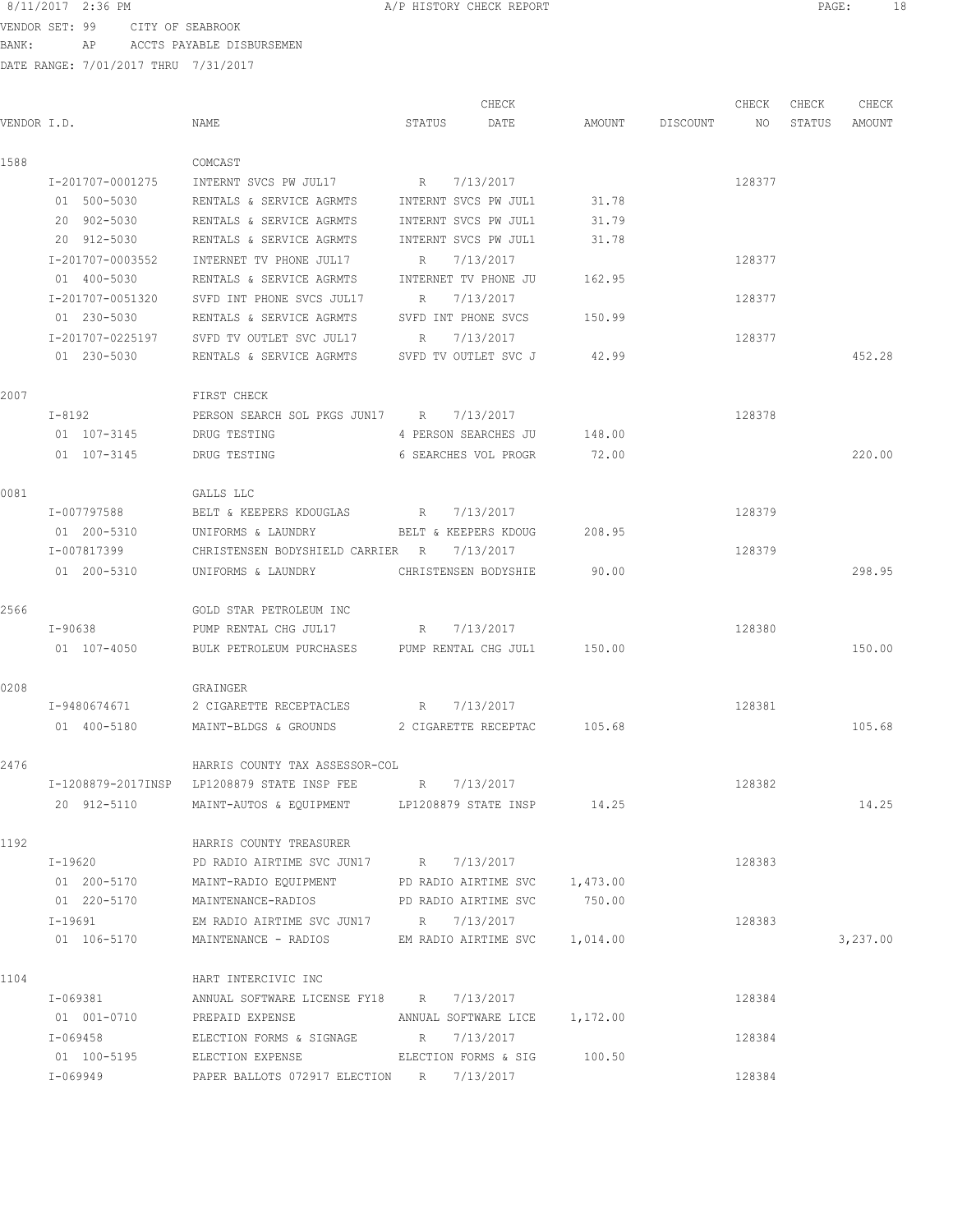VENDOR SET: 99 CITY OF SEABROOK BANK: AP ACCTS PAYABLE DISBURSEMEN

| VENDOR I.D. |                                                                                                     | NAME                                                                | STATUS               | CHECK<br>DATE               |        | AMOUNT DISCOUNT | CHECK<br>NO | CHECK<br>STATUS | CHECK<br>AMOUNT |
|-------------|-----------------------------------------------------------------------------------------------------|---------------------------------------------------------------------|----------------------|-----------------------------|--------|-----------------|-------------|-----------------|-----------------|
| 1588        |                                                                                                     | COMCAST                                                             |                      |                             |        |                 |             |                 |                 |
|             | I-201707-0001275                                                                                    | INTERNT SVCS PW JUL17                                               | R 7/13/2017          |                             |        |                 | 128377      |                 |                 |
|             | 01 500-5030                                                                                         | RENTALS & SERVICE AGRMTS                                            | INTERNT SVCS PW JUL1 |                             | 31.78  |                 |             |                 |                 |
|             | 20 902-5030                                                                                         | RENTALS & SERVICE AGRMTS                                            | INTERNT SVCS PW JUL1 |                             | 31.79  |                 |             |                 |                 |
|             | 20 912-5030                                                                                         | RENTALS & SERVICE AGRMTS                                            | INTERNT SVCS PW JUL1 |                             | 31.78  |                 |             |                 |                 |
|             | I-201707-0003552                                                                                    | INTERNET TV PHONE JUL17                                             | R                    | 7/13/2017                   |        |                 | 128377      |                 |                 |
|             | 01 400-5030                                                                                         | RENTALS & SERVICE AGRMTS                                            | INTERNET TV PHONE JU |                             | 162.95 |                 |             |                 |                 |
|             | I-201707-0051320                                                                                    | SVFD INT PHONE SVCS JUL17                                           | R                    | 7/13/2017                   |        |                 | 128377      |                 |                 |
|             | 01 230-5030                                                                                         | RENTALS & SERVICE AGRMTS                                            | SVFD INT PHONE SVCS  |                             | 150.99 |                 |             |                 |                 |
|             |                                                                                                     | I-201707-0225197 SVFD TV OUTLET SVC JUL17                           | R 7/13/2017          |                             |        |                 | 128377      |                 |                 |
|             | 01 230-5030                                                                                         | RENTALS & SERVICE AGRMTS SVFD TV OUTLET SVC J 42.99                 |                      |                             |        |                 |             |                 | 452.28          |
| 2007        |                                                                                                     | FIRST CHECK                                                         |                      |                             |        |                 |             |                 |                 |
|             | $T - 8192$                                                                                          | PERSON SEARCH SOL PKGS JUN17 R 7/13/2017                            |                      |                             |        |                 | 128378      |                 |                 |
|             | 01 107-3145                                                                                         | DRUG TESTING                                                        |                      | 4 PERSON SEARCHES JU        | 148.00 |                 |             |                 |                 |
|             | 01 107-3145                                                                                         | DRUG TESTING                                                        |                      | 6 SEARCHES VOL PROGR        | 72.00  |                 |             |                 | 220.00          |
| 0081        |                                                                                                     | GALLS LLC                                                           |                      |                             |        |                 |             |                 |                 |
|             | I-007797588                                                                                         | BELT & KEEPERS KDOUGLAS R                                           |                      | 7/13/2017                   |        |                 | 128379      |                 |                 |
|             | 01 200-5310                                                                                         | UNIFORMS & LAUNDRY                                                  | BELT & KEEPERS KDOUG |                             | 208.95 |                 |             |                 |                 |
|             | I-007817399                                                                                         | CHRISTENSEN BODYSHIELD CARRIER R                                    |                      | 7/13/2017                   |        |                 | 128379      |                 |                 |
|             | 01 200-5310                                                                                         | UNIFORMS & LAUNDRY                                                  |                      | CHRISTENSEN BODYSHIE 90.00  |        |                 |             |                 | 298.95          |
| 2566        |                                                                                                     | GOLD STAR PETROLEUM INC                                             |                      |                             |        |                 |             |                 |                 |
|             | I-90638                                                                                             | PUMP RENTAL CHG JUL17 R 7/13/2017                                   |                      |                             |        |                 | 128380      |                 |                 |
|             | 01 107-4050                                                                                         | BULK PETROLEUM PURCHASES PUMP RENTAL CHG JUL1 150.00                |                      |                             |        |                 |             |                 | 150.00          |
| 0208        |                                                                                                     | GRAINGER                                                            |                      |                             |        |                 |             |                 |                 |
|             | I-9480674671                                                                                        | 2 CIGARETTE RECEPTACLES                                             | R 7/13/2017          |                             |        |                 | 128381      |                 |                 |
|             | 01 400-5180                                                                                         | MAINT-BLDGS & GROUNDS 2 CIGARETTE RECEPTAC 105.68                   |                      |                             |        |                 |             |                 | 105.68          |
| 2476        |                                                                                                     | HARRIS COUNTY TAX ASSESSOR-COL                                      |                      |                             |        |                 |             |                 |                 |
|             |                                                                                                     | I-1208879-2017INSP LP1208879 STATE INSP FEE                         | R                    | 7/13/2017                   |        |                 | 128382      |                 |                 |
|             | 20 912-5110                                                                                         | MAINT-AUTOS & EQUIPMENT LP1208879 STATE INSP 14.25                  |                      |                             |        |                 |             |                 | 14.25           |
| 1192        |                                                                                                     | HARRIS COUNTY TREASURER                                             |                      |                             |        |                 |             |                 |                 |
|             | $I-19620$                                                                                           | PD RADIO AIRTIME SVC JUN17 R 7/13/2017                              |                      |                             |        |                 | 128383      |                 |                 |
|             |                                                                                                     | 01  200-5170  MAINT-RADIO EQUIPMENT  PD RADIO AIRTIME SVC  1,473.00 |                      |                             |        |                 |             |                 |                 |
|             | 01 220-5170                                                                                         | MAINTENANCE-RADIOS                                                  |                      | PD RADIO AIRTIME SVC 750.00 |        |                 |             |                 |                 |
|             | $I-19691$                                                                                           | EM RADIO AIRTIME SVC JUN17 R 7/13/2017                              |                      |                             |        |                 | 128383      |                 |                 |
|             | 01 106-5170                                                                                         | MAINTENANCE - RADIOS BM RADIO AIRTIME SVC 1,014.00                  |                      |                             |        |                 |             |                 | 3,237.00        |
| 1104        |                                                                                                     | HART INTERCIVIC INC                                                 |                      |                             |        |                 |             |                 |                 |
|             | I-069381 and the set of the set of the set of the set of the set of the set of the set of the set o | ANNUAL SOFTWARE LICENSE FY18 R 7/13/2017                            |                      |                             |        |                 | 128384      |                 |                 |
|             |                                                                                                     | 01 001-0710 PREPAID EXPENSE ANNUAL SOFTWARE LICE 1,172.00           |                      |                             |        |                 |             |                 |                 |
|             |                                                                                                     | I-069458 ELECTION FORMS & SIGNAGE R 7/13/2017                       |                      |                             |        |                 | 128384      |                 |                 |
|             |                                                                                                     | 01 100-5195 ELECTION EXPENSE ELECTION FORMS & SIG 100.50            |                      |                             |        |                 |             |                 |                 |
|             | I-069949                                                                                            | PAPER BALLOTS 072917 ELECTION R 7/13/2017                           |                      |                             |        |                 | 128384      |                 |                 |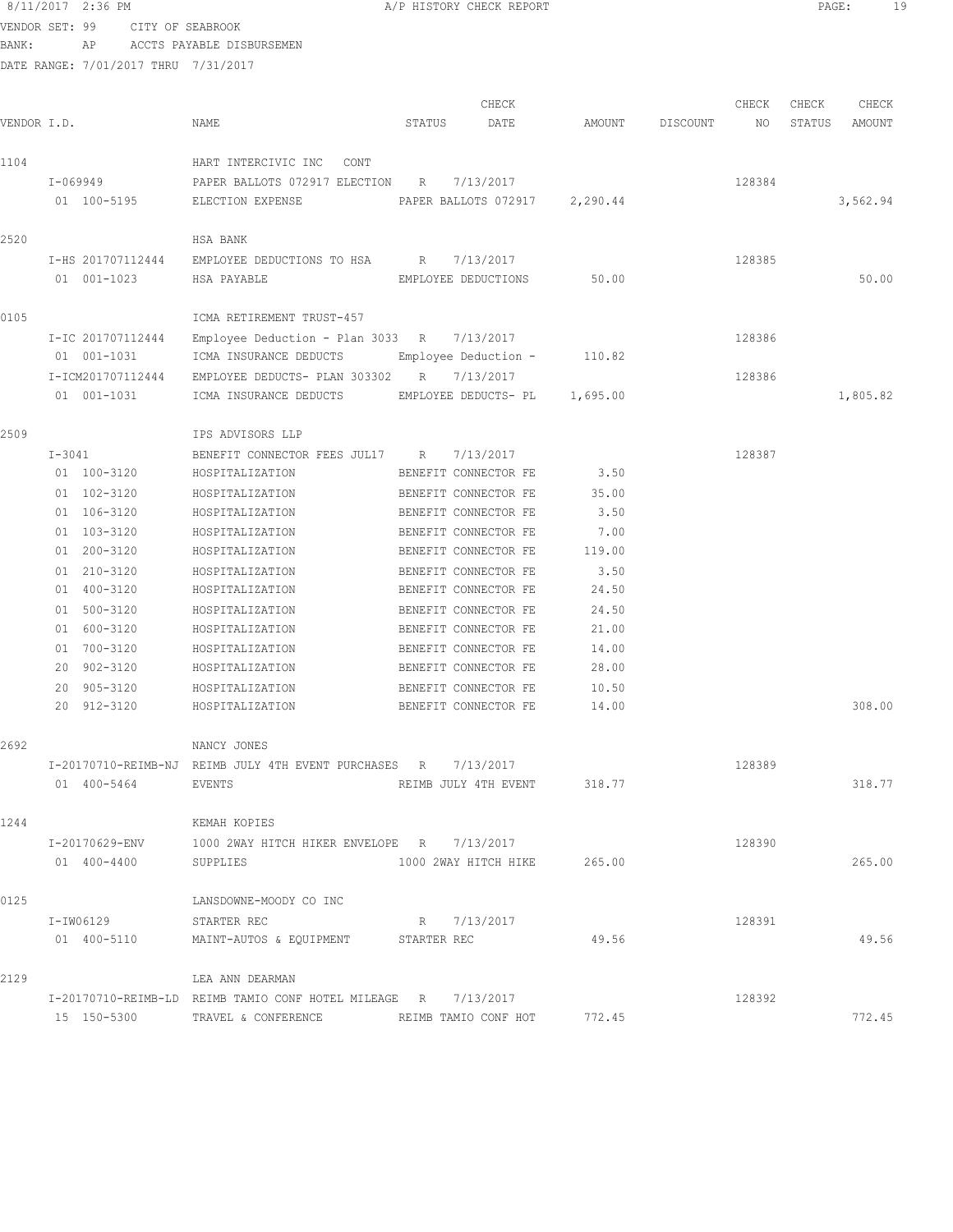|             |                                    | 8/11/2017 2:36 PM                    | A/P HISTORY CHECK REPORT                                       |        |                               |          |                 |        | $\mathtt{PAGE}$ : |          | 19 |
|-------------|------------------------------------|--------------------------------------|----------------------------------------------------------------|--------|-------------------------------|----------|-----------------|--------|-------------------|----------|----|
|             | VENDOR SET: 99<br>CITY OF SEABROOK |                                      |                                                                |        |                               |          |                 |        |                   |          |    |
| BANK:       |                                    | AP                                   | ACCTS PAYABLE DISBURSEMEN                                      |        |                               |          |                 |        |                   |          |    |
|             |                                    | DATE RANGE: 7/01/2017 THRU 7/31/2017 |                                                                |        |                               |          |                 |        |                   |          |    |
|             |                                    |                                      |                                                                |        | CHECK                         |          |                 | CHECK  | CHECK             | CHECK    |    |
| VENDOR I.D. |                                    |                                      | NAME                                                           | STATUS | DATE                          |          | AMOUNT DISCOUNT | NO     | STATUS            | AMOUNT   |    |
| 1104        |                                    |                                      | HART INTERCIVIC INC<br>CONT                                    |        |                               |          |                 |        |                   |          |    |
|             |                                    | I-069949                             | PAPER BALLOTS 072917 ELECTION R                                |        | 7/13/2017                     |          |                 | 128384 |                   |          |    |
|             |                                    | 01 100-5195                          | ELECTION EXPENSE                                               |        | PAPER BALLOTS 072917 2,290.44 |          |                 |        |                   | 3,562.94 |    |
| 2520        |                                    |                                      | HSA BANK                                                       |        |                               |          |                 |        |                   |          |    |
|             |                                    | I-HS 201707112444                    | EMPLOYEE DEDUCTIONS TO HSA R 7/13/2017                         |        |                               |          |                 | 128385 |                   |          |    |
|             |                                    | 01 001-1023                          | HSA PAYABLE                                                    |        | EMPLOYEE DEDUCTIONS           | 50.00    |                 |        |                   | 50.00    |    |
| 0105        |                                    |                                      | ICMA RETIREMENT TRUST-457                                      |        |                               |          |                 |        |                   |          |    |
|             |                                    | I-IC 201707112444                    | Employee Deduction - Plan 3033 R $7/13/2017$                   |        |                               |          |                 | 128386 |                   |          |    |
|             |                                    | 01 001-1031                          | ICMA INSURANCE DEDUCTS                                         |        | Employee Deduction -          | 110.82   |                 |        |                   |          |    |
|             |                                    | I-ICM201707112444                    | EMPLOYEE DEDUCTS- PLAN 303302 R 7/13/2017                      |        |                               |          |                 | 128386 |                   |          |    |
|             |                                    | 01 001-1031                          | ICMA INSURANCE DEDUCTS                                         |        | EMPLOYEE DEDUCTS- PL          | 1,695.00 |                 |        |                   | 1,805.82 |    |
| 2509        |                                    |                                      | IPS ADVISORS LLP                                               |        |                               |          |                 |        |                   |          |    |
|             | I-3041                             |                                      | BENEFIT CONNECTOR FEES JUL17 R 7/13/2017                       |        |                               |          |                 | 128387 |                   |          |    |
|             |                                    | 01 100-3120                          | HOSPITALIZATION                                                |        | BENEFIT CONNECTOR FE          | 3.50     |                 |        |                   |          |    |
|             |                                    | 01 102-3120                          | HOSPITALIZATION                                                |        | BENEFIT CONNECTOR FE          | 35.00    |                 |        |                   |          |    |
|             |                                    | 01 106-3120                          | HOSPITALIZATION                                                |        | BENEFIT CONNECTOR FE          | 3.50     |                 |        |                   |          |    |
|             |                                    | 01 103-3120                          | HOSPITALIZATION                                                |        | BENEFIT CONNECTOR FE          | 7.00     |                 |        |                   |          |    |
|             |                                    | 01 200-3120                          | HOSPITALIZATION                                                |        | BENEFIT CONNECTOR FE          | 119.00   |                 |        |                   |          |    |
|             |                                    | 01 210-3120                          | HOSPITALIZATION                                                |        | BENEFIT CONNECTOR FE          | 3.50     |                 |        |                   |          |    |
|             |                                    | 01 400-3120                          | HOSPITALIZATION                                                |        | BENEFIT CONNECTOR FE          | 24.50    |                 |        |                   |          |    |
|             |                                    | 01 500-3120                          | HOSPITALIZATION                                                |        | BENEFIT CONNECTOR FE          | 24.50    |                 |        |                   |          |    |
|             |                                    | 01 600-3120                          | HOSPITALIZATION                                                |        | BENEFIT CONNECTOR FE          | 21.00    |                 |        |                   |          |    |
|             |                                    | 01 700-3120                          | HOSPITALIZATION                                                |        | BENEFIT CONNECTOR FE          | 14.00    |                 |        |                   |          |    |
|             |                                    | 20 902-3120                          | HOSPITALIZATION                                                |        | BENEFIT CONNECTOR FE          | 28.00    |                 |        |                   |          |    |
|             |                                    | 20 905-3120                          | HOSPITALIZATION                                                |        | BENEFIT CONNECTOR FE          | 10.50    |                 |        |                   |          |    |
|             |                                    |                                      | 20 912-3120 HOSPITALIZATION                                    |        | BENEFIT CONNECTOR FE 14.00    |          |                 |        |                   | 308.00   |    |
| 2692        |                                    |                                      | NANCY JONES                                                    |        |                               |          |                 |        |                   |          |    |
|             |                                    |                                      | I-20170710-REIMB-NJ REIMB JULY 4TH EVENT PURCHASES R 7/13/2017 |        |                               |          |                 | 128389 |                   |          |    |
|             |                                    | 01 400-5464                          | EVENTS                                                         |        | REIMB JULY 4TH EVENT 318.77   |          |                 |        |                   | 318.77   |    |
| 1244        |                                    |                                      | KEMAH KOPIES                                                   |        |                               |          |                 |        |                   |          |    |
|             |                                    |                                      | I-20170629-ENV 1000 2WAY HITCH HIKER ENVELOPE R 7/13/2017      |        |                               |          |                 | 128390 |                   |          |    |
|             |                                    | 01 400-4400 SUPPLIES                 |                                                                |        | 1000 2WAY HITCH HIKE 265.00   |          |                 |        |                   | 265.00   |    |
| 0125        |                                    |                                      | LANSDOWNE-MOODY CO INC                                         |        |                               |          |                 |        |                   |          |    |
|             |                                    | I-IW06129                            | STARTER REC                                                    |        | R 7/13/2017                   |          |                 | 128391 |                   |          |    |

01 400-5110 MAINT-AUTOS & EQUIPMENT STARTER REC 49.56 49.56 49.56 2129 LEA ANN DEARMAN I-20170710-REIMB-LD REIMB TAMIO CONF HOTEL MILEAGE R 7/13/2017 128392 15 150-5300 TRAVEL & CONFERENCE REIMB TAMIO CONF HOT 772.45 772.45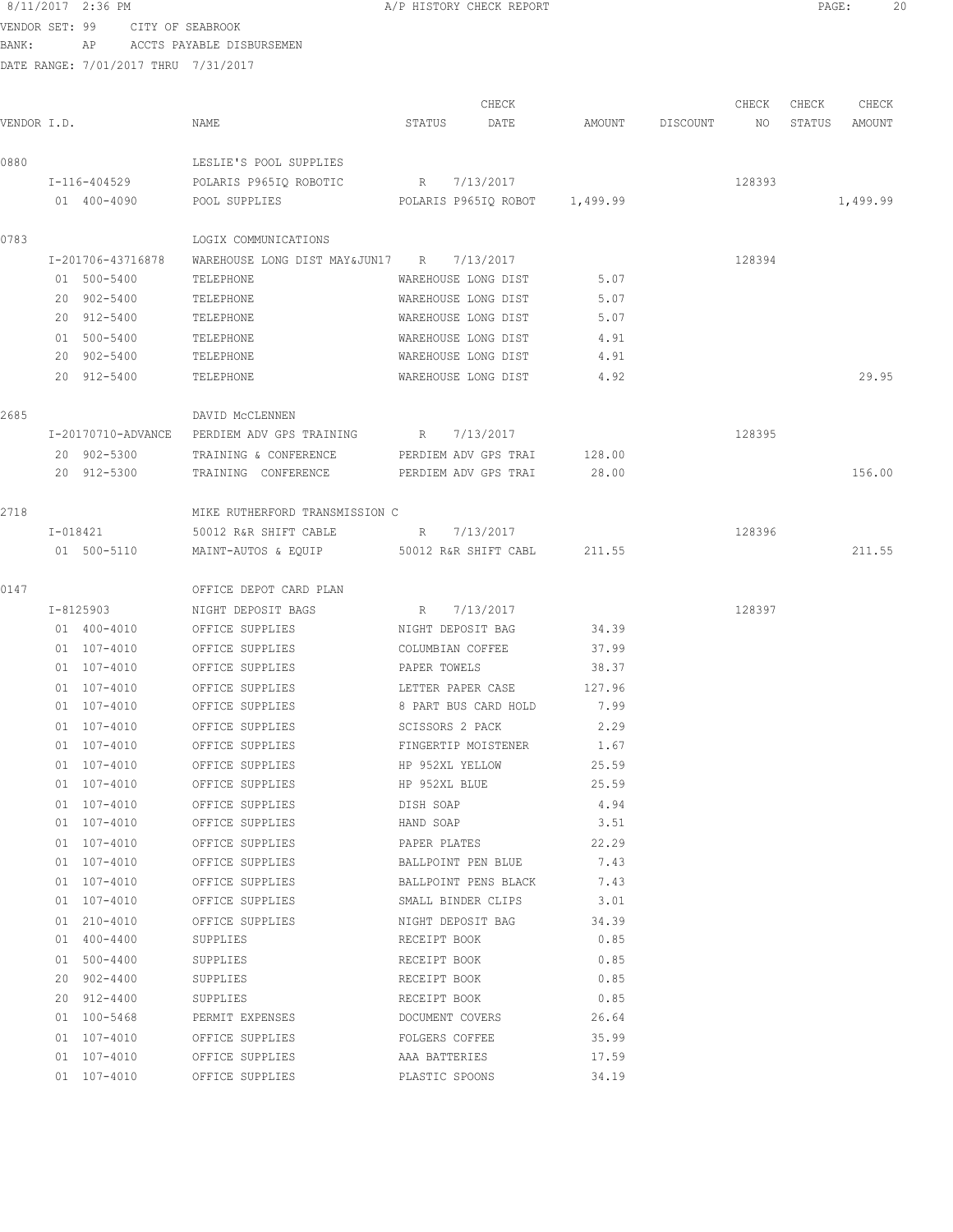VENDOR SET: 99 CITY OF SEABROOK BANK: AP ACCTS PAYABLE DISBURSEMEN

| VENDOR I.D. |                    | NAME                                        | STATUS                   | CHECK<br>DATE<br>AMOUNT | DISCOUNT | CHECK<br>NO | CHECK<br>STATUS | CHECK<br>AMOUNT |
|-------------|--------------------|---------------------------------------------|--------------------------|-------------------------|----------|-------------|-----------------|-----------------|
| 0880        |                    | LESLIE'S POOL SUPPLIES                      |                          |                         |          |             |                 |                 |
|             | I-116-404529       | POLARIS P965IQ ROBOTIC R 7/13/2017          |                          |                         |          | 128393      |                 |                 |
|             | 01 400-4090        | POOL SUPPLIES POLARIS P965IQ ROBOT 1,499.99 |                          |                         |          |             |                 | 1,499.99        |
| 0783        |                    | LOGIX COMMUNICATIONS                        |                          |                         |          |             |                 |                 |
|             | I-201706-43716878  | WAREHOUSE LONG DIST MAY&JUN17 R 7/13/2017   |                          |                         |          | 128394      |                 |                 |
|             | 01 500-5400        | TELEPHONE                                   | WAREHOUSE LONG DIST      | 5.07                    |          |             |                 |                 |
|             | 20 902-5400        | TELEPHONE                                   | WAREHOUSE LONG DIST      | 5.07                    |          |             |                 |                 |
|             | 20 912-5400        | TELEPHONE                                   | WAREHOUSE LONG DIST      | 5.07                    |          |             |                 |                 |
|             | 01 500-5400        | TELEPHONE                                   | WAREHOUSE LONG DIST      | 4.91                    |          |             |                 |                 |
|             | 20 902-5400        | TELEPHONE                                   | WAREHOUSE LONG DIST      | 4.91                    |          |             |                 |                 |
|             | 20 912-5400        | TELEPHONE                                   | WAREHOUSE LONG DIST      | 4.92                    |          |             |                 | 29.95           |
| 2685        |                    | DAVID MCCLENNEN                             |                          |                         |          |             |                 |                 |
|             | I-20170710-ADVANCE | PERDIEM ADV GPS TRAINING R 7/13/2017        |                          |                         |          | 128395      |                 |                 |
|             | 20 902-5300        | TRAINING & CONFERENCE PERDIEM ADV GPS TRAI  |                          | 128.00                  |          |             |                 |                 |
|             | 20 912-5300        | TRAINING CONFERENCE                         | PERDIEM ADV GPS TRAI     | 28.00                   |          |             |                 | 156.00          |
| 2718        |                    | MIKE RUTHERFORD TRANSMISSION C              |                          |                         |          |             |                 |                 |
|             | I-018421           | 50012 R&R SHIFT CABLE                       | R 7/13/2017              |                         |          | 128396      |                 |                 |
|             | 01 500-5110        | MAINT-AUTOS & EQUIP                         | 50012 R&R SHIFT CABL     | 211.55                  |          |             |                 | 211.55          |
| 0147        |                    | OFFICE DEPOT CARD PLAN                      |                          |                         |          |             |                 |                 |
|             | I-8125903          | NIGHT DEPOSIT BAGS                          | 7/13/2017<br>$R_{\rm c}$ |                         |          | 128397      |                 |                 |
|             | 01 400-4010        | OFFICE SUPPLIES                             | NIGHT DEPOSIT BAG        | 34.39                   |          |             |                 |                 |
|             | 01 107-4010        | OFFICE SUPPLIES                             | COLUMBIAN COFFEE         | 37.99                   |          |             |                 |                 |
|             | 01 107-4010        | OFFICE SUPPLIES                             | PAPER TOWELS             | 38.37                   |          |             |                 |                 |
|             | 01 107-4010        | OFFICE SUPPLIES                             | LETTER PAPER CASE        | 127.96                  |          |             |                 |                 |
|             | 01 107-4010        | OFFICE SUPPLIES                             | 8 PART BUS CARD HOLD     | 7.99                    |          |             |                 |                 |
|             | $01 107 - 4010$    | OFFICE SUPPLIES                             | SCISSORS 2 PACK          | 2.29                    |          |             |                 |                 |
|             | 01 107-4010        | OFFICE SUPPLIES                             | FINGERTIP MOISTENER      | 1.67                    |          |             |                 |                 |
|             | 01 107-4010        | OFFICE SUPPLIES                             | HP 952XL YELLOW          | 25.59                   |          |             |                 |                 |
|             | 01 107-4010        | OFFICE SUPPLIES                             | HP 952XL BLUE            | 25.59                   |          |             |                 |                 |
|             | 01 107-4010        | OFFICE SUPPLIES                             | DISH SOAP                | 4.94                    |          |             |                 |                 |
|             | 01 107-4010        | OFFICE SUPPLIES                             | HAND SOAP                | 3.51                    |          |             |                 |                 |
|             | 01 107-4010        | OFFICE SUPPLIES                             | PAPER PLATES             | 22.29                   |          |             |                 |                 |
|             | 01 107-4010        | OFFICE SUPPLIES                             | BALLPOINT PEN BLUE       | 7.43                    |          |             |                 |                 |
|             | 01 107-4010        | OFFICE SUPPLIES BALLPOINT PENS BLACK 7.43   |                          |                         |          |             |                 |                 |
|             | 01 107-4010        | OFFICE SUPPLIES SMALL BINDER CLIPS 3.01     |                          |                         |          |             |                 |                 |
|             | 01 210-4010        | OFFICE SUPPLIES NIGHT DEPOSIT BAG 34.39     |                          |                         |          |             |                 |                 |
|             | 01 400-4400        | SUPPLIES                                    | RECEIPT BOOK             | 0.85                    |          |             |                 |                 |
|             | 01 500-4400        | SUPPLIES                                    | RECEIPT BOOK             | 0.85                    |          |             |                 |                 |
|             | 20 902-4400        | SUPPLIES                                    | RECEIPT BOOK             | 0.85                    |          |             |                 |                 |
|             | 20 912-4400        | SUPPLIES                                    | RECEIPT BOOK             | 0.85                    |          |             |                 |                 |
|             | 01 100-5468        | PERMIT EXPENSES                             | DOCUMENT COVERS          | 26.64                   |          |             |                 |                 |
|             | 01 107-4010        | OFFICE SUPPLIES                             | FOLGERS COFFEE           | 35.99                   |          |             |                 |                 |
|             | 01 107-4010        | OFFICE SUPPLIES                             | AAA BATTERIES            | 17.59                   |          |             |                 |                 |
|             | 01 107-4010        | OFFICE SUPPLIES                             | PLASTIC SPOONS           | 34.19                   |          |             |                 |                 |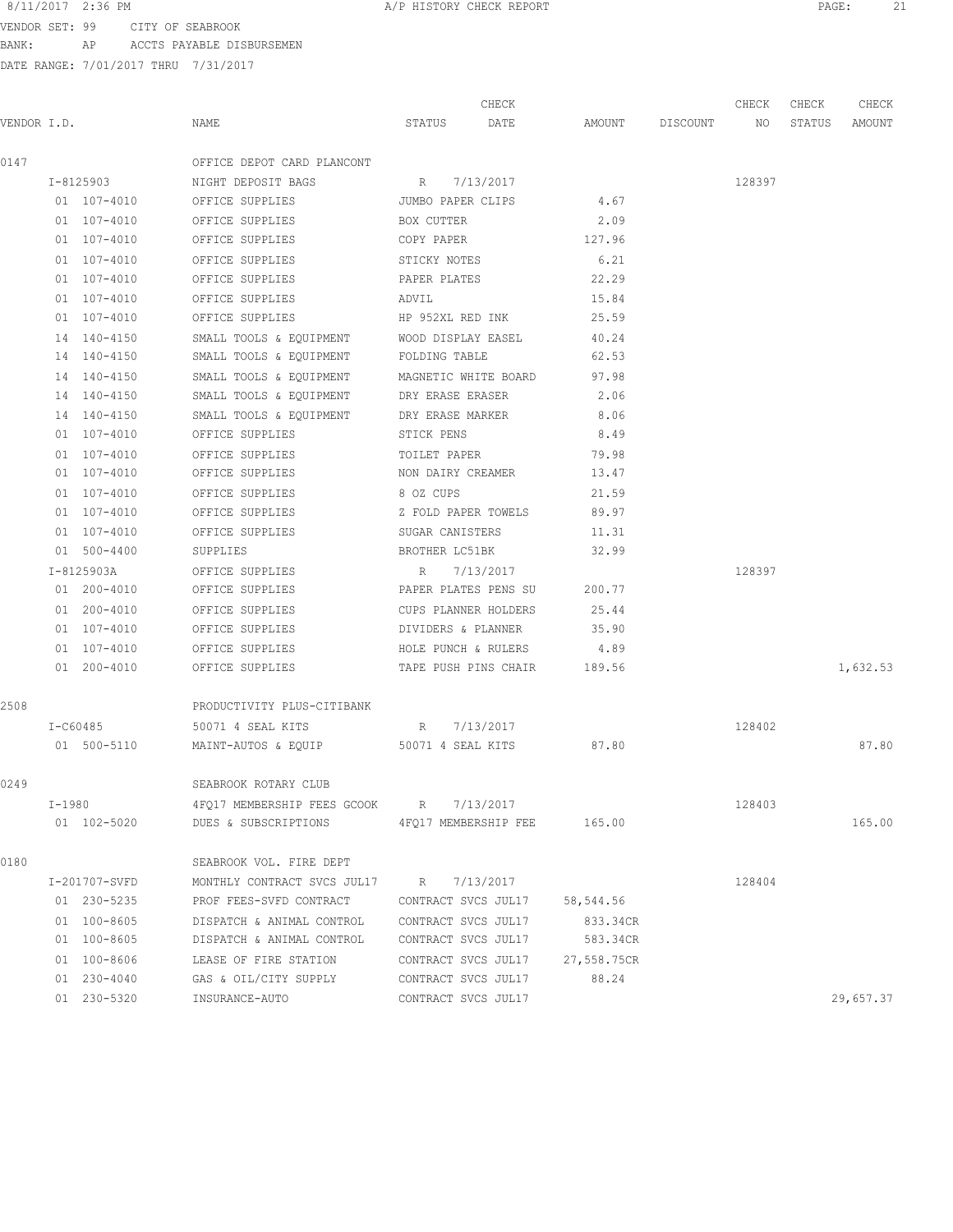VENDOR SET: 99 CITY OF SEABROOK BANK: AP ACCTS PAYABLE DISBURSEMEN

| VENDOR I.D. |               | NAME                                     | CHECK<br>STATUS<br>DATE     | AMOUNT      | DISCOUNT | CHECK<br>NO | CHECK<br>STATUS | CHECK<br>AMOUNT |
|-------------|---------------|------------------------------------------|-----------------------------|-------------|----------|-------------|-----------------|-----------------|
| 0147        |               | OFFICE DEPOT CARD PLANCONT               |                             |             |          |             |                 |                 |
|             | I-8125903     | NIGHT DEPOSIT BAGS                       | R<br>7/13/2017              |             |          | 128397      |                 |                 |
|             | 01 107-4010   | OFFICE SUPPLIES                          | JUMBO PAPER CLIPS           | 4.67        |          |             |                 |                 |
|             | 01 107-4010   | OFFICE SUPPLIES                          | BOX CUTTER                  | 2.09        |          |             |                 |                 |
|             | 01 107-4010   | OFFICE SUPPLIES                          | COPY PAPER                  | 127.96      |          |             |                 |                 |
|             | 01 107-4010   | OFFICE SUPPLIES                          | STICKY NOTES                | 6.21        |          |             |                 |                 |
|             | 01 107-4010   | OFFICE SUPPLIES                          | PAPER PLATES                | 22.29       |          |             |                 |                 |
|             | 01 107-4010   | OFFICE SUPPLIES                          | ADVIL                       | 15.84       |          |             |                 |                 |
|             | 01 107-4010   | OFFICE SUPPLIES                          | HP 952XL RED INK            | 25.59       |          |             |                 |                 |
|             | 14 140-4150   | SMALL TOOLS & EQUIPMENT                  | WOOD DISPLAY EASEL          | 40.24       |          |             |                 |                 |
|             | 14 140-4150   | SMALL TOOLS & EQUIPMENT                  | FOLDING TABLE               | 62.53       |          |             |                 |                 |
|             | 14 140-4150   | SMALL TOOLS & EQUIPMENT                  | MAGNETIC WHITE BOARD        | 97.98       |          |             |                 |                 |
|             | 14 140-4150   | SMALL TOOLS & EQUIPMENT DRY ERASE ERASER |                             | 2.06        |          |             |                 |                 |
|             | 14 140-4150   | SMALL TOOLS & EQUIPMENT DRY ERASE MARKER |                             | 8.06        |          |             |                 |                 |
|             | 01 107-4010   | OFFICE SUPPLIES                          | STICK PENS                  | 8.49        |          |             |                 |                 |
|             | 01 107-4010   | OFFICE SUPPLIES                          | TOILET PAPER                | 79.98       |          |             |                 |                 |
|             | 01 107-4010   | OFFICE SUPPLIES                          | NON DAIRY CREAMER           | 13.47       |          |             |                 |                 |
|             | 01 107-4010   | OFFICE SUPPLIES                          | 8 OZ CUPS                   | 21.59       |          |             |                 |                 |
|             | 01 107-4010   | OFFICE SUPPLIES                          | Z FOLD PAPER TOWELS         | 89.97       |          |             |                 |                 |
|             | 01 107-4010   | OFFICE SUPPLIES                          | SUGAR CANISTERS             | 11.31       |          |             |                 |                 |
|             | 01 500-4400   | SUPPLIES                                 | BROTHER LC51BK              | 32.99       |          |             |                 |                 |
|             | I-8125903A    | OFFICE SUPPLIES                          | R<br>7/13/2017              |             |          | 128397      |                 |                 |
|             | 01 200-4010   | OFFICE SUPPLIES                          | PAPER PLATES PENS SU        | 200.77      |          |             |                 |                 |
|             | 01 200-4010   | OFFICE SUPPLIES                          | CUPS PLANNER HOLDERS        | 25.44       |          |             |                 |                 |
|             | 01 107-4010   | OFFICE SUPPLIES                          | DIVIDERS & PLANNER          | 35.90       |          |             |                 |                 |
|             | 01 107-4010   | OFFICE SUPPLIES                          | HOLE PUNCH & RULERS         | 4.89        |          |             |                 |                 |
|             | 01 200-4010   | OFFICE SUPPLIES                          | TAPE PUSH PINS CHAIR        | 189.56      |          |             |                 | 1,632.53        |
| 2508        |               | PRODUCTIVITY PLUS-CITIBANK               |                             |             |          |             |                 |                 |
|             | I-C60485      | 50071 4 SEAL KITS                        | 7/13/2017<br>R              |             |          | 128402      |                 |                 |
|             | 01 500-5110   | MAINT-AUTOS & EQUIP                      | 50071 4 SEAL KITS           | 87.80       |          |             |                 | 87.80           |
| 0249        |               | SEABROOK ROTARY CLUB                     |                             |             |          |             |                 |                 |
|             | I-1980        | 4FQ17 MEMBERSHIP FEES GCOOK R 7/13/2017  |                             |             |          | 128403      |                 |                 |
|             | 01 102-5020   | DUES & SUBSCRIPTIONS                     | 4FQ17 MEMBERSHIP FEE 165.00 |             |          |             |                 | 165.00          |
| 0180        |               | SEABROOK VOL. FIRE DEPT                  |                             |             |          |             |                 |                 |
|             | I-201707-SVFD | MONTHLY CONTRACT SVCS JUL17              | R 7/13/2017                 |             |          | 128404      |                 |                 |
|             | 01 230-5235   | PROF FEES-SVFD CONTRACT                  | CONTRACT SVCS JUL17         | 58,544.56   |          |             |                 |                 |
|             | 01 100-8605   | DISPATCH & ANIMAL CONTROL                | CONTRACT SVCS JUL17         | 833.34CR    |          |             |                 |                 |
|             | 01 100-8605   | DISPATCH & ANIMAL CONTROL                | CONTRACT SVCS JUL17         | 583.34CR    |          |             |                 |                 |
|             | 01 100-8606   | LEASE OF FIRE STATION                    | CONTRACT SVCS JUL17         | 27,558.75CR |          |             |                 |                 |
|             | 01 230-4040   | GAS & OIL/CITY SUPPLY                    | CONTRACT SVCS JUL17         | 88.24       |          |             |                 |                 |
|             | 01 230-5320   | INSURANCE-AUTO                           | CONTRACT SVCS JUL17         |             |          |             |                 | 29,657.37       |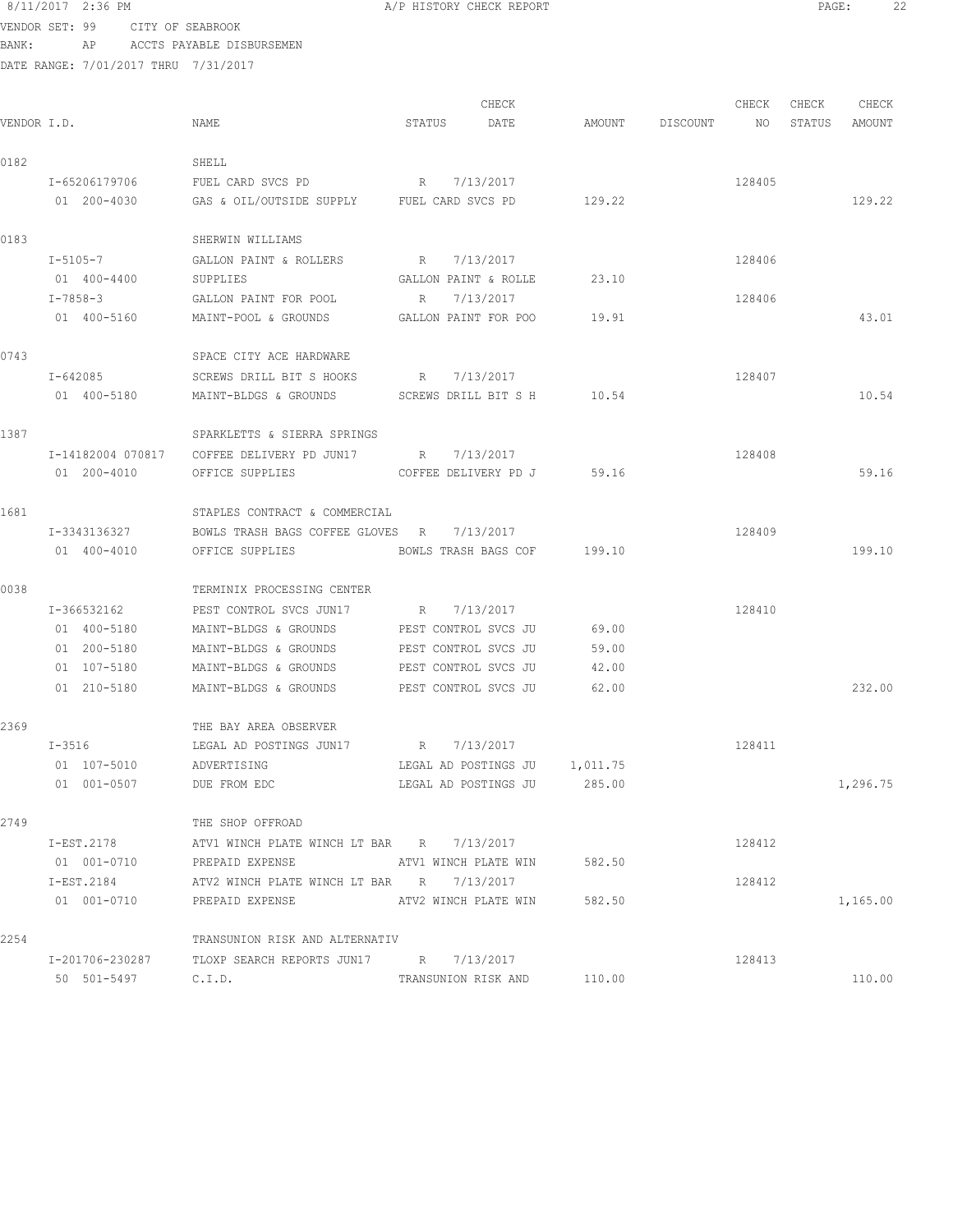# 8/11/2017 2:36 PM **A/P HISTORY CHECK REPORT PAGE:** 22 VENDOR SET: 99 CITY OF SEABROOK

BANK: AP ACCTS PAYABLE DISBURSEMEN

| VENDOR I.D. |                   | NAME                                                    | STATUS               | CHECK<br>DATE                 |        | AMOUNT DISCOUNT NO | CHECK  | CHECK<br>STATUS | CHECK<br>AMOUNT |
|-------------|-------------------|---------------------------------------------------------|----------------------|-------------------------------|--------|--------------------|--------|-----------------|-----------------|
| 0182        |                   | SHELL                                                   |                      |                               |        |                    |        |                 |                 |
|             | I-65206179706     | FUEL CARD SVCS PD                                       | R 7/13/2017          |                               |        |                    | 128405 |                 |                 |
|             | 01 200-4030       | GAS & OIL/OUTSIDE SUPPLY FUEL CARD SVCS PD              |                      |                               | 129.22 |                    |        |                 | 129.22          |
| 0183        |                   | SHERWIN WILLIAMS                                        |                      |                               |        |                    |        |                 |                 |
|             | I-5105-7          | GALLON PAINT & ROLLERS                                  | R 7/13/2017          |                               |        |                    | 128406 |                 |                 |
|             | 01 400-4400       | SUPPLIES                                                | GALLON PAINT & ROLLE |                               | 23.10  |                    |        |                 |                 |
|             | I-7858-3          | GALLON PAINT FOR POOL                                   | R 7/13/2017          |                               |        |                    | 128406 |                 |                 |
|             | 01 400-5160       | MAINT-POOL & GROUNDS                                    | GALLON PAINT FOR POO |                               | 19.91  |                    |        |                 | 43.01           |
| 0743        |                   | SPACE CITY ACE HARDWARE                                 |                      |                               |        |                    |        |                 |                 |
|             | I-642085          | SCREWS DRILL BIT S HOOKS R 7/13/2017                    |                      |                               |        |                    | 128407 |                 |                 |
|             | 01 400-5180       | MAINT-BLDGS & GROUNDS                                   |                      | SCREWS DRILL BIT S H 10.54    |        |                    |        |                 | 10.54           |
| 1387        |                   | SPARKLETTS & SIERRA SPRINGS                             |                      |                               |        |                    |        |                 |                 |
|             | I-14182004 070817 | COFFEE DELIVERY PD JUN17 $R = 7/13/2017$                |                      |                               |        |                    | 128408 |                 |                 |
|             | 01 200-4010       | OFFICE SUPPLIES                                         |                      | COFFEE DELIVERY PD J 59.16    |        |                    |        |                 | 59.16           |
| 1681        |                   | STAPLES CONTRACT & COMMERCIAL                           |                      |                               |        |                    |        |                 |                 |
|             | I-3343136327      | BOWLS TRASH BAGS COFFEE GLOVES R 7/13/2017              |                      |                               |        |                    | 128409 |                 |                 |
|             | 01 400-4010       | BOWLS TRASH BAGS COF 199.10<br>OFFICE SUPPLIES          |                      |                               |        |                    |        |                 | 199.10          |
| 0038        |                   | TERMINIX PROCESSING CENTER                              |                      |                               |        |                    |        |                 |                 |
|             | I-366532162       | PEST CONTROL SVCS JUN17 R 7/13/2017                     |                      |                               |        |                    | 128410 |                 |                 |
|             | 01 400-5180       | MAINT-BLDGS & GROUNDS PEST CONTROL SVCS JU              |                      |                               | 69.00  |                    |        |                 |                 |
|             | 01 200-5180       | MAINT-BLDGS & GROUNDS                                   | PEST CONTROL SVCS JU |                               | 59.00  |                    |        |                 |                 |
|             | 01 107-5180       | MAINT-BLDGS & GROUNDS                                   | PEST CONTROL SVCS JU |                               | 42.00  |                    |        |                 |                 |
|             | 01 210-5180       | MAINT-BLDGS & GROUNDS                                   | PEST CONTROL SVCS JU |                               | 62.00  |                    |        |                 | 232.00          |
| 2369        |                   | THE BAY AREA OBSERVER                                   |                      |                               |        |                    |        |                 |                 |
|             | $T - 3516$        | LEGAL AD POSTINGS JUN17 R 7/13/2017                     |                      |                               |        |                    | 128411 |                 |                 |
|             | 01 107-5010       | ADVERTISING                                             |                      | LEGAL AD POSTINGS JU 1,011.75 |        |                    |        |                 |                 |
|             | 01 001-0507       | DUE FROM EDC                                            |                      | LEGAL AD POSTINGS JU          | 285.00 |                    |        |                 | 1,296.75        |
| 2749        |                   | THE SHOP OFFROAD                                        |                      |                               |        |                    |        |                 |                 |
|             |                   | I-EST.2178 ATV1 WINCH PLATE WINCH LT BAR R 7/13/2017    |                      |                               |        |                    | 128412 |                 |                 |
|             |                   | 01 001-0710 PREPAID EXPENSE ATV1 WINCH PLATE WIN 582.50 |                      |                               |        |                    |        |                 |                 |
|             |                   | I-EST.2184 ATV2 WINCH PLATE WINCH LT BAR R 7/13/2017    |                      |                               |        |                    | 128412 |                 |                 |
|             |                   | 01 001-0710 PREPAID EXPENSE ATV2 WINCH PLATE WIN 582.50 |                      |                               |        |                    |        |                 | 1,165.00        |
| 2254        |                   | TRANSUNION RISK AND ALTERNATIV                          |                      |                               |        |                    |        |                 |                 |
|             |                   | I-201706-230287 TLOXP SEARCH REPORTS JUN17 R 7/13/2017  |                      |                               |        |                    | 128413 |                 |                 |
|             | 50 501-5497       | C.I.D.                                                  |                      | TRANSUNION RISK AND 110.00    |        |                    |        |                 | 110.00          |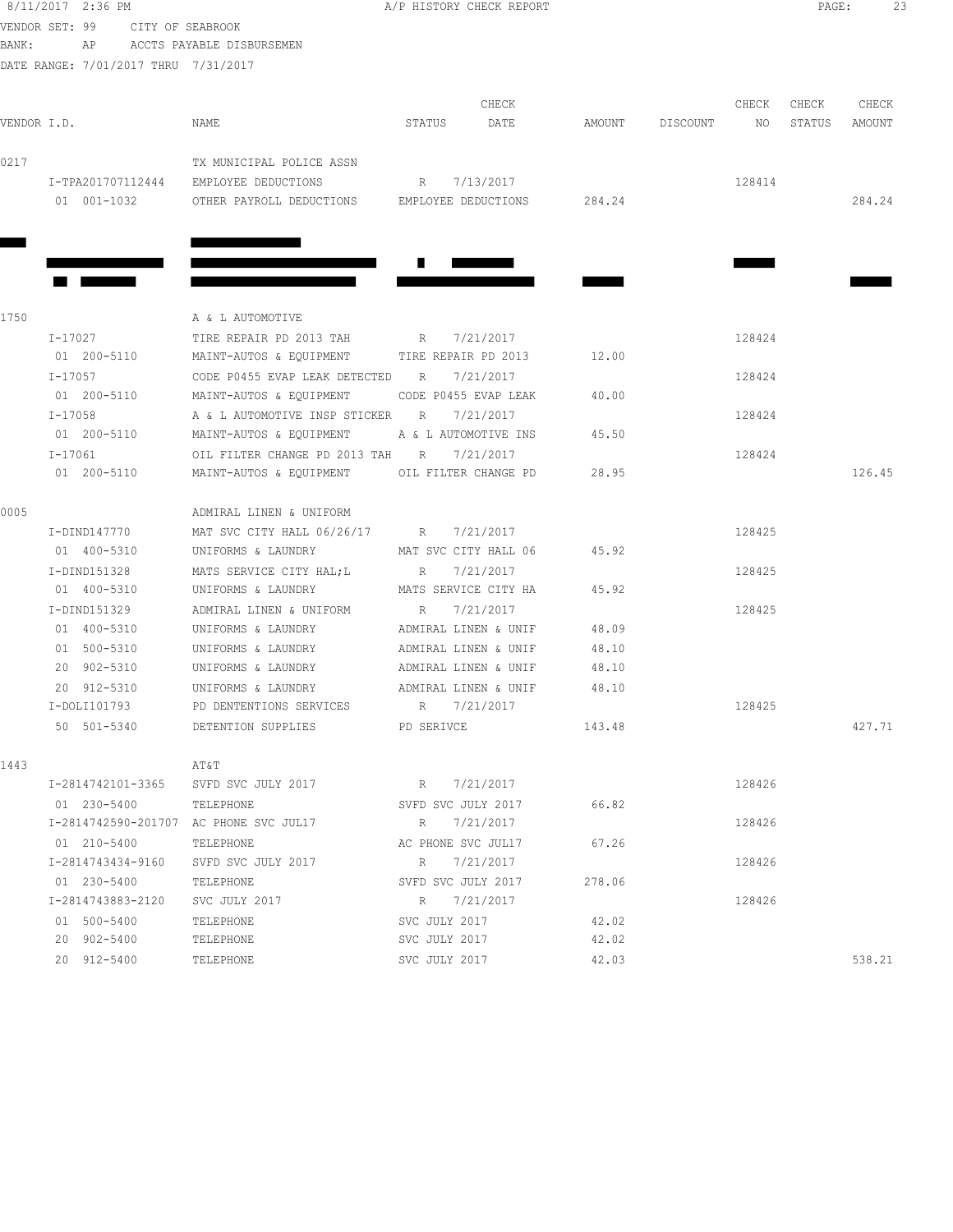| 8/11/2017 2:36 PM                    |                                                    | A/P HISTORY CHECK REPORT |        |                 |        | PAGE:  | 23     |  |
|--------------------------------------|----------------------------------------------------|--------------------------|--------|-----------------|--------|--------|--------|--|
| VENDOR SET: 99<br>CITY OF SEABROOK   |                                                    |                          |        |                 |        |        |        |  |
| BANK:                                | AP ACCTS PAYABLE DISBURSEMEN                       |                          |        |                 |        |        |        |  |
| DATE RANGE: 7/01/2017 THRU 7/31/2017 |                                                    |                          |        |                 |        |        |        |  |
|                                      |                                                    |                          |        |                 |        |        |        |  |
|                                      |                                                    | CHECK                    |        |                 | CHECK  | CHECK  | CHECK  |  |
| VENDOR I.D.                          | NAME                                               | DATE<br>STATUS           |        | AMOUNT DISCOUNT | NO     | STATUS | AMOUNT |  |
| 0217                                 | TX MUNICIPAL POLICE ASSN                           |                          |        |                 |        |        |        |  |
| I-TPA201707112444                    | EMPLOYEE DEDUCTIONS                                | R 7/13/2017              |        |                 | 128414 |        |        |  |
| 01 001-1032                          | OTHER PAYROLL DEDUCTIONS EMPLOYEE DEDUCTIONS       |                          | 284.24 |                 |        |        | 284.24 |  |
|                                      |                                                    |                          |        |                 |        |        |        |  |
|                                      |                                                    |                          |        |                 |        |        |        |  |
|                                      |                                                    |                          |        |                 |        |        |        |  |
|                                      |                                                    |                          |        |                 |        |        |        |  |
|                                      |                                                    |                          |        |                 |        |        |        |  |
| 1750                                 | A & L AUTOMOTIVE                                   |                          |        |                 |        |        |        |  |
| I-17027                              | TIRE REPAIR PD 2013 TAH R 7/21/2017                |                          |        |                 | 128424 |        |        |  |
| 01 200-5110                          | MAINT-AUTOS & EQUIPMENT TIRE REPAIR PD 2013        |                          | 12.00  |                 |        |        |        |  |
| I-17057                              | CODE P0455 EVAP LEAK DETECTED                      | 7/21/2017<br>R           |        |                 | 128424 |        |        |  |
| 01 200-5110                          | MAINT-AUTOS & EQUIPMENT                            | CODE P0455 EVAP LEAK     | 40.00  |                 |        |        |        |  |
| I-17058                              | A & L AUTOMOTIVE INSP STICKER                      | R<br>7/21/2017           |        |                 | 128424 |        |        |  |
| 01 200-5110                          | MAINT-AUTOS & EQUIPMENT                            | A & L AUTOMOTIVE INS     | 45.50  |                 |        |        |        |  |
| I-17061                              | OIL FILTER CHANGE PD 2013 TAH R 7/21/2017          |                          |        |                 | 128424 |        |        |  |
| 01 200-5110                          | MAINT-AUTOS & EQUIPMENT OIL FILTER CHANGE PD       |                          | 28.95  |                 |        |        | 126.45 |  |
| 0005                                 | ADMIRAL LINEN & UNIFORM                            |                          |        |                 |        |        |        |  |
| I-DIND147770                         | MAT SVC CITY HALL 06/26/17 R 7/21/2017             |                          |        |                 | 128425 |        |        |  |
| 01 400-5310                          | UNIFORMS & LAUNDRY MAT SVC CITY HALL 06            |                          | 45.92  |                 |        |        |        |  |
| I-DIND151328                         | MATS SERVICE CITY HAL;L                            | R 7/21/2017              |        |                 | 128425 |        |        |  |
| 01 400-5310                          | UNIFORMS & LAUNDRY MATS SERVICE CITY HA            |                          | 45.92  |                 |        |        |        |  |
| I-DIND151329                         | ADMIRAL LINEN & UNIFORM R 7/21/2017                |                          |        |                 | 128425 |        |        |  |
| 01 400-5310                          | UNIFORMS & LAUNDRY                                 | ADMIRAL LINEN & UNIF     | 48.09  |                 |        |        |        |  |
| 01 500-5310                          | UNIFORMS & LAUNDRY                                 | ADMIRAL LINEN & UNIF     | 48.10  |                 |        |        |        |  |
| 20 902-5310                          | UNIFORMS & LAUNDRY                                 | ADMIRAL LINEN & UNIF     | 48.10  |                 |        |        |        |  |
| 20 912-5310                          | UNIFORMS & LAUNDRY                                 | ADMIRAL LINEN & UNIF     | 48.10  |                 |        |        |        |  |
| I-DOLI101793                         | PD DENTENTIONS SERVICES                            | R 7/21/2017              |        |                 | 128425 |        |        |  |
| 50 501-5340                          | DETENTION SUPPLIES PD SERIVCE                      |                          | 143.48 |                 |        |        | 427.71 |  |
| 1443                                 | AT&T                                               |                          |        |                 |        |        |        |  |
|                                      | I-2814742101-3365 SVFD SVC JULY 2017 R 7/21/2017   |                          |        |                 | 128426 |        |        |  |
| 01 230-5400                          | TELEPHONE                                          | SVFD SVC JULY 2017 66.82 |        |                 |        |        |        |  |
|                                      | I-2814742590-201707 AC PHONE SVC JUL17 R 7/21/2017 |                          |        |                 | 128426 |        |        |  |
| 01 210-5400                          | TELEPHONE                                          | AC PHONE SVC JUL17 67.26 |        |                 |        |        |        |  |
| I-2814743434-9160                    | SVFD SVC JULY 2017                                 | R 7/21/2017              |        |                 | 128426 |        |        |  |
| 01 230-5400                          | TELEPHONE                                          | SVFD SVC JULY 2017       | 278.06 |                 |        |        |        |  |
| I-2814743883-2120                    | SVC JULY 2017                                      | R 7/21/2017              |        |                 | 128426 |        |        |  |
| 01 500-5400                          | TELEPHONE                                          | SVC JULY 2017            | 42.02  |                 |        |        |        |  |
| 20 902-5400                          | TELEPHONE                                          | SVC JULY 2017            | 42.02  |                 |        |        |        |  |
| 20 912-5400                          | TELEPHONE                                          | SVC JULY 2017            | 42.03  |                 |        |        | 538.21 |  |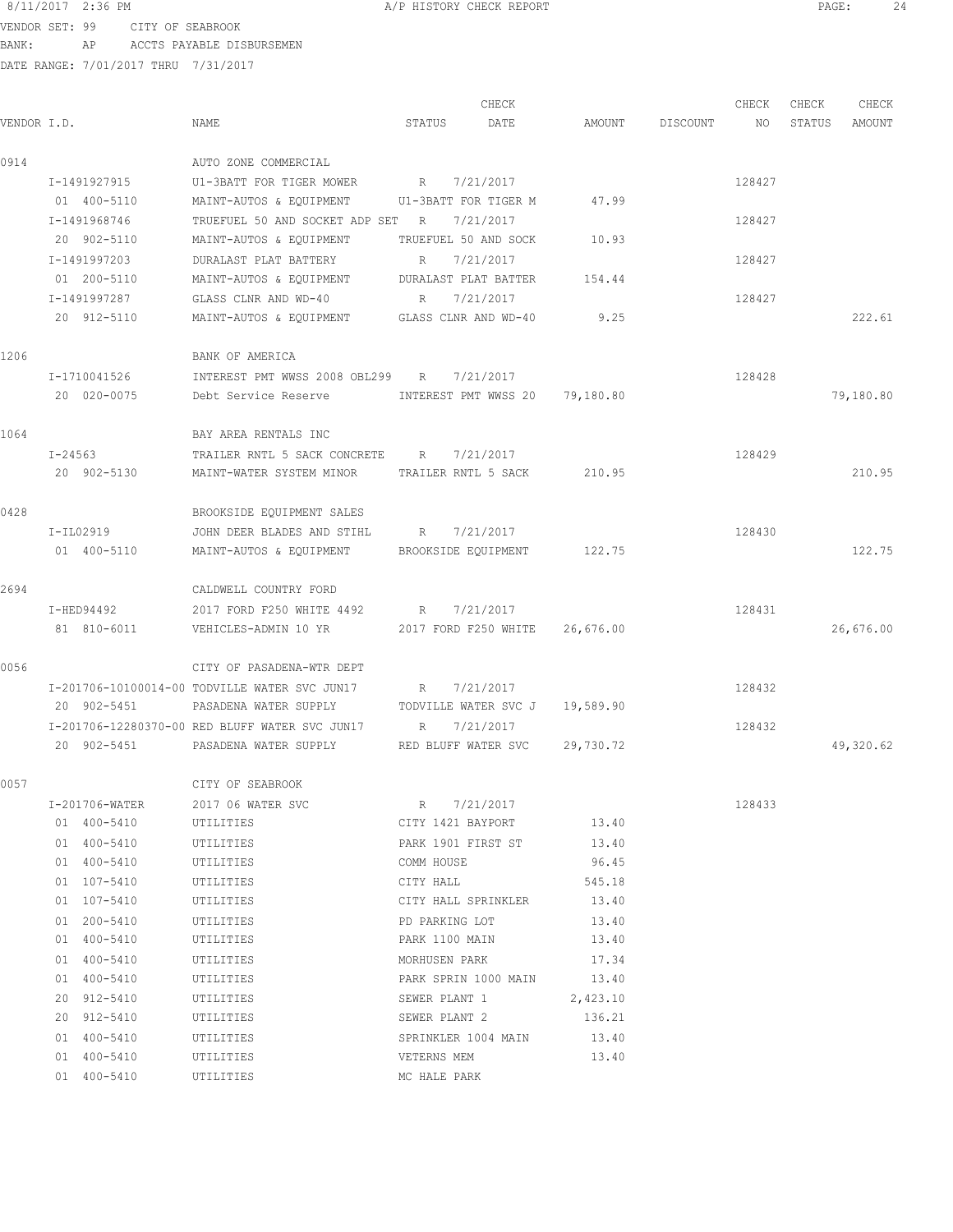VENDOR SET: 99 CITY OF SEABROOK BANK: AP ACCTS PAYABLE DISBURSEMEN

|             |         |                |                                                      |              | CHECK                      |           |                 | CHECK  | CHECK  | CHECK     |
|-------------|---------|----------------|------------------------------------------------------|--------------|----------------------------|-----------|-----------------|--------|--------|-----------|
| VENDOR I.D. |         |                | NAME                                                 | STATUS       | DATE                       |           | AMOUNT DISCOUNT | NO     | STATUS | AMOUNT    |
| 0914        |         |                | AUTO ZONE COMMERCIAL                                 |              |                            |           |                 |        |        |           |
|             |         | I-1491927915   | U1-3BATT FOR TIGER MOWER                             | R            | 7/21/2017                  |           |                 | 128427 |        |           |
|             |         | 01 400-5110    | MAINT-AUTOS & EQUIPMENT U1-3BATT FOR TIGER M         |              |                            | 47.99     |                 |        |        |           |
|             |         | I-1491968746   | TRUEFUEL 50 AND SOCKET ADP SET R                     |              | 7/21/2017                  |           |                 | 128427 |        |           |
|             |         | 20 902-5110    | MAINT-AUTOS & EQUIPMENT                              |              | TRUEFUEL 50 AND SOCK       | 10.93     |                 |        |        |           |
|             |         | I-1491997203   | DURALAST PLAT BATTERY                                | R            | 7/21/2017                  |           |                 | 128427 |        |           |
|             |         | 01 200-5110    | MAINT-AUTOS & EQUIPMENT DURALAST PLAT BATTER         |              |                            | 154.44    |                 |        |        |           |
|             |         | I-1491997287   | GLASS CLNR AND WD-40                                 | R            | 7/21/2017                  |           |                 | 128427 |        |           |
|             |         | 20 912-5110    | MAINT-AUTOS & EQUIPMENT GLASS CLNR AND WD-40         |              |                            | 9.25      |                 |        |        | 222.61    |
| 1206        |         |                | BANK OF AMERICA                                      |              |                            |           |                 |        |        |           |
|             |         | I-1710041526   | INTEREST PMT WWSS 2008 OBL299 R 7/21/2017            |              |                            |           |                 | 128428 |        |           |
|             |         | 20 020-0075    | Debt Service Reserve MINTEREST PMT WWSS 20 79,180.80 |              |                            |           |                 |        |        | 79,180.80 |
| 1064        |         |                | BAY AREA RENTALS INC                                 |              |                            |           |                 |        |        |           |
|             | I-24563 |                | TRAILER RNTL 5 SACK CONCRETE R 7/21/2017             |              |                            |           |                 | 128429 |        |           |
|             |         | 20 902-5130    | MAINT-WATER SYSTEM MINOR                             |              | TRAILER RNTL 5 SACK        | 210.95    |                 |        |        | 210.95    |
|             |         |                |                                                      |              |                            |           |                 |        |        |           |
| 0428        |         |                | BROOKSIDE EQUIPMENT SALES                            |              |                            |           |                 |        |        |           |
|             |         | I-IL02919      | JOHN DEER BLADES AND STIHL                           |              | R 7/21/2017                |           |                 | 128430 |        |           |
|             |         | 01 400-5110    | MAINT-AUTOS & EQUIPMENT BROOKSIDE EQUIPMENT          |              |                            | 122.75    |                 |        |        | 122.75    |
| 2694        |         |                | CALDWELL COUNTRY FORD                                |              |                            |           |                 |        |        |           |
|             |         | I-HED94492     | 2017 FORD F250 WHITE 4492                            |              | R 7/21/2017                |           |                 | 128431 |        |           |
|             |         | 81 810-6011    | VEHICLES-ADMIN 10 YR 2017 FORD F250 WHITE 26,676.00  |              |                            |           |                 |        |        | 26,676.00 |
| 0056        |         |                | CITY OF PASADENA-WTR DEPT                            |              |                            |           |                 |        |        |           |
|             |         |                | I-201706-10100014-00 TODVILLE WATER SVC JUN17        | R            | 7/21/2017                  |           |                 | 128432 |        |           |
|             |         | 20 902-5451    | PASADENA WATER SUPPLY TODVILLE WATER SVC J 19,589.90 |              |                            |           |                 |        |        |           |
|             |         |                | I-201706-12280370-00 RED BLUFF WATER SVC JUN17       | R            | 7/21/2017                  |           |                 | 128432 |        |           |
|             |         |                | 20 902-5451 PASADENA WATER SUPPLY                    |              | RED BLUFF WATER SVC        | 29,730.72 |                 |        |        | 49,320.62 |
| 0057        |         |                | CITY OF SEABROOK                                     |              |                            |           |                 |        |        |           |
|             |         | I-201706-WATER | 2017 06 WATER SVC                                    |              | R 7/21/2017                |           |                 | 128433 |        |           |
|             |         | 01 400-5410    | UTILITIES                                            |              | CITY 1421 BAYPORT          | 13.40     |                 |        |        |           |
|             |         | 01 400-5410    | UTILITIES                                            |              | PARK 1901 FIRST ST         | 13.40     |                 |        |        |           |
|             |         | 01 400-5410    | UTILITIES                                            | COMM HOUSE   |                            | 96.45     |                 |        |        |           |
|             |         | 01 107-5410    | UTILITIES                                            | CITY HALL    |                            | 545.18    |                 |        |        |           |
|             |         | 01 107-5410    | UTILITIES                                            |              | CITY HALL SPRINKLER        | 13.40     |                 |        |        |           |
|             |         | 01 200-5410    | UTILITIES                                            |              | PD PARKING LOT             | 13.40     |                 |        |        |           |
|             |         | 01 400-5410    | UTILITIES                                            |              | PARK 1100 MAIN 13.40       |           |                 |        |        |           |
|             |         | 01 400-5410    | UTILITIES                                            |              | MORHUSEN PARK 17.34        |           |                 |        |        |           |
|             |         | 01 400-5410    | UTILITIES                                            |              | PARK SPRIN 1000 MAIN 13.40 |           |                 |        |        |           |
|             |         | 20 912-5410    | UTILITIES                                            |              | SEWER PLANT 1 2,423.10     |           |                 |        |        |           |
|             |         | 20 912-5410    | UTILITIES                                            |              | SEWER PLANT 2              | 136.21    |                 |        |        |           |
|             |         | 01 400-5410    | UTILITIES                                            |              | SPRINKLER 1004 MAIN        | 13.40     |                 |        |        |           |
|             |         | 01 400-5410    | UTILITIES                                            | VETERNS MEM  |                            | 13.40     |                 |        |        |           |
|             |         | 01 400-5410    | UTILITIES                                            | MC HALE PARK |                            |           |                 |        |        |           |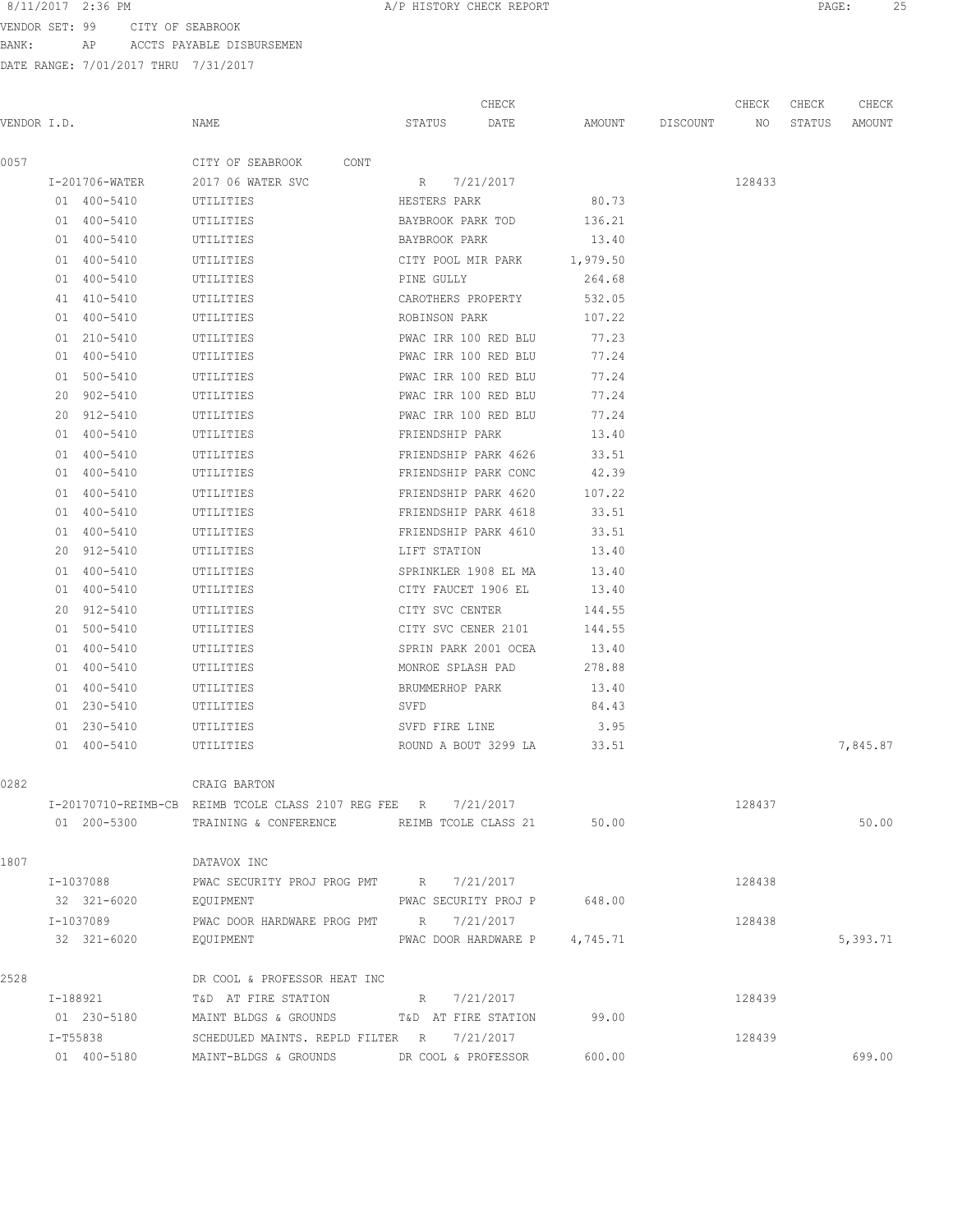VENDOR SET: 99 CITY OF SEABROOK BANK: AP ACCTS PAYABLE DISBURSEMEN

|             |                |                                                                |                      | CHECK                         |          |                 | CHECK  | CHECK  | CHECK    |
|-------------|----------------|----------------------------------------------------------------|----------------------|-------------------------------|----------|-----------------|--------|--------|----------|
| VENDOR I.D. |                | NAME                                                           | STATUS               | DATE                          |          | AMOUNT DISCOUNT | NO     | STATUS | AMOUNT   |
| 0057        |                | CITY OF SEABROOK<br>CONT                                       |                      |                               |          |                 |        |        |          |
|             | I-201706-WATER | 2017 06 WATER SVC                                              | R 7/21/2017          |                               |          |                 | 128433 |        |          |
|             | 01 400-5410    | UTILITIES                                                      | HESTERS PARK         |                               | 80.73    |                 |        |        |          |
|             | 01 400-5410    | UTILITIES                                                      | BAYBROOK PARK TOD    |                               | 136.21   |                 |        |        |          |
|             | 01 400-5410    | UTILITIES                                                      | BAYBROOK PARK        |                               | 13.40    |                 |        |        |          |
|             | 01 400-5410    | UTILITIES                                                      | CITY POOL MIR PARK   |                               | 1,979.50 |                 |        |        |          |
|             | 01 400-5410    | UTILITIES                                                      | PINE GULLY           |                               | 264.68   |                 |        |        |          |
|             | 41 410-5410    | UTILITIES                                                      | CAROTHERS PROPERTY   |                               | 532.05   |                 |        |        |          |
|             | 01 400-5410    | UTILITIES                                                      | ROBINSON PARK        |                               | 107.22   |                 |        |        |          |
|             | 01 210-5410    | UTILITIES                                                      | PWAC IRR 100 RED BLU |                               | 77.23    |                 |        |        |          |
|             | 01 400-5410    | UTILITIES                                                      | PWAC IRR 100 RED BLU |                               | 77.24    |                 |        |        |          |
|             | 01 500-5410    | UTILITIES                                                      | PWAC IRR 100 RED BLU |                               | 77.24    |                 |        |        |          |
|             | 20 902-5410    | UTILITIES                                                      | PWAC IRR 100 RED BLU |                               | 77.24    |                 |        |        |          |
|             | 20 912-5410    | UTILITIES                                                      | PWAC IRR 100 RED BLU |                               | 77.24    |                 |        |        |          |
|             | 01 400-5410    | UTILITIES                                                      | FRIENDSHIP PARK      |                               | 13.40    |                 |        |        |          |
|             | 01 400-5410    | UTILITIES                                                      |                      | FRIENDSHIP PARK 4626          | 33.51    |                 |        |        |          |
|             | 01 400-5410    | UTILITIES                                                      |                      | FRIENDSHIP PARK CONC          | 42.39    |                 |        |        |          |
|             | 01 400-5410    | UTILITIES                                                      |                      | FRIENDSHIP PARK 4620          | 107.22   |                 |        |        |          |
|             | 01 400-5410    | UTILITIES                                                      | FRIENDSHIP PARK 4618 |                               | 33.51    |                 |        |        |          |
|             | 01 400-5410    | UTILITIES                                                      | FRIENDSHIP PARK 4610 |                               | 33.51    |                 |        |        |          |
|             | 20 912-5410    | UTILITIES                                                      | LIFT STATION         |                               | 13.40    |                 |        |        |          |
|             | 01 400-5410    | UTILITIES                                                      | SPRINKLER 1908 EL MA |                               | 13.40    |                 |        |        |          |
|             | 01 400-5410    | UTILITIES                                                      | CITY FAUCET 1906 EL  |                               | 13.40    |                 |        |        |          |
|             | 20 912-5410    | UTILITIES                                                      | CITY SVC CENTER      |                               | 144.55   |                 |        |        |          |
|             | 01 500-5410    | UTILITIES                                                      | CITY SVC CENER 2101  |                               | 144.55   |                 |        |        |          |
|             | 01 400-5410    | UTILITIES                                                      |                      | SPRIN PARK 2001 OCEA          | 13.40    |                 |        |        |          |
|             | 01 400-5410    | UTILITIES                                                      | MONROE SPLASH PAD    |                               | 278.88   |                 |        |        |          |
|             | 01 400-5410    | UTILITIES                                                      | BRUMMERHOP PARK      |                               | 13.40    |                 |        |        |          |
|             | 01 230-5410    | UTILITIES                                                      | SVFD                 |                               | 84.43    |                 |        |        |          |
|             | 01 230-5410    | UTILITIES                                                      | SVFD FIRE LINE       |                               | 3.95     |                 |        |        |          |
|             | 01 400-5410    | UTILITIES                                                      |                      | ROUND A BOUT 3299 LA          | 33.51    |                 |        |        | 7,845.87 |
| 0282        |                | CRAIG BARTON                                                   |                      |                               |          |                 |        |        |          |
|             |                | I-20170710-REIMB-CB REIMB TCOLE CLASS 2107 REG FEE R 7/21/2017 |                      |                               |          |                 | 128437 |        |          |
|             | 01 200-5300    | TRAINING & CONFERENCE THE REIMB TCOLE CLASS 21                 |                      |                               | 50.00    |                 |        |        | 50.00    |
| 1807        |                | DATAVOX INC                                                    |                      |                               |          |                 |        |        |          |
|             | I-1037088      | PWAC SECURITY PROJ PROG PMT R 7/21/2017                        |                      |                               |          |                 | 128438 |        |          |
|             | 32 321-6020    | EQUIPMENT                                                      |                      | PWAC SECURITY PROJ P 648.00   |          |                 |        |        |          |
|             | I-1037089      | PWAC DOOR HARDWARE PROG PMT R 7/21/2017                        |                      |                               |          |                 | 128438 |        |          |
|             | 32 321-6020    | EQUIPMENT                                                      |                      | PWAC DOOR HARDWARE P 4,745.71 |          |                 |        |        | 5,393.71 |
| 2528        |                | DR COOL & PROFESSOR HEAT INC                                   |                      |                               |          |                 |        |        |          |
|             | I-188921       | T&D AT FIRE STATION                                            | R 7/21/2017          |                               |          |                 | 128439 |        |          |
|             | 01 230-5180    | MAINT BLDGS & GROUNDS T&D AT FIRE STATION                      |                      |                               | 99.00    |                 |        |        |          |
|             | I-T55838       | SCHEDULED MAINTS. REPLD FILTER R 7/21/2017                     |                      |                               |          |                 | 128439 |        |          |
|             | 01 400-5180    | MAINT-BLDGS & GROUNDS DR COOL & PROFESSOR                      |                      |                               | 600.00   |                 |        |        | 699.00   |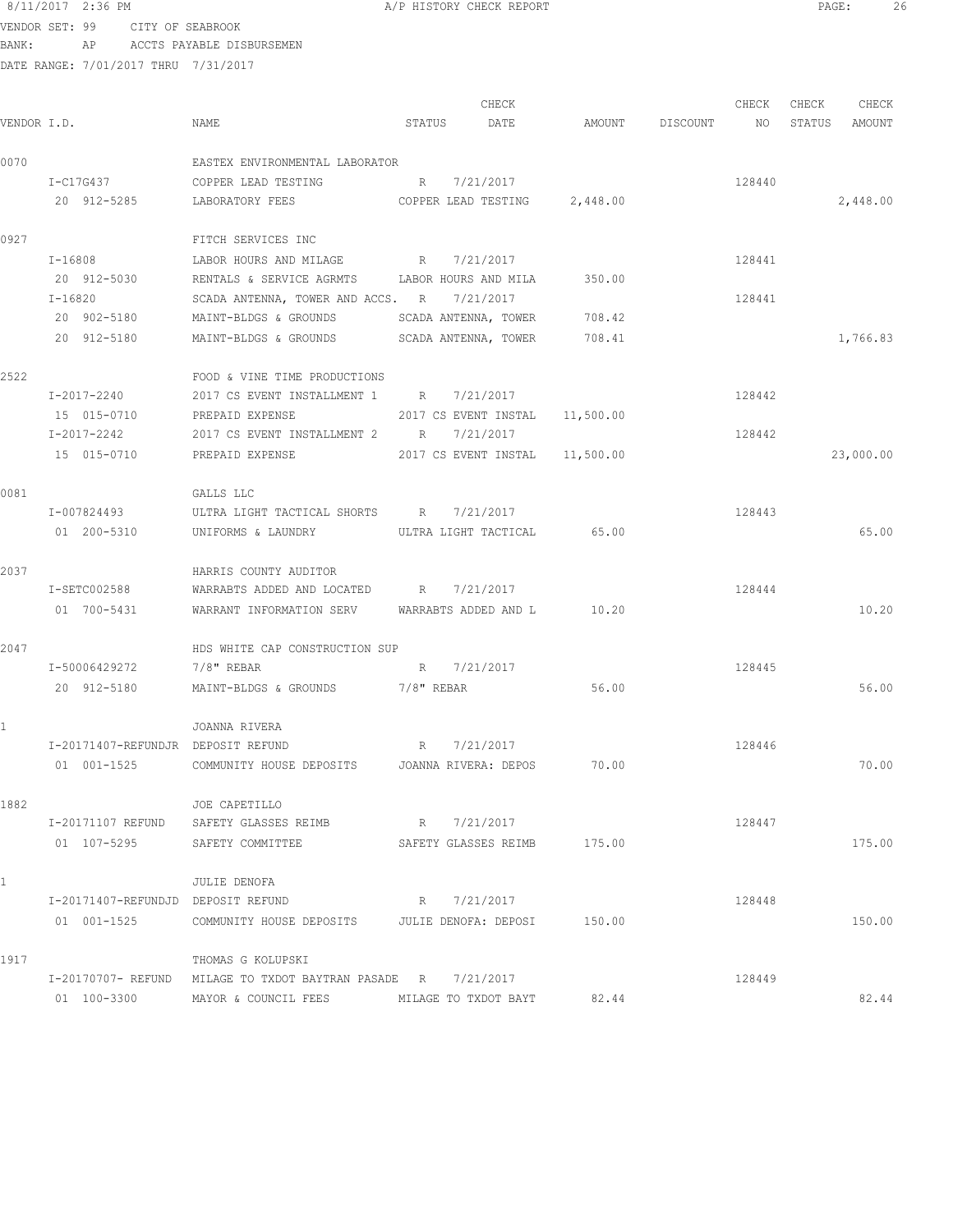## 8/11/2017 2:36 PM **BECK AND A REPORT A PERIORY CHECK REPORT PAGE:** 26

VENDOR SET: 99 CITY OF SEABROOK BANK: AP ACCTS PAYABLE DISBURSEMEN

|              |                                    |                                                                  |        | CHECK                          |        |          | CHECK  | CHECK  | CHECK     |
|--------------|------------------------------------|------------------------------------------------------------------|--------|--------------------------------|--------|----------|--------|--------|-----------|
| VENDOR I.D.  |                                    | NAME                                                             | STATUS | DATE                           | AMOUNT | DISCOUNT | NO     | STATUS | AMOUNT    |
| 0070         |                                    | EASTEX ENVIRONMENTAL LABORATOR                                   |        |                                |        |          |        |        |           |
|              | I-C17G437                          | COPPER LEAD TESTING                                              |        | R 7/21/2017                    |        |          | 128440 |        |           |
|              | 20 912-5285                        | LABORATORY FEES                                                  |        | COPPER LEAD TESTING 2,448.00   |        |          |        |        | 2,448.00  |
| 0927         |                                    | FITCH SERVICES INC                                               |        |                                |        |          |        |        |           |
|              | I-16808                            | LABOR HOURS AND MILAGE R 7/21/2017                               |        |                                |        |          | 128441 |        |           |
|              | 20 912-5030                        | RENTALS & SERVICE AGRMTS LABOR HOURS AND MILA                    |        |                                | 350.00 |          |        |        |           |
|              | I-16820                            | SCADA ANTENNA, TOWER AND ACCS. R 7/21/2017                       |        |                                |        |          | 128441 |        |           |
|              | 20 902-5180                        | MAINT-BLDGS & GROUNDS                                            |        | SCADA ANTENNA, TOWER 708.42    |        |          |        |        |           |
|              | 20 912-5180                        | MAINT-BLDGS & GROUNDS SCADA ANTENNA, TOWER                       |        |                                | 708.41 |          |        |        | 1,766.83  |
| 2522         |                                    | FOOD & VINE TIME PRODUCTIONS                                     |        |                                |        |          |        |        |           |
|              | I-2017-2240                        | 2017 CS EVENT INSTALLMENT 1 R 7/21/2017                          |        |                                |        |          | 128442 |        |           |
|              | 15 015-0710                        | PREPAID EXPENSE                                                  |        | 2017 CS EVENT INSTAL 11,500.00 |        |          |        |        |           |
|              | I-2017-2242                        | 2017 CS EVENT INSTALLMENT 2 R 7/21/2017                          |        |                                |        |          | 128442 |        |           |
|              | 15 015-0710                        | PREPAID EXPENSE                                                  |        | 2017 CS EVENT INSTAL 11,500.00 |        |          |        |        | 23,000.00 |
| 0081         |                                    | GALLS LLC                                                        |        |                                |        |          |        |        |           |
|              | I-007824493                        | ULTRA LIGHT TACTICAL SHORTS R 7/21/2017                          |        |                                |        |          | 128443 |        |           |
|              | 01 200-5310                        | UNIFORMS & LAUNDRY                                               |        | ULTRA LIGHT TACTICAL 65.00     |        |          |        |        | 65.00     |
| 2037         |                                    | HARRIS COUNTY AUDITOR                                            |        |                                |        |          |        |        |           |
|              | I-SETC002588                       | WARRABTS ADDED AND LOCATED R 7/21/2017                           |        |                                |        |          | 128444 |        |           |
|              | 01 700-5431                        | WARRANT INFORMATION SERV WARRABTS ADDED AND L 10.20              |        |                                |        |          |        |        | 10.20     |
| 2047         |                                    | HDS WHITE CAP CONSTRUCTION SUP                                   |        |                                |        |          |        |        |           |
|              | I-50006429272                      | 7/8" REBAR                                                       |        | R 7/21/2017                    |        |          | 128445 |        |           |
|              | 20 912-5180                        | MAINT-BLDGS & GROUNDS 7/8" REBAR                                 |        |                                | 56.00  |          |        |        | 56.00     |
| $\mathbf{1}$ |                                    | JOANNA RIVERA                                                    |        |                                |        |          |        |        |           |
|              | I-20171407-REFUNDJR DEPOSIT REFUND |                                                                  | R      | 7/21/2017                      |        |          | 128446 |        |           |
|              |                                    | 01 001-1525 COMMUNITY HOUSE DEPOSITS JOANNA RIVERA: DEPOS        |        |                                | 70.00  |          |        |        | 70.00     |
| 1882         |                                    | JOE CAPETILLO                                                    |        |                                |        |          |        |        |           |
|              |                                    | I-20171107 REFUND SAFETY GLASSES REIMB R 7/21/2017               |        |                                |        |          | 128447 |        |           |
|              | 01 107-5295                        | SAFETY COMMITTEE SAFETY GLASSES REIMB 175.00                     |        |                                |        |          |        |        | 175.00    |
| $\mathbf{1}$ |                                    | JULIE DENOFA                                                     |        |                                |        |          |        |        |           |
|              | I-20171407-REFUNDJD DEPOSIT REFUND |                                                                  |        | R 7/21/2017                    |        |          | 128448 |        |           |
|              |                                    | 01 001-1525 COMMUNITY HOUSE DEPOSITS JULIE DENOFA: DEPOSI 150.00 |        |                                |        |          |        |        | 150.00    |
| 1917         |                                    | THOMAS G KOLUPSKI                                                |        |                                |        |          |        |        |           |
|              |                                    | I-20170707- REFUND MILAGE TO TXDOT BAYTRAN PASADE R 7/21/2017    |        |                                |        |          | 128449 |        |           |
|              |                                    | 01  100-3300  MAYOR & COUNCIL FEES MILAGE TO TXDOT BAYT          |        |                                | 82.44  |          |        |        | 82.44     |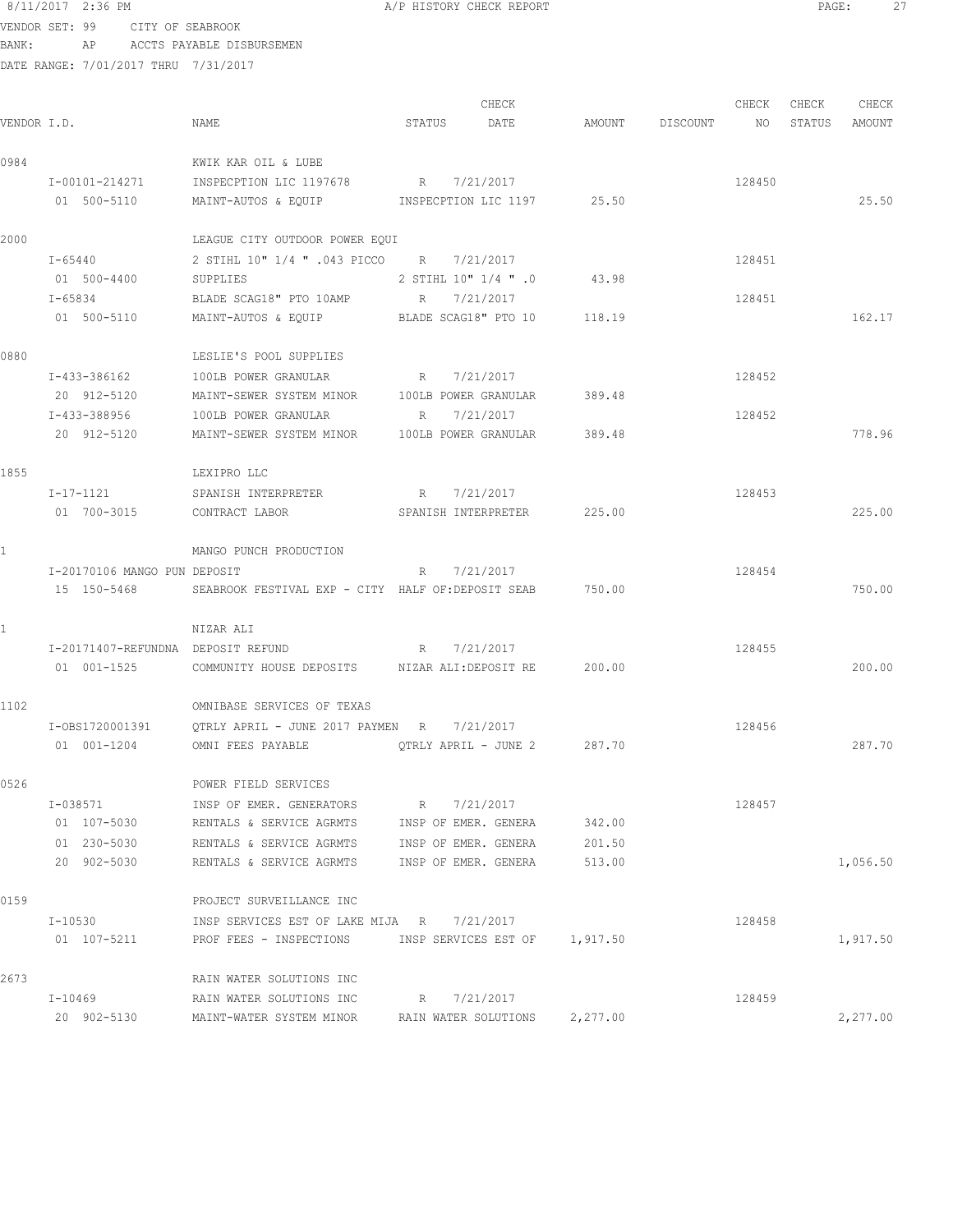### 8/11/2017 2:36 PM **A/P HISTORY CHECK REPORT PAGE:** 27 VENDOR SET: 99 CITY OF SEABROOK

BANK: AP ACCTS PAYABLE DISBURSEMEN

| VENDOR I.D. |                                    | NAME                                                           | STATUS                  | CHECK<br>DATE                 |          | AMOUNT DISCOUNT | CHECK<br>NO | CHECK<br>STATUS | CHECK<br>AMOUNT |
|-------------|------------------------------------|----------------------------------------------------------------|-------------------------|-------------------------------|----------|-----------------|-------------|-----------------|-----------------|
| 0984        |                                    | KWIK KAR OIL & LUBE                                            |                         |                               |          |                 |             |                 |                 |
|             | I-00101-214271                     | INSPECPTION LIC 1197678 R 7/21/2017                            |                         |                               |          |                 | 128450      |                 |                 |
|             | 01 500-5110                        | MAINT-AUTOS & EQUIP MINSPECPTION LIC 1197 25.50                |                         |                               |          |                 |             |                 | 25.50           |
| 2000        |                                    | LEAGUE CITY OUTDOOR POWER EQUI                                 |                         |                               |          |                 |             |                 |                 |
|             | I-65440                            | 7/21/2017 R 7/21/2017 CO R 7/21/2017                           |                         |                               |          |                 | 128451      |                 |                 |
|             | 01 500-4400                        | SUPPLIES                                                       | 0. " 1/4 "OP 1/4 בSTIHL |                               | 43.98    |                 |             |                 |                 |
|             | I-65834                            | BLADE SCAG18" PTO 10AMP                                        | $R_{\rm c}$             | 7/21/2017                     |          |                 | 128451      |                 |                 |
|             | 01 500-5110                        | MAINT-AUTOS & EQUIP                                            | BLADE SCAG18" PTO 10    |                               | 118.19   |                 |             |                 | 162.17          |
| 0880        |                                    | LESLIE'S POOL SUPPLIES                                         |                         |                               |          |                 |             |                 |                 |
|             | I-433-386162                       | 100LB POWER GRANULAR                                           | R 7/21/2017             |                               |          |                 | 128452      |                 |                 |
|             | 20 912-5120                        | MAINT-SEWER SYSTEM MINOR 100LB POWER GRANULAR                  |                         |                               | 389.48   |                 |             |                 |                 |
|             | I-433-388956                       | 100LB POWER GRANULAR                                           | R                       | 7/21/2017                     |          |                 | 128452      |                 |                 |
|             | 20 912-5120                        | MAINT-SEWER SYSTEM MINOR 100LB POWER GRANULAR                  |                         |                               | 389.48   |                 |             |                 | 778.96          |
| 1855        |                                    | LEXIPRO LLC                                                    |                         |                               |          |                 |             |                 |                 |
|             | I-17-1121                          | SPANISH INTERPRETER                                            | R 7/21/2017             |                               |          |                 | 128453      |                 |                 |
|             | 01 700-3015                        | CONTRACT LABOR                                                 | SPANISH INTERPRETER     |                               | 225.00   |                 |             |                 | 225.00          |
|             |                                    | MANGO PUNCH PRODUCTION                                         |                         |                               |          |                 |             |                 |                 |
|             | I-20170106 MANGO PUN DEPOSIT       |                                                                | R                       | 7/21/2017                     |          |                 | 128454      |                 |                 |
|             |                                    | 15 150-5468 SEABROOK FESTIVAL EXP - CITY HALF OF: DEPOSIT SEAB |                         |                               | 750.00   |                 |             |                 | 750.00          |
| 1           |                                    | NIZAR ALI                                                      |                         |                               |          |                 |             |                 |                 |
|             | I-20171407-REFUNDNA DEPOSIT REFUND | R 7/21/2017                                                    |                         |                               |          |                 | 128455      |                 |                 |
|             | 01 001-1525                        | COMMUNITY HOUSE DEPOSITS NIZAR ALI: DEPOSIT RE                 |                         |                               | 200.00   |                 |             |                 | 200.00          |
| 1102        |                                    | OMNIBASE SERVICES OF TEXAS                                     |                         |                               |          |                 |             |                 |                 |
|             | I-0BS1720001391                    | QTRLY APRIL - JUNE 2017 PAYMEN R 7/21/2017                     |                         |                               |          |                 | 128456      |                 |                 |
|             | 01 001-1204                        | OMNI FEES PAYABLE                                              | OTRLY APRIL - JUNE 2    |                               | 287.70   |                 |             |                 | 287.70          |
| 0526        |                                    | POWER FIELD SERVICES                                           |                         |                               |          |                 |             |                 |                 |
|             | I-038571                           | INSP OF EMER. GENERATORS                                       | $R_{\parallel}$         | 7/21/2017                     |          |                 | 128457      |                 |                 |
|             | 01 107-5030                        | RENTALS & SERVICE AGRMTS                                       | INSP OF EMER. GENERA    |                               | 342.00   |                 |             |                 |                 |
|             | 01 230-5030                        | RENTALS & SERVICE AGRMTS                                       | INSP OF EMER. GENERA    |                               | 201.50   |                 |             |                 |                 |
|             | 20 902-5030                        | RENTALS & SERVICE AGRMTS                                       | INSP OF EMER. GENERA    |                               | 513.00   |                 |             |                 | 1,056.50        |
| 0159        |                                    | PROJECT SURVEILLANCE INC                                       |                         |                               |          |                 |             |                 |                 |
|             | I-10530                            | INSP SERVICES EST OF LAKE MIJA R 7/21/2017                     |                         |                               |          |                 | 128458      |                 |                 |
|             | 01 107-5211                        | PROF FEES - INSPECTIONS                                        |                         | INSP SERVICES EST OF 1,917.50 |          |                 |             |                 | 1,917.50        |
| 2673        |                                    | RAIN WATER SOLUTIONS INC                                       |                         |                               |          |                 |             |                 |                 |
|             | $I - 10469$                        | RAIN WATER SOLUTIONS INC                                       | R 7/21/2017             |                               |          |                 | 128459      |                 |                 |
|             | 20 902-5130                        | MAINT-WATER SYSTEM MINOR                                       |                         | RAIN WATER SOLUTIONS          | 2,277.00 |                 |             |                 | 2,277.00        |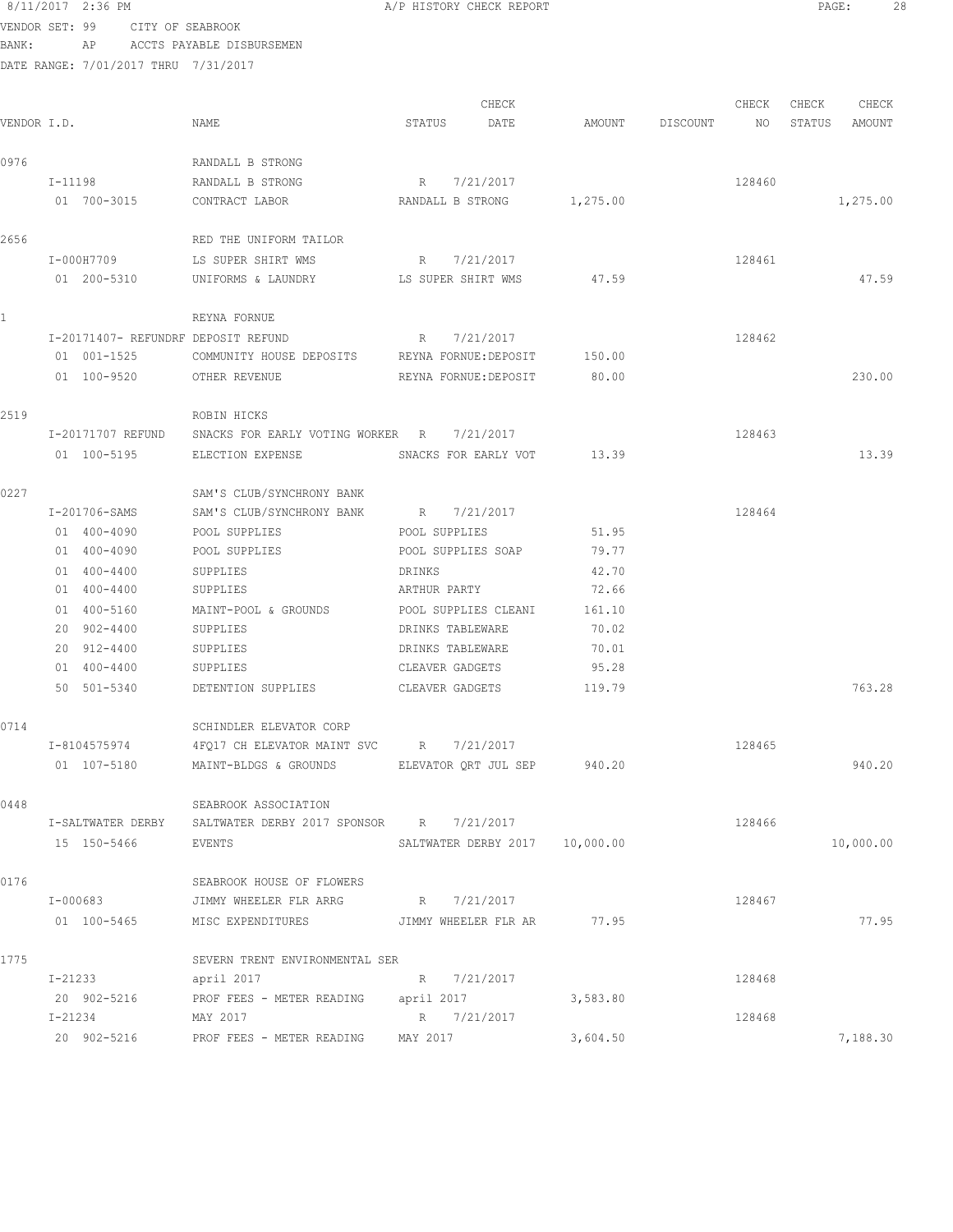| VENDOR SET: 99 |         | CITY OF SEABROOK                     |                                                                                                                       |                    |                                |          |          |        |        |           |
|----------------|---------|--------------------------------------|-----------------------------------------------------------------------------------------------------------------------|--------------------|--------------------------------|----------|----------|--------|--------|-----------|
| BANK:          |         | AP                                   | ACCTS PAYABLE DISBURSEMEN                                                                                             |                    |                                |          |          |        |        |           |
|                |         | DATE RANGE: 7/01/2017 THRU 7/31/2017 |                                                                                                                       |                    |                                |          |          |        |        |           |
|                |         |                                      |                                                                                                                       |                    | CHECK                          |          |          | CHECK  | CHECK  | CHECK     |
| VENDOR I.D.    |         |                                      | NAME                                                                                                                  | STATUS             | DATE                           | AMOUNT   | DISCOUNT | NO     | STATUS | AMOUNT    |
| 0976           |         |                                      | RANDALL B STRONG                                                                                                      |                    |                                |          |          |        |        |           |
|                | I-11198 |                                      | RANDALL B STRONG                                                                                                      | $R_{\odot}$        | 7/21/2017                      |          |          | 128460 |        |           |
|                |         | 01 700-3015                          | CONTRACT LABOR                                                                                                        | RANDALL B STRONG   |                                | 1,275.00 |          |        |        | 1,275.00  |
| 2656           |         |                                      | RED THE UNIFORM TAILOR                                                                                                |                    |                                |          |          |        |        |           |
|                |         | I-000H7709                           | LS SUPER SHIRT WMS                                                                                                    | R                  | 7/21/2017                      |          |          | 128461 |        |           |
|                |         | 01 200-5310                          | UNIFORMS & LAUNDRY                                                                                                    | LS SUPER SHIRT WMS |                                | 47.59    |          |        |        | 47.59     |
|                |         |                                      | REYNA FORNUE                                                                                                          |                    |                                |          |          |        |        |           |
|                |         |                                      | I-20171407- REFUNDRF DEPOSIT REFUND                                                                                   | R 7/21/2017        |                                |          |          | 128462 |        |           |
|                |         | 01 001-1525                          | COMMUNITY HOUSE DEPOSITS REYNA FORNUE: DEPOSIT                                                                        |                    |                                | 150.00   |          |        |        |           |
|                |         | 01 100-9520                          | OTHER REVENUE                                                                                                         |                    | REYNA FORNUE: DEPOSIT          | 80.00    |          |        |        | 230.00    |
| 2519           |         |                                      | ROBIN HICKS                                                                                                           |                    |                                |          |          |        |        |           |
|                |         | I-20171707 REFUND                    | SNACKS FOR EARLY VOTING WORKER R                                                                                      |                    | 7/21/2017                      |          |          | 128463 |        |           |
|                |         | 01 100-5195                          | ELECTION EXPENSE                                                                                                      |                    | SNACKS FOR EARLY VOT           | 13.39    |          |        |        | 13.39     |
| 0227           |         |                                      | SAM'S CLUB/SYNCHRONY BANK                                                                                             |                    |                                |          |          |        |        |           |
|                |         | I-201706-SAMS                        | SAM'S CLUB/SYNCHRONY BANK                                                                                             | R                  | 7/21/2017                      |          |          | 128464 |        |           |
|                |         | 01 400-4090                          | POOL SUPPLIES                                                                                                         | POOL SUPPLIES      |                                | 51.95    |          |        |        |           |
|                |         | 01 400-4090                          | POOL SUPPLIES                                                                                                         |                    | POOL SUPPLIES SOAP             | 79.77    |          |        |        |           |
|                |         | 01 400-4400                          | SUPPLIES                                                                                                              | DRINKS             |                                | 42.70    |          |        |        |           |
|                |         | 01 400-4400                          | SUPPLIES                                                                                                              | ARTHUR PARTY       |                                | 72.66    |          |        |        |           |
|                |         | 01 400-5160                          | MAINT-POOL & GROUNDS                                                                                                  |                    | POOL SUPPLIES CLEANI           | 161.10   |          |        |        |           |
|                |         | 20 902-4400                          | SUPPLIES                                                                                                              | DRINKS TABLEWARE   |                                | 70.02    |          |        |        |           |
|                |         | 20 912-4400                          | SUPPLIES                                                                                                              | DRINKS TABLEWARE   |                                | 70.01    |          |        |        |           |
|                |         | 01 400-4400                          | SUPPLIES                                                                                                              | CLEAVER GADGETS    |                                | 95.28    |          |        |        |           |
|                |         | 50 501-5340                          | DETENTION SUPPLIES                                                                                                    | CLEAVER GADGETS    |                                | 119.79   |          |        |        | 763.28    |
| 0714           |         |                                      | SCHINDLER ELEVATOR CORP                                                                                               |                    |                                |          |          |        |        |           |
|                |         | I-8104575974                         | 4FQ17 CH ELEVATOR MAINT SVC R 7/21/2017                                                                               |                    |                                |          |          | 128465 |        |           |
|                |         | 01 107-5180                          | MAINT-BLDGS & GROUNDS ELEVATOR QRT JUL SEP 940.20                                                                     |                    |                                |          |          |        |        | 940.20    |
| 0448           |         |                                      | SEABROOK ASSOCIATION                                                                                                  |                    |                                |          |          |        |        |           |
|                |         | I-SALTWATER DERBY                    | SALTWATER DERBY 2017 SPONSOR R 7/21/2017                                                                              |                    |                                |          |          | 128466 |        |           |
|                |         | 15 150-5466                          | EVENTS                                                                                                                |                    | SALTWATER DERBY 2017 10,000.00 |          |          |        |        | 10,000.00 |
| 0176           |         |                                      | SEABROOK HOUSE OF FLOWERS                                                                                             |                    |                                |          |          |        |        |           |
|                |         | I-000683                             | JIMMY WHEELER FLR ARRG                                                                                                | R 7/21/2017        |                                |          |          | 128467 |        |           |
|                |         | 01 100-5465                          | MISC EXPENDITURES <b>THE STATE OF STATE SETTLE SETTLE SETTLESS</b> STAR THE STATE STATE STATE STATE STATE STATE STATE |                    |                                |          |          |        |        | 77.95     |
| 1775           |         |                                      | SEVERN TRENT ENVIRONMENTAL SER                                                                                        |                    |                                |          |          |        |        |           |
|                | I-21233 |                                      | april 2017                                                                                                            | R 7/21/2017        |                                |          |          | 128468 |        |           |
|                |         | 20 902-5216                          | PROF FEES - METER READING april 2017                                                                                  |                    |                                | 3,583.80 |          |        |        |           |
|                |         | I-21234                              | MAY 2017                                                                                                              | R 7/21/2017        |                                |          |          | 128468 |        |           |
|                |         |                                      | 20 902-5216 PROF FEES - METER READING MAY 2017                                                                        |                    |                                | 3,604.50 |          |        |        | 7,188.30  |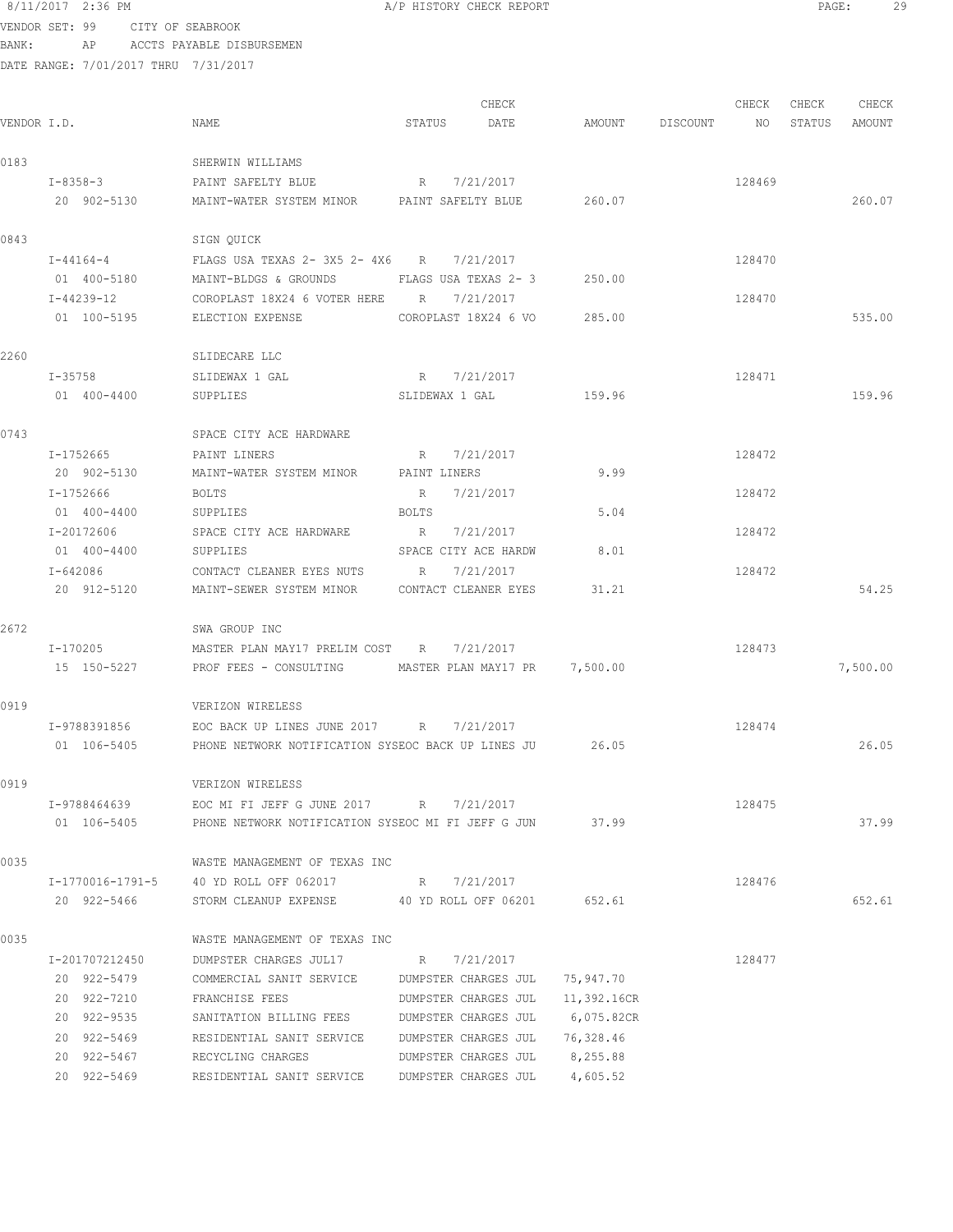|             | 8/11/2017 2:36 PM |                                      |                                                          |        |                | A/P HISTORY CHECK REPORT |                    |        | PAGE: |               | 29 |
|-------------|-------------------|--------------------------------------|----------------------------------------------------------|--------|----------------|--------------------------|--------------------|--------|-------|---------------|----|
|             |                   | VENDOR SET: 99 CITY OF SEABROOK      |                                                          |        |                |                          |                    |        |       |               |    |
| BANK:       |                   |                                      | AP ACCTS PAYABLE DISBURSEMEN                             |        |                |                          |                    |        |       |               |    |
|             |                   | DATE RANGE: 7/01/2017 THRU 7/31/2017 |                                                          |        |                |                          |                    |        |       |               |    |
|             |                   |                                      |                                                          |        |                | CHECK                    |                    | CHECK  | CHECK | CHECK         |    |
| VENDOR I.D. |                   |                                      | NAME                                                     | STATUS |                | DATE                     | AMOUNT DISCOUNT NO |        |       | STATUS AMOUNT |    |
| 0183        |                   |                                      | SHERWIN WILLIAMS                                         |        |                |                          |                    |        |       |               |    |
|             | I-8358-3          |                                      | PAINT SAFELTY BLUE                                       |        | R 7/21/2017    |                          |                    | 128469 |       |               |    |
|             | 20 902-5130       |                                      | MAINT-WATER SYSTEM MINOR PAINT SAFELTY BLUE              |        |                |                          | 260.07             |        |       | 260.07        |    |
| 0843        |                   |                                      | SIGN QUICK                                               |        |                |                          |                    |        |       |               |    |
|             | $I - 44164 - 4$   |                                      | FLAGS USA TEXAS 2- 3X5 2- 4X6 R 7/21/2017                |        |                |                          |                    | 128470 |       |               |    |
|             | 01 400-5180       |                                      | MAINT-BLDGS & GROUNDS FLAGS USA TEXAS 2- 3               |        |                |                          | 250.00             |        |       |               |    |
|             | I-44239-12        |                                      | COROPLAST 18X24 6 VOTER HERE R 7/21/2017                 |        |                |                          |                    | 128470 |       |               |    |
|             | 01 100-5195       |                                      | ELECTION EXPENSE                                         |        |                | COROPLAST 18X24 6 VO     | 285.00             |        |       | 535.00        |    |
| 2260        |                   |                                      | SLIDECARE LLC                                            |        |                |                          |                    |        |       |               |    |
|             | $I - 35758$       |                                      | SLIDEWAX 1 GAL                                           |        | R 7/21/2017    |                          |                    | 128471 |       |               |    |
|             | 01 400-4400       |                                      | SUPPLIES                                                 |        | SLIDEWAX 1 GAL |                          | 159.96             |        |       | 159.96        |    |
| 0743        |                   |                                      | SPACE CITY ACE HARDWARE                                  |        |                |                          |                    |        |       |               |    |
|             | I-1752665         |                                      | PAINT LINERS                                             |        | R 7/21/2017    |                          |                    | 128472 |       |               |    |
|             |                   |                                      | 20 902-5130 MAINT-WATER SYSTEM MINOR PAINT LINERS        |        |                |                          | 9.99               |        |       |               |    |
|             | I-1752666         |                                      | BOLTS                                                    |        | R 7/21/2017    |                          |                    | 128472 |       |               |    |
|             | 01 400-4400       |                                      | SUPPLIES                                                 | BOLTS  |                |                          | 5.04               |        |       |               |    |
|             | I-20172606        |                                      | SPACE CITY ACE HARDWARE                                  |        | R 7/21/2017    |                          |                    | 128472 |       |               |    |
|             | 01 400-4400       |                                      | SUPPLIES                                                 |        |                | SPACE CITY ACE HARDW     | 8.01               |        |       |               |    |
|             | I-642086          |                                      | CONTACT CLEANER EYES NUTS                                |        | R 7/21/2017    |                          |                    | 128472 |       |               |    |
|             | 20 912-5120       |                                      | MAINT-SEWER SYSTEM MINOR CONTACT CLEANER EYES            |        |                |                          | 31.21              |        |       | 54.25         |    |
| 2672        |                   |                                      | SWA GROUP INC                                            |        |                |                          |                    |        |       |               |    |
|             | I-170205          |                                      | MASTER PLAN MAY17 PRELIM COST B R 7/21/2017              |        |                |                          |                    | 128473 |       |               |    |
|             | 15 150-5227       |                                      | PROF FEES - CONSULTING MASTER PLAN MAY17 PR 7,500.00     |        |                |                          |                    |        |       | 7,500.00      |    |
| 0919        |                   |                                      | VERIZON WIRELESS                                         |        |                |                          |                    |        |       |               |    |
|             | I-9788391856      |                                      | EOC BACK UP LINES JUNE 2017 R 7/21/2017                  |        |                |                          |                    | 128474 |       |               |    |
|             | 01 106-5405       |                                      | PHONE NETWORK NOTIFICATION SYSEOC BACK UP LINES JU 26.05 |        |                |                          |                    |        |       | 26.05         |    |

0919 VERIZON WIRELESS I-9788464639 EOC MI FI JEFF G JUNE 2017 R 7/21/2017 128475 01 106-5405 PHONE NETWORK NOTIFICATION SYSEOC MI FI JEFF G JUN 37.99 37.99 37.99 0035 WASTE MANAGEMENT OF TEXAS INC I-1770016-1791-5 40 YD ROLL OFF 062017 R 7/21/2017 128476 20 922-5466 STORM CLEANUP EXPENSE 40 YD ROLL OFF 06201 652.61 652.61 0035 WASTE MANAGEMENT OF TEXAS INC I-201707212450 DUMPSTER CHARGES JUL17 R 7/21/2017 128477 20 922-5479 COMMERCIAL SANIT SERVICE DUMPSTER CHARGES JUL 75,947.70 20 922-7210 FRANCHISE FEES DUMPSTER CHARGES JUL 11,392.16CR 20 922-9535 SANITATION BILLING FEES DUMPSTER CHARGES JUL 6,075.82CR 20 922-5469 RESIDENTIAL SANIT SERVICE DUMPSTER CHARGES JUL 76,328.46 20 922-5467 RECYCLING CHARGES DUMPSTER CHARGES JUL 8,255.88

20 922-5469 RESIDENTIAL SANIT SERVICE DUMPSTER CHARGES JUL 4,605.52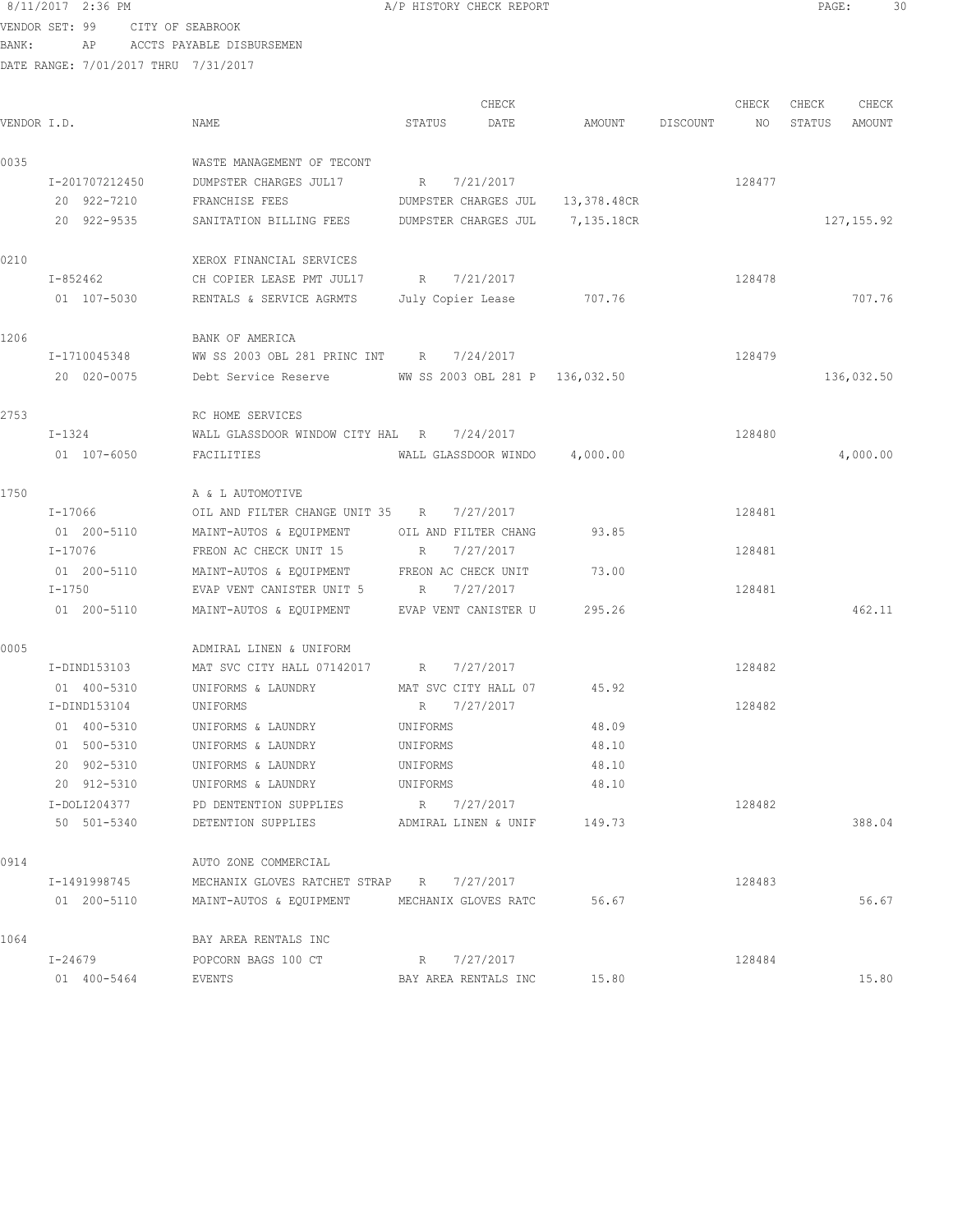VENDOR SET: 99 CITY OF SEABROOK BANK: AP ACCTS PAYABLE DISBURSEMEN

DATE RANGE: 7/01/2017 THRU 7/31/2017

CHECK CHECK CHECK CHECK CHECK CHECK CHECK CHECK CHECK CHECK CHECK CHECK CHECK CHECK CHECK CHECK CHECK CHECK CHECK CHECK CHECK CHECK CHECK CHECK CHECK CHECK CHECK CHECK CHECK CHECK CHECK CHECK CHECK CHECK CHECK CHECK CHECK VENDOR I.D. NAME STATUS DATE AMOUNT DISCOUNT NO STATUS AMOUNT 0035 WASTE MANAGEMENT OF TECONT I-201707212450 DUMPSTER CHARGES JUL17 R 7/21/2017 128477 20 922-7210 FRANCHISE FEES DUMPSTER CHARGES JUL 13,378.48CR 20 922-9535 SANITATION BILLING FEES DUMPSTER CHARGES JUL 7,135.18CR 127,155.92 0210 XEROX FINANCIAL SERVICES I-852462 CH COPIER LEASE PMT JUL17 R 7/21/2017 128478 01 107-5030 RENTALS & SERVICE AGRMTS July Copier Lease 707.76 707.76 707.76 1206 BANK OF AMERICA I-1710045348 WW SS 2003 OBL 281 PRINC INT R 7/24/2017 128479 20 020-0075 Debt Service Reserve WW SS 2003 OBL 281 P 136,032.50 136,032.50 2753 RC HOME SERVICES I-1324 WALL GLASSDOOR WINDOW CITY HAL R 7/24/2017 01 107-6050 FACILITIES WALL GLASSDOOR WINDO 4,000.00 4,000.00 1750 **A** & L AUTOMOTIVE I-17066 OIL AND FILTER CHANGE UNIT 35 R 7/27/2017 128481 01 200-5110 MAINT-AUTOS & EQUIPMENT OIL AND FILTER CHANG 93.85 I-17076 FREON AC CHECK UNIT 15 R 7/27/2017 128481 01 200-5110 MAINT-AUTOS & EQUIPMENT FREON AC CHECK UNIT 73.00 I-1750 EVAP VENT CANISTER UNIT 5 R 7/27/2017 128481 01 200-5110 MAINT-AUTOS & EQUIPMENT EVAP VENT CANISTER U 295.26 2000 2000 2000 462.11 0005 ADMIRAL LINEN & UNIFORM I-DIND153103 MAT SVC CITY HALL 07142017 R 7/27/2017 128482 01 400-5310 UNIFORMS & LAUNDRY MAT SVC CITY HALL 07 45.92 I-DIND153104 UNIFORMS R 7/27/2017 128482 01 400-5310 UNIFORMS & LAUNDRY UNIFORMS 48.09 01 500-5310 UNIFORMS & LAUNDRY UNIFORMS 48.10 20 902-5310 UNIFORMS & LAUNDRY UNIFORMS 48.10 20 912-5310 UNIFORMS & LAUNDRY UNIFORMS 48.10 I-DOLI204377 PD DENTENTION SUPPLIES R 7/27/2017 128482 50 501-5340 DETENTION SUPPLIES ADMIRAL LINEN & UNIF 149.73 388.04 0914 AUTO ZONE COMMERCIAL I-1491998745 MECHANIX GLOVES RATCHET STRAP R 7/27/2017 128483 01 200-5110 MAINT-AUTOS & EQUIPMENT MECHANIX GLOVES RATC 56.67 56.67 56.67 1064 BAY AREA RENTALS INC<br>1-24679 POPCORN BAGS 100 CT POPCORN BAGS 100 CT R 7/27/2017 128484 01 400-5464 EVENTS BAY AREA RENTALS INC 15.80 15.80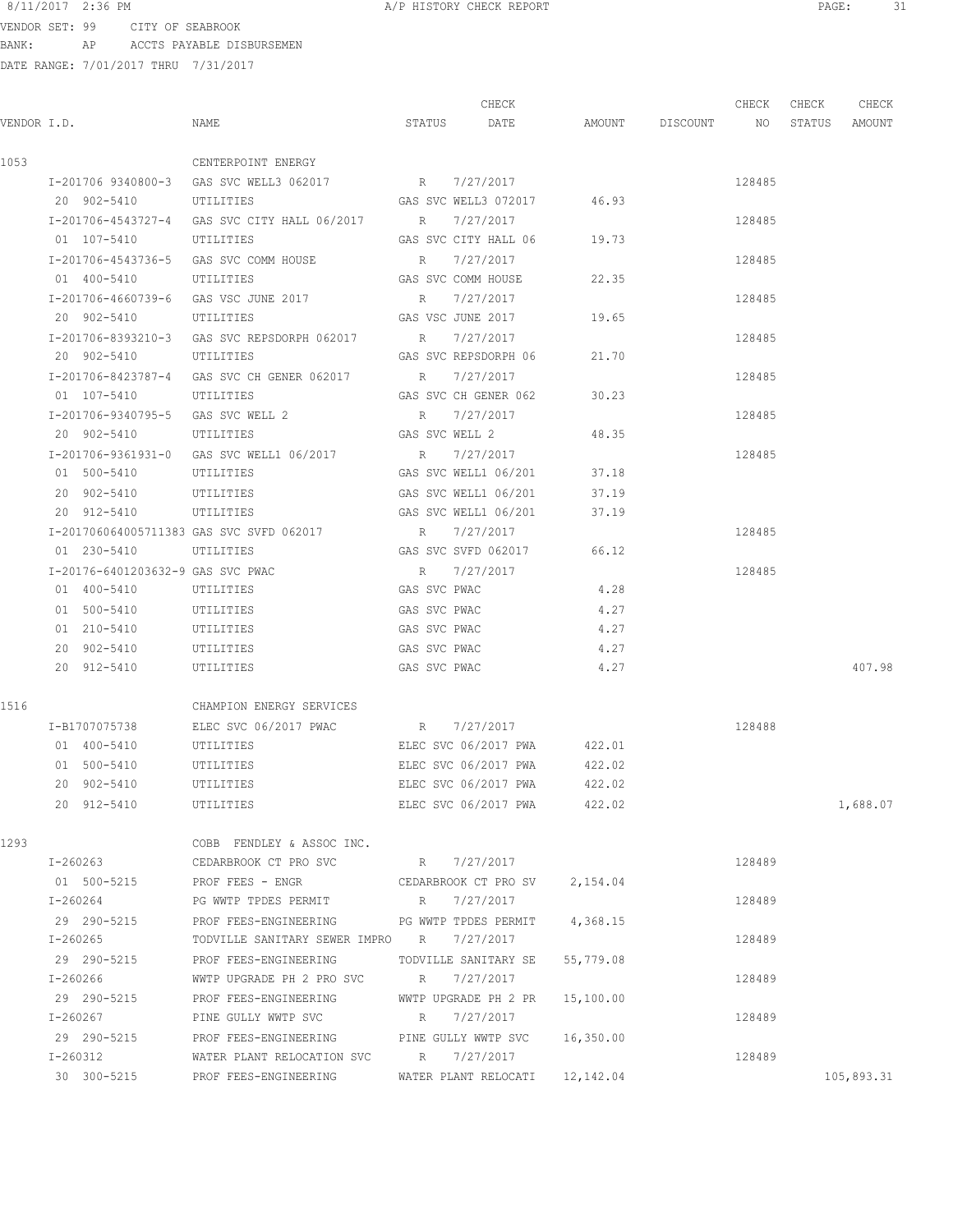VENDOR SET: 99 CITY OF SEABROOK BANK: AP ACCTS PAYABLE DISBURSEMEN

|      |                                      |                                                                             |              | CHECK                       |                    | CHECK  | CHECK | CHECK         |
|------|--------------------------------------|-----------------------------------------------------------------------------|--------------|-----------------------------|--------------------|--------|-------|---------------|
|      | VENDOR I.D.                          | NAME                                                                        |              | STATUS DATE                 | AMOUNT DISCOUNT NO |        |       | STATUS AMOUNT |
| 1053 |                                      | CENTERPOINT ENERGY                                                          |              |                             |                    |        |       |               |
|      |                                      | I-201706 9340800-3 GAS SVC WELL3 062017 R 7/27/2017                         |              |                             |                    | 128485 |       |               |
|      | 20 902-5410                          | UTILITIES                                                                   |              | GAS SVC WELL3 072017 46.93  |                    |        |       |               |
|      |                                      | I-201706-4543727-4 GAS SVC CITY HALL 06/2017 R                              |              | 7/27/2017                   |                    | 128485 |       |               |
|      | 01 107-5410                          | UTILITIES                                                                   |              | GAS SVC CITY HALL 06 19.73  |                    |        |       |               |
|      |                                      | I-201706-4543736-5 GAS SVC COMM HOUSE                                       | R            | 7/27/2017                   |                    | 128485 |       |               |
|      | 01 400-5410 UTILITIES                |                                                                             |              | GAS SVC COMM HOUSE          | 22.35              |        |       |               |
|      | I-201706-4660739-6 GAS VSC JUNE 2017 |                                                                             |              | R 7/27/2017                 |                    | 128485 |       |               |
|      | 20 902-5410 UTILITIES                |                                                                             |              | GAS VSC JUNE 2017           | 19.65              |        |       |               |
|      |                                      | I-201706-8393210-3 GAS SVC REPSDORPH 062017 R 7/27/2017                     |              |                             |                    | 128485 |       |               |
|      | 20 902-5410 UTILITIES                |                                                                             |              | GAS SVC REPSDORPH 06        | 21.70              |        |       |               |
|      |                                      | I-201706-8423787-4 GAS SVC CH GENER 062017 R 7/27/2017                      |              |                             |                    | 128485 |       |               |
|      | 01 107-5410 UTILITIES                |                                                                             |              | GAS SVC CH GENER 062        | 30.23              |        |       |               |
|      |                                      | I-201706-9340795-5 GAS SVC WELL 2 R 7/27/2017                               |              |                             |                    | 128485 |       |               |
|      |                                      | 20 902-5410 UTILITIES GAS SVC WELL 2                                        |              |                             | 48.35              |        |       |               |
|      |                                      | I-201706-9361931-0 GAS SVC WELL1 06/2017 R 7/27/2017                        |              |                             |                    | 128485 |       |               |
|      | 01 500-5410                          | UTILITIES                                                                   |              | GAS SVC WELL1 06/201        | 37.18              |        |       |               |
|      |                                      |                                                                             |              |                             |                    |        |       |               |
|      | 20 902-5410                          | UTILITIES                                                                   |              | GAS SVC WELL1 06/201        | 37.19              |        |       |               |
|      | 20 912-5410                          | UTILITIES                                                                   |              | GAS SVC WELL1 06/201        | 37.19              |        |       |               |
|      |                                      | I-201706064005711383 GAS SVC SVFD 062017                                    |              | R 7/27/2017                 |                    | 128485 |       |               |
|      | 01 230-5410                          | UTILITIES                                                                   |              | GAS SVC SVFD 062017         | 66.12              |        |       |               |
|      | I-20176-6401203632-9 GAS SVC PWAC    |                                                                             |              | R 7/27/2017                 |                    | 128485 |       |               |
|      | 01 400-5410                          | UTILITIES                                                                   | GAS SVC PWAC |                             | 4.28               |        |       |               |
|      | 01 500-5410                          | UTILITIES                                                                   | GAS SVC PWAC |                             | 4.27               |        |       |               |
|      | 01 210-5410                          | UTILITIES                                                                   | GAS SVC PWAC |                             | 4.27               |        |       |               |
|      | 20 902-5410 UTILITIES                |                                                                             | GAS SVC PWAC |                             | 4.27               |        |       |               |
|      | 20 912-5410                          | UTILITIES                                                                   |              | GAS SVC PWAC                | 4.27               |        |       | 407.98        |
| 1516 |                                      | CHAMPION ENERGY SERVICES                                                    |              |                             |                    |        |       |               |
|      | I-B1707075738                        | ELEC SVC 06/2017 PWAC                                                       |              | R 7/27/2017                 |                    | 128488 |       |               |
|      | 01 400-5410                          | UTILITIES                                                                   |              | ELEC SVC 06/2017 PWA        | 422.01             |        |       |               |
|      | 01 500-5410                          | UTILITIES                                                                   |              | ELEC SVC 06/2017 PWA        | 422.02             |        |       |               |
|      | 20 902-5410                          | UTILITIES                                                                   |              | ELEC SVC 06/2017 PWA        | 422.02             |        |       |               |
|      | 20 912-5410 UTILITIES                |                                                                             |              | ELEC SVC 06/2017 PWA 422.02 |                    |        |       | 1,688.07      |
| 1293 |                                      | COBB FENDLEY & ASSOC INC.                                                   |              |                             |                    |        |       |               |
|      |                                      | I-260263 CEDARBROOK CT PRO SVC R 7/27/2017                                  |              |                             |                    | 128489 |       |               |
|      |                                      | 01 500-5215 PROF FEES - ENGR CEDARBROOK CT PRO SV 2,154.04                  |              |                             |                    |        |       |               |
|      | I-260264                             | PG WWTP TPDES PERMIT THE R 7/27/2017                                        |              |                             |                    | 128489 |       |               |
|      |                                      | 29 290-5215 PROF FEES-ENGINEERING PG WWTP TPDES PERMIT 4,368.15             |              |                             |                    |        |       |               |
|      | I-260265                             | TODVILLE SANITARY SEWER IMPRO R 7/27/2017                                   |              |                             |                    | 128489 |       |               |
|      | 29 290-5215                          | PROF FEES-ENGINEERING TODVILLE SANITARY SE 55,779.08                        |              |                             |                    |        |       |               |
|      | I-260266                             | WWTP UPGRADE PH 2 PRO SVC R 7/27/2017                                       |              |                             |                    | 128489 |       |               |
|      |                                      |                                                                             |              |                             |                    |        |       |               |
|      | 29 290-5215                          | PROF FEES-ENGINEERING WWTP UPGRADE PH 2 PR 15,100.00<br>PINE GULLY WWTP SVC |              | R 7/27/2017                 |                    |        |       |               |
|      | I-260267                             |                                                                             |              |                             |                    | 128489 |       |               |
|      |                                      | 29 290-5215 PROF FEES-ENGINEERING PINE GULLY WWTP SVC 16,350.00             |              |                             |                    |        |       |               |
|      |                                      | I-260312 WATER PLANT RELOCATION SVC R 7/27/2017                             |              |                             |                    | 128489 |       |               |
|      |                                      | 30 300-5215 PROF FEES-ENGINEERING WATER PLANT RELOCATI 12,142.04            |              |                             |                    |        |       | 105,893.31    |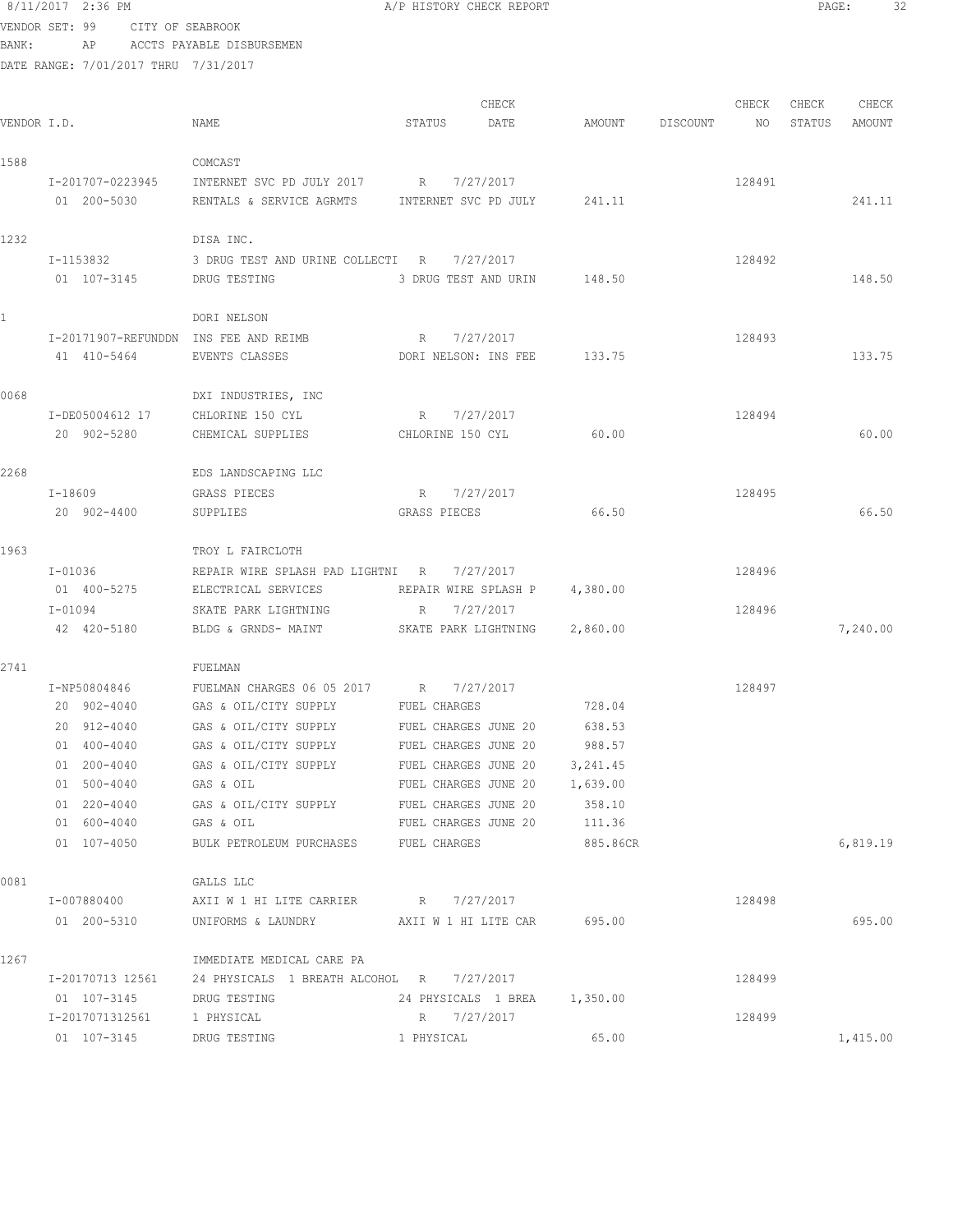|       | 8/11/2017 2:36 PM                    |                                                       | A/P HISTORY CHECK REPORT               |          |          |        | PAGE:  |          |
|-------|--------------------------------------|-------------------------------------------------------|----------------------------------------|----------|----------|--------|--------|----------|
|       | VENDOR SET: 99<br>CITY OF SEABROOK   |                                                       |                                        |          |          |        |        |          |
| BANK: | AP                                   | ACCTS PAYABLE DISBURSEMEN                             |                                        |          |          |        |        |          |
|       | DATE RANGE: 7/01/2017 THRU 7/31/2017 |                                                       |                                        |          |          |        |        |          |
|       |                                      |                                                       |                                        |          |          |        |        |          |
|       |                                      |                                                       | CHECK                                  |          |          | CHECK  | CHECK  | CHECK    |
|       | VENDOR I.D.                          | NAME                                                  | STATUS<br>DATE                         | AMOUNT   | DISCOUNT | NO     | STATUS | AMOUNT   |
| 1588  |                                      | COMCAST                                               |                                        |          |          |        |        |          |
|       | I-201707-0223945                     | INTERNET SVC PD JULY 2017 R 7/27/2017                 |                                        |          |          | 128491 |        |          |
|       | 01 200-5030                          | RENTALS & SERVICE AGRMTS INTERNET SVC PD JULY         |                                        | 241.11   |          |        |        | 241.11   |
|       |                                      |                                                       |                                        |          |          |        |        |          |
| 1232  |                                      | DISA INC.                                             |                                        |          |          |        |        |          |
|       | I-1153832                            | 3 DRUG TEST AND URINE COLLECTI R                      | 7/27/2017                              |          |          | 128492 |        |          |
|       | 01 107-3145                          | DRUG TESTING                                          | 3 DRUG TEST AND URIN                   | 148.50   |          |        |        | 148.50   |
|       |                                      |                                                       |                                        |          |          |        |        |          |
|       |                                      | DORI NELSON                                           |                                        |          |          |        |        |          |
|       |                                      | I-20171907-REFUNDDN INS FEE AND REIMB                 | 7/27/2017<br>R                         |          |          | 128493 |        |          |
|       | 41 410-5464                          | EVENTS CLASSES                                        | DORI NELSON: INS FEE                   | 133.75   |          |        |        | 133.75   |
| 0068  |                                      | DXI INDUSTRIES, INC                                   |                                        |          |          |        |        |          |
|       | I-DE05004612 17                      | CHLORINE 150 CYL                                      | R 7/27/2017                            |          |          | 128494 |        |          |
|       | 20 902-5280                          | CHEMICAL SUPPLIES                                     | CHLORINE 150 CYL                       | 60.00    |          |        |        | 60.00    |
|       |                                      |                                                       |                                        |          |          |        |        |          |
| 2268  |                                      | EDS LANDSCAPING LLC                                   |                                        |          |          |        |        |          |
|       | I-18609                              | GRASS PIECES                                          | R 7/27/2017                            |          |          | 128495 |        |          |
|       | 20 902-4400                          | SUPPLIES                                              | GRASS PIECES                           | 66.50    |          |        |        | 66.50    |
|       |                                      |                                                       |                                        |          |          |        |        |          |
| 1963  |                                      | TROY L FAIRCLOTH                                      |                                        |          |          |        |        |          |
|       | $I - 01036$                          | REPAIR WIRE SPLASH PAD LIGHTNI R 7/27/2017            |                                        |          |          | 128496 |        |          |
|       | 01 400-5275                          | ELECTRICAL SERVICES                                   | REPAIR WIRE SPLASH P                   | 4,380.00 |          |        |        |          |
|       | $I - 01094$<br>42 420-5180           | SKATE PARK LIGHTNING<br>BLDG & GRNDS- MAINT           | 7/27/2017<br>R<br>SKATE PARK LIGHTNING | 2,860.00 |          | 128496 |        | 7,240.00 |
|       |                                      |                                                       |                                        |          |          |        |        |          |
| 2741  |                                      | FUELMAN                                               |                                        |          |          |        |        |          |
|       | I-NP50804846                         | FUELMAN CHARGES 06 05 2017 R 7/27/2017                |                                        |          |          | 128497 |        |          |
|       | 20 902-4040                          | GAS & OIL/CITY SUPPLY                                 | FUEL CHARGES                           | 728.04   |          |        |        |          |
|       | 20 912-4040                          | GAS & OIL/CITY SUPPLY                                 | FUEL CHARGES JUNE 20                   | 638.53   |          |        |        |          |
|       | 01 400-4040                          | GAS & OIL/CITY SUPPLY                                 | FUEL CHARGES JUNE 20                   | 988.57   |          |        |        |          |
|       | 01 200-4040                          | GAS & OIL/CITY SUPPLY                                 | FUEL CHARGES JUNE 20                   | 3,241.45 |          |        |        |          |
|       | 01 500-4040                          | GAS & OIL                                             | FUEL CHARGES JUNE 20                   | 1,639.00 |          |        |        |          |
|       | 01 220-4040                          | GAS & OIL/CITY SUPPLY                                 | FUEL CHARGES JUNE 20                   | 358.10   |          |        |        |          |
|       | 01 600-4040                          | GAS & OIL                                             | FUEL CHARGES JUNE 20                   | 111.36   |          |        |        |          |
|       | 01 107-4050                          | BULK PETROLEUM PURCHASES FUEL CHARGES                 |                                        | 885.86CR |          |        |        | 6,819.19 |
| 0081  |                                      |                                                       |                                        |          |          |        |        |          |
|       | I-007880400                          | GALLS LLC<br>AXII W 1 HI LITE CARRIER R 7/27/2017     |                                        |          |          | 128498 |        |          |
|       | 01 200-5310                          | UNIFORMS & LAUNDRY <b>AXII W 1 HI LITE CAR</b> 695.00 |                                        |          |          |        |        | 695.00   |
|       |                                      |                                                       |                                        |          |          |        |        |          |
| 1267  |                                      | IMMEDIATE MEDICAL CARE PA                             |                                        |          |          |        |        |          |
|       | I-20170713 12561                     | 24 PHYSICALS 1 BREATH ALCOHOL R 7/27/2017             |                                        |          |          | 128499 |        |          |
|       | 01 107-3145                          | DRUG TESTING                                          | 24 PHYSICALS 1 BREA 1,350.00           |          |          |        |        |          |
|       | I-2017071312561                      | 1 PHYSICAL                                            | R 7/27/2017                            |          |          | 128499 |        |          |

01 107-3145 DRUG TESTING 1 PHYSICAL 65.00 1,415.00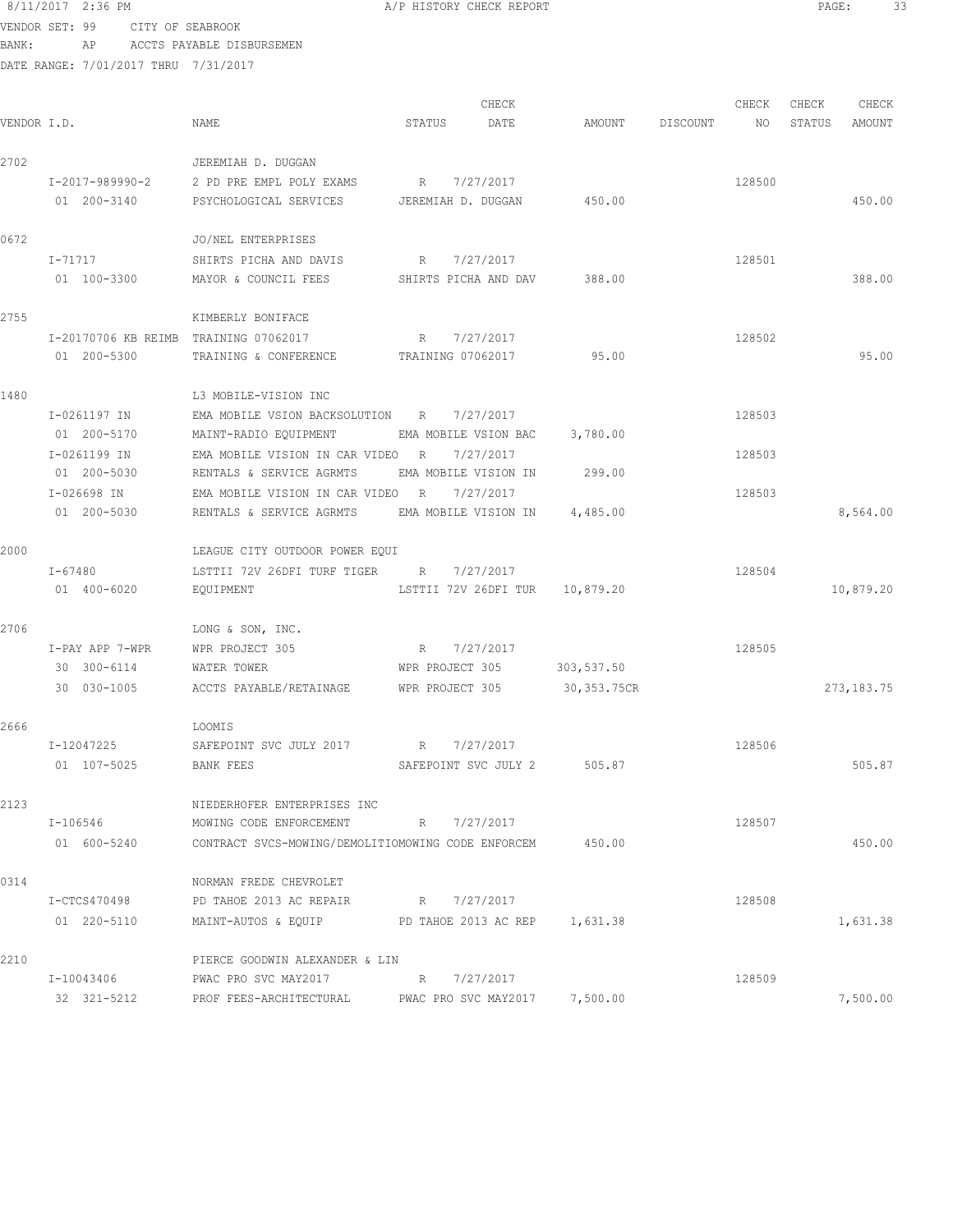8/11/2017 2:36 PM **A/P HISTORY CHECK REPORT PAGE:** 33 VENDOR SET: 99 CITY OF SEABROOK

BANK: AP ACCTS PAYABLE DISBURSEMEN

| VENDOR I.D. |                                       | NAME                                                         | STATUS               | CHECK<br>DATE | AMOUNT                        | DISCOUNT | CHECK<br>NO | CHECK<br>STATUS | CHECK<br>AMOUNT |
|-------------|---------------------------------------|--------------------------------------------------------------|----------------------|---------------|-------------------------------|----------|-------------|-----------------|-----------------|
| 2702        |                                       | JEREMIAH D. DUGGAN                                           |                      |               |                               |          |             |                 |                 |
|             |                                       | I-2017-989990-2 2 PD PRE EMPL POLY EXAMS                     | R                    | 7/27/2017     |                               |          | 128500      |                 |                 |
|             | 01 200-3140                           | PSYCHOLOGICAL SERVICES                                       | JEREMIAH D. DUGGAN   |               | 450.00                        |          |             |                 | 450.00          |
| 0672        |                                       | JO/NEL ENTERPRISES                                           |                      |               |                               |          |             |                 |                 |
|             | I-71717                               | SHIRTS PICHA AND DAVIS                                       | R                    | 7/27/2017     |                               |          | 128501      |                 |                 |
|             | 01 100-3300                           | MAYOR & COUNCIL FEES                                         | SHIRTS PICHA AND DAV |               | 388.00                        |          |             |                 | 388.00          |
| 2755        |                                       | KIMBERLY BONIFACE                                            |                      |               |                               |          |             |                 |                 |
|             | I-20170706 KB REIMB TRAINING 07062017 |                                                              | R                    | 7/27/2017     |                               |          | 128502      |                 |                 |
|             | 01 200-5300                           | TRAINING & CONFERENCE                                        | TRAINING 07062017    |               | 95.00                         |          |             |                 | 95.00           |
| 1480        |                                       | L3 MOBILE-VISION INC                                         |                      |               |                               |          |             |                 |                 |
|             | I-0261197 IN                          | EMA MOBILE VSION BACKSOLUTION R                              |                      | 7/27/2017     |                               |          | 128503      |                 |                 |
|             | 01 200-5170                           | MAINT-RADIO EQUIPMENT                                        | EMA MOBILE VSION BAC |               | 3,780.00                      |          |             |                 |                 |
|             | I-0261199 IN                          | EMA MOBILE VISION IN CAR VIDEO                               | R                    | 7/27/2017     |                               |          | 128503      |                 |                 |
|             | 01 200-5030                           | RENTALS & SERVICE AGRMTS                                     | EMA MOBILE VISION IN |               | 299.00                        |          |             |                 |                 |
|             | I-026698 IN<br>01 200-5030            | EMA MOBILE VISION IN CAR VIDEO R<br>RENTALS & SERVICE AGRMTS | EMA MOBILE VISION IN | 7/27/2017     | 4,485.00                      |          | 128503      |                 | 8,564.00        |
| 2000        |                                       | LEAGUE CITY OUTDOOR POWER EQUI                               |                      |               |                               |          |             |                 |                 |
|             | I-67480                               | LSTTII 72V 26DFI TURF TIGER R                                |                      | 7/27/2017     |                               |          | 128504      |                 |                 |
|             | 01 400-6020                           | EQUIPMENT                                                    | LSTTII 72V 26DFI TUR |               | 10,879.20                     |          |             |                 | 10,879.20       |
| 2706        |                                       | LONG & SON, INC.                                             |                      |               |                               |          |             |                 |                 |
|             | I-PAY APP 7-WPR                       | WPR PROJECT 305                                              | R                    | 7/27/2017     |                               |          | 128505      |                 |                 |
|             | 30 300-6114                           | WATER TOWER                                                  | WPR PROJECT 305      |               | 303,537.50                    |          |             |                 |                 |
|             | 30 030-1005                           | ACCTS PAYABLE/RETAINAGE                                      | WPR PROJECT 305      |               | 30,353.75CR                   |          |             |                 | 273, 183. 75    |
| 2666        |                                       | LOOMIS                                                       |                      |               |                               |          |             |                 |                 |
|             | I-12047225                            | SAFEPOINT SVC JULY 2017                                      | R 7/27/2017          |               |                               |          | 128506      |                 |                 |
|             | 01 107-5025                           | <b>BANK FEES</b>                                             | SAFEPOINT SVC JULY 2 |               | 505.87                        |          |             |                 | 505.87          |
| 2123        |                                       | NIEDERHOFER ENTERPRISES INC                                  |                      |               |                               |          |             |                 |                 |
|             | I-106546                              | MOWING CODE ENFORCEMENT                                      | R                    | 7/27/2017     |                               |          | 128507      |                 |                 |
|             | 01 600-5240                           | CONTRACT SVCS-MOWING/DEMOLITIOMOWING CODE ENFORCEM           |                      |               | 450.00                        |          |             |                 | 450.00          |
| 0314        |                                       | NORMAN FREDE CHEVROLET                                       |                      |               |                               |          |             |                 |                 |
|             | I-CTCS470498                          | PD TAHOE 2013 AC REPAIR                                      | R 7/27/2017          |               |                               |          | 128508      |                 |                 |
|             | 01 220-5110                           | MAINT-AUTOS & EQUIP                                          |                      |               | PD TAHOE 2013 AC REP 1,631.38 |          |             |                 | 1,631.38        |
| 2210        |                                       | PIERCE GOODWIN ALEXANDER & LIN                               |                      |               |                               |          |             |                 |                 |
|             | I-10043406                            | PWAC PRO SVC MAY2017                                         | R 7/27/2017          |               |                               |          | 128509      |                 |                 |
|             | 32 321-5212                           | PROF FEES-ARCHITECTURAL                                      | PWAC PRO SVC MAY2017 |               | 7,500.00                      |          |             |                 | 7,500.00        |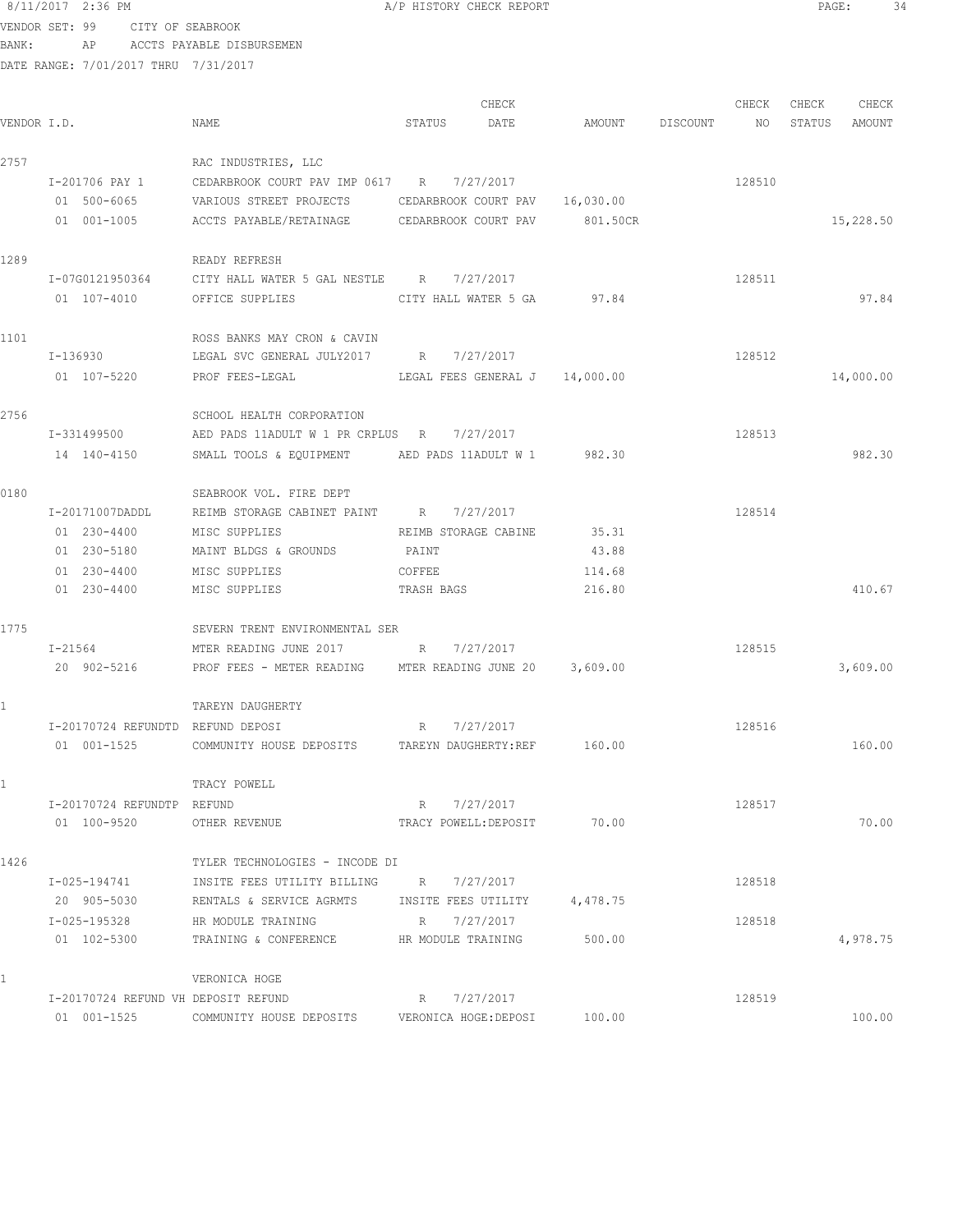### 8/11/2017 2:36 PM **A/P HISTORY CHECK REPORT PAGE:** 34 VENDOR SET: 99 CITY OF SEABROOK

BANK: AP ACCTS PAYABLE DISBURSEMEN

|             |                                     |                                                          |            | CHECK                          |          |                 | CHECK  | CHECK  | CHECK     |
|-------------|-------------------------------------|----------------------------------------------------------|------------|--------------------------------|----------|-----------------|--------|--------|-----------|
| VENDOR I.D. |                                     | NAME                                                     | STATUS     | DATE                           |          | AMOUNT DISCOUNT | NO     | STATUS | AMOUNT    |
| 2757        |                                     | RAC INDUSTRIES, LLC                                      |            |                                |          |                 |        |        |           |
|             | I-201706 PAY 1                      | CEDARBROOK COURT PAV IMP 0617 R                          |            | 7/27/2017                      |          |                 | 128510 |        |           |
|             | 01 500-6065                         | VARIOUS STREET PROJECTS                                  |            | CEDARBROOK COURT PAV 16,030.00 |          |                 |        |        |           |
|             | 01 001-1005                         | ACCTS PAYABLE/RETAINAGE CEDARBROOK COURT PAV             |            |                                | 801.50CR |                 |        |        | 15,228.50 |
| 1289        |                                     | READY REFRESH                                            |            |                                |          |                 |        |        |           |
|             |                                     | I-07G0121950364 CITY HALL WATER 5 GAL NESTLE R 7/27/2017 |            |                                |          |                 | 128511 |        |           |
|             | 01 107-4010                         | OFFICE SUPPLIES CITY HALL WATER 5 GA                     |            |                                | 97.84    |                 |        |        | 97.84     |
| 1101        |                                     | ROSS BANKS MAY CRON & CAVIN                              |            |                                |          |                 |        |        |           |
|             | I-136930                            | LEGAL SVC GENERAL JULY2017 R 7/27/2017                   |            |                                |          |                 | 128512 |        |           |
|             | 01 107-5220                         | LEGAL FEES GENERAL J 14,000.00<br>PROF FEES-LEGAL        |            |                                |          |                 |        |        | 14,000.00 |
| 2756        |                                     | SCHOOL HEALTH CORPORATION                                |            |                                |          |                 |        |        |           |
|             | I-331499500                         | AED PADS 11ADULT W 1 PR CRPLUS R 7/27/2017               |            |                                |          |                 | 128513 |        |           |
|             | 14 140-4150                         | SMALL TOOLS & EQUIPMENT                                  |            | AED PADS 11ADULT W 1 982.30    |          |                 |        |        | 982.30    |
| 0180        |                                     | SEABROOK VOL. FIRE DEPT                                  |            |                                |          |                 |        |        |           |
|             | I-20171007DADDL                     | REIMB STORAGE CABINET PAINT R 7/27/2017                  |            |                                |          |                 | 128514 |        |           |
|             | 01 230-4400                         | MISC SUPPLIES                                            |            | REIMB STORAGE CABINE           | 35.31    |                 |        |        |           |
|             | 01 230-5180                         | MAINT BLDGS & GROUNDS                                    | PAINT      |                                | 43.88    |                 |        |        |           |
|             | 01 230-4400                         | MISC SUPPLIES                                            | COFFEE     |                                | 114.68   |                 |        |        |           |
|             | 01 230-4400                         | MISC SUPPLIES                                            | TRASH BAGS |                                | 216.80   |                 |        |        | 410.67    |
| 1775        |                                     | SEVERN TRENT ENVIRONMENTAL SER                           |            |                                |          |                 |        |        |           |
|             | I-21564                             | MTER READING JUNE 2017 R 7/27/2017                       |            |                                |          |                 | 128515 |        |           |
|             | 20 902-5216                         | PROF FEES - METER READING MTER READING JUNE 20 3,609.00  |            |                                |          |                 |        |        | 3,609.00  |
| 1           |                                     | TAREYN DAUGHERTY                                         |            |                                |          |                 |        |        |           |
|             | I-20170724 REFUNDTD REFUND DEPOSI   |                                                          | R          | 7/27/2017                      |          |                 | 128516 |        |           |
|             | 01 001-1525                         | COMMUNITY HOUSE DEPOSITS TAREYN DAUGHERTY:REF 160.00     |            |                                |          |                 |        |        | 160.00    |
| 1           |                                     | TRACY POWELL                                             |            |                                |          |                 |        |        |           |
|             | I-20170724 REFUNDTP REFUND          |                                                          |            | R 7/27/2017                    |          |                 | 128517 |        |           |
|             | 01 100-9520                         | OTHER REVENUE                                            |            | TRACY POWELL: DEPOSIT          | 70.00    |                 |        |        | 70.00     |
| 1426        |                                     | TYLER TECHNOLOGIES - INCODE DI                           |            |                                |          |                 |        |        |           |
|             | I-025-194741                        | INSITE FEES UTILITY BILLING R 7/27/2017                  |            |                                |          |                 | 128518 |        |           |
|             | 20 905-5030                         | RENTALS & SERVICE AGRMTS INSITE FEES UTILITY             |            |                                | 4,478.75 |                 |        |        |           |
|             | I-025-195328                        | HR MODULE TRAINING                                       |            | R 7/27/2017                    |          |                 | 128518 |        |           |
|             | 01 102-5300                         | TRAINING & CONFERENCE TRAINING                           |            |                                | 500.00   |                 |        |        | 4,978.75  |
| 1           |                                     | VERONICA HOGE                                            |            |                                |          |                 |        |        |           |
|             | I-20170724 REFUND VH DEPOSIT REFUND |                                                          | R          | 7/27/2017                      |          |                 | 128519 |        |           |
|             | 01 001-1525                         | COMMUNITY HOUSE DEPOSITS VERONICA HOGE: DEPOSI           |            |                                | 100.00   |                 |        |        | 100.00    |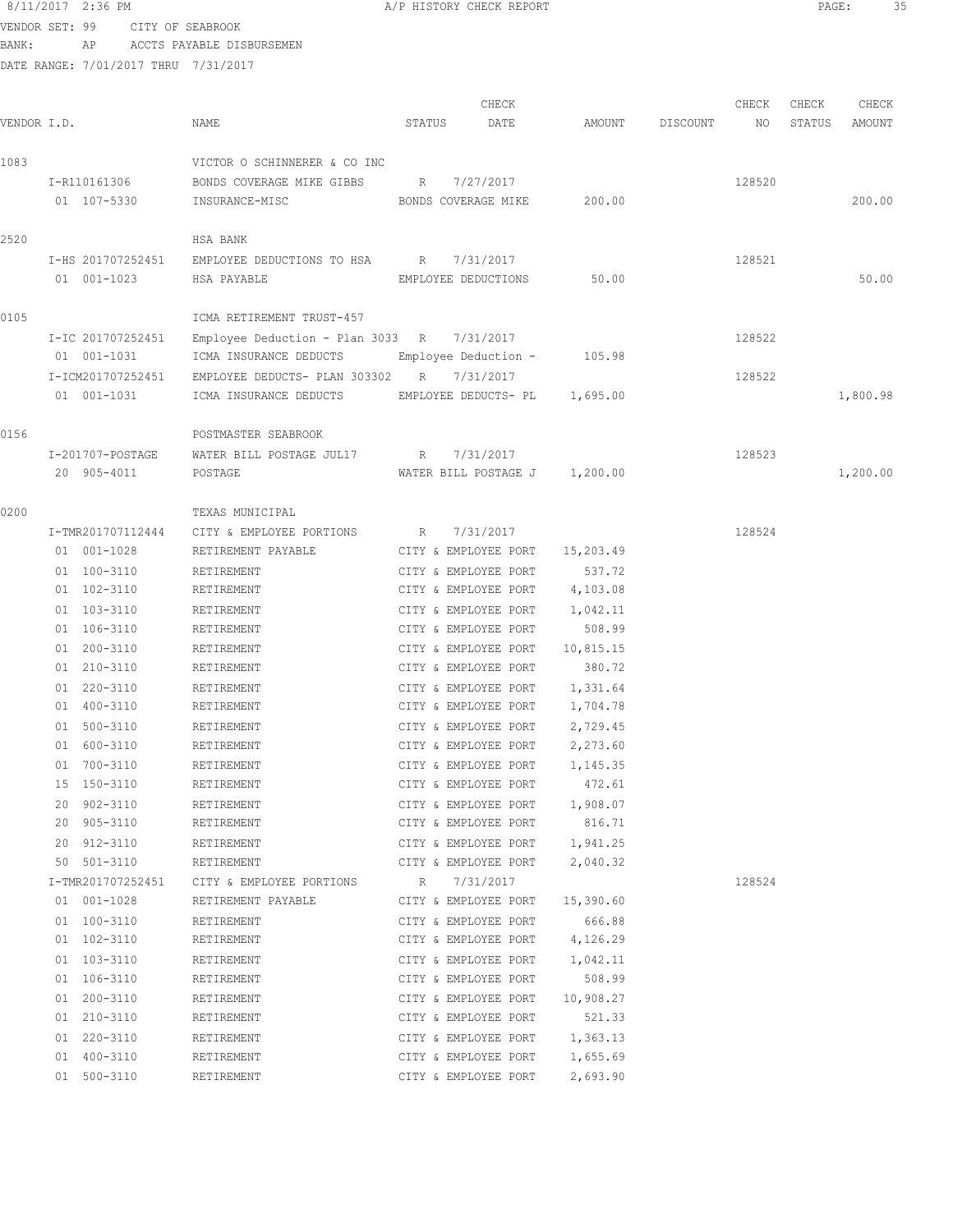### 8/11/2017 2:36 PM **B A**/P HISTORY CHECK REPORT **PAGE:** 35 VENDOR SET: 99 CITY OF SEABROOK

BANK: AP ACCTS PAYABLE DISBURSEMEN

| VENDOR I.D. |                                                          | NAME                                                                                                                                   | CHECK<br>STATUS<br>DATE                                                                      | AMOUNT                                   | DISCOUNT | CHECK<br>NO      | CHECK<br>STATUS<br>AMOUNT | CHECK |
|-------------|----------------------------------------------------------|----------------------------------------------------------------------------------------------------------------------------------------|----------------------------------------------------------------------------------------------|------------------------------------------|----------|------------------|---------------------------|-------|
| 1083        | I-R110161306<br>01 107-5330                              | VICTOR O SCHINNERER & CO INC<br>BONDS COVERAGE MIKE GIBBS R<br>INSURANCE-MISC                                                          | 7/27/2017<br>BONDS COVERAGE MIKE                                                             | 200.00                                   |          | 128520           | 200.00                    |       |
| 2520        | I-HS 201707252451<br>01 001-1023                         | HSA BANK<br>EMPLOYEE DEDUCTIONS TO HSA R<br>HSA PAYABLE                                                                                | 7/31/2017<br>EMPLOYEE DEDUCTIONS                                                             | 50.00                                    |          | 128521           |                           | 50.00 |
| 0105        | I-IC 201707252451<br>01 001-1031<br>I-ICM201707252451    | ICMA RETIREMENT TRUST-457<br>Employee Deduction - Plan 3033 R $7/31/2017$<br>ICMA INSURANCE DEDUCTS<br>EMPLOYEE DEDUCTS- PLAN 303302 R | Employee Deduction -<br>7/31/2017                                                            | 105.98                                   |          | 128522<br>128522 |                           |       |
| 0156        | 01 001-1031                                              | ICMA INSURANCE DEDUCTS<br>POSTMASTER SEABROOK                                                                                          | EMPLOYEE DEDUCTS- PL 1,695.00                                                                |                                          |          |                  | 1,800.98                  |       |
|             | I-201707-POSTAGE<br>20 905-4011                          | WATER BILL POSTAGE JUL17 R<br>POSTAGE                                                                                                  | 7/31/2017<br>WATER BILL POSTAGE J 1,200.00                                                   |                                          |          | 128523           | 1,200.00                  |       |
| 0200        | I-TMR201707112444<br>01 001-1028                         | TEXAS MUNICIPAL<br>CITY & EMPLOYEE PORTIONS<br>RETIREMENT PAYABLE                                                                      | 7/31/2017<br>R<br>CITY & EMPLOYEE PORT                                                       | 15,203.49                                |          | 128524           |                           |       |
|             | 01 100-3110<br>01 102-3110<br>01 103-3110<br>01 106-3110 | RETIREMENT<br>RETIREMENT<br>RETIREMENT<br>RETIREMENT                                                                                   | CITY & EMPLOYEE PORT<br>CITY & EMPLOYEE PORT<br>CITY & EMPLOYEE PORT<br>CITY & EMPLOYEE PORT | 537.72<br>4,103.08<br>1,042.11<br>508.99 |          |                  |                           |       |
|             | 01 200-3110<br>01 210-3110<br>01 220-3110                | RETIREMENT<br>RETIREMENT<br>RETIREMENT                                                                                                 | CITY & EMPLOYEE PORT<br>CITY & EMPLOYEE PORT<br>CITY & EMPLOYEE PORT                         | 10,815.15<br>380.72<br>1,331.64          |          |                  |                           |       |
|             | 01 400-3110<br>01 500-3110<br>01 600-3110                | RETIREMENT<br>RETIREMENT<br>RETIREMENT                                                                                                 | CITY & EMPLOYEE PORT<br>CITY & EMPLOYEE PORT<br>CITY & EMPLOYEE PORT                         | 1,704.78<br>2,729.45<br>2,273.60         |          |                  |                           |       |
|             | 01 700-3110<br>15 150-3110<br>20 902-3110                | RETIREMENT<br>RETIREMENT<br>RETIREMENT                                                                                                 | CITY & EMPLOYEE PORT<br>CITY & EMPLOYEE PORT<br>CITY & EMPLOYEE PORT                         | 1,145.35<br>472.61<br>1,908.07           |          |                  |                           |       |
|             | 20 905-3110<br>20 912-3110<br>50 501-3110                | RETIREMENT<br>RETIREMENT<br>RETIREMENT                                                                                                 | CITY & EMPLOYEE PORT<br>CITY & EMPLOYEE PORT<br>CITY & EMPLOYEE PORT                         | 816.71<br>1,941.25<br>2,040.32           |          |                  |                           |       |
|             | I-TMR201707252451<br>01 001-1028<br>01 100-3110          | CITY & EMPLOYEE PORTIONS<br>RETIREMENT PAYABLE<br>RETIREMENT                                                                           | 7/31/2017<br>$R_{\rm c}$<br>CITY & EMPLOYEE PORT<br>CITY & EMPLOYEE PORT                     | 15,390.60<br>666.88                      |          | 128524           |                           |       |
|             | 01 102-3110<br>01 103-3110<br>01 106-3110                | RETIREMENT<br>RETIREMENT<br>RETIREMENT                                                                                                 | CITY & EMPLOYEE PORT<br>CITY & EMPLOYEE PORT<br>CITY & EMPLOYEE PORT                         | 4,126.29<br>1,042.11<br>508.99           |          |                  |                           |       |
|             | 01 200-3110<br>01 210-3110<br>01 220-3110                | RETIREMENT<br>RETIREMENT<br>RETIREMENT                                                                                                 | CITY & EMPLOYEE PORT<br>CITY & EMPLOYEE PORT<br>CITY & EMPLOYEE PORT                         | 10,908.27<br>521.33<br>1,363.13          |          |                  |                           |       |
|             | 01 400-3110<br>01 500-3110                               | RETIREMENT<br>RETIREMENT                                                                                                               | CITY & EMPLOYEE PORT<br>CITY & EMPLOYEE PORT                                                 | 1,655.69<br>2,693.90                     |          |                  |                           |       |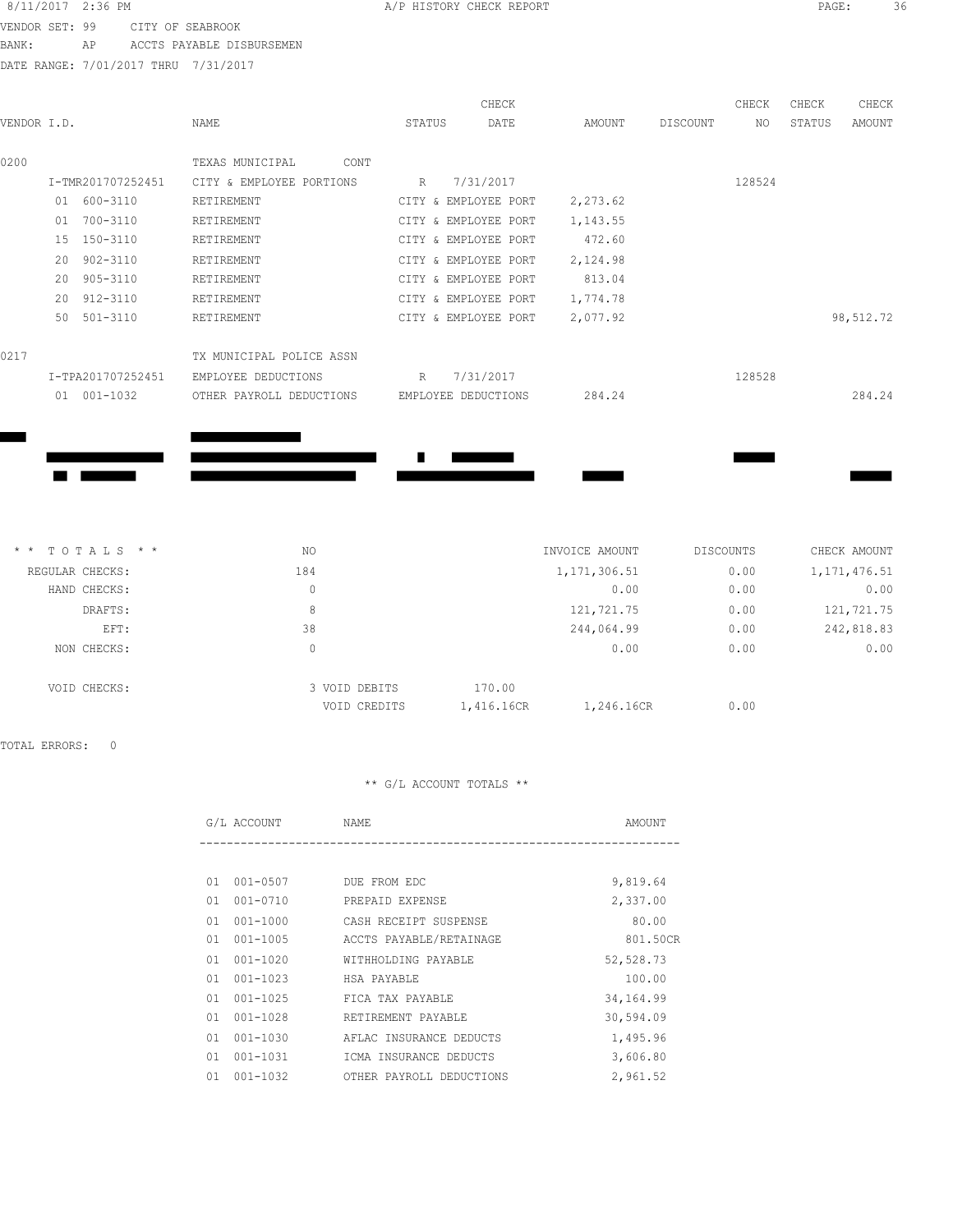### 8/11/2017 2:36 PM **BIORY CHECK REPORT PAGE:** 36 VENDOR SET: 99 CITY OF SEABROOK

**Contract Contract** 

**Contract Contract** 

BANK: AP ACCTS PAYABLE DISBURSEMEN

DATE RANGE: 7/01/2017 THRU 7/31/2017

| VENDOR I.D. |              |                   | NAME                     | STATUS | CHECK<br>DATE        | AMOUNT   | DISCOUNT | CHECK<br>NO | CHECK<br>STATUS | CHECK<br>AMOUNT |
|-------------|--------------|-------------------|--------------------------|--------|----------------------|----------|----------|-------------|-----------------|-----------------|
| 0200        |              |                   | TEXAS MUNICIPAL<br>CONT  |        |                      |          |          |             |                 |                 |
|             |              | I-TMR201707252451 | CITY & EMPLOYEE PORTIONS | R      | 7/31/2017            |          |          | 128524      |                 |                 |
|             |              | 01 600-3110       | RETIREMENT               |        | CITY & EMPLOYEE PORT | 2,273.62 |          |             |                 |                 |
|             | 01           | 700-3110          | RETIREMENT               |        | CITY & EMPLOYEE PORT | 1,143.55 |          |             |                 |                 |
|             |              | 15 150-3110       | RETIREMENT               |        | CITY & EMPLOYEE PORT | 472.60   |          |             |                 |                 |
|             | $20^{\circ}$ | 902-3110          | RETIREMENT               |        | CITY & EMPLOYEE PORT | 2,124.98 |          |             |                 |                 |
|             | 20           | 905-3110          | RETIREMENT               |        | CITY & EMPLOYEE PORT | 813.04   |          |             |                 |                 |
|             |              | 20 912-3110       | RETIREMENT               |        | CITY & EMPLOYEE PORT | 1,774.78 |          |             |                 |                 |
|             | 50           | $501 - 3110$      | RETIREMENT               |        | CITY & EMPLOYEE PORT | 2,077.92 |          |             |                 | 98,512.72       |
| 0217        |              |                   | TX MUNICIPAL POLICE ASSN |        |                      |          |          |             |                 |                 |
|             |              | I-TPA201707252451 | EMPLOYEE DEDUCTIONS      | R      | 7/31/2017            |          |          | 128528      |                 |                 |
|             | 01           | 001-1032          | OTHER PAYROLL DEDUCTIONS |        | EMPLOYEE DEDUCTIONS  | 284.24   |          |             |                 | 284.24          |
|             |              |                   |                          |        |                      |          |          |             |                 |                 |

| $*$ * TOTALS * * | NO. | INVOICE AMOUNT | DISCOUNTS | CHECK AMOUNT   |
|------------------|-----|----------------|-----------|----------------|
| REGULAR CHECKS:  | 184 | 1, 171, 306.51 | 0.00      | 1, 171, 476.51 |
| HAND CHECKS:     | 0   | 0.00           | 0.00      | 0.00           |
| DRAFTS:          | 8   | 121,721.75     | 0.00      | 121,721.75     |
| EFT:             | 38  | 244,064.99     | 0.00      | 242,818.83     |
| NON CHECKS:      | 0   | 0.00           | 0.00      | 0.00           |

 $\blacksquare$ 

**The Contract of Street** 

| VOID CHECKS: | 3 VOID DEBITS | 170.00     |            |      |
|--------------|---------------|------------|------------|------|
|              | VOID CREDITS  | 1,416.16CR | 1,246.16CR | 0.00 |

TOTAL ERRORS: 0

|    | G/L ACCOUNT  | NAME                     | AMOUNT     |
|----|--------------|--------------------------|------------|
|    |              |                          |            |
| 01 | $001 - 0507$ | DUE FROM EDC             | 9,819.64   |
| 01 | 001-0710     | PREPAID EXPENSE          | 2,337.00   |
| 01 | 001-1000     | CASH RECEIPT SUSPENSE    | 80.00      |
| 01 | 001-1005     | ACCTS PAYABLE/RETAINAGE  | 801.50CR   |
| 01 | 001-1020     | WITHHOLDING PAYABLE      | 52,528.73  |
| 01 | 001-1023     | HSA PAYABLE              | 100.00     |
| 01 | $001 - 1025$ | FICA TAX PAYABLE         | 34, 164.99 |
| 01 | 001-1028     | RETIREMENT PAYABLE       | 30,594.09  |
| 01 | 001-1030     | AFLAC INSURANCE DEDUCTS  | 1,495.96   |
| 01 | 001-1031     | ICMA INSURANCE DEDUCTS   | 3,606.80   |
| 01 | $001 - 1032$ | OTHER PAYROLL DEDUCTIONS | 2,961.52   |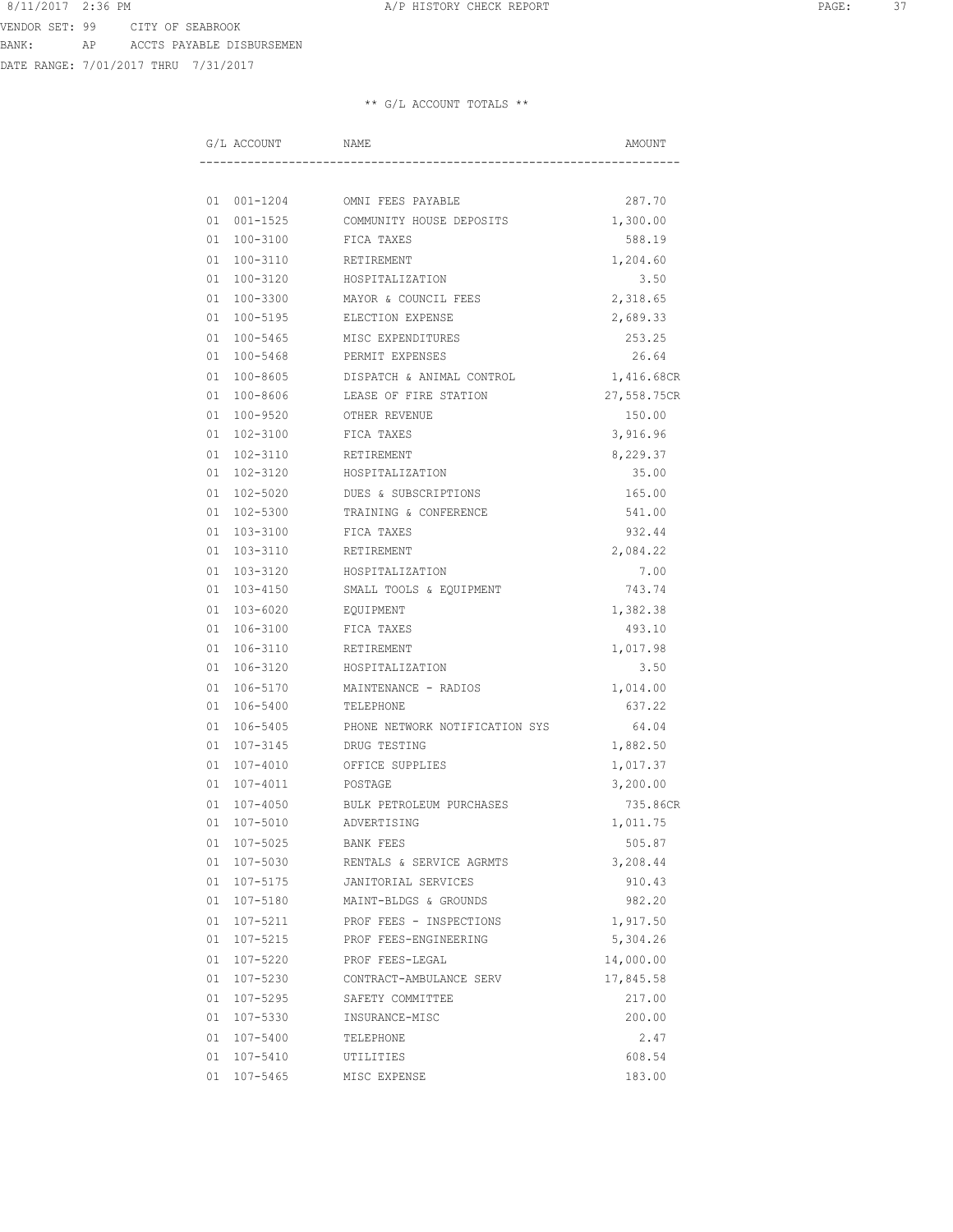DATE RANGE: 7/01/2017 THRU 7/31/2017

| G/L ACCOUNT    | NAME                           | AMOUNT      |
|----------------|--------------------------------|-------------|
|                |                                |             |
| 01 001-1204    | OMNI FEES PAYABLE              | 287.70      |
| 001-1525<br>01 | COMMUNITY HOUSE DEPOSITS       | 1,300.00    |
| 01 100-3100    | FICA TAXES                     | 588.19      |
| 01 100-3110    | RETIREMENT                     | 1,204.60    |
| 01 100-3120    | HOSPITALIZATION                | 3.50        |
| 01 100-3300    | MAYOR & COUNCIL FEES           | 2,318.65    |
| 01 100-5195    | ELECTION EXPENSE               | 2,689.33    |
| 01 100-5465    | MISC EXPENDITURES              | 253.25      |
| 01 100-5468    | PERMIT EXPENSES                | 26.64       |
| 01 100-8605    | DISPATCH & ANIMAL CONTROL      | 1,416.68CR  |
| 01 100-8606    | LEASE OF FIRE STATION          | 27,558.75CR |
| 01 100-9520    | OTHER REVENUE                  | 150.00      |
| 01 102-3100    | FICA TAXES                     | 3,916.96    |
| 01 102-3110    | RETIREMENT                     | 8,229.37    |
| 01 102-3120    | HOSPITALIZATION                | 35.00       |
| 01 102-5020    | DUES & SUBSCRIPTIONS           | 165.00      |
| 01 102-5300    | TRAINING & CONFERENCE          | 541.00      |
| 01<br>103-3100 | FICA TAXES                     | 932.44      |
| 01 103-3110    | RETIREMENT                     | 2,084.22    |
| 01 103-3120    | HOSPITALIZATION                | 7.00        |
| 01 103-4150    | SMALL TOOLS & EQUIPMENT        | 743.74      |
| 01 103-6020    | EQUIPMENT                      | 1,382.38    |
| 01 106-3100    | FICA TAXES                     | 493.10      |
| 01 106-3110    | RETIREMENT                     | 1,017.98    |
| 01 106-3120    | HOSPITALIZATION                | 3.50        |
| 106-5170<br>01 | MAINTENANCE - RADIOS           | 1,014.00    |
| 01 106-5400    | TELEPHONE                      | 637.22      |
| 01 106-5405    | PHONE NETWORK NOTIFICATION SYS | 64.04       |
| 01 107-3145    | DRUG TESTING                   | 1,882.50    |
| 01 107-4010    | OFFICE SUPPLIES                | 1,017.37    |
| 01 107-4011    | POSTAGE                        | 3,200.00    |
| 107-4050<br>01 | BULK PETROLEUM PURCHASES       | 735.86CR    |
| 01 107-5010    | ADVERTISING                    | 1,011.75    |
| 01 107-5025    | BANK FEES                      | 505.87      |
| 01 107-5030    | RENTALS & SERVICE AGRMTS       | 3,208.44    |
| 01 107-5175    | JANITORIAL SERVICES            | 910.43      |
| 01 107-5180    | MAINT-BLDGS & GROUNDS          | 982.20      |
| 01 107-5211    | PROF FEES - INSPECTIONS        | 1,917.50    |
| 01 107-5215    | PROF FEES-ENGINEERING          | 5,304.26    |
| 01 107-5220    | PROF FEES-LEGAL                | 14,000.00   |
| 01 107-5230    | CONTRACT-AMBULANCE SERV        | 17,845.58   |
| 01 107-5295    | SAFETY COMMITTEE               | 217.00      |
| 01 107-5330    | INSURANCE-MISC                 | 200.00      |
| 01 107-5400    | TELEPHONE                      | 2.47        |
| 01 107-5410    | UTILITIES                      | 608.54      |
| 01 107-5465    | MISC EXPENSE                   | 183.00      |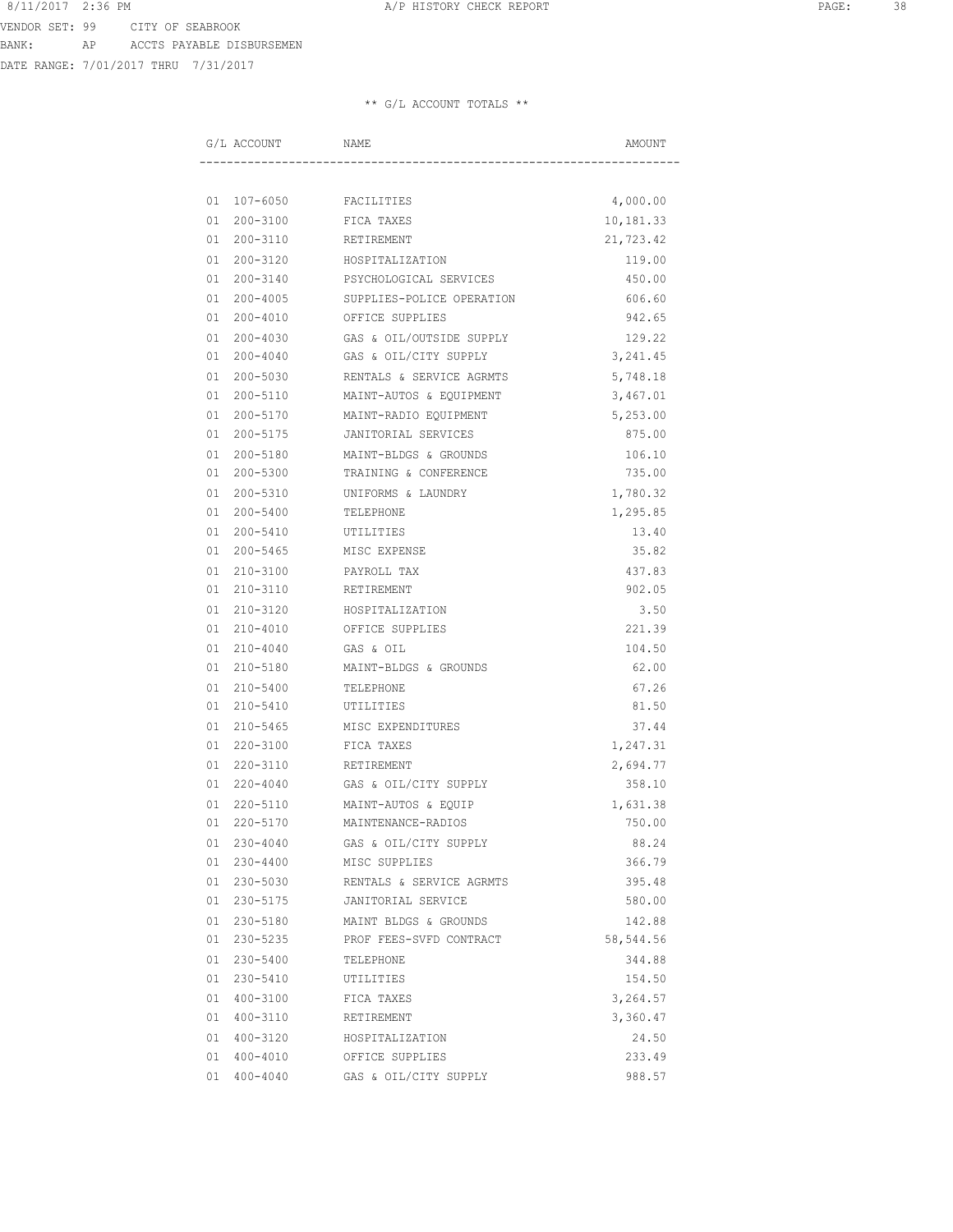DATE RANGE: 7/01/2017 THRU 7/31/2017

|    | G/L ACCOUNT | NAME                      | AMOUNT    |
|----|-------------|---------------------------|-----------|
|    |             |                           |           |
|    | 01 107-6050 | FACILITIES                | 4,000.00  |
| 01 | 200-3100    | FICA TAXES                | 10,181.33 |
|    | 01 200-3110 | RETIREMENT                | 21,723.42 |
|    | 01 200-3120 | HOSPITALIZATION           | 119.00    |
|    | 01 200-3140 | PSYCHOLOGICAL SERVICES    | 450.00    |
|    | 01 200-4005 | SUPPLIES-POLICE OPERATION | 606.60    |
|    | 01 200-4010 | OFFICE SUPPLIES           | 942.65    |
|    | 01 200-4030 | GAS & OIL/OUTSIDE SUPPLY  | 129.22    |
|    | 01 200-4040 | GAS & OIL/CITY SUPPLY     | 3,241.45  |
|    | 01 200-5030 | RENTALS & SERVICE AGRMTS  | 5,748.18  |
|    | 01 200-5110 | MAINT-AUTOS & EQUIPMENT   | 3,467.01  |
|    | 01 200-5170 | MAINT-RADIO EQUIPMENT     | 5,253.00  |
|    | 01 200-5175 | JANITORIAL SERVICES       | 875.00    |
| 01 | 200-5180    | MAINT-BLDGS & GROUNDS     | 106.10    |
|    | 01 200-5300 | TRAINING & CONFERENCE     | 735.00    |
|    | 01 200-5310 | UNIFORMS & LAUNDRY        | 1,780.32  |
|    | 01 200-5400 | TELEPHONE                 | 1,295.85  |
|    | 01 200-5410 | UTILITIES                 | 13.40     |
|    | 01 200-5465 | MISC EXPENSE              | 35.82     |
|    | 01 210-3100 | PAYROLL TAX               | 437.83    |
|    | 01 210-3110 | RETIREMENT                | 902.05    |
|    | 01 210-3120 | HOSPITALIZATION           | 3.50      |
|    | 01 210-4010 | OFFICE SUPPLIES           | 221.39    |
|    | 01 210-4040 | GAS & OIL                 | 104.50    |
|    | 01 210-5180 | MAINT-BLDGS & GROUNDS     | 62.00     |
| 01 | 210-5400    | TELEPHONE                 | 67.26     |
|    | 01 210-5410 | UTILITIES                 | 81.50     |
|    | 01 210-5465 | MISC EXPENDITURES         | 37.44     |
|    | 01 220-3100 | FICA TAXES                | 1,247.31  |
|    | 01 220-3110 | RETIREMENT                | 2,694.77  |
|    | 01 220-4040 | GAS & OIL/CITY SUPPLY     | 358.10    |
| 01 | 220-5110    | MAINT-AUTOS & EQUIP       | 1,631.38  |
| 01 | 220-5170    | MAINTENANCE-RADIOS        | 750.00    |
|    | 01 230-4040 | GAS & OIL/CITY SUPPLY     | 88.24     |
|    | 01 230-4400 | MISC SUPPLIES             | 366.79    |
|    | 01 230-5030 | RENTALS & SERVICE AGRMTS  | 395.48    |
|    | 01 230-5175 | JANITORIAL SERVICE        | 580.00    |
|    | 01 230-5180 | MAINT BLDGS & GROUNDS     | 142.88    |
|    | 01 230-5235 | PROF FEES-SVFD CONTRACT   | 58,544.56 |
|    | 01 230-5400 | TELEPHONE                 | 344.88    |
|    | 01 230-5410 | UTILITIES                 | 154.50    |
|    | 01 400-3100 | FICA TAXES                | 3,264.57  |
|    | 01 400-3110 | RETIREMENT                | 3,360.47  |
|    | 01 400-3120 | HOSPITALIZATION           | 24.50     |
|    | 01 400-4010 | OFFICE SUPPLIES           | 233.49    |
|    | 01 400-4040 | GAS & OIL/CITY SUPPLY     | 988.57    |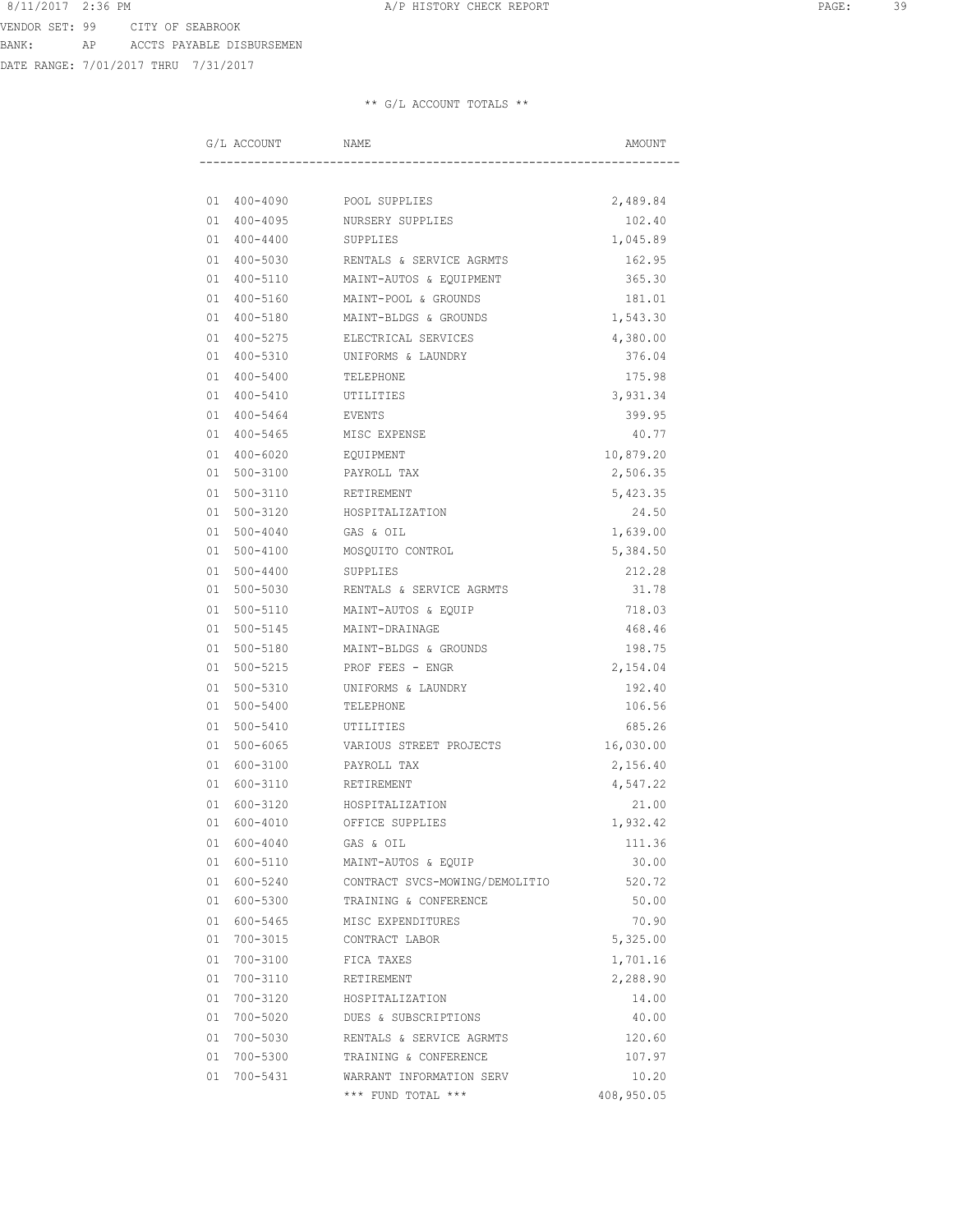DATE RANGE: 7/01/2017 THRU 7/31/2017

| G/L ACCOUNT        | NAME                           |            |  |
|--------------------|--------------------------------|------------|--|
|                    |                                |            |  |
| 01 400-4090        | POOL SUPPLIES                  | 2,489.84   |  |
| 01 400-4095        | NURSERY SUPPLIES               | 102.40     |  |
| $01 400 - 4400$    | SUPPLIES                       | 1,045.89   |  |
| 01 400-5030        | RENTALS & SERVICE AGRMTS       | 162.95     |  |
| 400-5110<br>01     | MAINT-AUTOS & EQUIPMENT        | 365.30     |  |
| 400-5160<br>01     | MAINT-POOL & GROUNDS           | 181.01     |  |
| 400-5180<br>01     | MAINT-BLDGS & GROUNDS          | 1,543.30   |  |
| 01<br>400-5275     | ELECTRICAL SERVICES            | 4,380.00   |  |
| 01<br>400-5310     | UNIFORMS & LAUNDRY             | 376.04     |  |
| 01<br>400-5400     | TELEPHONE                      | 175.98     |  |
| 01<br>400-5410     | UTILITIES                      | 3,931.34   |  |
| 01<br>400-5464     | EVENTS                         | 399.95     |  |
| 400-5465<br>01     | MISC EXPENSE                   | 40.77      |  |
| 400-6020<br>01     | EQUIPMENT                      | 10,879.20  |  |
| 500-3100<br>01     | PAYROLL TAX                    | 2,506.35   |  |
| 500-3110<br>01     | RETIREMENT                     | 5,423.35   |  |
| 500-3120<br>01     | HOSPITALIZATION                | 24.50      |  |
| $500 - 4040$<br>01 | GAS & OIL                      | 1,639.00   |  |
| 500-4100<br>01     | MOSQUITO CONTROL               | 5,384.50   |  |
| 01<br>500-4400     | SUPPLIES                       | 212.28     |  |
| 500-5030<br>01     | RENTALS & SERVICE AGRMTS       | 31.78      |  |
| 01<br>500-5110     | MAINT-AUTOS & EQUIP            | 718.03     |  |
| 01<br>500-5145     | MAINT-DRAINAGE                 | 468.46     |  |
| 01<br>500-5180     | MAINT-BLDGS & GROUNDS          | 198.75     |  |
| 01<br>500-5215     | PROF FEES - ENGR               | 2,154.04   |  |
| 500-5310<br>01     | UNIFORMS & LAUNDRY             | 192.40     |  |
| 500-5400<br>01     | TELEPHONE                      | 106.56     |  |
| 01<br>500-5410     | UTILITIES                      | 685.26     |  |
| 500-6065<br>01     | VARIOUS STREET PROJECTS        | 16,030.00  |  |
| 600-3100<br>01     | PAYROLL TAX                    | 2,156.40   |  |
| 600-3110<br>01     | RETIREMENT                     | 4,547.22   |  |
| 600-3120<br>01     | HOSPITALIZATION                | 21.00      |  |
| 01<br>600-4010     | OFFICE SUPPLIES                | 1,932.42   |  |
| 01 600-4040        | GAS & OIL                      | 111.36     |  |
| 01 600-5110        | MAINT-AUTOS & EQUIP            | 30.00      |  |
| 01 600-5240        | CONTRACT SVCS-MOWING/DEMOLITIO | 520.72     |  |
| 01 600-5300        | TRAINING & CONFERENCE          | 50.00      |  |
| 01 600-5465        | MISC EXPENDITURES              | 70.90      |  |
| 01 700-3015        | CONTRACT LABOR                 | 5,325.00   |  |
| 01 700-3100        | FICA TAXES                     | 1,701.16   |  |
| 01 700-3110        | RETIREMENT                     | 2,288.90   |  |
| 01 700-3120        | HOSPITALIZATION                | 14.00      |  |
| 01 700-5020        | DUES & SUBSCRIPTIONS           | 40.00      |  |
| 01 700-5030        | RENTALS & SERVICE AGRMTS       | 120.60     |  |
| 01 700-5300        | TRAINING & CONFERENCE          | 107.97     |  |
| 01 700-5431        | WARRANT INFORMATION SERV       | 10.20      |  |
|                    | *** FUND TOTAL ***             | 408,950.05 |  |
|                    |                                |            |  |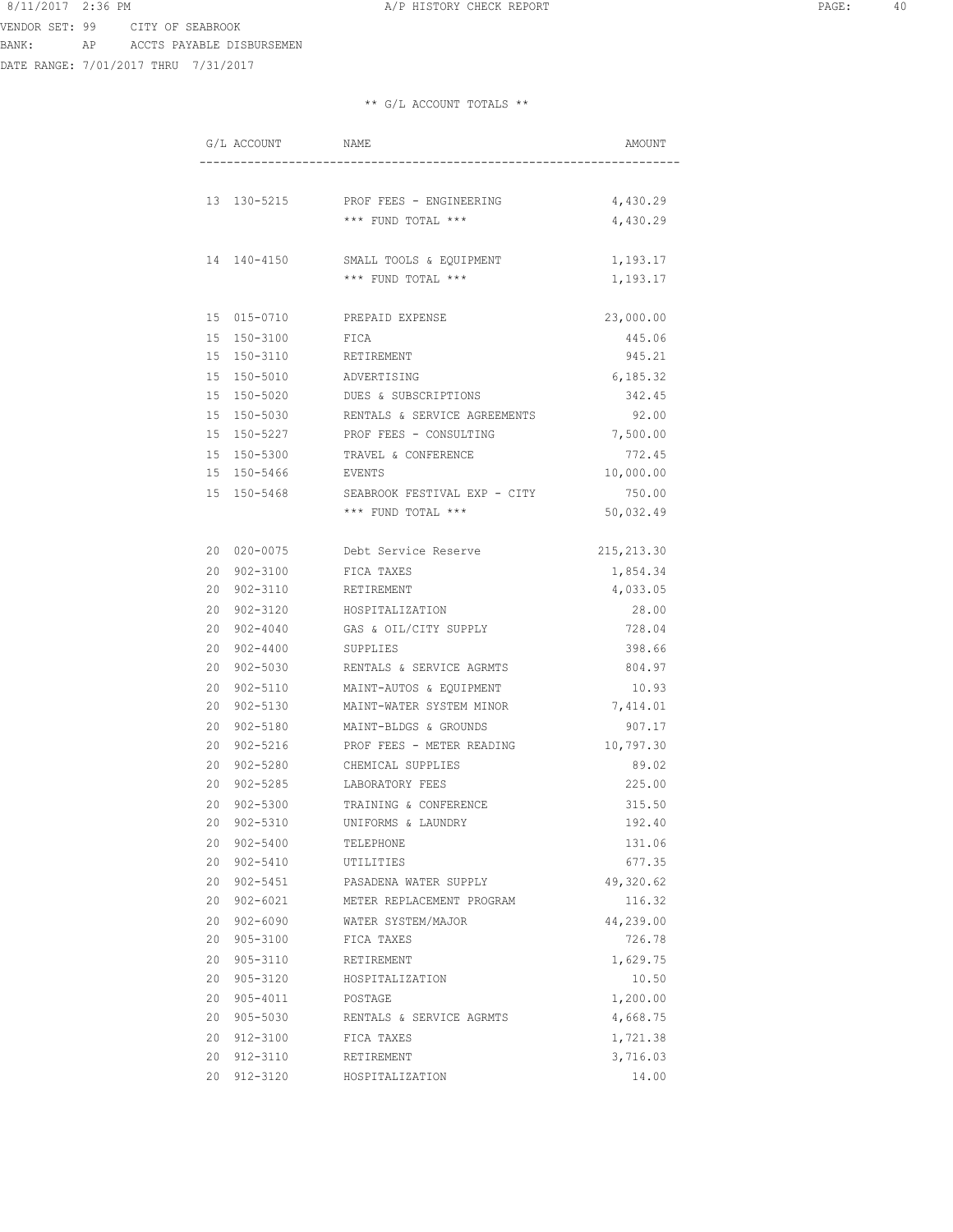VENDOR SET: 99 CITY OF SEABROOK BANK: AP ACCTS PAYABLE DISBURSEMEN

DATE RANGE: 7/01/2017 THRU 7/31/2017

| G/L ACCOUNT        | NAME                                     | AMOUNT      |
|--------------------|------------------------------------------|-------------|
|                    |                                          |             |
|                    | 13 130-5215 PROF FEES - ENGINEERING      | 4,430.29    |
|                    | *** FUND TOTAL ***                       | 4,430.29    |
| 14 140-4150        | SMALL TOOLS & EQUIPMENT                  | 1,193.17    |
|                    | *** FUND TOTAL ***                       | 1,193.17    |
| 15 015-0710        | PREPAID EXPENSE                          | 23,000.00   |
| 15 150-3100        | FICA                                     | 445.06      |
| 15 150-3110        | RETIREMENT                               | 945.21      |
| 15 150-5010        | ADVERTISING                              | 6,185.32    |
| 15 150-5020        | DUES & SUBSCRIPTIONS                     | 342.45      |
| 15 150-5030        | RENTALS & SERVICE AGREEMENTS             | 92.00       |
| 15 150-5227        | PROF FEES - CONSULTING                   | 7,500.00    |
| 15 150-5300        | TRAVEL & CONFERENCE                      | 772.45      |
| 15 150-5466 EVENTS |                                          | 10,000.00   |
|                    | 15 150-5468 SEABROOK FESTIVAL EXP - CITY | 750.00      |
|                    | *** FUND TOTAL ***                       | 50,032.49   |
|                    | 20 020-0075 Debt Service Reserve         | 215, 213.30 |
| 20 902-3100        | FICA TAXES                               | 1,854.34    |
| 20 902-3110        | RETIREMENT                               | 4,033.05    |
| 20 902-3120        | HOSPITALIZATION                          | 28.00       |
| 20 902-4040        | GAS & OIL/CITY SUPPLY                    | 728.04      |
| 20 902-4400        | SUPPLIES                                 | 398.66      |
| 20 902-5030        | RENTALS & SERVICE AGRMTS                 | 804.97      |
| 20 902-5110        | MAINT-AUTOS & EQUIPMENT                  | 10.93       |
| 20 902-5130        | MAINT-WATER SYSTEM MINOR                 | 7,414.01    |
| 20 902-5180        | MAINT-BLDGS & GROUNDS                    | 907.17      |
| 20 902-5216        | PROF FEES - METER READING                | 10,797.30   |
| 20 902-5280        | CHEMICAL SUPPLIES                        | 89.02       |
| 20 902-5285        | LABORATORY FEES                          | 225.00      |
| 20 902-5300        | TRAINING & CONFERENCE                    | 315.50      |
| 20 902-5310        | UNIFORMS & LAUNDRY                       | 192.40      |
| 20 902-5400        | TELEPHONE                                | 131.06      |
| 20 902-5410        | UTILITIES                                | 677.35      |
| 20 902-5451        | PASADENA WATER SUPPLY                    | 49,320.62   |
| 20 902-6021        | METER REPLACEMENT PROGRAM                | 116.32      |
| 20 902-6090        | WATER SYSTEM/MAJOR                       | 44,239.00   |
| 20 905-3100        | FICA TAXES                               | 726.78      |
| 20 905-3110        | RETIREMENT                               | 1,629.75    |
| 20 905-3120        | HOSPITALIZATION                          | 10.50       |
| 20 905-4011        | POSTAGE                                  | 1,200.00    |
| 20 905-5030        | RENTALS & SERVICE AGRMTS                 | 4,668.75    |
| 20 912-3100        | FICA TAXES                               | 1,721.38    |
| 20 912-3110        | RETIREMENT                               | 3,716.03    |
| 20 912-3120        | HOSPITALIZATION                          | 14.00       |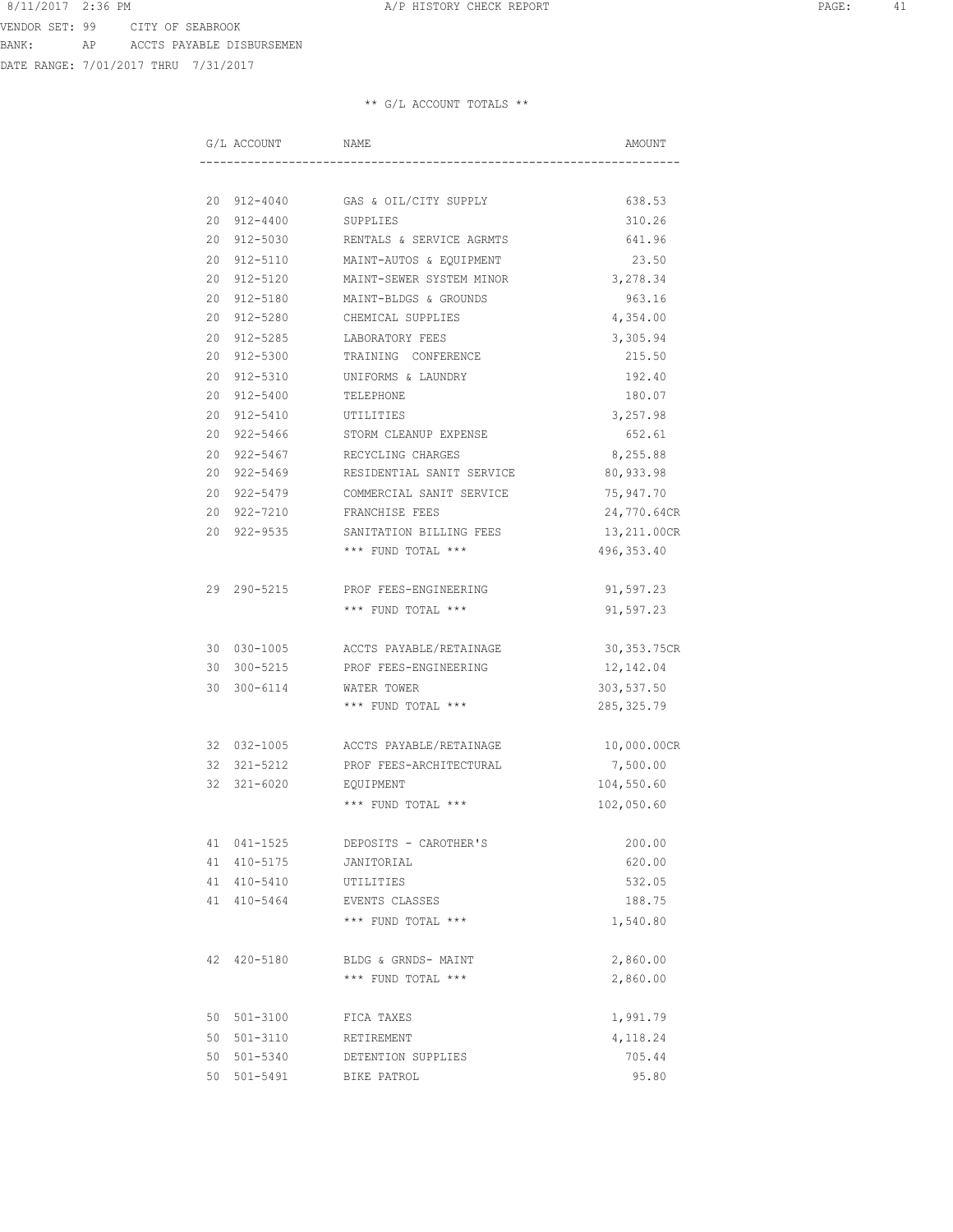DATE RANGE: 7/01/2017 THRU 7/31/2017

| G/L ACCOUNT | NAME                     |                                                                                                                                                                                                                                                                                                                          |  |
|-------------|--------------------------|--------------------------------------------------------------------------------------------------------------------------------------------------------------------------------------------------------------------------------------------------------------------------------------------------------------------------|--|
|             |                          |                                                                                                                                                                                                                                                                                                                          |  |
|             |                          | 638.53                                                                                                                                                                                                                                                                                                                   |  |
|             |                          | 310.26                                                                                                                                                                                                                                                                                                                   |  |
|             |                          | 641.96                                                                                                                                                                                                                                                                                                                   |  |
| 20 912-5110 | MAINT-AUTOS & EQUIPMENT  | 23.50                                                                                                                                                                                                                                                                                                                    |  |
| 20 912-5120 | MAINT-SEWER SYSTEM MINOR | 3,278.34                                                                                                                                                                                                                                                                                                                 |  |
| 20 912-5180 | MAINT-BLDGS & GROUNDS    | 963.16                                                                                                                                                                                                                                                                                                                   |  |
| 20 912-5280 | CHEMICAL SUPPLIES        | 4,354.00                                                                                                                                                                                                                                                                                                                 |  |
| 20 912-5285 | LABORATORY FEES          | 3,305.94                                                                                                                                                                                                                                                                                                                 |  |
| 20 912-5300 | TRAINING CONFERENCE      | 215.50                                                                                                                                                                                                                                                                                                                   |  |
| 20 912-5310 | UNIFORMS & LAUNDRY       | 192.40                                                                                                                                                                                                                                                                                                                   |  |
| 20 912-5400 | TELEPHONE                | 180.07                                                                                                                                                                                                                                                                                                                   |  |
| 20 912-5410 |                          | 3,257.98                                                                                                                                                                                                                                                                                                                 |  |
|             |                          | 652.61                                                                                                                                                                                                                                                                                                                   |  |
|             |                          | 8,255.88                                                                                                                                                                                                                                                                                                                 |  |
|             |                          | 80,933.98                                                                                                                                                                                                                                                                                                                |  |
| 20 922-5479 | COMMERCIAL SANIT SERVICE | 75,947.70                                                                                                                                                                                                                                                                                                                |  |
| 20 922-7210 | FRANCHISE FEES           | 24,770.64CR                                                                                                                                                                                                                                                                                                              |  |
| 20 922-9535 | SANITATION BILLING FEES  | 13,211.00CR                                                                                                                                                                                                                                                                                                              |  |
|             | *** FUND TOTAL ***       | 496, 353.40                                                                                                                                                                                                                                                                                                              |  |
| 29 290-5215 | PROF FEES-ENGINEERING    | 91,597.23                                                                                                                                                                                                                                                                                                                |  |
|             | *** FUND TOTAL ***       | 91,597.23                                                                                                                                                                                                                                                                                                                |  |
|             |                          | 30, 353.75CR                                                                                                                                                                                                                                                                                                             |  |
|             |                          | 12,142.04                                                                                                                                                                                                                                                                                                                |  |
| 30 300-6114 |                          | 303,537.50                                                                                                                                                                                                                                                                                                               |  |
|             | *** FUND TOTAL ***       | 285,325.79                                                                                                                                                                                                                                                                                                               |  |
| 32 032-1005 | ACCTS PAYABLE/RETAINAGE  | 10,000.00CR                                                                                                                                                                                                                                                                                                              |  |
| 32 321-5212 | PROF FEES-ARCHITECTURAL  | 7,500.00                                                                                                                                                                                                                                                                                                                 |  |
| 32 321-6020 | EQUIPMENT                | 104,550.60                                                                                                                                                                                                                                                                                                               |  |
|             | *** FUND TOTAL ***       | 102,050.60                                                                                                                                                                                                                                                                                                               |  |
| 41 041-1525 | DEPOSITS - CAROTHER'S    | 200.00                                                                                                                                                                                                                                                                                                                   |  |
| 41 410-5175 | JANITORIAL               | 620.00                                                                                                                                                                                                                                                                                                                   |  |
| 41 410-5410 | UTILITIES                | 532.05                                                                                                                                                                                                                                                                                                                   |  |
| 41 410-5464 | EVENTS CLASSES           | 188.75                                                                                                                                                                                                                                                                                                                   |  |
|             | *** FUND TOTAL ***       | 1,540.80                                                                                                                                                                                                                                                                                                                 |  |
| 42 420-5180 | BLDG & GRNDS- MAINT      | 2,860.00                                                                                                                                                                                                                                                                                                                 |  |
|             | *** FUND TOTAL ***       | 2,860.00                                                                                                                                                                                                                                                                                                                 |  |
| 50 501-3100 | FICA TAXES               | 1,991.79                                                                                                                                                                                                                                                                                                                 |  |
| 50 501-3110 | RETIREMENT               | 4,118.24                                                                                                                                                                                                                                                                                                                 |  |
| 50 501-5340 | DETENTION SUPPLIES       | 705.44                                                                                                                                                                                                                                                                                                                   |  |
| 50 501-5491 | BIKE PATROL              | 95.80                                                                                                                                                                                                                                                                                                                    |  |
|             |                          | 20 912-4040 GAS & OIL/CITY SUPPLY<br>20 912-4400 SUPPLIES<br>20 912-5030 RENTALS & SERVICE AGRMTS<br>UTILITIES<br>20 922-5466 STORM CLEANUP EXPENSE<br>20 922-5467 RECYCLING CHARGES<br>20 922-5469 RESIDENTIAL SANIT SERVICE<br>30 030-1005 ACCTS PAYABLE/RETAINAGE<br>30 300-5215 PROF FEES-ENGINEERING<br>WATER TOWER |  |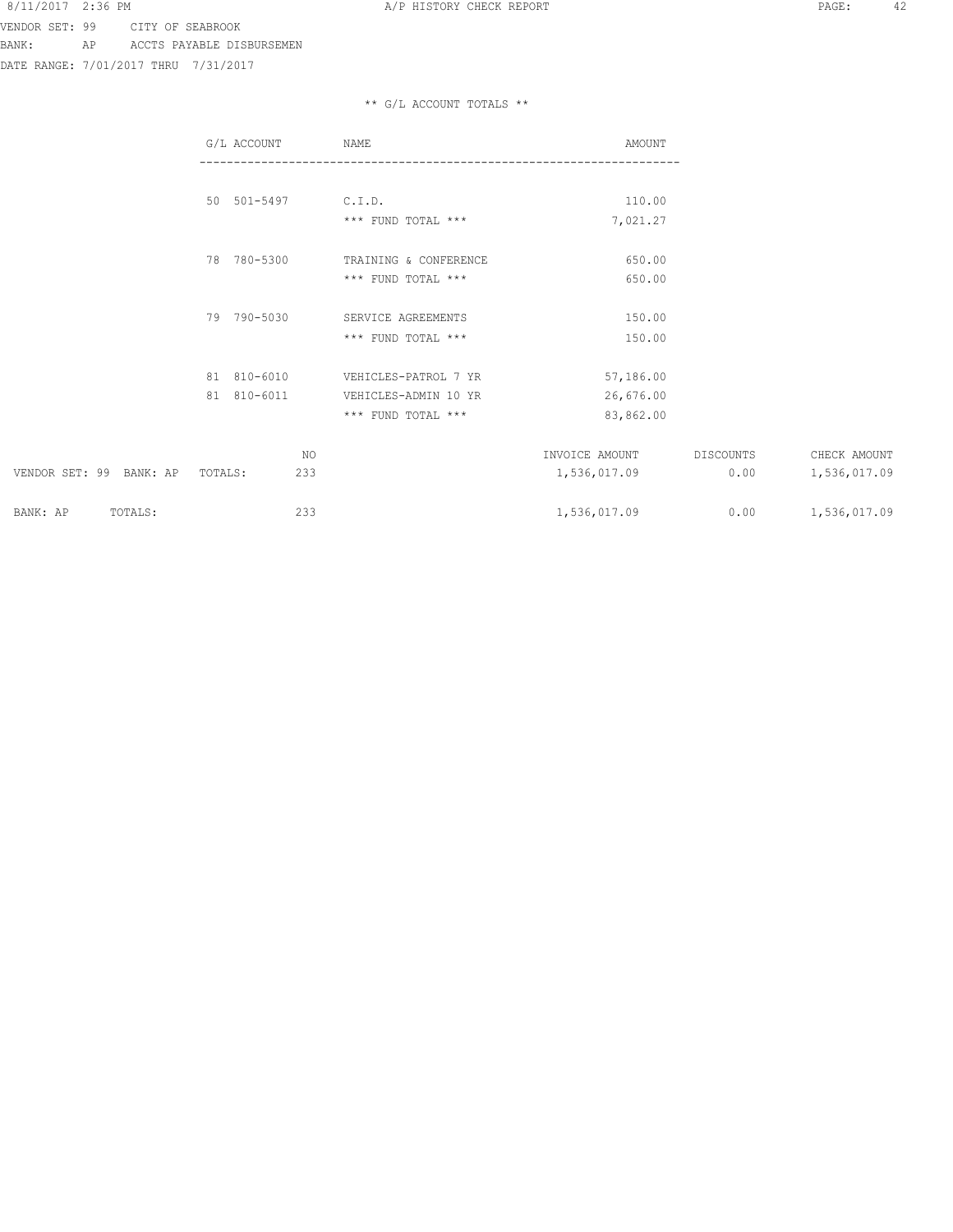DATE RANGE: 7/01/2017 THRU 7/31/2017

|                         | G/L ACCOUNT    | NAME                  | AMOUNT         |           |              |
|-------------------------|----------------|-----------------------|----------------|-----------|--------------|
|                         |                |                       |                |           |              |
|                         | 50 501-5497    | C.I.D.                | 110.00         |           |              |
|                         |                | *** FUND TOTAL ***    | 7,021.27       |           |              |
|                         | 78 780-5300    | TRAINING & CONFERENCE | 650.00         |           |              |
|                         |                | *** FUND TOTAL ***    | 650.00         |           |              |
|                         | 79 790-5030    | SERVICE AGREEMENTS    | 150.00         |           |              |
|                         |                | *** FUND TOTAL ***    | 150.00         |           |              |
|                         | 81 810-6010    | VEHICLES-PATROL 7 YR  | 57,186.00      |           |              |
|                         | 81 810-6011    | VEHICLES-ADMIN 10 YR  | 26,676.00      |           |              |
|                         |                | *** FUND TOTAL ***    | 83,862.00      |           |              |
|                         | NO             |                       | INVOICE AMOUNT | DISCOUNTS | CHECK AMOUNT |
| VENDOR SET: 99 BANK: AP | 233<br>TOTALS: |                       | 1,536,017.09   | 0.00      | 1,536,017.09 |
| TOTALS:<br>BANK: AP     | 233            |                       | 1,536,017.09   | 0.00      | 1,536,017.09 |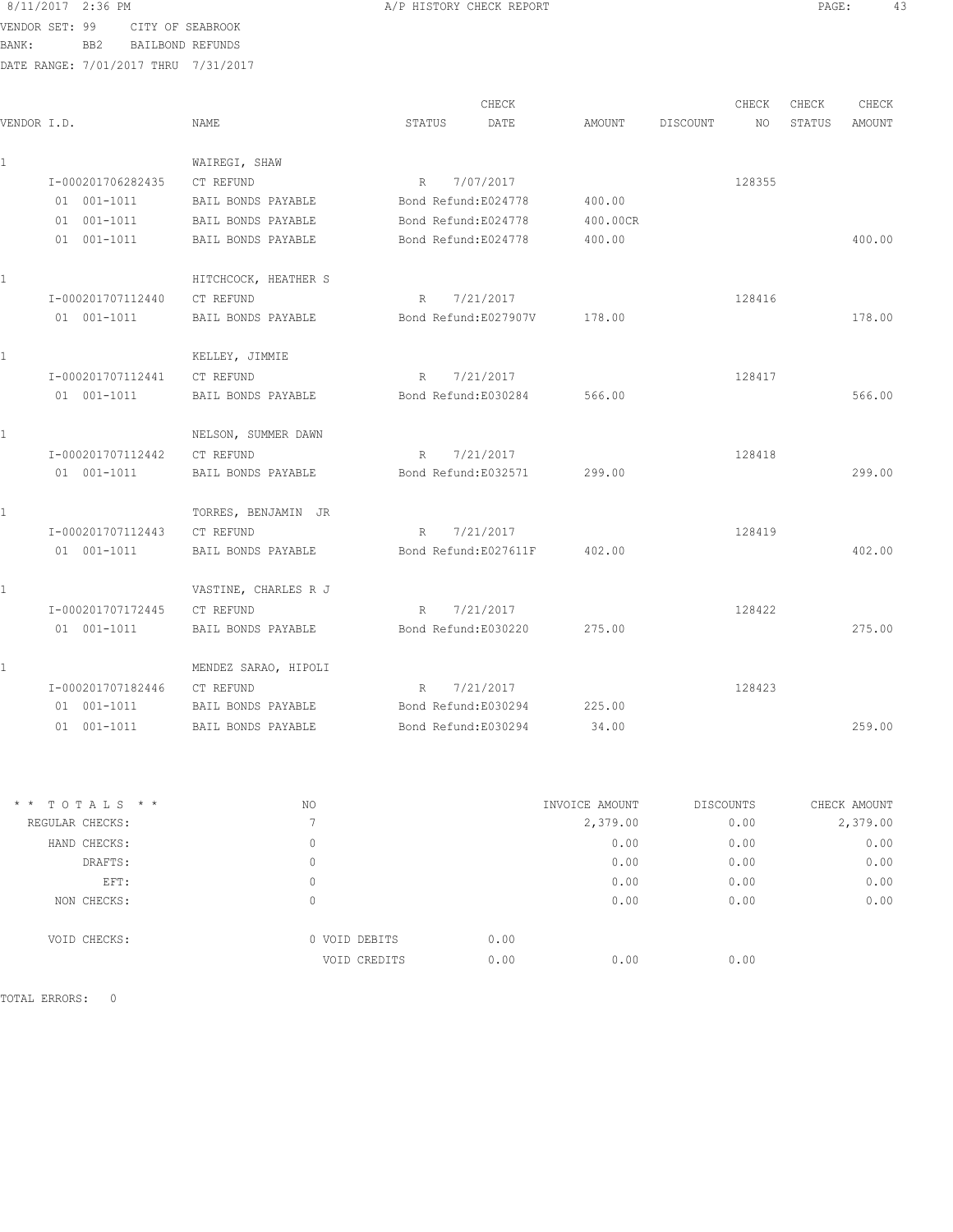8/11/2017 2:36 PM **BIORY CHECK REPORT BIORY CHECK REPORT PAGE:** 43 VENDOR SET: 99 CITY OF SEABROOK BANK: BB2 BAILBOND REFUNDS DATE RANGE: 7/01/2017 THRU 7/31/2017

|              |                   |                      |                       | CHECK                |          |          | CHECK  | CHECK  | CHECK  |
|--------------|-------------------|----------------------|-----------------------|----------------------|----------|----------|--------|--------|--------|
| VENDOR I.D.  |                   | NAME                 | STATUS                | DATE                 | AMOUNT   | DISCOUNT | NO.    | STATUS | AMOUNT |
| $\mathbf{1}$ |                   | WAIREGI, SHAW        |                       |                      |          |          |        |        |        |
|              | I-000201706282435 | CT REFUND            |                       | R 7/07/2017          |          |          | 128355 |        |        |
|              | 01 001-1011       | BAIL BONDS PAYABLE   | Bond Refund:E024778   |                      | 400.00   |          |        |        |        |
|              | $01 001 - 1011$   | BAIL BONDS PAYABLE   | Bond Refund:E024778   |                      | 400.00CR |          |        |        |        |
|              | 01 001-1011       | BAIL BONDS PAYABLE   | Bond Refund:E024778   |                      | 400.00   |          |        |        | 400.00 |
|              |                   | HITCHCOCK, HEATHER S |                       |                      |          |          |        |        |        |
|              | I-000201707112440 | CT REFUND            | R                     | 7/21/2017            |          |          | 128416 |        |        |
|              | 01 001-1011       | BAIL BONDS PAYABLE   |                       | Bond Refund:E027907V | 178.00   |          |        |        | 178.00 |
|              |                   | KELLEY, JIMMIE       |                       |                      |          |          |        |        |        |
|              | I-000201707112441 | CT REFUND            | R                     | 7/21/2017            |          |          | 128417 |        |        |
|              | $01 001 - 1011$   | BAIL BONDS PAYABLE   | Bond Refund:E030284   |                      | 566.00   |          |        |        | 566.00 |
|              |                   | NELSON, SUMMER DAWN  |                       |                      |          |          |        |        |        |
|              | I-000201707112442 | CT REFUND            | R 7/21/2017           |                      |          |          | 128418 |        |        |
|              | 01 001-1011       | BAIL BONDS PAYABLE   | Bond Refund:E032571   |                      | 299.00   |          |        |        | 299.00 |
|              |                   | TORRES, BENJAMIN JR  |                       |                      |          |          |        |        |        |
|              | I-000201707112443 | CT REFUND            | R 7/21/2017           |                      |          |          | 128419 |        |        |
|              | 01 001-1011       | BAIL BONDS PAYABLE   | Bond Refund: E027611F |                      | 402.00   |          |        |        | 402.00 |
|              |                   | VASTINE, CHARLES R J |                       |                      |          |          |        |        |        |
|              | I-000201707172445 | CT REFUND            | R                     | 7/21/2017            |          |          | 128422 |        |        |
|              | $01 001 - 1011$   | BAIL BONDS PAYABLE   | Bond Refund:E030220   |                      | 275.00   |          |        |        | 275.00 |
|              |                   | MENDEZ SARAO, HIPOLI |                       |                      |          |          |        |        |        |
|              | I-000201707182446 | CT REFUND            | R                     | 7/21/2017            |          |          | 128423 |        |        |
|              | 01 001-1011       | BAIL BONDS PAYABLE   | Bond Refund:E030294   |                      | 225.00   |          |        |        |        |
|              | $01 001 - 1011$   | BAIL BONDS PAYABLE   | Bond Refund:E030294   |                      | 34.00    |          |        |        | 259.00 |
|              |                   |                      |                       |                      |          |          |        |        |        |
|              |                   |                      |                       |                      |          |          |        |        |        |
|              |                   |                      |                       |                      |          |          |        |        |        |

| $*$ * TOTALS * * | NO. |                       | INVOICE AMOUNT | <b>DISCOUNTS</b> | CHECK AMOUNT |
|------------------|-----|-----------------------|----------------|------------------|--------------|
| REGULAR CHECKS:  |     |                       | 2,379.00       | 0.00             | 2,379.00     |
| HAND CHECKS:     | 0   |                       | 0.00           | 0.00             | 0.00         |
| DRAFTS:          | 0   |                       | 0.00           | 0.00             | 0.00         |
| EFT:             | 0   |                       | 0.00           | 0.00             | 0.00         |
| NON CHECKS:      | 0   |                       | 0.00           | 0.00             | 0.00         |
| VOID CHECKS:     |     | 0.00<br>0 VOID DEBITS |                |                  |              |
|                  |     | 0.00<br>VOID CREDITS  | 0.00           | 0.00             |              |
|                  |     |                       |                |                  |              |

TOTAL ERRORS: 0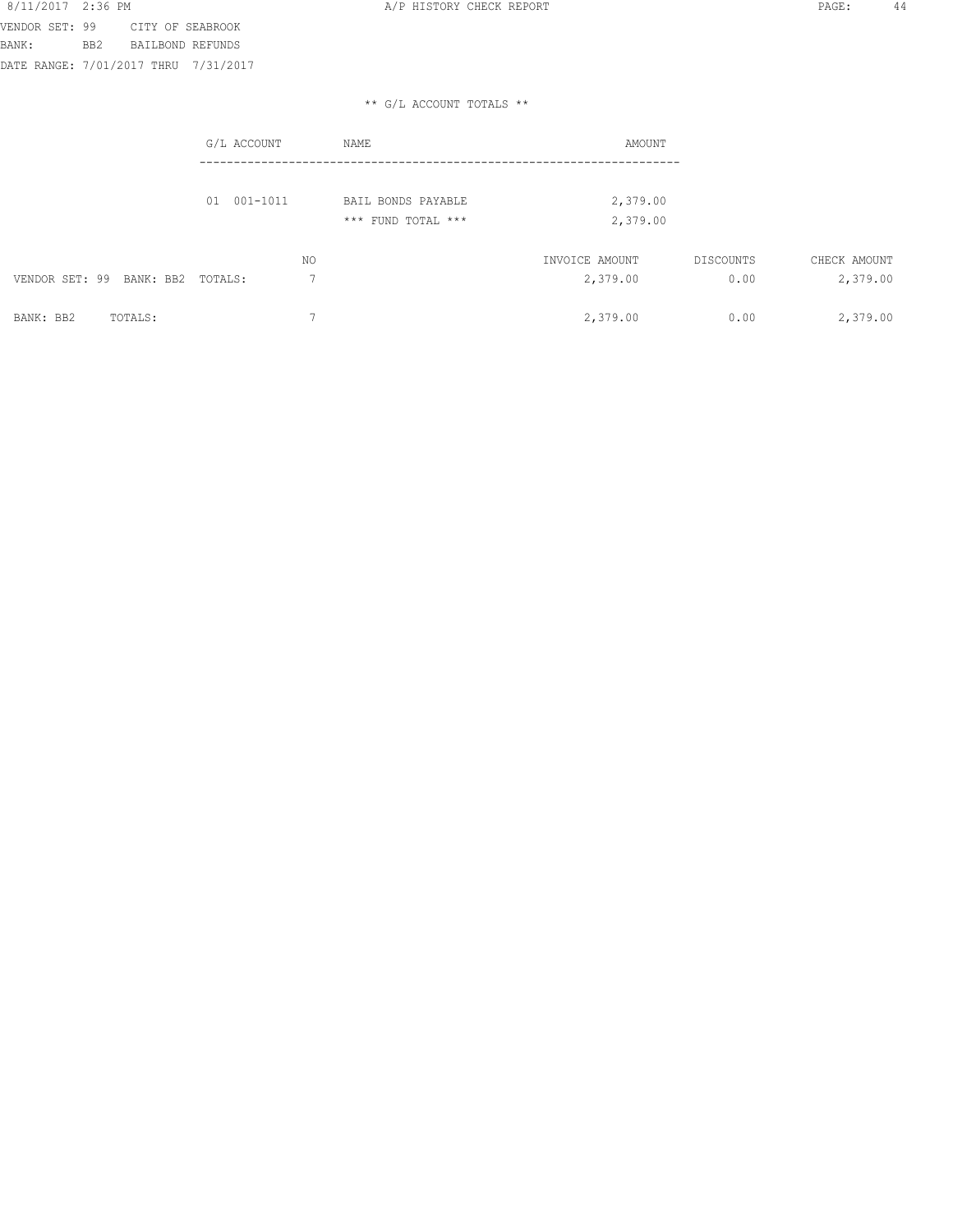|                                  | G/L ACCOUNT | NAME                                     | AMOUNT                     |                   |                          |
|----------------------------------|-------------|------------------------------------------|----------------------------|-------------------|--------------------------|
|                                  | 01 001-1011 | BAIL BONDS PAYABLE<br>*** FUND TOTAL *** | 2,379.00<br>2,379.00       |                   |                          |
| VENDOR SET: 99 BANK: BB2 TOTALS: | NO.         |                                          | INVOICE AMOUNT<br>2,379.00 | DISCOUNTS<br>0.00 | CHECK AMOUNT<br>2,379.00 |
| BANK: BB2<br>TOTALS:             |             |                                          | 2,379.00                   | 0.00              | 2,379.00                 |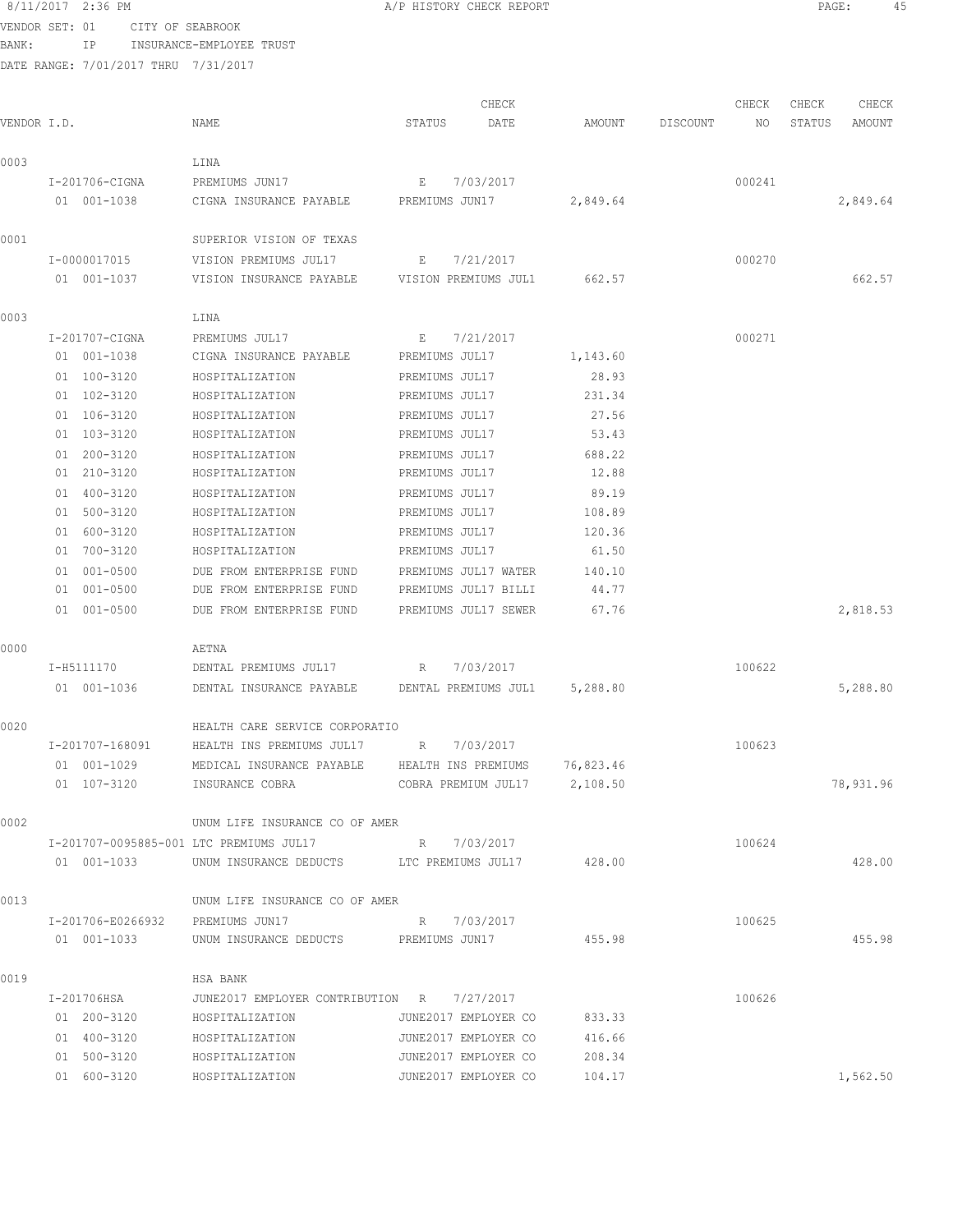8/11/2017 2:36 PM PAGE: 45 ב-11/2017 2:36 PM משפח המשפח המשפח המשפח המשפח המשפח המשפח המשפח המשפח המשפח המשפח<br>VENDOR SET: 01 היידע הם לאחר המשפח המשפח המשפח המשפח המשפח המשפח המשפח המשפח המשפח המשפח המשפח המשפח המשפח המש VENDOR SET: 01 CITY OF SEABROOK

BANK: IP INSURANCE-EMPLOYEE TRUST

|             |                                  |                                                     |                      | CHECK                |           |          | CHECK  | CHECK  | CHECK     |
|-------------|----------------------------------|-----------------------------------------------------|----------------------|----------------------|-----------|----------|--------|--------|-----------|
| VENDOR I.D. |                                  | NAME                                                | STATUS               | DATE                 | AMOUNT    | DISCOUNT | NO     | STATUS | AMOUNT    |
| 0003        |                                  | LINA                                                |                      |                      |           |          |        |        |           |
|             | I-201706-CIGNA                   | PREMIUMS JUN17                                      | E                    | 7/03/2017            |           |          | 000241 |        |           |
|             | 01 001-1038                      | CIGNA INSURANCE PAYABLE                             | PREMIUMS JUN17       |                      | 2,849.64  |          |        |        | 2,849.64  |
| 0001        |                                  | SUPERIOR VISION OF TEXAS                            |                      |                      |           |          |        |        |           |
|             | I-0000017015                     | VISION PREMIUMS JUL17                               | Е                    | 7/21/2017            |           |          | 000270 |        |           |
|             | 01 001-1037                      | VISION INSURANCE PAYABLE                            | VISION PREMIUMS JUL1 |                      | 662.57    |          |        |        | 662.57    |
| 0003        |                                  | LINA                                                |                      |                      |           |          |        |        |           |
|             | I-201707-CIGNA                   | PREMIUMS JUL17                                      | E                    | 7/21/2017            |           |          | 000271 |        |           |
|             | 01 001-1038                      | CIGNA INSURANCE PAYABLE                             | PREMIUMS JUL17       |                      | 1,143.60  |          |        |        |           |
|             | 01 100-3120                      | HOSPITALIZATION                                     | PREMIUMS JUL17       |                      | 28.93     |          |        |        |           |
|             | 01 102-3120                      | HOSPITALIZATION                                     | PREMIUMS JUL17       |                      | 231.34    |          |        |        |           |
|             | 01 106-3120                      | HOSPITALIZATION                                     | PREMIUMS JUL17       |                      | 27.56     |          |        |        |           |
|             | 01 103-3120                      | HOSPITALIZATION                                     | PREMIUMS JUL17       |                      | 53.43     |          |        |        |           |
|             | 01 200-3120                      | HOSPITALIZATION                                     | PREMIUMS JUL17       |                      | 688.22    |          |        |        |           |
|             | 01 210-3120                      | HOSPITALIZATION                                     | PREMIUMS JUL17       |                      | 12.88     |          |        |        |           |
|             | 01 400-3120                      | HOSPITALIZATION                                     | PREMIUMS JUL17       |                      | 89.19     |          |        |        |           |
|             | 01 500-3120                      | HOSPITALIZATION                                     | PREMIUMS JUL17       |                      | 108.89    |          |        |        |           |
|             | 01 600-3120                      | HOSPITALIZATION                                     | PREMIUMS JUL17       |                      | 120.36    |          |        |        |           |
|             | 01 700-3120                      | HOSPITALIZATION                                     | PREMIUMS JUL17       |                      | 61.50     |          |        |        |           |
|             | 01 001-0500                      | DUE FROM ENTERPRISE FUND                            |                      | PREMIUMS JUL17 WATER | 140.10    |          |        |        |           |
|             | 01 001-0500                      | DUE FROM ENTERPRISE FUND                            |                      | PREMIUMS JUL17 BILLI | 44.77     |          |        |        |           |
|             | 01 001-0500                      | DUE FROM ENTERPRISE FUND                            |                      | PREMIUMS JUL17 SEWER | 67.76     |          |        |        | 2,818.53  |
| 0000        |                                  | AETNA                                               |                      |                      |           |          |        |        |           |
|             | I-H5111170                       | DENTAL PREMIUMS JUL17                               | R                    | 7/03/2017            |           |          | 100622 |        |           |
|             | 01 001-1036                      | DENTAL INSURANCE PAYABLE DENTAL PREMIUMS JUL1       |                      |                      | 5,288.80  |          |        |        | 5,288.80  |
| 0020        |                                  | HEALTH CARE SERVICE CORPORATIO                      |                      |                      |           |          |        |        |           |
|             | I-201707-168091                  | HEALTH INS PREMIUMS JUL17 R                         |                      | 7/03/2017            |           |          | 100623 |        |           |
|             | 01 001-1029                      | MEDICAL INSURANCE PAYABLE                           | HEALTH INS PREMIUMS  |                      | 76,823.46 |          |        |        |           |
|             | 01 107-3120                      | INSURANCE COBRA                                     | COBRA PREMIUM JUL17  |                      | 2,108.50  |          |        |        | 78,931.96 |
| 0002        |                                  | UNUM LIFE INSURANCE CO OF AMER                      |                      |                      |           |          |        |        |           |
|             |                                  | I-201707-0095885-001 LTC PREMIUMS JUL17 R 7/03/2017 |                      |                      |           |          | 100624 |        |           |
|             | 01 001-1033                      | UNUM INSURANCE DEDUCTS LTC PREMIUMS JUL17 428.00    |                      |                      |           |          |        |        | 428.00    |
| 0013        |                                  | UNUM LIFE INSURANCE CO OF AMER                      |                      |                      |           |          |        |        |           |
|             | I-201706-E0266932 PREMIUMS JUN17 |                                                     | R 7/03/2017          |                      |           |          | 100625 |        |           |
|             | 01 001-1033                      | UNUM INSURANCE DEDUCTS PREMIUMS JUN17               |                      |                      | 455.98    |          |        |        | 455.98    |
| 0019        |                                  | HSA BANK                                            |                      |                      |           |          |        |        |           |
|             | I-201706HSA                      | JUNE2017 EMPLOYER CONTRIBUTION R 7/27/2017          |                      |                      |           |          | 100626 |        |           |
|             | 01 200-3120                      | HOSPITALIZATION                                     |                      | JUNE2017 EMPLOYER CO | 833.33    |          |        |        |           |
|             | 01 400-3120                      | HOSPITALIZATION                                     | JUNE2017 EMPLOYER CO |                      | 416.66    |          |        |        |           |
|             | 01 500-3120                      | HOSPITALIZATION                                     | JUNE2017 EMPLOYER CO |                      | 208.34    |          |        |        |           |
|             | 01 600-3120                      | HOSPITALIZATION                                     | JUNE2017 EMPLOYER CO |                      | 104.17    |          |        |        | 1,562.50  |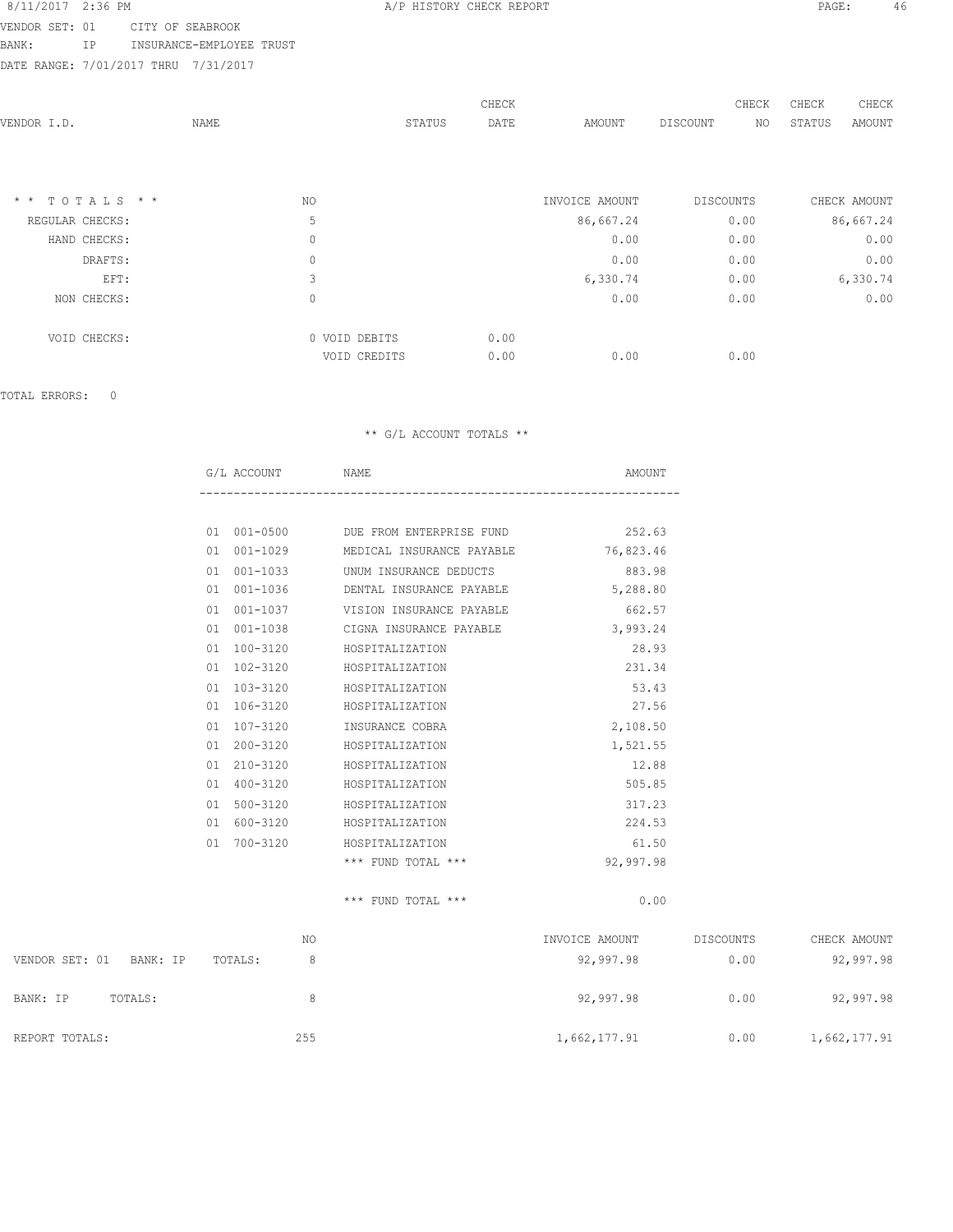VENDOR SET: 01 CITY OF SEABROOK BANK: IP INSURANCE-EMPLOYEE TRUST

DATE RANGE: 7/01/2017 THRU 7/31/2017

|                               |      |               |        | CHECK |                | CHECK     | CHECK        | CHECK        |
|-------------------------------|------|---------------|--------|-------|----------------|-----------|--------------|--------------|
| VENDOR I.D.                   | NAME |               | STATUS | DATE  | AMOUNT         | DISCOUNT  | ΝO<br>STATUS | AMOUNT       |
|                               |      |               |        |       |                |           |              |              |
|                               |      |               |        |       |                |           |              |              |
| TOTALS * *<br>$\star$ $\star$ |      | NO.           |        |       | INVOICE AMOUNT | DISCOUNTS |              | CHECK AMOUNT |
|                               |      |               |        |       |                |           |              |              |
| REGULAR CHECKS:               |      | 5             |        |       | 86,667.24      | 0.00      |              | 86,667.24    |
| HAND CHECKS:                  |      | $\mathbf 0$   |        |       | 0.00           | 0.00      |              | 0.00         |
| DRAFTS:                       |      | $\mathbf 0$   |        |       | 0.00           | 0.00      |              | 0.00         |
| EFT:                          |      | 3             |        |       | 6,330.74       | 0.00      |              | 6,330.74     |
| NON CHECKS:                   |      | $\mathbf 0$   |        |       | 0.00           | 0.00      |              | 0.00         |
| VOID CHECKS:                  |      | 0 VOID DEBITS |        | 0.00  |                |           |              |              |
|                               |      | VOID CREDITS  |        | 0.00  | 0.00           | 0.00      |              |              |
|                               |      |               |        |       |                |           |              |              |

TOTAL ERRORS: 0

|    | G/L ACCOUNT NAME |                                                 | AMOUNT    |
|----|------------------|-------------------------------------------------|-----------|
|    |                  |                                                 |           |
|    |                  | 01 001-0500 DUE FROM ENTERPRISE FUND 252.63     |           |
|    |                  | 01 001-1029 MEDICAL INSURANCE PAYABLE 76,823.46 |           |
| 01 |                  | 001-1033 UNUM INSURANCE DEDUCTS                 | 883.98    |
| 01 |                  | 001-1036 DENTAL INSURANCE PAYABLE               | 5,288.80  |
|    |                  | 01 001-1037 VISION INSURANCE PAYABLE            | 662.57    |
|    |                  | 01 001-1038 CIGNA INSURANCE PAYABLE             | 3,993.24  |
|    |                  | 01 100-3120 HOSPITALIZATION                     | 28.93     |
|    | 01 102-3120      | HOSPITALIZATION                                 | 231.34    |
|    | 01 103-3120      | HOSPITALIZATION                                 | 53.43     |
|    | 01 106-3120      | HOSPITALIZATION                                 | 27.56     |
| 01 | 107-3120         | INSURANCE COBRA                                 | 2,108.50  |
|    | 01 200-3120      | HOSPITALIZATION                                 | 1,521.55  |
|    | 01 210-3120      | HOSPITALIZATION                                 | 12.88     |
| 01 | 400-3120         | HOSPITALIZATION                                 | 505.85    |
| 01 |                  | 500-3120 HOSPITALIZATION                        | 317.23    |
|    | 01 600-3120      | HOSPITALIZATION                                 | 224.53    |
| 01 | $700 - 3120$     | HOSPITALIZATION                                 | 61.50     |
|    |                  | $***$ FUND TOTAL $***$                          | 92,997.98 |
|    |                  | $***$ FUND TOTAL $***$                          | 0.00      |

|                            | NO           | INVOICE AMOUNT | DISCOUNTS | CHECK AMOUNT |
|----------------------------|--------------|----------------|-----------|--------------|
| VENDOR SET: 01<br>BANK: IP | TOTALS:<br>8 | 92,997.98      | 0.00      | 92,997.98    |
| TOTALS:<br>BANK: IP        | 8            | 92,997.98      | 0.00      | 92,997.98    |
| REPORT TOTALS:             | 255          | 1,662,177.91   | 0.00      | 1,662,177.91 |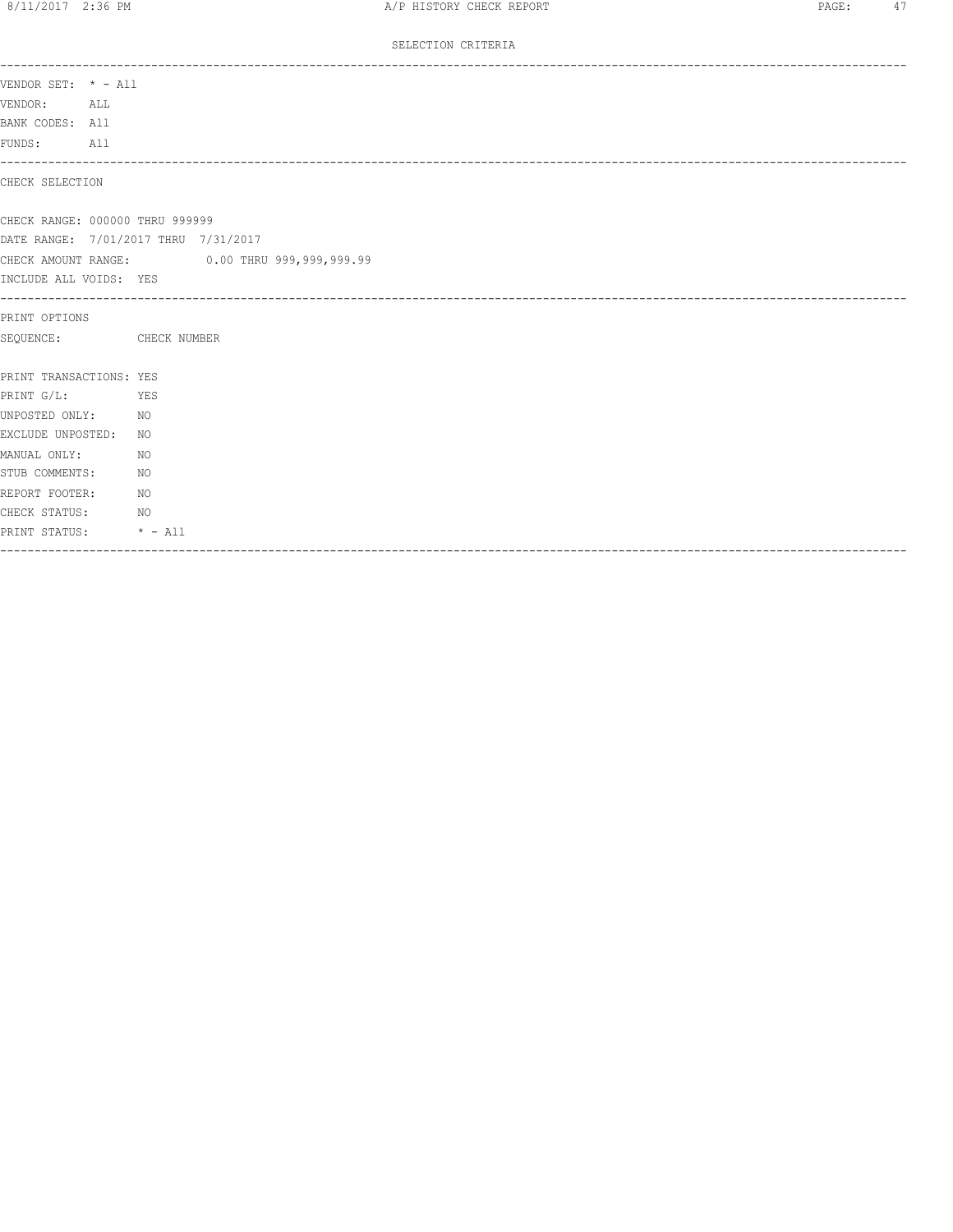#### SELECTION CRITERIA

| VENDOR SET: * - All<br>VENDOR:<br>ALL<br>BANK CODES: All |                                              |
|----------------------------------------------------------|----------------------------------------------|
| FUNDS: All                                               |                                              |
| CHECK SELECTION                                          |                                              |
| CHECK RANGE: 000000 THRU 999999                          |                                              |
| DATE RANGE: 7/01/2017 THRU 7/31/2017                     |                                              |
|                                                          | CHECK AMOUNT RANGE: 0.00 THRU 999,999,999.99 |
| INCLUDE ALL VOIDS: YES                                   |                                              |
| PRINT OPTIONS                                            |                                              |
| SEQUENCE: CHECK NUMBER                                   |                                              |
| PRINT TRANSACTIONS: YES                                  |                                              |
| PRINT G/L:<br><b>Example 25</b>                          |                                              |
| UNPOSTED ONLY: NO                                        |                                              |
| EXCLUDE UNPOSTED:                                        | NO                                           |
| MANUAL ONLY:                                             | NO                                           |
| STUB COMMENTS:                                           | NO                                           |
| REPORT FOOTER:                                           | NO.                                          |
| CHECK STATUS: NO                                         |                                              |
| PRINT STATUS: * - All                                    |                                              |
|                                                          |                                              |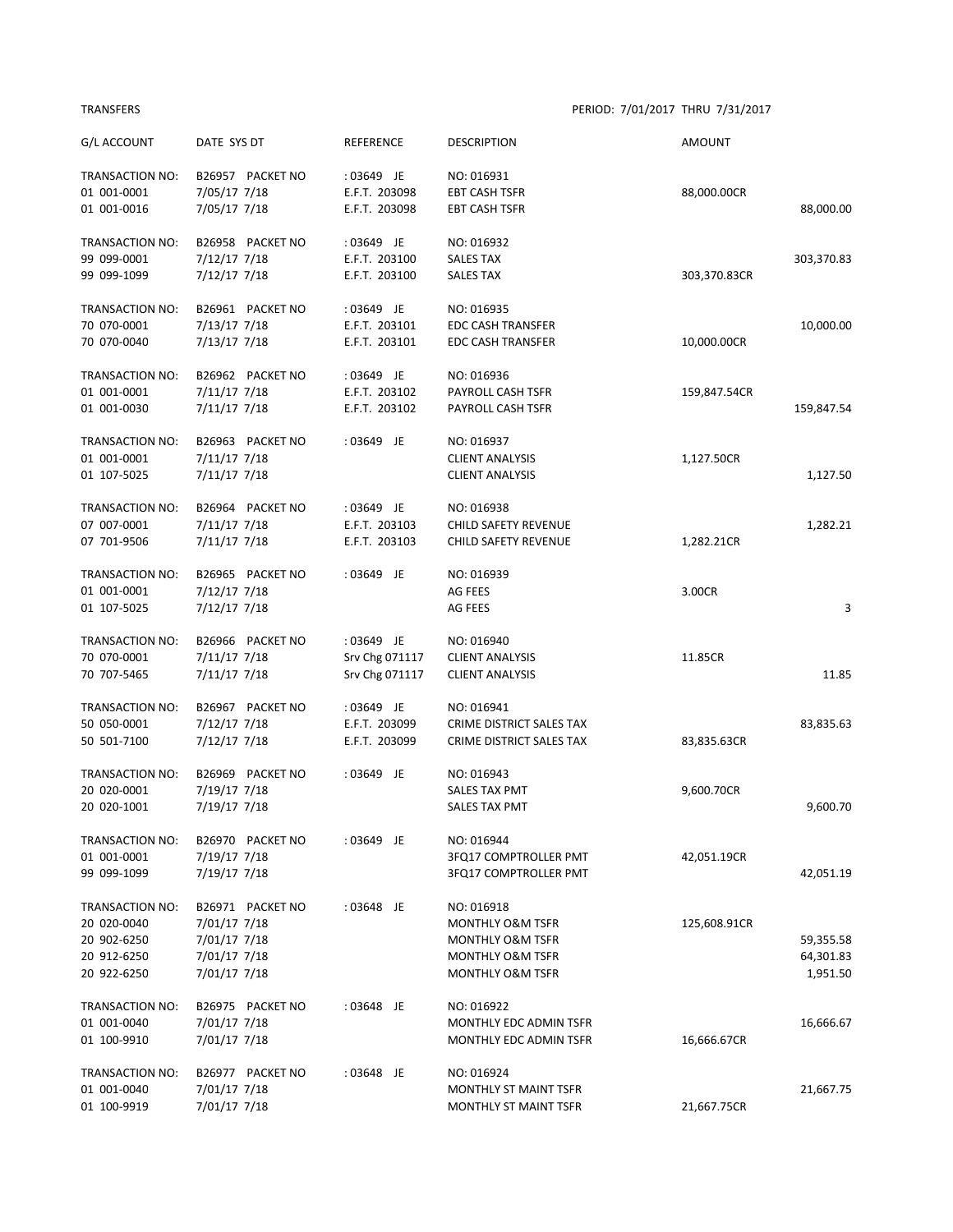## TRANSFERS PERIOD: 7/01/2017 THRU 7/31/2017

| G/L ACCOUNT     | DATE SYS DT      | <b>REFERENCE</b> | <b>DESCRIPTION</b>          | AMOUNT       |            |
|-----------------|------------------|------------------|-----------------------------|--------------|------------|
| TRANSACTION NO: | B26957 PACKET NO | : 03649 JE       | NO: 016931                  |              |            |
| 01 001-0001     | 7/05/17 7/18     | E.F.T. 203098    | <b>EBT CASH TSFR</b>        | 88,000.00CR  |            |
| 01 001-0016     | 7/05/17 7/18     | E.F.T. 203098    | <b>EBT CASH TSFR</b>        |              | 88,000.00  |
| TRANSACTION NO: | B26958 PACKET NO | : 03649 JE       | NO: 016932                  |              |            |
| 99 099-0001     | 7/12/17 7/18     | E.F.T. 203100    | <b>SALES TAX</b>            |              | 303,370.83 |
| 99 099-1099     | 7/12/17 7/18     | E.F.T. 203100    | <b>SALES TAX</b>            | 303,370.83CR |            |
| TRANSACTION NO: | B26961 PACKET NO | : 03649 JE       | NO: 016935                  |              |            |
| 70 070-0001     | 7/13/17 7/18     | E.F.T. 203101    | <b>EDC CASH TRANSFER</b>    |              | 10,000.00  |
| 70 070-0040     | 7/13/17 7/18     | E.F.T. 203101    | <b>EDC CASH TRANSFER</b>    | 10,000.00CR  |            |
| TRANSACTION NO: | B26962 PACKET NO | : 03649 JE       | NO: 016936                  |              |            |
| 01 001-0001     | $7/11/17$ $7/18$ | E.F.T. 203102    | PAYROLL CASH TSFR           | 159,847.54CR |            |
| 01 001-0030     | 7/11/17 7/18     | E.F.T. 203102    | PAYROLL CASH TSFR           |              | 159,847.54 |
| TRANSACTION NO: | B26963 PACKET NO | : 03649 JE       | NO: 016937                  |              |            |
| 01 001-0001     | 7/11/17 7/18     |                  | <b>CLIENT ANALYSIS</b>      | 1,127.50CR   |            |
| 01 107-5025     | $7/11/17$ $7/18$ |                  | <b>CLIENT ANALYSIS</b>      |              | 1,127.50   |
| TRANSACTION NO: | B26964 PACKET NO | : 03649 JE       | NO: 016938                  |              |            |
| 07 007-0001     | $7/11/17$ $7/18$ | E.F.T. 203103    | CHILD SAFETY REVENUE        |              | 1,282.21   |
| 07 701-9506     | $7/11/17$ $7/18$ | E.F.T. 203103    | <b>CHILD SAFETY REVENUE</b> | 1,282.21CR   |            |
| TRANSACTION NO: | B26965 PACKET NO | : 03649 JE       | NO: 016939                  |              |            |
| 01 001-0001     | 7/12/17 7/18     |                  | AG FEES                     | 3.00CR       |            |
| 01 107-5025     | 7/12/17 7/18     |                  | AG FEES                     |              | 3          |
| TRANSACTION NO: | B26966 PACKET NO | : 03649 JE       | NO: 016940                  |              |            |
| 70 070-0001     | 7/11/17 7/18     | Srv Chg 071117   | <b>CLIENT ANALYSIS</b>      | 11.85CR      |            |
| 70 707-5465     | $7/11/17$ $7/18$ | Srv Chg 071117   | <b>CLIENT ANALYSIS</b>      |              | 11.85      |
| TRANSACTION NO: | B26967 PACKET NO | : 03649 JE       | NO: 016941                  |              |            |
| 50 050-0001     | 7/12/17 7/18     | E.F.T. 203099    | CRIME DISTRICT SALES TAX    |              | 83,835.63  |
| 50 501-7100     | $7/12/17$ $7/18$ | E.F.T. 203099    | CRIME DISTRICT SALES TAX    | 83,835.63CR  |            |
| TRANSACTION NO: | B26969 PACKET NO | : 03649 JE       | NO: 016943                  |              |            |
| 20 020-0001     | 7/19/17 7/18     |                  | <b>SALES TAX PMT</b>        | 9,600.70CR   |            |
| 20 020-1001     | 7/19/17 7/18     |                  | <b>SALES TAX PMT</b>        |              | 9,600.70   |
| TRANSACTION NO: | B26970 PACKET NO | : 03649 JE       | NO: 016944                  |              |            |
| 01 001-0001     | 7/19/17 7/18     |                  | 3FQ17 COMPTROLLER PMT       | 42,051.19CR  |            |
| 99 099-1099     | 7/19/17 7/18     |                  | 3FQ17 COMPTROLLER PMT       |              | 42,051.19  |
| TRANSACTION NO: | B26971 PACKET NO | :03648 JE        | NO: 016918                  |              |            |
| 20 020-0040     | 7/01/17 7/18     |                  | <b>MONTHLY O&amp;M TSFR</b> | 125,608.91CR |            |
| 20 902-6250     | 7/01/17 7/18     |                  | <b>MONTHLY O&amp;M TSFR</b> |              | 59,355.58  |
| 20 912-6250     | 7/01/17 7/18     |                  | MONTHLY O&M TSFR            |              | 64,301.83  |
| 20 922-6250     | 7/01/17 7/18     |                  | MONTHLY O&M TSFR            |              | 1,951.50   |
| TRANSACTION NO: | B26975 PACKET NO | : 03648 JE       | NO: 016922                  |              |            |
| 01 001-0040     | 7/01/17 7/18     |                  | MONTHLY EDC ADMIN TSFR      |              | 16,666.67  |
| 01 100-9910     | 7/01/17 7/18     |                  | MONTHLY EDC ADMIN TSFR      | 16,666.67CR  |            |
| TRANSACTION NO: | B26977 PACKET NO | : 03648 JE       | NO: 016924                  |              |            |
| 01 001-0040     | 7/01/17 7/18     |                  | MONTHLY ST MAINT TSFR       |              | 21,667.75  |
| 01 100-9919     | 7/01/17 7/18     |                  | MONTHLY ST MAINT TSFR       | 21,667.75CR  |            |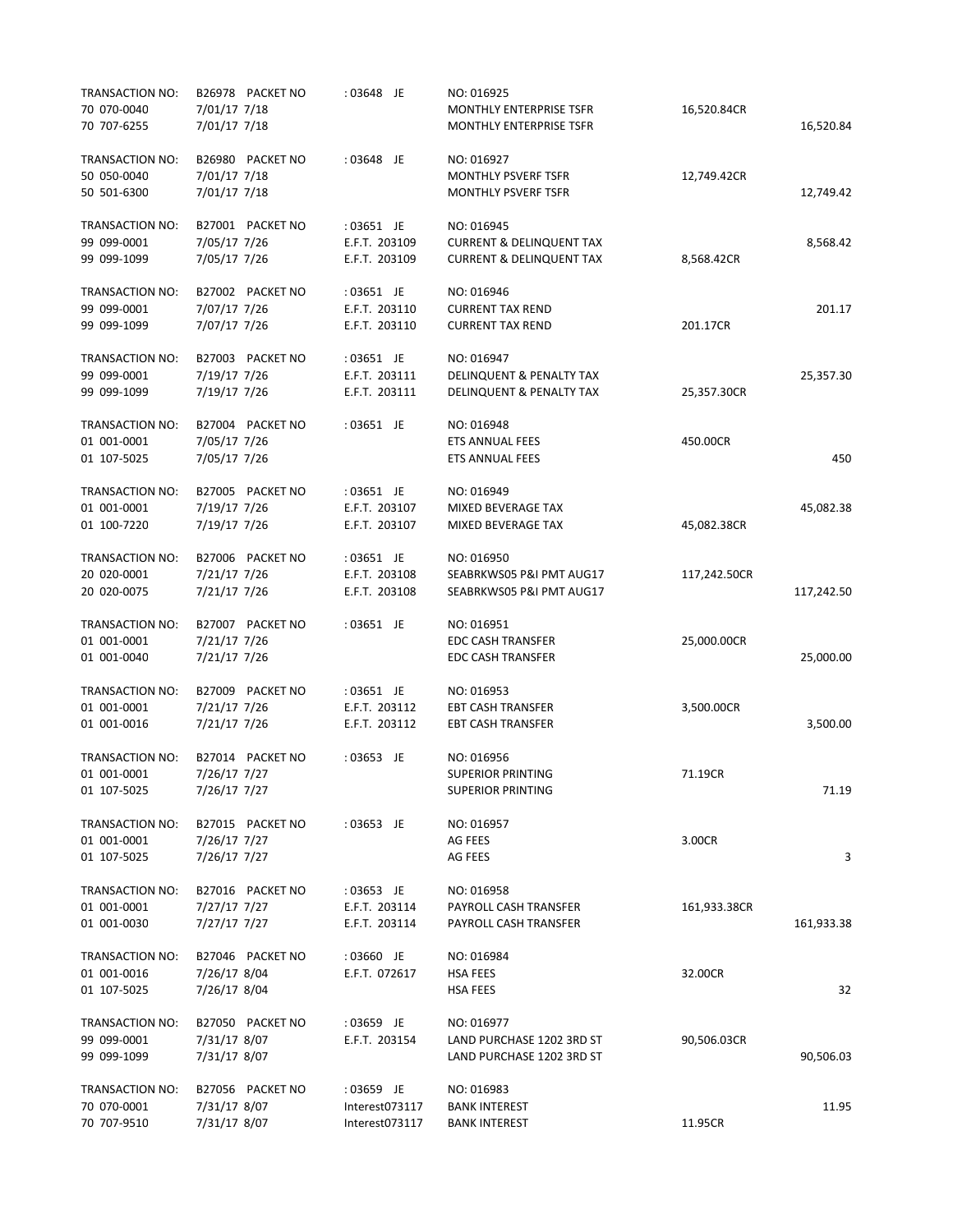| TRANSACTION NO: | B26978 PACKET NO | : 03648 JE     | NO: 016925                          |              |            |
|-----------------|------------------|----------------|-------------------------------------|--------------|------------|
| 70 070-0040     | 7/01/17 7/18     |                | MONTHLY ENTERPRISE TSFR             | 16,520.84CR  |            |
| 70 707-6255     | 7/01/17 7/18     |                | <b>MONTHLY ENTERPRISE TSFR</b>      |              | 16,520.84  |
| TRANSACTION NO: | B26980 PACKET NO | : 03648 JE     | NO: 016927                          |              |            |
| 50 050-0040     | 7/01/17 7/18     |                | <b>MONTHLY PSVERF TSFR</b>          | 12,749.42CR  |            |
| 50 501-6300     | 7/01/17 7/18     |                | <b>MONTHLY PSVERF TSFR</b>          |              | 12,749.42  |
| TRANSACTION NO: | B27001 PACKET NO | : 03651 JE     | NO: 016945                          |              |            |
| 99 099-0001     | 7/05/17 7/26     | E.F.T. 203109  | <b>CURRENT &amp; DELINQUENT TAX</b> |              | 8,568.42   |
| 99 099-1099     | 7/05/17 7/26     | E.F.T. 203109  | <b>CURRENT &amp; DELINQUENT TAX</b> | 8,568.42CR   |            |
| TRANSACTION NO: | B27002 PACKET NO | : 03651 JE     | NO: 016946                          |              |            |
| 99 099-0001     | 7/07/17 7/26     | E.F.T. 203110  | <b>CURRENT TAX REND</b>             |              | 201.17     |
| 99 099-1099     | 7/07/17 7/26     | E.F.T. 203110  | <b>CURRENT TAX REND</b>             | 201.17CR     |            |
| TRANSACTION NO: | B27003 PACKET NO | : 03651 JE     | NO: 016947                          |              |            |
| 99 099-0001     | 7/19/17 7/26     | E.F.T. 203111  | DELINQUENT & PENALTY TAX            |              | 25,357.30  |
| 99 099-1099     | 7/19/17 7/26     | E.F.T. 203111  | DELINQUENT & PENALTY TAX            | 25,357.30CR  |            |
| TRANSACTION NO: | B27004 PACKET NO | : 03651 JE     | NO: 016948                          |              |            |
| 01 001-0001     | 7/05/17 7/26     |                | ETS ANNUAL FEES                     | 450.00CR     |            |
| 01 107-5025     | 7/05/17 7/26     |                | <b>ETS ANNUAL FEES</b>              |              | 450        |
| TRANSACTION NO: | B27005 PACKET NO | : 03651 JE     | NO: 016949                          |              |            |
| 01 001-0001     | 7/19/17 7/26     | E.F.T. 203107  | MIXED BEVERAGE TAX                  |              | 45,082.38  |
| 01 100-7220     | 7/19/17 7/26     | E.F.T. 203107  | <b>MIXED BEVERAGE TAX</b>           | 45,082.38CR  |            |
| TRANSACTION NO: | B27006 PACKET NO | : 03651 JE     | NO: 016950                          |              |            |
| 20 020-0001     | 7/21/17 7/26     | E.F.T. 203108  | SEABRKWS05 P&I PMT AUG17            | 117,242.50CR |            |
| 20 020-0075     | 7/21/17 7/26     | E.F.T. 203108  | SEABRKWS05 P&I PMT AUG17            |              | 117,242.50 |
| TRANSACTION NO: | B27007 PACKET NO | : 03651 JE     | NO: 016951                          |              |            |
| 01 001-0001     | 7/21/17 7/26     |                | <b>EDC CASH TRANSFER</b>            | 25,000.00CR  |            |
| 01 001-0040     | 7/21/17 7/26     |                | <b>EDC CASH TRANSFER</b>            |              | 25,000.00  |
| TRANSACTION NO: | B27009 PACKET NO | : 03651 JE     | NO: 016953                          |              |            |
| 01 001-0001     | 7/21/17 7/26     | E.F.T. 203112  | <b>EBT CASH TRANSFER</b>            | 3,500.00CR   |            |
| 01 001-0016     | 7/21/17 7/26     | E.F.T. 203112  | <b>EBT CASH TRANSFER</b>            |              | 3,500.00   |
| TRANSACTION NO: | B27014 PACKET NO | : 03653 JE     | NO: 016956                          |              |            |
| 01 001-0001     | 7/26/17 7/27     |                | <b>SUPERIOR PRINTING</b>            | 71.19CR      |            |
| 01 107-5025     | 7/26/17 7/27     |                | <b>SUPERIOR PRINTING</b>            |              | 71.19      |
| TRANSACTION NO: | B27015 PACKET NO | : 03653 JE     | NO: 016957                          |              |            |
| 01 001-0001     | 7/26/17 7/27     |                | AG FEES                             | 3.00CR       |            |
| 01 107-5025     | 7/26/17 7/27     |                | AG FEES                             |              | 3          |
| TRANSACTION NO: | B27016 PACKET NO | $: 03653$ JE   | NO: 016958                          |              |            |
| 01 001-0001     | 7/27/17 7/27     | E.F.T. 203114  | PAYROLL CASH TRANSFER               | 161,933.38CR |            |
| 01 001-0030     | 7/27/17 7/27     | E.F.T. 203114  | PAYROLL CASH TRANSFER               |              | 161,933.38 |
| TRANSACTION NO: | B27046 PACKET NO | :03660 JE      | NO: 016984                          |              |            |
| 01 001-0016     | 7/26/17 8/04     | E.F.T. 072617  | <b>HSA FEES</b>                     | 32.00CR      |            |
| 01 107-5025     | 7/26/17 8/04     |                | HSA FEES                            |              | 32         |
| TRANSACTION NO: | B27050 PACKET NO | : 03659 JE     | NO: 016977                          |              |            |
| 99 099-0001     | 7/31/17 8/07     | E.F.T. 203154  | LAND PURCHASE 1202 3RD ST           | 90,506.03CR  |            |
| 99 099-1099     | 7/31/17 8/07     |                | LAND PURCHASE 1202 3RD ST           |              | 90,506.03  |
| TRANSACTION NO: | B27056 PACKET NO | : 03659 JE     | NO: 016983                          |              |            |
| 70 070-0001     | 7/31/17 8/07     | Interest073117 | <b>BANK INTEREST</b>                |              | 11.95      |
| 70 707-9510     | 7/31/17 8/07     | Interest073117 | <b>BANK INTEREST</b>                | 11.95CR      |            |